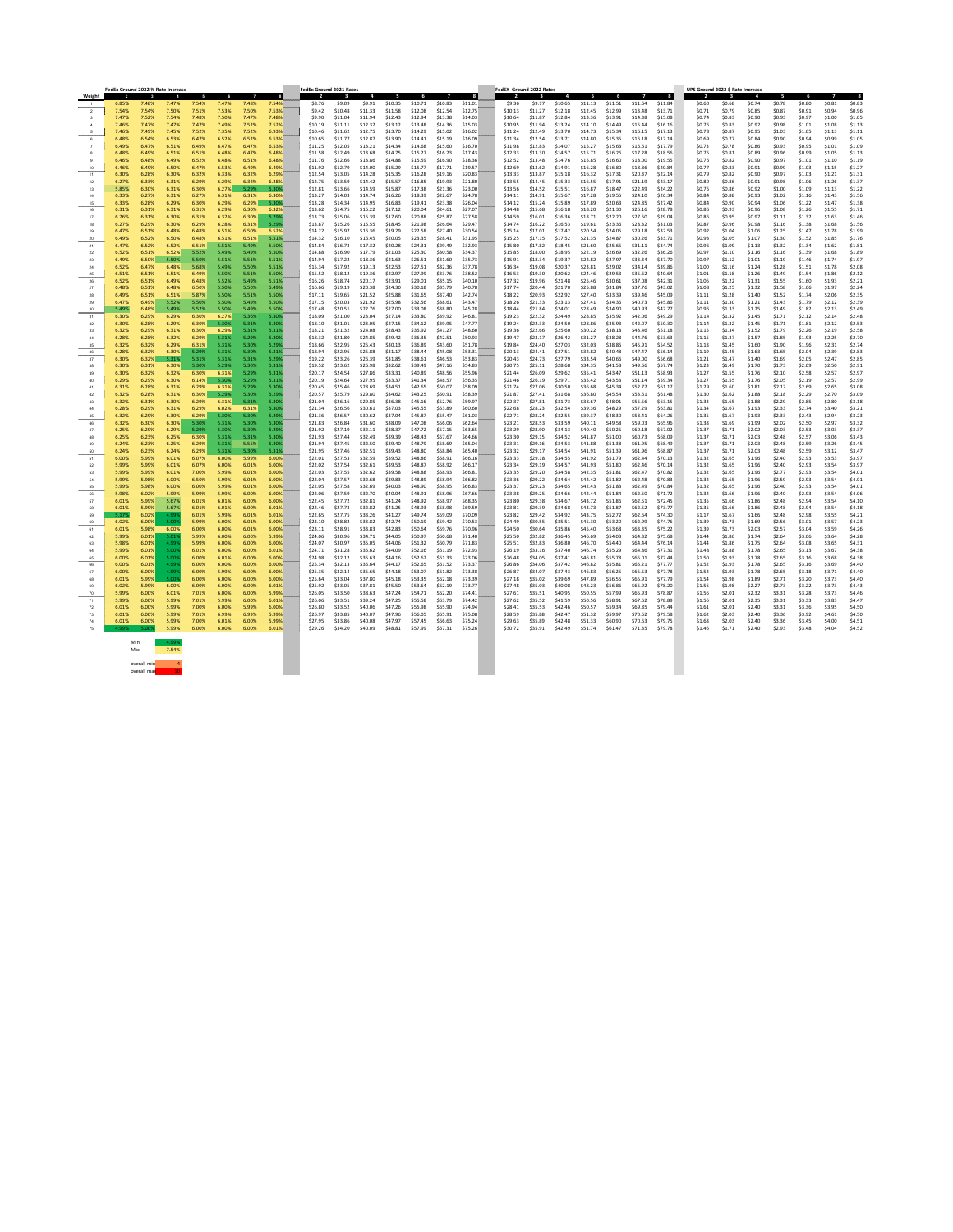|                | FedEx Ground 2022 % Rate Increase |                      |                  |                |                |                |                  | <b>FedEx Ground 2021 Rates</b> |                    |                    |                    |                    |                         |                    | FedEX Ground 2022 Rates |                    |                    |                    |                    |                    |                    | UPS Ground 2022 \$ Rate Increase |                  |                  |                  |                  |                  |                  |
|----------------|-----------------------------------|----------------------|------------------|----------------|----------------|----------------|------------------|--------------------------------|--------------------|--------------------|--------------------|--------------------|-------------------------|--------------------|-------------------------|--------------------|--------------------|--------------------|--------------------|--------------------|--------------------|----------------------------------|------------------|------------------|------------------|------------------|------------------|------------------|
| Weight         |                                   |                      |                  |                |                |                |                  |                                |                    |                    |                    |                    |                         |                    |                         |                    |                    |                    |                    |                    |                    |                                  |                  |                  | 5                | 6                |                  |                  |
|                | 6.85%                             | 7.48%                | 7.47%            | 7.54%          | 7.47%          | 7.48%          | 7.54%            | \$8.76                         | \$9.09             | \$9.91             | \$10.35            | \$10.71            | \$10.83                 | \$11.01            | \$9.36                  | \$9.77             | \$10.65            | \$11.13            | \$11.51            | \$11.64            | \$11.84            | \$0.60                           | \$0.68           | \$0.74           | \$0.78           | \$0.80           | \$0.81           | \$0.83           |
| $\overline{2}$ | 7.54%<br>7.47%                    | 7.54%<br>7.52%       | 7.50%<br>7.54%   | 7.51%<br>7.48% | 7.53%<br>7.50% | 7.50%<br>7.47% | 7.53%<br>7.48%   | \$9.42<br>\$9.90               | \$10.48<br>\$11.04 | \$11.33<br>\$11.94 | \$11.58<br>\$12.43 | \$12.08<br>\$12.94 | \$12.54<br>\$13.38      | \$12.75<br>\$14.03 | \$10.13<br>\$10.64      | \$11.27<br>\$11.87 | \$12.18<br>\$12.84 | \$12.45<br>\$13.36 | \$12.99<br>\$13.91 | \$13.48<br>\$14.38 | \$13.71<br>\$15.08 | \$0.71<br>\$0.74                 | \$0.79<br>\$0.83 | \$0.85<br>\$0.90 | \$0.87<br>\$0.93 | \$0.91<br>\$0.97 | \$0.94<br>\$1.00 | \$0.96<br>\$1.05 |
|                | 7.46%                             | 7.47%                | 7.47%            | 7.47%          | 7.49%          | 7.52%          | 7.52%            | \$10.19                        | \$11.11            | \$12.32            | \$13.12            | \$13.48            | \$14.36                 | \$15.03            | \$10.95                 | \$11.94            | \$13.24            | \$14.10            | \$14.49            | \$15.44            | \$16.16            | \$0.76                           | \$0.83           | \$0.92           | \$0.98           | \$1.01           | \$1.08           | \$1.13           |
|                | 7.46%                             | 7.49%                | 7.45%            | 7.52%          | $7.35\%$       | 7.52%          | 6.93%            | \$10.46                        | \$11.62            | \$12.75            | \$13.70            | \$14.29            | \$15.02                 | \$16.02            | \$11.24                 | \$12.49            | \$13.70            | \$14.73            | \$15.34            | \$16.15            | \$17.13            | \$0.78                           | \$0.87           | \$0.95           | \$1.03           | \$1.05           | \$1.13           | \$1.12           |
|                | 6.48%                             |                      |                  | 6.47%          |                | 6.52%          | 6.53%            | \$10.65                        | \$11.77            | \$12.87            | \$13.90            | \$14.41            | \$15.19                 | \$16.09            | \$11.34                 | \$12.54            | \$13.71            | \$14.80            | \$15.35            | \$16.18            | \$17.14            | \$0.69                           | \$0.77           | \$0.84           | \$0.90           | \$0.94           | \$0.99           | \$1.05           |
|                | 6.49%                             | 6.47%                | 6.51%            | 6.49%          | 6.47%          | 6.47%          | 6.53%            | \$11.25                        | \$12.05            | \$13.21            | \$14.34            | \$14.68            | \$15.60                 | \$16.70            | \$11.98                 | \$12.83            | \$14.07            | \$15.27            | \$15.63            | \$16.61            | \$17.79            | \$0.73                           | \$0.78           | \$0.86           | \$0.93           | \$0.95           | \$1.01           | \$1.09           |
|                | 6.48%                             | 6.49%                | $6.51\%$         | 6.51%          | 6.48%          | 6.47%          | 6.48%            | \$11.58                        | \$12.49            | \$13.68            | \$14.75            | \$15.27            | \$16.23                 | \$17.43            | \$12.33                 | \$13.30            | \$14.5             | \$15.71            | \$16.26            | \$17.28            | \$18.56            | \$0.75                           | \$0.81           | \$0.89           | \$0.96           | \$0.99           | \$1.05           | \$1.13           |
|                | 6.46%                             | 6.48%                | 6.49%            | 6.52%          | 6.48%          | 6.51%          | 6.48%            | \$11.76                        | \$12.66            | \$13.86            | \$14.88            | \$15.59            | \$16.90                 | \$18.36            | \$12.52                 | \$13.48            | \$14.76            | \$15.85            | \$16.60            | \$18.00            | \$19.55            | \$0.76                           | \$0.82           | \$0.90           | \$0.97           | \$1.01           | \$1.10           | \$1.19           |
| 10<br>11       | 6.46%<br>6.30%                    | 6.49%<br>6.28%       | 6.50%<br>6.30%   | 6.47%<br>6.32% | 6.53%<br>6.33% | 6.49%<br>6.32% | 6.49%<br>6.29%   | \$11.92<br>\$12.54             | \$12.79<br>\$13.05 | \$14.00<br>\$14.28 | \$15.29<br>\$15.35 | \$15.77<br>\$16.28 | \$17.71<br>\$19.16      | \$19.57<br>\$20.83 | \$12.69<br>\$13.33      | \$13.62<br>\$13.87 | \$14.91<br>\$15.18 | \$16.28<br>\$16.32 | \$16.80<br>\$17.31 | \$18.86<br>\$20.37 | \$20.84<br>\$22.14 | \$0.77<br>\$0.79                 | \$0.83<br>\$0.82 | \$0.91<br>\$0.90 | \$0.99<br>\$0.97 | \$1.03<br>\$1.03 | \$1.15<br>\$1.21 | \$1.27<br>\$1.31 |
|                | 6.27%                             | 6.33%                | 6.31%            | 6.29%          | 6.29%          | 6.32%          | 6.28%            | \$12.75                        | \$13.59            | \$14.42            | \$15.57            | \$16.85            | \$19.93                 | \$21.80            | \$13.55                 | \$14.45            | \$15.33            | \$16.55            | \$17.91            | \$21.19            | \$23.17            | \$0.80                           | \$0.86           | \$0.91           | \$0.98           | \$1.06           | \$1.26           | \$1.37           |
| 13             | 5.85%                             | 6.30%                | 6.31%            | 6.30%          | 6.27%          | 5.29%          | 5.30%            | \$12.81                        | \$13.66            | \$14.59            | \$15.87            | \$17.38            |                         | \$23.00            | \$13.56                 | \$14.52            | \$15.51            | \$16.87            | \$18.47            | \$22.49            | \$24.22            | \$0.75                           | \$0.86           | \$0.92           | \$1.00           | \$1.09           | \$1.13           | \$1.22           |
| 14             | 6.33%                             |                      |                  | 6.27%          | 6.31%          | 6.31%          | 6.30%            | \$13.27                        | \$14.03            | \$14.74            | \$16.26            | \$18.39            | \$22.6                  | \$24.78            | \$14.11                 | \$14.91            | \$15.67            | \$17.28            | \$19.55            | \$24.10            | \$26.34            | \$0.84                           | \$0.88           | \$0.93           | \$1.02           | \$1.16           | \$1.43           | \$1.56           |
| 15             | 6.33%                             | 6.28%                | 6.29%            | 6.30%          | 6.29%          | 6.29%          | 5.30%            | \$13.28                        | \$14.34            | \$14.95            | \$16.83            | \$19.41            | \$23.38                 | \$26.04            | \$14.12                 | \$15.24            | \$15.89            | \$17.89            | \$20.63            | \$24.85            | \$27.42            | \$0.84                           | \$0.90           | \$0.94           | \$1.06           | \$1.22           | \$1.47           | \$1.38           |
| 16             | 6.31%                             | 6.31%                | 6.31%            | 6.31%<br>6.31% | 6.29%          | 6.30%<br>6.30% | 6.32%<br>5.29%   | \$13.62                        | \$14.75<br>\$15.06 | \$15.22<br>\$15.39 | \$17.12            | \$20.04            | $$24.6^\circ$<br>\$25.8 | \$27.07<br>\$27.58 | \$14.48<br>\$14.59      | \$15.68            | \$16.18            | \$18.20            | \$21.30            | \$26.16<br>\$27.50 | \$28.78<br>\$29.04 | \$0.86<br>\$0.86                 | \$0.93<br>\$0.95 | \$0.96           | \$1.08<br>\$1.11 | \$1.26<br>\$1.32 | \$1.55<br>\$1.63 | \$1.71<br>\$1.46 |
| 18             | 6.26%<br>6.27%                    | 6.31%<br>6.29%       | 6.30%<br>6.30%   | 6.29%          | 6.32%<br>6.28% | 6.31%          | 5.29%            | \$13.73<br>\$13.87             | \$15.26            | \$15.55            | \$17.60<br>\$18.45 | \$20.88<br>\$21.98 | \$26.64                 | \$29.47            | \$14.74                 | \$16.01<br>\$16.22 | \$16.36<br>\$16.53 | \$18.71<br>\$19.61 | \$22.20<br>\$23.36 | \$28.32            | \$31.03            | \$0.87                           | \$0.96           | \$0.97<br>\$0.98 | \$1.16           | \$1.38           | \$1.68           | \$1.56           |
| 19             | 6.47%                             | 6.51%                | 6.48%            | 6.48%          | 6.51%          | 6.50%          | 6.52%            | \$14.22                        | \$15.97            | \$16.36            | \$19.29            | \$22.58            | \$27.40                 | \$30.54            | \$15.14                 | \$17.01            | \$17.42            | \$20.54            | \$24.05            | \$29.18            | \$32.53            | \$0.92                           | \$1.04           | \$1.06           | \$1.25           | \$1.47           | \$1.78           | \$1.99           |
| -20            | 6.49%                             | 6.52%                | 6.50%            | 6.48%          | 6.51%          | 6.51%          | 5.51%            | \$14.32                        | \$16.10            | \$16.45            | \$20.05            | \$23.35            | \$28.41                 | \$31.95            | \$15.25                 | \$17.15            | \$17.52            | \$21.35            | \$24.87            | \$30.26            | \$33.71            | \$0.93                           | \$1.05           | \$1.07           | \$1.30           | \$1.52           | \$1.85           | \$1.76           |
| 21             | 6.47%                             | 6.52%                |                  | 6.51%          | 5.51%          | 5.49%          | 5.50%            | \$14.84                        | \$16.73            | \$17.32            | \$20.28            | \$24.31            | \$29.49                 | \$32.93            | \$15.80                 | \$17.82            | \$18.45            | \$21.60            | \$25.65            | \$31.11            | \$34.74            | \$0.96                           | \$1.09           | \$1.13           | \$1.32           | \$1.34           | \$1.62           | \$1.8            |
| 22             | 6.52%                             | 6.51%                |                  | 5.52%          | 5.49%          | 5.49%          | 5.50%            | \$14.88                        | \$16.90            | \$17.79            | \$21.03            | \$25.30            | \$30.58                 | \$34.37            | \$15.85                 | \$18.00            | \$18.95            | \$22.19            | \$26.69            | \$32.26            | \$36.26            | \$0.97                           | \$1.10           | \$1.16           | \$1.16           | \$1.39           | \$1.68           | \$1.89           |
| 23             | 6.49%<br>6.52%                    | 6.50%<br>6.47%       | 5.50%<br>6.48%   | 5.50%<br>5.68% | 5.51%          | 5.51%<br>5.50% | 5.51%            | \$14.94                        | \$17.22<br>\$17.92 | \$18.36<br>\$19.13 | \$21.63<br>\$22.53 | \$26.51<br>\$27.51 | \$31.60                 | \$35.73<br>\$37.78 | \$15.91<br>\$16.34      | \$18.34<br>\$19.08 | \$19.3<br>\$20.37  | \$22.82<br>\$23.81 | \$27.97<br>\$29.02 | \$33.34<br>\$34.14 | \$37.70<br>\$39.86 | \$0.97<br>\$1.00                 | \$1.12           | \$1.01<br>\$1.24 | \$1.19<br>\$1.28 | \$1.46<br>\$1.51 | \$1.74<br>\$1.78 | \$1.97<br>\$2.08 |
| 24<br>25       | 6.51%                             |                      |                  | 6.49%          | 5.49%<br>5.50% | 5.51%          | 5.51%<br>5.50%   | \$15.34<br>\$15.52             | \$18.12            | \$19.36            | \$22.97            | \$27.99            | \$32.36<br>\$33.76      | \$38.52            | \$16.53                 | \$19.30            | \$20.62            | \$24.46            | \$29.53            | \$35.62            | \$40.64            | \$1.01                           | \$1.16<br>\$1.18 | \$1.26           | \$1.49           | \$1.54           | \$1.86           | \$2.12           |
| 26             | 6.52%                             | 6.51%                | 6.49%            | 6.48%          | 5.52%          | 5.49%          | 5.51%            | \$16.26                        | \$18.74            | \$20.17            | \$23.91            | \$29.01            | \$35.15                 | \$40.10            | \$17.32                 | \$19.96            | \$21.48            | \$25.46            | \$30.61            | \$37.08            | \$42.31            | \$1.06                           | \$1.22           | \$1.31           | \$1.55           | \$1.60           | \$1.93           | \$2.21           |
|                | 6.48%                             | 6.51%                | 6.48%            | 6.50%          | 5.50%          | 5.50%          | 5.49%            | \$16.66                        | \$19.19            | \$20.38            | \$24.30            | \$30.18            | \$35.79                 | \$40.78            | \$17.74                 | \$20.44            | \$21.70            | \$25.88            | \$31.84            | \$37.76            | \$43.02            | \$1.08                           | \$1.25           | \$1.32           | \$1.58           | \$1.66           | \$1.97           | \$2.24           |
|                | 6.49%                             | 6.51%                |                  | 5.87%          | 5.50%          | 5.51%          | 5.50%            | \$17.11                        | \$19.65            | \$21.52            | \$25.88            | \$31.65            | \$37.40                 | \$42.74            | \$18.22                 | \$20.93            | \$22.92            | \$27.40            | \$33.39            | \$39.46            | \$45.09            | \$1.11                           | \$1.28           | \$1.40           | \$1.52           | \$1.74           | \$2.06           | \$2.35           |
|                | 6.47%                             | 6.49%                | 5.52%            | 5.50%          | 5.50%          | 5.49%          | 5.50%            | \$17.15                        | \$20.03            | \$21.92            | \$25.98            | \$32.56            | \$38.61                 | \$43.47            | \$18.26                 | \$21.33            | \$23.13            | \$27.41            | \$34.35            | \$40.73            | \$45.86            | \$1.11                           | \$1.30           | \$1.21           | \$1.43           | \$1.79           | S2 12.           | \$2.39           |
| -30            | 5.49%<br>6.30%                    | 6.48%<br>6.29%       | 5.49%<br>6.29%   | 5.52%<br>6.30% | 5.50%<br>6.27% | 5.49%<br>5.36% | 5.50%<br>5.30%   | \$17.48<br>\$18.09             | \$20.51<br>\$21.00 | \$22.76<br>\$23.04 | \$27.00<br>\$27.14 | \$33.08<br>\$33.80 | \$38.80<br>\$39.92      | \$45.28<br>\$46.81 | \$18.44<br>\$19.23      | \$21.84<br>\$22.32 | \$24.01<br>\$24.49 | \$28.49<br>\$28.85 | \$34.90<br>\$35.92 | \$40.93<br>\$42.06 | \$47.77<br>\$49.29 | \$0.96<br>\$1.14                 | \$1.33<br>\$1.32 | \$1.25<br>\$1.45 | \$1.49<br>\$1.71 | \$1.82<br>\$2.12 | \$2.13<br>\$2.14 | \$2.49<br>\$2.48 |
| -31<br>-32     | 6.30%                             | 6.28%                | 6.29%            | $6.30\%$       | 5.30%          | 5.31%          | 5.30%            | \$18.10                        | \$21.01            | \$23.05            | \$27.15            | \$34.12            | \$39.95                 | \$47.77            | \$19.24                 | \$22.33            | \$24.50            | \$28.86            | \$35.93            | \$42.07            | \$50.30            | \$1.14                           | \$1.32           | \$1.45           | \$1.71           | \$1.81           | \$2.12           | \$2.53           |
| -33            | 6.32%                             | 6.29%                | 6.31%            | 6.30%          | 6.29%          | 5.31%          | 5.31%            | \$18.21                        | \$21.32            | \$24.08            | \$28.43            | \$35.92            | \$41.27                 | \$48.60            | \$19.36                 | \$22.66            | \$25.60            | \$30.22            | \$38.18            | \$43.46            | \$51.18            | \$1.15                           | \$1.34           | \$1.52           | \$1.79           | \$2.26           | \$2.19           | \$2.58           |
| -34            | 6.28%                             | 6.28%                | 6.32%            | 6.29%          | 5.31%          | 5.29%          | 5.30%            | \$18.32                        | \$21.80            | \$24.85            | \$29.42            | \$36.35            | \$42.51                 | \$50.93            | \$19.47                 | \$23.17            | \$26.42            | \$31.27            | \$38.28            | \$44.76            | \$53.63            | \$1.15                           | \$1.37           | \$1.57           | \$1.85           | \$1.93           | \$2.25           | \$2.70           |
| 35             | 6.32%                             | 6.32%                | 6.29%            | 6.31%          | 5.31%          | 5.30%          | 5.29%            | \$18.66                        | \$22.95            | \$25.43            | \$30.13            | \$36.89            | \$43.60                 | \$51.78            | \$19.84                 | \$24.40            | \$27.03            | \$32.03            | \$38.85            | \$45.91            | \$54.52            | \$1.18                           | \$1.45           | \$1.60           | \$1.90           | \$1.96           | \$2.31           | \$2.74           |
| 36             | 6.28%                             | 6.32%                | 6.30%            | 5.29%          | 5.31%          | 5.30%          | 5.31%            | \$18.94                        | \$22.96            | \$25.88            | \$31.17            | \$38.44            | \$45.08                 | \$53.31            | \$20.13                 | \$24.41            | \$27.51            | \$32.82            | \$40.48            | \$47.47            | \$56.14            | \$1.19                           | \$1.45           | \$1.63           | \$1.65           | \$2.04           | \$2.39           | \$2.83           |
| 37<br>-38      | 6.30%<br>6.30%                    | 6.32%<br>6.31%       | 5.31%<br>6.30%   | 5.31%<br>5.30% | 5.31%<br>5.29% | 5.31%<br>5.30% | 5.29%<br>- 5.31% | \$19.22<br>\$19.52             | \$23.26<br>\$23.62 | \$26.39<br>\$26.98 | \$31.85<br>\$32.62 | \$38.61<br>\$39.49 | \$46.53<br>\$47.16      | \$53.83<br>\$54.83 | \$20.43<br>\$20.75      | \$24.73<br>\$25.11 | \$27.79<br>\$28.68 | \$33.54<br>\$34.35 | \$40.66<br>\$41.58 | \$49.00<br>\$49.66 | \$56.68<br>\$57.74 | \$1.21<br>\$1.23                 | \$1.47<br>\$1.49 | \$1.40<br>\$1.70 | \$1.69<br>\$1.73 | \$2.05<br>\$2.09 | \$2.47<br>\$2.50 | \$2.85<br>\$2.91 |
| -39            | 6.30%                             | 6.32%                | 6.32%            | 6.30%          | $6.31\%$       | 5.29%          | 5.31%            | \$20.17                        | \$24.54            | \$27.86            | \$33.31            | \$40.89            | \$48.56                 | \$55.96            | \$21.44                 | \$26.09            | \$29.62            | \$35.41            | \$43.47            | \$51.13            | \$58.93            | \$1.27                           | \$1.55           | \$1.76           | \$2.10           | \$2.58           | \$2.57           | \$2.97           |
| 40             | 6.29%                             | 6.29%                | 6.30%            | 6.14%          | 5.30%          | 5.29%          | 5.31%            | \$20.19                        | \$24.64            | \$27.95            | \$33.37            | \$41.34            | \$48.57                 | \$56.35            | \$21.46                 | \$26.19            | \$29.71            | \$35.42            | \$43.53            | \$51.14            | \$59.34            | \$1.27                           | \$1.55           | \$1.76           | \$2.05           | \$2.19           | \$2.57           | \$2.99           |
| 41             | 6.31%                             | 6.28%                | 6.31%            | 6.29%          | 6.31%          | 5.29%          | 5.30%            | \$20.45                        | \$25.46            | \$28.69            | \$34.51            | \$42.65            | \$50.07                 | \$58.09            | \$21.74                 | \$27.06            | \$30.50            | \$36.68            | \$45.34            | \$52.72            | \$61.17            | \$1.29                           | \$1.60           | \$1.81           | \$2.17           | \$2.69           | \$2.65           | \$3.08           |
| 42             | 6.32%                             | 6.28%                | 6.31%            | 6.30%          | 5.29%          | 5.30%          | 5.29%            | \$20.57                        | \$25.79            | \$29.80            | \$34.62            | \$43.25            | \$50.91                 | \$58.39            | \$21.87                 | \$27.41            | \$31.68            | \$36.80            | \$45.54            | \$53.61            | \$61.48            | \$1.30                           | \$1.62           | \$1.88           | \$2.18           | \$2.29           | \$2.70           | \$3.09           |
| 43<br>44       | 6.32%<br>6.28%                    | 6.31%<br>6.29%       | 6.30%<br>6.31%   | 6.29%<br>6.29% | 6.31%<br>6.02% | 5.31%<br>6.31% | 5.30%<br>5.30%   | \$21.04<br>\$21.34             | \$26.16<br>\$26.56 | \$29.85<br>\$30.61 | \$36.38<br>\$37.03 | \$45.16<br>\$45.55 | \$52.76<br>\$53.89      | \$59.97<br>\$60.60 | \$22.37<br>\$22.68      | \$27.81<br>\$28.23 | \$31.73<br>\$32.54 | \$38.67<br>\$39.36 | \$48.01<br>\$48.29 | \$55.56<br>\$57.29 | \$63.15<br>\$63.81 | \$1.33<br>\$1.34                 | \$1.65<br>\$1.67 | \$1.88<br>\$1.93 | \$2.29<br>\$2.33 | \$2.85<br>\$2.74 | \$2.80<br>\$3.40 | \$3.18<br>\$3.21 |
| 45             | 6.32%                             | 6.29%                | 6.30%            | 6.29%          | 5.30%          | 5.30%          | 5.29%            | \$21.36                        | \$26.57            | \$30.62            | \$37.04            | \$45.87            | \$55.47                 | \$61.03            | \$22.71                 | \$28.24            | \$32.55            | \$39.37            | \$48.30            | \$58.41            | \$64.26            | \$1.35                           | \$1.67           | \$1.93           | \$2.33           | \$2.43           | \$2.94           | \$3.23           |
|                | 6.32%                             | 6.30%                | 6.30%            | 5.30%          | 5.31%          | 5.30%          | - 5.30%          | \$21.83                        | \$26.84            | \$31.60            | \$38.09            | \$47.08            | \$56.06                 | \$62.64            | \$23.21                 | \$28.53            | \$33.59            | \$40.11            | \$49.58            | \$59.03            | \$65.96            | \$1.38                           | \$1.69           | \$1.99           | \$2.02           | \$2.50           | \$2.97           | \$3.32           |
|                | 6.25%                             | 6.29%                | 6.29%            | 5.29%          | 5.30%          | 5.30%          | 5.29%            | \$21.92                        | \$27.19            | \$32.11            | \$38.37            | \$47.72            | \$57.15                 | \$63.65            | \$23.29                 | \$28.90            | \$34.13            | \$40.40            | \$50.25            | \$60.18            | \$67.02            | \$1.37                           | \$1.71           | \$2.02           | \$2.03           | \$2.53           | \$3.03           | \$3.37           |
| 48             | 6.25%                             | 6.23%                | 6.25%            | 6.30%          | 5.31%          | 5.31%          | 5.30%            | \$21.93                        | \$27.44            | \$32.49            | \$39.39            | \$48.43            | \$57.67                 | \$64.66            | \$23.30                 | \$29.15            | \$34.52            | \$41.87            | \$51.00            | \$60.73            | \$68.09            | \$1.37                           | \$1.71           | \$2.03           | \$2.48           | \$2.57           | \$3.06           | \$3.43           |
|                | 6.24%                             | 6.23%<br>6.23%       | 6.25%            | 6.29%          | 5.31%          | 5.55%          | - 5.30%          | \$21.94                        | \$27.45<br>\$27.46 | \$32.50            | \$39.40            | \$48.79<br>\$48.80 | \$58.69<br>\$58.84      | \$65.04<br>\$65.40 | \$23.31<br>\$23.32      | \$29.16            | \$34.53<br>\$34.54 | \$41.88            | \$51.38<br>\$51.39 | \$61.95<br>\$61.96 | \$68.49<br>\$68.87 | \$1.37                           | \$1.71           | \$2.03<br>\$2.03 | \$2.48           | \$2.59<br>\$2.59 | \$3.26<br>\$3.12 | \$3.45<br>\$3.47 |
| 50<br>-51      | 6.24%<br>6.00%                    | 5.99%                | 6.24%<br>6.01%   | 6.29%<br>6.07% | 5.31%<br>6.00% | 5.30%<br>5.99% | - 5.31%<br>6.00% | \$21.95<br>\$22.01             | \$27.53            | \$32.51<br>\$32.59 | \$39.43<br>\$39.52 | \$48.86            | \$58.91                 | \$66.16            | \$23.33                 | \$29.17<br>\$29.18 | \$34.55            | \$41.91<br>\$41.92 | \$51.79            | \$62.44            | \$70.13            | \$1.37<br>\$1.32                 | \$1.71<br>\$1.65 | \$1.96           | \$2.48<br>\$2.40 | \$2.93           | \$3.53           | \$3.97           |
| 52             | 5.99%                             | 5.99%                | 6.01%            | 6.07%          | 6.00%          | 6.01%          | 6.00%            | \$22.02                        | \$27.54            | \$32.61            | \$39.53            | \$48.87            | \$58.92                 | \$66.17            | \$23.34                 | \$29.19            | \$34.57            | \$41.93            | \$51.80            | \$62.46            | \$70.14            | \$1.32                           | \$1.65           | \$1.96           | \$2.40           | \$2.93           | \$3.54           | \$3.97           |
| 53             | 5.99%                             | 5.99%                | 6.01%            | 7.00%          | 5.99%          | 6.01%          | 6.00%            | \$22.03                        | \$27.55            | \$32.62            | \$39.58            | \$48.88            | \$58.93                 | \$66.81            | \$23.35                 | \$29.20            | \$34.58            | \$42.35            | \$51.81            | \$62.47            | \$70.82            | \$1.32                           | \$1.65           | \$1.96           | \$2.77           | \$2.93           | \$3.54           | \$4.01           |
| -54            | 5.99%                             | 5.98%                | 6.00%            | 6.50%          | 5.99%          | 6.01%          | 6.00%            | \$22.04                        | \$27.57            | \$32.68            | \$39.83            | \$48.89            | \$58.94                 | \$66.82            | \$23.36                 | \$29.22            | \$34.64            | \$42.42            | \$51.82            | \$62.48            | \$70.83            | \$1.32                           | \$1.65           | \$1.96           | \$2.59           | \$2.93           | \$3.54           | \$4.01           |
| 55             | 5.99%                             | 5.98%                | 6.00%            | 6.00%          | 5.99%          | 6.01%          | 6.00%            | \$22.05                        | \$27.58            | \$32.69            | \$40.03            | \$48.90            | \$58.95                 | \$66.83            | \$23.37                 | \$29.23            | \$34.65            | \$42.43            | \$51.83            | \$62.49            | \$70.84            | \$1.32                           | \$1.65           | \$1.96           | \$2.40           | \$2.93           | \$3.54           | \$4.01           |
| 57             | 5.98%<br>6.01%                    | 6.02%<br>5.99%       | 5.99%<br>5.67%   | 5.99%<br>6.01% | 5.99%<br>6.01% | 6.00%<br>6.00% | 6.00%<br>6.00%   | \$22.06<br>\$22.45             | \$27.59<br>\$27.72 | \$32.70<br>\$32.81 | \$40.04<br>\$41.24 | \$48.91<br>\$48.92 | \$58.96<br>\$58.97      | \$67.66<br>\$68.35 | \$23.38<br>\$23.80      | \$29.25<br>\$29.38 | \$34.66<br>\$34.67 | \$42.44<br>\$43.72 | \$51.84<br>\$51.86 | \$62.50<br>\$62.51 | \$71.72<br>\$72.45 | \$1.32<br>\$1.35                 | \$1.66<br>\$1.66 | \$1.96<br>\$1.86 | \$2.40<br>\$2.48 | \$2.93<br>\$2.94 | \$3.54<br>\$3.54 | \$4.06<br>\$4.10 |
| 58             | 6.01%                             | 5.99%                | 5.67%            | 6.01%          | 6.01%          | 6.00%          | 6.01%            | \$22.46                        | \$27.73            | \$32.82            | \$41.25            | \$48.93            | \$58.98                 | \$69.59            | \$23.81                 | \$29.39            | \$34.68            | \$43.73            | \$51.87            | \$62.52            | \$73.77            | \$1.35                           | \$1.66           | \$1.86           | \$2.48           | \$2.94           | \$3.54           | \$4.18           |
|                | 5.17%                             | 6.02%                | 4.99%            | 6.01%          | 5.99%          | 6.01%          | 6.01%            | \$22.65                        | \$27.75            | \$33.26            | \$41.27            | \$49.74            | \$59.09                 | \$70.09            | \$23.82                 | \$29.42            | \$34.92            | \$43.75            | \$52.72            | \$62.64            | \$74.30            | \$1.17                           | \$1.67           | \$1.66           | \$2.48           | \$2.98           | \$3.55           | \$4.21           |
|                | 6.02%                             | $6.00\%$             | - 5.00%          | 5.99%          | 6.00%          | 6.01%          | 6.00%            | \$23.10                        | \$28.82            | \$33.82            | \$42.74            | \$50.19            | \$59.42                 | \$70.53            | \$24.49                 | \$30.55            | \$35.51            | \$45.30            | \$53.20            | \$62.99            | \$74.76            | \$1.39                           | \$1.73           | \$1.69           | \$2.56           | \$3.01           | \$3.57           | \$4.23           |
| -61            | 6.01%                             | 5.98%                | 6.00%            | 6.00%          | 6.00%          | 6.01%          | 6.00%            | \$23.11                        | \$28.91            | \$33.83            | \$42.83            | \$50.64            | \$59.76                 | \$70.96            | \$24.50                 | \$30.64            | \$35.86            | \$45.40            | \$53.68            | \$63.35            | \$75.22            | \$1.39                           | \$1.73           | \$2.03           | \$2.57           | \$3.04           | \$3.59           | \$4.26           |
|                | 5.99%<br>5.98%                    | $6.01\%$<br>$6.01\%$ | 5.01%<br>- 4.99% | 5.99%<br>5.99% | 6.00%<br>6.00% | 6.00%<br>6.00% | 5.99%<br>6.00%   | \$24.06<br>\$24.07             | \$30.96<br>\$30.97 | \$34.71<br>\$35.05 | \$44.05<br>\$44.06 | \$50.97<br>\$51.32 | \$60.68<br>\$60.79      | \$71.40<br>\$71.83 | \$25.50<br>\$25.51      | \$32.82<br>\$32.83 | \$36.45<br>\$36.80 | \$46.69<br>\$46.70 | \$54.03<br>\$54.40 | \$64.32<br>\$64.44 | \$75.68<br>\$76.14 | \$1.44<br>\$1.44                 | \$1.86<br>\$1.86 | \$1.74<br>\$1.75 | \$2.64<br>\$2.64 | \$3.06<br>\$3.08 | \$3.64<br>\$3.65 | \$4.28<br>\$4.31 |
| 63             | 5.99%                             | $6.01\%$             | - 5.00%          | 6.01%          | 6.00%          | 6.00%          | 6.01%            | \$24.71                        | \$31.28            | \$35.62            | \$44.09            | \$52.16            | \$61.19                 | \$72.93            | \$26.19                 | \$33.16            | \$37.40            | \$46.74            | \$55.29            | \$64.86            | \$77.31            | \$1.48                           | \$1.88           | \$1.78           | \$2.65           | \$3.13           | \$3.67           | \$4.38           |
| 65             | 6.00%                             | 6.01%                | -5.00%           | 6.00%          | 6.01%          | 6.00%          | 6.00%            | \$24.98                        | \$32.12            | \$35.63            | \$44.16            | \$52.62            | \$61.33                 | \$73.06            | \$26.48                 | \$34.05            | \$37.41            | \$46.81            | \$55.78            | \$65.01            | \$77.44            | \$1.50                           | \$1.93           | \$1.78           | \$2.65           | \$3.16           | \$3.68           | \$4.38           |
| 66             | 6.00%                             | $6.01\%$             | -4.99%           | 6.00%          | 6.00%          | 6.00%          | 6.00%            | \$25.34                        | \$32.13            | \$35.64            | \$44.17            | \$52.65            | \$61.52                 | \$73.37            | \$26.86                 | \$34.06            | \$37.42            | \$46.82            | \$55.81            | \$65.21            | \$77.77            | \$1.52                           | \$1.93           | \$1.78           | \$2.65           | \$3.16           | \$3.69           | \$4.40           |
| 67             | 6.00%                             | $6.00\%$             | -4.99%           | 6.00%          | 5.99%          | 6.00%          | 6.00%            | \$25.35                        | \$32.14            | \$35.65            | \$44.18            | \$53.07            | \$61.82                 | \$73.38            | \$26.87                 | \$34.07            | \$37.43            | \$46.83            | \$56.25            | \$65.53            | \$77.78            | \$1.52                           | \$1.93           | \$1.78           | \$2.65           | \$3.18           | \$3.71           | \$4.40           |
| 68             | 6.01%                             | $5.99\%$             | - 5.00%          | 6.00%          | 6.00%          | 6.00%          | 6.00%            | \$25.64                        | \$33.04            | \$37.80            | \$45.18            | \$53.35            | \$62.18                 | \$73.39            | \$27.18                 | \$35.02            | \$39.69            | \$47.89            | \$56.55            | \$65.91            | \$77.79            | \$1.54                           | \$1.98           | \$1.89           | \$2.71           | \$3.20           | \$3.73           | \$4.40           |
| 69<br>70       | 6.02%<br>5.99%                    | 5.99%<br>6.00%       | 6.00%<br>6.01%   | 6.00%<br>7.01% | 6.00%<br>6.00% | 6.00%<br>6.00% | 6.01%<br>5.99%   | \$25.92<br>\$26.05             | \$33.05<br>\$33.50 | \$37.81<br>\$38.63 | \$45.50<br>\$47.24 | \$53.64<br>\$54.71 | \$62.19<br>\$62.20      | \$73.77<br>\$74.41 | \$27.48<br>\$27.61      | \$35.03<br>\$35.51 | \$40.08<br>\$40.95 | \$48.23<br>\$50.55 | \$56.86<br>\$57.99 | \$65.92<br>\$65.93 | \$78.20<br>\$78.87 | \$1.56<br>\$1.56                 | \$1.98<br>\$2.01 | \$2.27<br>\$2.32 | \$2.73<br>\$3.31 | \$3.22<br>\$3.28 | \$3.73<br>\$3.73 | \$4.43<br>\$4.46 |
| 71             | 5.99%                             | 6.00%                | 5.99%            | 7.01%          | 5.99%          | 6.00%          | 6.01%            | \$26.06                        | \$33.51            | \$39.24            | \$47.25            | \$55.58            | \$63.79                 | \$74.42            | \$27.62                 | \$35.52            | \$41.59            | \$50.56            | \$58.91            | \$67.62            | \$78.89            | \$1.56                           | \$2.01           | \$2.35           | \$3.31           | \$3.33           | \$3.83           | \$4.47           |
| 72             | 6.01%                             | 6.00%                | 5.99%            | 7.00%          | 6.00%          | 5.99%          | 6.00%            | \$26.80                        | \$33.52            | \$40.06            | \$47.26            | \$55.98            | \$65.90                 | \$74.94            | \$28.41                 | \$35.53            | \$42.46            | \$50.57            | \$59.34            | \$69.85            | \$79.44            | \$1.61                           | \$2.01           | \$2.40           | \$3.31           | \$3.36           | \$3.95           | \$4.50           |
| 73             | 6.01%                             | 6.00%                | 5.99%            | 7.01%          | 6.99%          | 6.99%          | 5.99%            | \$26.97                        | \$33.85            | \$40.07            | \$47.96            | \$56.05            | \$65.91                 | \$75.08            | \$28.59                 | \$35.88            | \$42.47            | \$51.32            | \$59.97            | \$70.52            | \$79.58            | \$1.62                           | \$2.03           | \$2.40           | \$3.36           | \$3.92           | \$4.61           | \$4.50           |
| 74             | 6.01%                             | 6.00%                | 5.99%            | 7.00%          | 6.01%          | 6.00%          | 5.99%            | \$27.95                        | \$33.86            | \$40.08            | \$47.97            | \$57.45            | \$66.63                 | \$75.24            | \$29.63                 | \$35.89            | \$42.48            | \$51.33            | \$60.90            | \$70.63            | \$79.75            | \$1.68                           | \$2.03           | \$2.40           | \$3.36           | \$3.45           | \$4.00           | \$4.51           |
| 75             | 4.99%                             | 5.00%                | 5.99%            | 6.00%          | 6.00%          | 6.00%          | 6.01%            | \$29.26                        | \$34.20            | \$40.09            | \$48.81            | \$57.99            | \$67.31                 | \$75.26            | \$30.72                 | \$35.91            | \$42.49            | \$51.74            | \$61.47            | \$71.35            | \$79.78            | \$1.46                           | \$1.71           | \$2.40           | \$2.93           | \$3.48           | \$4.04           | \$4.52           |

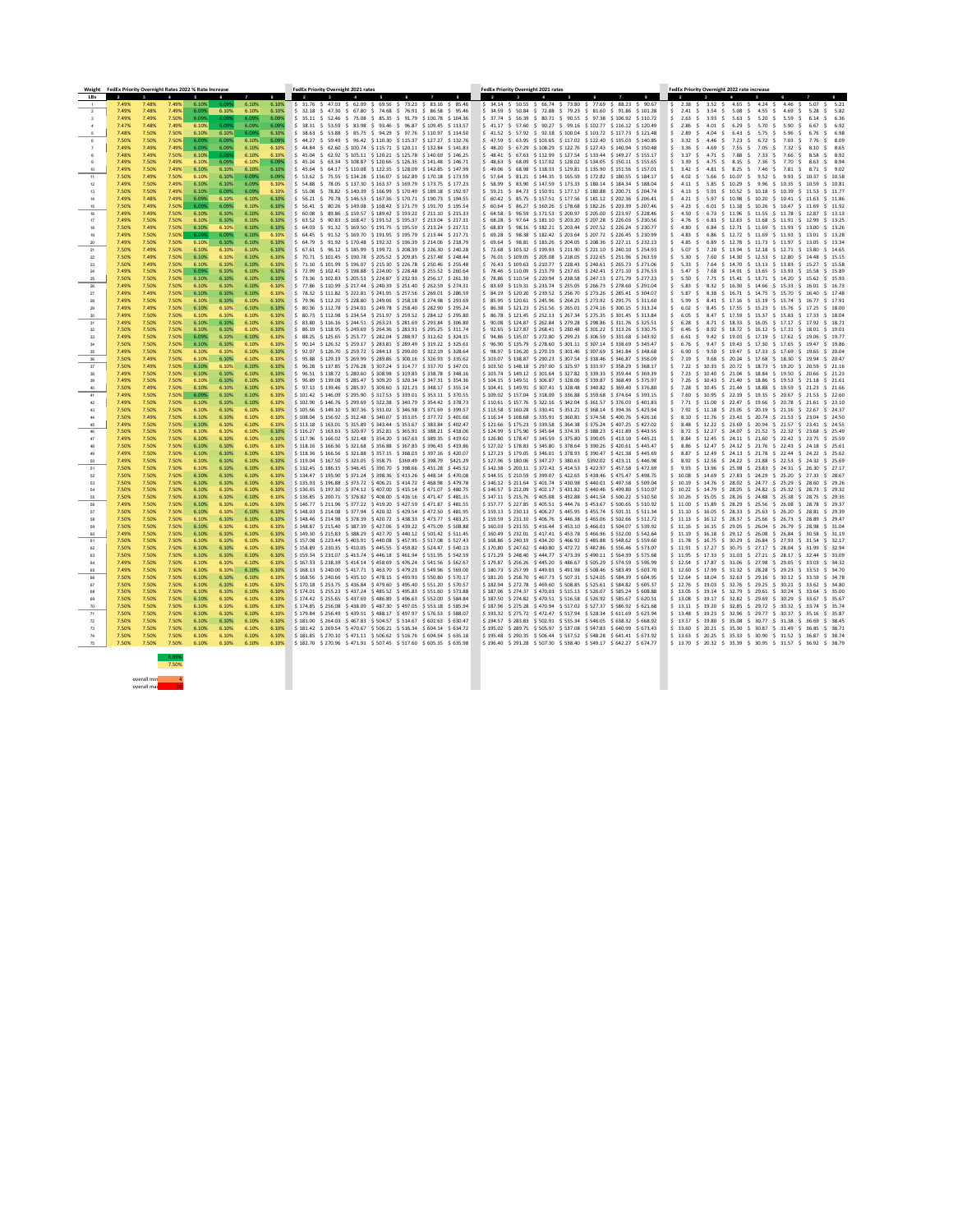| Weight      | FedEx Priority Overnight Rates 2022 % Rate Increase |                         |                      |                   |                |                |                   | <b>FedEx Priority Overnight 2021 rates</b>                                                                                                                                                                                         | <b>FedEx Priority Overnight 2021 rates</b>                                                                                                                                                                                                |                                                                                               | FedEx Priority Overnight 2022 rate increase                                                                                                                                                                                                                                                |                                                                                                        |            |                         |
|-------------|-----------------------------------------------------|-------------------------|----------------------|-------------------|----------------|----------------|-------------------|------------------------------------------------------------------------------------------------------------------------------------------------------------------------------------------------------------------------------------|-------------------------------------------------------------------------------------------------------------------------------------------------------------------------------------------------------------------------------------------|-----------------------------------------------------------------------------------------------|--------------------------------------------------------------------------------------------------------------------------------------------------------------------------------------------------------------------------------------------------------------------------------------------|--------------------------------------------------------------------------------------------------------|------------|-------------------------|
| LBs         | $\overline{\mathbf{2}}$<br>7.49%                    | 3 <sup>1</sup><br>7.48% | 7.49%                | 6.10%             | 6.09%          | 6.10%          | 8<br>6.10%        | $\overline{2}$<br>$\frac{1}{2}$ \$ 31.76 \$ 47.03 \$ 62.09 \$ 69.56 \$ 73.23 \$ 83.16 \$ 85.46                                                                                                                                     | $\overline{2}$<br>$\frac{1}{5}$ 34.14 \$ 50.55 \$ 66.74 \$ 73.80 \$ 77.69 \$ 88.23 \$ 90.67                                                                                                                                               |                                                                                               | $\overline{2}$                                                                                                                                                                                                                                                                             |                                                                                                        |            | $\bf{8}$                |
|             | 7.49%                                               | 7.48%                   | 7.49%                | 6.09%             | 6.10%          | 6.10%          | 6.10%             | $\frac{1}{2}$ \$ 32.18 \$ 47.30 \$ 67.80 \$ 74.68 \$ 76.91 \$ 86.58 \$ 95.46                                                                                                                                                       | \$ 34.59 \$ 50.84 \$ 72.88 \$ 79.23 \$ 81.60 \$ 91.86 \$ 101.28                                                                                                                                                                           |                                                                                               | $\frac{1}{2}$ 2.41 \$                                                                                                                                                                                                                                                                      | $3.54$ \$ 5.08 \$ 4.55 \$ 4.69 \$                                                                      | 5.28       | \$ 5.82                 |
|             | 7.49%                                               | 7.49%                   | 7.50%                | 6.09%             | 6.09%          | 6.09%          | 6.09%             | \$ 35.11 \$ 52.46 \$ 75.08 \$ 85.35 \$ 91.79 \$ 100.78 \$ 104.36                                                                                                                                                                   | \$37.74 \$56.39 \$80.71 \$90.55 \$97.38 \$106.92 \$110.72                                                                                                                                                                                 |                                                                                               | $5$ 2.63 \$                                                                                                                                                                                                                                                                                | $3.93 \div 5.63 \div 5.20 \div 5.59 \div$                                                              |            | $6.14 \quad $6.36$      |
|             | 7.47%<br>7.48%                                      | 7.48%<br>7.50%          | 7.49%<br>7.50%       | 6.10%<br>6.10%    | 6.09%<br>6.10% | 6.09%          | 6.09%<br>6.10%    | \$ 38.31 \$ 53.59 \$ 83.98 \$ 93.46 \$ 96.87 \$109.45 \$113.57<br>$\frac{1}{5}$ 38.63 $\frac{1}{5}$ 53.88 $\frac{1}{5}$ 85.75 $\frac{1}{5}$ 94.29 $\frac{1}{5}$ 97.76 $\frac{1}{5}$ 110.97 $\frac{1}{5}$ 114.50                    | \$ 41.17<br>$$41.52 \t$ 57.92 \t$ 92.18 \t$ 100.04 \t$ 103.72 \t$ 117.73 \t$ 121.48$                                                                                                                                                      | 57.60 \$ 90.27 \$ 99.16 \$ 102.77 \$ 116.12 \$ 120.49                                         | \$2.86<br>-S.<br>-4.01<br>S.<br>$5$ 2.89 \$<br>4.04                                                                                                                                                                                                                                        | 6.29<br>S 5.70 S<br>$$6.43 \t$ 5.75 \t$ 5.96$                                                          | 5.90<br>-S | \$ 6.92<br>6.76 \$ 6.98 |
|             | 7.50%                                               | 7.50%                   | 7.50%                | 6.09%             | 6.09%          | 6.09%<br>6.10% | 6.09%             | $\frac{1}{5}$ 44.27 \$ 59.49 \$ 96.42 \$ 110.30 \$ 115.37 \$ 127.27 \$ 132.76                                                                                                                                                      | \$47.59                                                                                                                                                                                                                                   | $$63.95 \text{ } $103.65 \text{ } $117.02 \text{ } $122.40 \text{ } $135.03 \text{ } $140.85$ | $\frac{1}{2}$ 3.32 \$<br>4.46 S                                                                                                                                                                                                                                                            | 7.23 \$ 6.72 \$ 7.03                                                                                   | - S-<br>S. | 7.76 \$  8.09           |
|             | 7.49%                                               | 7.49%                   | 7.49%                | 6.09%             | 6.09%          | 6.10%          | 6.10%             | $\frac{1}{5}$ 44.84 $\frac{1}{5}$ 62.60 $\frac{1}{5}$ 100.74 $\frac{1}{5}$ 115.71 $\frac{1}{5}$ 120.11 $\frac{1}{5}$ 132.84 $\frac{1}{5}$ 141.83                                                                                   | \$48.20                                                                                                                                                                                                                                   | $$67.29$ $$108.29$ $$122.76$ $$127.43$ $$140.94$ $$150.48$                                    | $$3.36$ \$<br>4.69                                                                                                                                                                                                                                                                         | $5$ 7.55 \$ 7.05 \$ 7.32                                                                               | 8.10<br>S. | \$ 8.65                 |
|             | 7.48%                                               | 7.49%                   | 7.50%                | 6.10%             | 6.099          | 6.10%          | 6.10%             | \$45.04 \$62.92 \$105.11 \$120.21 \$125.78 \$140.69 \$146.25                                                                                                                                                                       | \$ 48.41 \$ 67.63 \$ 112.99 \$ 127.54 \$ 133.44 \$ 149.27 \$ 155.17                                                                                                                                                                       |                                                                                               | \$ 3.37 \$                                                                                                                                                                                                                                                                                 | 4.71 \$ 7.88 \$ 7.33 \$ 7.66 \$                                                                        |            | 8.58 \$ 8.92            |
|             | 7.49%                                               | 7.50%                   | 7.49%                | 6.10%             | 6.09%          | 6.10%          | 6.09%             | $\frac{1}{2}$ \$ 45.24 \$ 63.34 \$ 108.87 \$ 120.66 \$ 126.35 \$ 141.48 \$ 146.71                                                                                                                                                  | $$48.63$ $$68.09$ $$117.02$ $$128.02$ $$134.05$ $$150.11$ $$155.65$                                                                                                                                                                       |                                                                                               | $\frac{1}{5}$ 3.39 \$ 4.75 \$ 8.15 \$ 7.36 \$ 7.70 \$ 8.63 \$ 8.94                                                                                                                                                                                                                         |                                                                                                        |            | 8.71 \$ 9.02            |
| 11          | 7.49%<br>7.50%                                      | 7.50%<br>7.49%          | 7.49%<br>7.50%       | 6.10%<br>6.10%    | 6.10%<br>6.10% | 6.10%<br>6.09% | 6.10%<br>6.09%    | $\frac{1}{5}$ 45.64 \$ 64.17 \$ 110.08 \$ 122.35 \$ 128.09 \$ 142.85 \$ 147.99<br>$\frac{1}{5}$ 53.62 $\frac{1}{5}$ 75.55 $\frac{1}{5}$ 134.28 $\frac{1}{5}$ 156.07 $\frac{1}{5}$ 162.89 $\frac{1}{5}$ 170.18 $\frac{1}{5}$ 173.59 | \$49.06<br>$$57.64$ $$81.21$ $$144.35$ $$165.59$ $$172.82$ $$180.55$ $$184.17$                                                                                                                                                            | 68.98 \$118.33 \$129.81 \$135.90 \$151.56 \$157.01                                            | $5$ 3.42 \$<br>4.81<br>$\frac{1}{5}$ 4.02 \$ 5.66 \$ 10.07 \$ 9.52 \$ 9.93 \$ 10.37 \$ 10.58                                                                                                                                                                                               | \$ 8.25 \$ 7.46 \$ 7.81                                                                                | S.         |                         |
| 12          | 7.49%                                               | 7.50%                   | 7.49%                | 6.10%             | 6.10%          | 6.09%          | 6.10%             | $\frac{1}{5}$ 54.88 $\frac{1}{5}$ 78.05 $\frac{1}{5}$ 137.30 $\frac{1}{5}$ 163.37 $\frac{1}{5}$ 169.79 $\frac{1}{5}$ 173.75 $\frac{1}{5}$ 177.23                                                                                   | \$58.99                                                                                                                                                                                                                                   | $$3.90$ $$147.59$ $$173.33$ $$180.14$ $$184.34$ $$188.04$                                     | \$ 4.11 \$                                                                                                                                                                                                                                                                                 | 5.85 \$ 10.29 \$ 9.96 \$ 10.35 \$ 10.59 \$ 10.81                                                       |            |                         |
|             | 7.50%                                               | 7.50%                   | 7.49%                | 6.10%             | 6.09%          | 6.09%          | 6.10%             | $\frac{1}{5}$ 55.08 \$ 78.82 \$ 140.39 \$ 166.99 \$ 170.49 \$ 189.18 \$ 192.97                                                                                                                                                     | $$59.21$ \$ 84.73 \$ 150.91 \$ 177.17 \$ 180.88 \$ 200.71 \$ 204.74                                                                                                                                                                       |                                                                                               | $\frac{1}{2}$ 4.13 $\frac{1}{2}$ 5.91 $\frac{1}{2}$ 10.52 $\frac{1}{2}$ 10.18 $\frac{1}{2}$ 10.39 $\frac{1}{2}$ 11.53 $\frac{1}{2}$ 11.77                                                                                                                                                  |                                                                                                        |            |                         |
|             | 7.49%<br>7.50%                                      | 7.48%<br>7.49%          | 7.49%<br>7.50%       | 6.09%<br>6.09%    | 6.10%<br>6.09% | 6.10%<br>6.10% | 6.10%<br>6.10%    | $\frac{1}{5}$ 56.21 \$ 79.78 \$ 146.53 \$ 167.36 \$ 170.71 \$ 190.73 \$ 194.55<br>$\frac{1}{5}$ 56.41 \$ 80.26 \$ 149.08 \$ 168.42 \$ 171.79 \$ 191.70 \$ 195.54                                                                   | $$60.42 \; $85.75 \; $157.51 \; $177.56 \; $181.12 \; $202.36 \; $206.41$<br>\$ 60.64                                                                                                                                                     | $$86.27$ \$160.26 \$178.68 \$182.26 \$203.39 \$207.46                                         | $\frac{1}{2}$ 4.21 \$ 5.97 \$ 10.98 \$ 10.20 \$ 10.41 \$ 11.63 \$ 11.86<br>$5$ 4.23 \$                                                                                                                                                                                                     | $6.01 \div 11.18 \div 10.26 \div 10.47 \div 11.69 \div 11.92$                                          |            |                         |
| -15<br>16   | 7.49%                                               | 7.49%                   | 7.50%                | 6.10%             | 6.10%          | 6.10%          | 6.10%             | 60.08 \$ 89.86 \$ 159.57 \$ 189.42 \$ 193.22 \$ 211.10 \$ 215.33                                                                                                                                                                   | $$64.58$ $$96.59$ $$171.53$ $$200.97$ $$205.00$ $$223.97$ $$228.46$                                                                                                                                                                       |                                                                                               | \$4.50<br>-S.                                                                                                                                                                                                                                                                              | 6.73 \$ 11.96 \$ 11.55 \$ 11.78 \$ 12.87 \$ 13.13                                                      |            |                         |
|             | 7.49%                                               | 7.50%                   | 7.50%                | 6.10%             | 6.10%          | 6.10%          | 6.10%             | $\frac{1}{5}$ 63.52 \$ 90.83 \$ 168.47 \$ 191.52 \$ 195.37 \$ 213.04 \$ 217.31                                                                                                                                                     | \$68.28                                                                                                                                                                                                                                   | $$97.64$ $$181.10$ $$203.20$ $$207.28$ $$226.03$ $$230.56$                                    | \$ 4.76 \$                                                                                                                                                                                                                                                                                 | 6.81 \$ 12.63 \$ 11.68 \$ 11.91 \$ 12.99 \$ 13.25                                                      |            |                         |
|             | 7.50%                                               | 7.49%                   | 7.50%                | 6.10%             | 6.10%          | 6.10%          | 6.10%             | $$64.03$ $$91.32$ $$169.50$ $$191.75$ $$195.59$ $$213.24$ $$217.51$                                                                                                                                                                | $$68.83$ $$98.16$ $$182.21$ $$203.44$ $$207.52$ $$226.24$ $$230.77$                                                                                                                                                                       |                                                                                               | $5\quad 4.80$<br>-S.                                                                                                                                                                                                                                                                       | 6.84 \$ 12.71 \$ 11.69 \$ 11.93 \$ 13.00 \$ 13.26                                                      |            |                         |
| -20         | 7.49%<br>7.49%                                      | 7.50%<br>7.50%          | 7.50%<br>7.50%       | 6.09%<br>6.10%    | 6.09%<br>6.10% | 6.10%<br>6.10% | 6.10%<br>6.10%    | 64.45 \$ 91.52 \$ 169.70 \$ 191.95 \$ 195.79 \$ 213.44 \$ 217.71<br>$\frac{1}{5}$ 64.79 \$ 91.92 \$ 170.48 \$ 192.32 \$ 196.39 \$ 214.06 \$ 218.79                                                                                 | \$ 69.28 \$ 98.38 \$ 182.42 \$ 203.64 \$ 207.72 \$ 226.45 \$ 230.99<br>$$69.64$$ \$ 98.81 \$ 183.26 \$ 204.05 \$ 208.36 \$ 227.11 \$ 232.13                                                                                               |                                                                                               | \$4.83\$<br>$$4.85$ \$                                                                                                                                                                                                                                                                     | 6.86 \$ 12.72 \$ 11.69 \$ 11.93 \$ 13.01 \$ 13.28<br>6.89 \$ 12.78 \$ 11.73 \$ 11.97 \$ 13.05 \$ 13.34 |            |                         |
| 21          | 7.50%                                               | 7.49%                   | 7.50%                | 6.10%             | 6.10%          | 6.10%          | 6.10%             | 67.61 \$ 96.12 \$ 185.99 \$ 199.72 \$ 208.39 \$ 226.30 \$ 240.28                                                                                                                                                                   | \$72.68                                                                                                                                                                                                                                   | $$103.32$ $$199.93$ $$211.90$ $$221.10$ $$240.10$ $$254.93$                                   | \$5.07                                                                                                                                                                                                                                                                                     | 7.20 \$ 13.94 \$ 12.18 \$ 12.71 \$ 13.80 \$ 14.65                                                      |            |                         |
| 22          | 7.50%                                               | 7.49%                   | 7.50%                | 6.10%             | 6.10%          | 6.10%          | 6.10%             | $\frac{1}{2}$ 5 70.71 \$ 101.45 \$ 190.78 \$ 205.52 \$ 209.85 \$ 237.48 \$ 248.44                                                                                                                                                  | $$76.01$ $$109.05$ $$205.08$ $$218.05$ $$222.65$ $$251.96$ $$263.59$                                                                                                                                                                      |                                                                                               | $\frac{1}{2}$ 5.30 \$ 7.60 \$ 14.30 \$ 12.53 \$ 12.80 \$ 14.48 \$ 15.15                                                                                                                                                                                                                    |                                                                                                        |            |                         |
| 23          | 7.50%                                               | 7.49%                   | 7.50%                | 6.10%             | 6.10%          | 6.10%          | 6.10%             | $\frac{1}{2}$ \$ 71.10 \$ 101.99 \$ 196.07 \$ 215.30 \$ 226.78 \$ 250.46 \$ 255.48                                                                                                                                                 | $$76.43$ $$109.63$ $$210.77$ $$228.43$ $$240.61$ $$265.73$ $$271.06$                                                                                                                                                                      |                                                                                               | $5$ 5.33 \$                                                                                                                                                                                                                                                                                | 7.64 \$ 14.70 \$ 13.13 \$ 13.83 \$ 15.27 \$ 15.58                                                      |            |                         |
| 24          | 7.49%<br>7.50%                                      | 7.50%<br>7.50%          | 7.50%<br>7.50%       | 6.09%<br>6.10%    | 6.10%<br>6.10% | 6.10%<br>6.10% | 6.10%<br>6.10%    | $$72.99$ $$102.41$ $$198.88$ $$224.00$ $$228.48$ $$255.52$ $$260.64$<br>$\frac{1}{2}$ 73.36 $\frac{1}{2}$ 102.83 $\frac{1}{2}$ 205.53 $\frac{1}{2}$ 224.87 $\frac{1}{2}$ 232.93 $\frac{1}{2}$ 256.17 $\frac{1}{2}$ 261.30          | $$78.46$ $$110.09$ $$213.79$ $$237.65$ $$242.41$ $$271.10$ $$276.53$<br>$$78.86$ $$110.54$ $$220.94$ $$238.58$ $$247.13$ $$271.79$ $$277.23$                                                                                              |                                                                                               | \$ 5.47 \$<br>$$5.50$ \$                                                                                                                                                                                                                                                                   | 7.68 \$ 14.91 \$ 13.65 \$ 13.93 \$ 15.58 \$ 15.89<br>7.71 \$ 15.41 \$ 13.71 \$ 14.20 \$ 15.62 \$ 15.93 |            |                         |
| 26          | 7.49%                                               | 7.50%                   | 7.50%                | 6.10%             | 6.10%          | 6.10%          | 6.10%             | $\frac{1}{5}$ 77.86 $\frac{1}{5}$ 110.99 $\frac{1}{5}$ 217.44 $\frac{1}{5}$ 240.39 $\frac{1}{5}$ 251.40 $\frac{1}{5}$ 262.59 $\frac{1}{5}$ 274.31                                                                                  | \$ 83.69 \$ 119.31 \$ 233.74 \$ 255.05 \$ 266.73 \$ 278.60 \$ 291.04                                                                                                                                                                      |                                                                                               | \$5.83<br>S.                                                                                                                                                                                                                                                                               | 8.32 \$ 16.30 \$ 14.66 \$ 15.33 \$ 16.01 \$ 16.73                                                      |            |                         |
| 27          | 7.49%                                               | 7.49%                   | 7.50%                | 6.10%             | 6.10%          | 6.10%          | 6.10%             | $\frac{1}{2}$ 5 78.32 \$ 111.82 \$ 222.81 \$ 241.95 \$ 257.56 \$ 269.01 \$ 286.59                                                                                                                                                  | $$34.19$ \$ 120.20 \$ 239.52 \$ 256.70 \$ 273.26 \$ 285.41 \$ 304.07                                                                                                                                                                      |                                                                                               | \$5.87<br>8.38<br>S.                                                                                                                                                                                                                                                                       | \$ 16.71 \$ 14.75 \$ 15.70 \$ 16.40 \$ 17.48                                                           |            |                         |
| -28         | 7.49%                                               | 7.50%                   | 7.50%                | 6.10%             | 6.10%          | 6.10%          | 6.10%             | \$ 79.96 \$112.20 \$228.80 \$249.06 \$258.18 \$274.98 \$293.69                                                                                                                                                                     | $$35.95 \t$ 120.61 \t$ 245.96 \t$ 264.25 \t$ 273.92 \t$ 291.75 \t$ 311.60$                                                                                                                                                                |                                                                                               | \$ 5.99 \$                                                                                                                                                                                                                                                                                 | 8.41 \$ 17.16 \$ 15.19 \$ 15.74 \$ 16.77 \$ 17.91                                                      |            |                         |
| 29          | 7.49%                                               | 7.49%<br>7.49% 7.50%    | 7.50%<br>7.50% 6.10% | 6.10%             | 6.10%          | 6.10%          | 6.10%             | $\frac{1}{2}$ \$ 80.36 \$ 112.78 \$ 234.01 \$ 249.78 \$ 258.40 \$ 282.90 \$ 295.24<br>$\frac{6.10\%}{2}$ 6.10% 6.10% \$ 80.73 \$ 112.98 \$ 234.54 \$ 251.97 \$ 259.52 \$ 284.12 \$ 295.80                                          | $\frac{1}{2}$ 86.38 $\frac{1}{2}$ 121.23 $\frac{1}{2}$ 251.56 $\frac{1}{2}$ 265.01 $\frac{1}{2}$ 274.16 $\frac{1}{2}$ 300.15 $\frac{1}{2}$ 313.24<br>$$86.78$ \$121.45 \$252.13 \$267.34 \$275.35 \$301.45 \$313.84                       |                                                                                               | \$ 6.02 \$ 8.45 \$ 17.55 \$ 15.23 \$ 15.76 \$ 17.25 \$ 18.00<br>$\frac{1}{5}$ 6.05 \$ 8.47 \$ 17.59 \$ 15.37 \$ 15.83 \$ 17.33 \$ 18.04                                                                                                                                                    |                                                                                                        |            |                         |
| 30<br>31    | 7.49%                                               | 7.50%                   | 7.50%                | 6.10%             | 6.10%          | 6.10%          | 6.10%             | $\frac{1}{5}$ 83.80 $\frac{1}{5}$ 116.16 $\frac{1}{5}$ 244.51 $\frac{1}{5}$ 263.23 $\frac{1}{5}$ 281.69 $\frac{1}{5}$ 293.84 $\frac{1}{5}$ 306.80                                                                                  | $$90.08$$ \$124.87 \$262.84 \$279.28 \$298.86 \$311.76 \$325.51                                                                                                                                                                           |                                                                                               | $\frac{1}{5}$ 6.28 $\frac{1}{5}$ 8.71 $\frac{1}{5}$ 18.33 $\frac{1}{5}$ 16.05 $\frac{1}{5}$ 17.17 $\frac{1}{5}$ 17.92 $\frac{1}{5}$ 18.71                                                                                                                                                  |                                                                                                        |            |                         |
| -32         | 7.50%                                               | 7.50%                   | 7.50%                | 6.10%             | 6.10%          | $6.10\%$       | 6.10%             | $\frac{1}{2}$ \$ 86.19 \$ 118.95 \$ 249.69 \$ 264.36 \$ 283.91 \$ 295.25 \$ 311.74                                                                                                                                                 | \$ 92.65 \$ 127.87 \$ 268.41 \$ 280.48 \$ 301.22 \$ 313.26 \$ 330.75                                                                                                                                                                      |                                                                                               | $\frac{1}{2}$ 6.46 \$ 8.92 \$ 18.72 \$ 16.12 \$ 17.31 \$ 18.01 \$ 19.01                                                                                                                                                                                                                    |                                                                                                        |            |                         |
| -33         | 7.49%                                               | 7.50%                   | 7.50%                | 6.09%             | 6.10%          | 6.10%          | 6.10%             | $\frac{1}{5}$ 88.25 \$125.65 \$253.77 \$282.04 \$288.97 \$312.62 \$324.15                                                                                                                                                          | $$94.86$ $$135.07$ $$272.80$ $$299.23$ $$306.59$ $$331.68$ $$343.92$                                                                                                                                                                      |                                                                                               | $\frac{1}{5}$ 6.61 $\frac{1}{5}$ 9.42 $\frac{1}{5}$ 19.03 $\frac{1}{5}$ 17.19 $\frac{1}{5}$ 17.62 $\frac{1}{5}$ 19.06 $\frac{1}{5}$ 19.77                                                                                                                                                  |                                                                                                        |            |                         |
| -34<br>35   | 7.50%<br>7.49%                                      | 7.50%<br>7.50%          | 7.50%<br>7.50%       | 6.10%<br>6.10%    | 6.10%<br>6.10% | 6.10%<br>6.10% | 6.10%<br>6.10%    | $\frac{1}{2}$ \$ 90.14 \$ 126.32 \$ 259.17 \$ 283.81 \$ 289.49 \$ 319.22 \$ 325.61<br>$\frac{1}{2}$ \$ 92.07 \$ 126.70 \$ 259.72 \$ 284.13 \$ 290.00 \$ 322.19 \$ 328.64                                                           | $\frac{1}{5}$ 96.90 $\frac{1}{5}$ 135.79 $\frac{1}{5}$ 278.60 $\frac{1}{5}$ 301.11 $\frac{1}{5}$ 307.14 $\frac{1}{5}$ 338.69 $\frac{1}{5}$ 345.47<br>$$98.97$ $$136.20$ $$279.19$ $$301.46$ $$307.69$ $$341.84$ $$348.68$                 |                                                                                               | \$ 6.76 \$ 9.47 \$ 19.43 \$ 17.30 \$ 17.65 \$ 19.47 \$ 19.86<br>$\frac{1}{5}$ 6.90 \$ 9.50 \$ 19.47 \$ 17.33 \$ 17.69 \$ 19.65 \$ 20.04                                                                                                                                                    |                                                                                                        |            |                         |
| -36         | 7.50%                                               | 7.49%                   | 7.50%                | 6.10%             | 6.10%          | 6.10%          | 6.10%             | $\frac{1}{5}$ 95.88 \$129.19 \$269.99 \$289.86 \$300.16 \$326.93 \$335.62                                                                                                                                                          | $$103.07$ $$138.87$ $$290.23$ $$307.54$ $$318.46$ $$346.87$ $$356.09$                                                                                                                                                                     |                                                                                               | $\frac{1}{2}$ 7.19 \$ 9.68 \$ 20.24 \$ 17.68 \$ 18.30 \$ 19.94 \$ 20.47                                                                                                                                                                                                                    |                                                                                                        |            |                         |
| 37          | 7.50%                                               | 7.49%                   | 7.50%                | 6.10%             | 6.10%          | 6.10%          | 6.10%             | $\frac{1}{2}$ 96.28 $\frac{1}{2}$ 137.85 $\frac{1}{2}$ 276.28 $\frac{1}{2}$ 307.24 $\frac{1}{2}$ 314.77 $\frac{1}{2}$ 337.70 $\frac{1}{2}$ 347.01                                                                                  | $\frac{1}{5}$ 103.50 $\frac{1}{5}$ 148.18 $\frac{1}{5}$ 297.00 $\frac{1}{5}$ 325.97 $\frac{1}{5}$ 333.97 $\frac{1}{5}$ 358.29 $\frac{1}{5}$ 368.17                                                                                        |                                                                                               | $\frac{1}{2}$ 7.22 $\frac{1}{2}$ 10.33 $\frac{1}{2}$ 20.72 $\frac{1}{2}$ 18.73 $\frac{1}{2}$ 19.20 $\frac{1}{2}$ 20.59 $\frac{1}{2}$ 21.16                                                                                                                                                 |                                                                                                        |            |                         |
| -38         | 7.49%                                               | 7.50%                   | 7.50%                | 6.10%             | 6.10%          | 6.10%          | 6.10%             | $\frac{1}{5}$ 96.51 \$ 138.72 \$ 280.60 \$ 308.98 \$ 319.83 \$ 338.78 \$ 348.16                                                                                                                                                    | $$103.74$ $$149.12$ $$301.64$ $$327.82$ $$339.33$ $$359.44$ $$369.39$                                                                                                                                                                     |                                                                                               | \$ 7.23 \$ 10.40 \$ 21.04 \$ 18.84 \$ 19.50 \$ 20.66 \$ 21.23                                                                                                                                                                                                                              |                                                                                                        |            |                         |
|             | 7.49%<br>7.50%                                      | 7.50%<br>7.49%          | 7.50%<br>7.50%       | 6.10%<br>6.10%    | 6.10%<br>6.10% | 6.10%<br>6.10% | 6.10%<br>6.10%    | $\frac{1}{5}$ 96.89 \$ 139.08 \$ 285.47 \$ 309.20 \$ 320.34 \$ 347.31 \$ 354.36<br>$\frac{1}{5}$ 97.13 \$ 139.46 \$ 285.97 \$ 309.60 \$ 321.23 \$ 348.17 \$ 355.14                                                                 | $$104.15$ $$149.51$ $$306.87$ $$328.06$ $$339.87$ $$368.49$ $$375.97$<br>$\frac{1}{2}$ \$ 104.41 \$ 149.91 \$ 307.41 \$ 328.48 \$ 340.82 \$ 369.40 \$ 376.80                                                                              |                                                                                               | $\frac{1}{2}$ 7.26 $\frac{1}{2}$ 10.43 $\frac{1}{2}$ 21.40 $\frac{1}{2}$ 18.86 $\frac{1}{2}$ 19.53 $\frac{1}{2}$ 21.18 $\frac{1}{2}$ 21.61<br>$\frac{1}{2}$ 7.28 $\frac{1}{2}$ 10.45 $\frac{1}{2}$ 21.44 $\frac{1}{2}$ 18.88 $\frac{1}{2}$ 19.59 $\frac{1}{2}$ 21.23 $\frac{1}{2}$ 21.66   |                                                                                                        |            |                         |
| 41          | 7.49%                                               | 7.50%                   | 7.50%                | 6.09%             | 6.10%          | 6.10%          | 6.10%             | $\frac{1}{2}$ 101.42 $\frac{1}{2}$ 146.09 $\frac{1}{2}$ 295.90 $\frac{1}{2}$ 317.53 $\frac{1}{2}$ 339.01 $\frac{1}{2}$ 353.11 $\frac{1}{2}$ 370.55                                                                                 | $$109.02$ $$157.04$ $$318.09$ $$336.88$ $$359.68$ $$374.64$ $$393.15$                                                                                                                                                                     |                                                                                               | $\frac{1}{2}$ 7.60 $\frac{1}{2}$ 10.95 $\frac{1}{2}$ 22.19 $\frac{1}{2}$ 19.35 $\frac{1}{2}$ 20.67 $\frac{1}{2}$ 21.53 $\frac{1}{2}$ 22.60                                                                                                                                                 |                                                                                                        |            |                         |
| 42          | 7.49%                                               | 7.50%                   | 7.50%                | 6.10%             | 6.10%          | $6.10\%$       | 6.10%             | $$102.90$ $$146.76$ $$299.69$ $$322.38$ $$340.79$ $$354.42$ $$378.73$                                                                                                                                                              | $$110.61$ $$157.76$ $$322.16$ $$342.04$ $$361.57$ $$376.03$ $$401.83$                                                                                                                                                                     |                                                                                               | $\frac{1}{2}$ 7.71 $\frac{1}{2}$ 11.00 $\frac{1}{2}$ 22.47 $\frac{1}{2}$ 19.66 $\frac{1}{2}$ 20.78 $\frac{1}{2}$ 21.61 $\frac{1}{2}$ 23.10                                                                                                                                                 |                                                                                                        |            |                         |
|             | 7.50%<br>7.50%                                      | 7.50%<br>7.49%          | 7.50%<br>7.50%       | 6.10%<br>6.10%    | 6.10%<br>6.10% | 6.10%<br>6.10% | 6.10%<br>6.10%    | $\frac{1}{2}$ \$ 105.66 \$ 149.10 \$ 307.36 \$ 331.02 \$ 346.98 \$ 371.69 \$ 399.57<br>$$108.04$ $$156.92$ $$312.48$ $$340.07$ $$353.05$ $$377.72$ $$401.66$                                                                       | $$113.58$ $$160.28$ $$330.41$ $$351.21$ $$368.14$ $$394.36$ $$423.94$<br>$$116.14$ $$168.68$ $$335.91$ $$360.81$ $$374.58$ $$400.76$ $$426.16$                                                                                            |                                                                                               | $\frac{1}{2}$ 7.92 $\frac{1}{2}$ 11.18 $\frac{1}{2}$ 23.05 $\frac{1}{2}$ 20.19 $\frac{1}{2}$ 21.16 $\frac{1}{2}$ 22.67 $\frac{1}{2}$ 24.37<br>$\frac{1}{5}$ 8.10 $\frac{1}{5}$ 11.76 $\frac{1}{5}$ 23.43 $\frac{1}{5}$ 20.74 $\frac{1}{5}$ 21.53 $\frac{1}{5}$ 23.04 $\frac{1}{5}$ 24.50   |                                                                                                        |            |                         |
| -45         | 7.49%                                               | 7.50%                   | 7.50%                | 6.10%             | 6.10%          | 6.10%          | 6.10%             | $\frac{1}{2}$ \$113.18 \$163.01 \$315.89 \$343.44 \$353.67 \$383.84 \$402.47                                                                                                                                                       | $\frac{1}{2}$ \$ 121.66 \$ 175.23 \$ 339.58 \$ 364.38 \$ 375.24 \$ 407.25 \$ 427.02                                                                                                                                                       |                                                                                               | $\frac{1}{5}$ 8.48 $\frac{1}{5}$ 12.22 $\frac{1}{5}$ 23.69 $\frac{1}{5}$ 20.94 $\frac{1}{5}$ 21.57 $\frac{1}{5}$ 23.41 $\frac{1}{5}$ 24.55                                                                                                                                                 |                                                                                                        |            |                         |
|             | 7.50%                                               | 7.50%                   | 7.50%                | 6.10%             | 6.10%          | 6.10%          | 6.10%             | $\frac{1}{2}$ \$116.27 \$163.63 \$320.97 \$352.81 \$365.91 \$388.21 \$418.06                                                                                                                                                       | $$124.99$ $$175.90$ $$345.04$ $$374.33$ $$388.23$ $$411.89$ $$443.55$                                                                                                                                                                     |                                                                                               | $\frac{1}{5}$ 8.72 $\frac{1}{5}$ 12.27 $\frac{1}{5}$ 24.07 $\frac{1}{5}$ 21.52 $\frac{1}{5}$ 22.32 $\frac{1}{5}$ 23.68 $\frac{1}{5}$ 25.49                                                                                                                                                 |                                                                                                        |            |                         |
|             | 7.49%                                               | 7.50%                   | 7.50%                | 6.10%             | 6.10%          | 6.10%          | 6.10%             | $$117.96$ $$166.02$ $$321.48$ $$354.20$ $$367.63$ $$389.35$ $$419.62$                                                                                                                                                              | $$126.80$ $$178.47$ $$345.59$ $$375.80$ $$390.05$ $$413.10$ $$445.21$                                                                                                                                                                     |                                                                                               | $\frac{1}{2}$ 8.84 $\frac{1}{2}$ 12.45 $\frac{1}{2}$ 24.11 $\frac{1}{2}$ 21.60 $\frac{1}{2}$ 22.42 $\frac{1}{2}$ 23.75 $\frac{1}{2}$ 25.59                                                                                                                                                 |                                                                                                        |            |                         |
|             | 7.50%<br>7.49%                                      | 7.50%<br>7.50%          | 7.50%<br>7.50%       | 6.10%<br>$6.10\%$ | 6.10%<br>6.10% | 6.10%<br>6.10% | 6.10%<br>6.10%    | $\frac{1}{2}$ \$ 118.16 \$ 166.36 \$ 321.68 \$ 356.88 \$ 367.83 \$ 396.43 \$ 419.86<br>$\frac{1}{2}$ \$ 118.36 \$ 166.56 \$ 321.88 \$ 357.15 \$ 368.03 \$ 397.16 \$ 420.07                                                         | $\frac{1}{5}$ 127.02 $\frac{1}{5}$ 178.83 $\frac{1}{5}$ 345.80 $\frac{1}{5}$ 378.64 $\frac{1}{5}$ 390.26 $\frac{1}{5}$ 420.61 $\frac{1}{5}$ 445.47<br>$$127.23$ $$179.05$ $$346.01$ $$378.93$ $$390.47$ $$421.38$ $$445.69$               |                                                                                               | $\frac{1}{5}$ 8.86 $\frac{1}{5}$ 12.47 $\frac{1}{5}$ 24.12 $\frac{1}{5}$ 21.76 $\frac{1}{5}$ 22.43 $\frac{1}{5}$ 24.18 $\frac{1}{5}$ 25.61<br>$\frac{1}{5}$ 8.87 $\frac{1}{5}$ 12.49 $\frac{1}{5}$ 24.13 $\frac{1}{5}$ 21.78 $\frac{1}{5}$ 22.44 $\frac{1}{5}$ 24.22 $\frac{1}{5}$ 25.62   |                                                                                                        |            |                         |
| -50         | 7.49%                                               | 7.50%                   | 7.50%                | 6.10%             | 6.10%          | 6.10%          | 6.10%             | $\frac{1}{2}$ \$119.04 \$167.50 \$323.05 \$358.75 \$369.49 \$398.79 \$421.29                                                                                                                                                       | $$127.96$ $$180.06$ $$347.27$ $$380.63$ $$392.02$ $$423.11$ $$446.98$                                                                                                                                                                     |                                                                                               | $\frac{1}{5}$ 8.92 $\frac{1}{5}$ 12.56 $\frac{1}{5}$ 24.22 $\frac{1}{5}$ 21.88 $\frac{1}{5}$ 22.53 $\frac{1}{5}$ 24.32 $\frac{1}{5}$ 25.69                                                                                                                                                 |                                                                                                        |            |                         |
| 51          | 7.50%                                               | 7.50%                   | 7.50%                | 6.10%             | 6.10%          | 6.10%          | 6.10%             | $\frac{1}{2}$ 132.45 $\frac{1}{2}$ 186.15 $\frac{1}{2}$ 346.45 $\frac{1}{2}$ 390.70 $\frac{1}{2}$ 398.66 $\frac{1}{2}$ 431.28 $\frac{1}{2}$ 445.52                                                                                 | $$142.38$ $$200.11$ $$372.43$ $$414.53$ $$422.97$ $$457.58$ $$472.69$                                                                                                                                                                     |                                                                                               | $\frac{1}{5}$ 9.93 $\frac{1}{5}$ 13.96 $\frac{1}{5}$ 25.98 $\frac{1}{5}$ 23.83 $\frac{1}{5}$ 24.31 $\frac{1}{5}$ 26.30 $\frac{1}{5}$ 27.17                                                                                                                                                 |                                                                                                        |            |                         |
| -52<br>-53  | 7.50%<br>7.50%                                      | 7.50%<br>7.50%          | 7.50%<br>7.50%       | 6.10%<br>6.10%    | 6.10%<br>6.10% | 6.10%<br>6.10% | 6.10%<br>$6.10\%$ | $\frac{1}{2}$ \$ 134.47 \$ 195.90 \$ 371.24 \$ 398.36 \$ 413.26 \$ 448.14 \$ 470.08<br>$\frac{1}{2}$ \$ 135.93 \$ 196.88 \$ 373.72 \$ 406.21 \$ 414.72 \$ 468.98 \$ 479.78                                                         | $$144.55$ $$210.59$ $$399.07$ $$422.65$ $$438.46$ $$475.47$ $$498.75$<br>$\frac{1}{2}$ \$ 211.64 \$ 401.74 \$ 430.98 \$ 440.01 \$ 497.58 \$ 509.04                                                                                        |                                                                                               | $$10.08$$ \$ 14.69 \$ 27.83 \$ 24.29 \$ 25.20 \$ 27.33 \$ 28.67<br>$\frac{1}{2}$ 10.19 \$ 14.76 \$ 28.02 \$ 24.77 \$ 25.29 \$ 28.60 \$ 29.26                                                                                                                                               |                                                                                                        |            |                         |
|             | 7.50%                                               | 7.50%                   | 7.50%                | 6.10%             | 6.10%          | 6.10%          | 6.10%             | $\frac{1}{2}$ \$ 136.35 \$ 197.30 \$ 374.12 \$ 407.00 \$ 415.14 \$ 471.07 \$ 480.75                                                                                                                                                | $\frac{1}{2}$ \$ 146.57 \$ 212.09 \$ 402.17 \$ 431.82 \$ 440.46 \$ 499.80 \$ 510.07                                                                                                                                                       |                                                                                               | $\frac{1}{2}$ 10.22 $\frac{1}{2}$ 14.79 $\frac{1}{2}$ 28.05 $\frac{1}{2}$ 24.82 $\frac{1}{2}$ 25.32 $\frac{1}{2}$ 28.73 $\frac{1}{2}$ 29.32                                                                                                                                                |                                                                                                        |            |                         |
|             | 7.50%                                               | 7.50%                   | 7.50%                | 6.10%             | 6.10%          | 6.10%          | 6.10%             | $\frac{1}{2}$ 136.85 $\frac{1}{2}$ 200.71 $\frac{1}{2}$ 376.82 $\frac{1}{2}$ 408.00 $\frac{1}{2}$ 416.16 $\frac{1}{2}$ 471.47 $\frac{1}{2}$ 481.15                                                                                 | $$147.11$ $$215.76$ $$405.08$ $$432.88$ $$441.54$ $$500.22$ $$510.50$                                                                                                                                                                     |                                                                                               | $$10.26$ \$ 15.05 \$ 28.26 \$ 24.88 \$ 25.38 \$ 28.75 \$ 29.35                                                                                                                                                                                                                             |                                                                                                        |            |                         |
| -56         | 7.49%                                               | 7.50%                   | 7.50%                | 6.10%             | 6.10%          | 6.10%          | 6.10%             | $\frac{1}{2}$ \$ 146.77 \$ 211.96 \$ 377.22 \$ 419.20 \$ 427.59 \$ 471.87 \$ 481.55                                                                                                                                                | $\frac{1}{5}$ 157.77 $\frac{1}{5}$ 227.85 $\frac{1}{5}$ 405.51 $\frac{1}{5}$ 444.76 $\frac{1}{5}$ 453.67 $\frac{1}{5}$ 500.65 $\frac{1}{5}$ 510.92                                                                                        |                                                                                               | $\frac{1}{2}$ 11.00 \$ 15.89 \$ 28.29 \$ 25.56 \$ 26.08 \$ 28.78 \$ 29.37                                                                                                                                                                                                                  |                                                                                                        |            |                         |
| -57         | 7.50%<br>7.50%                                      | 7.50%<br>7.50%          | 7.50%<br>7.50%       | 6.10%<br>6.10%    | 6.10%<br>6.10% | 6.10%<br>6.10% | 6.10%<br>6.10%    | $\frac{1}{2}$ \$ 148.03 \$ 214.08 \$ 377.94 \$ 420.32 \$ 429.54 \$ 472.50 \$ 481.95<br>$\frac{1}{2}$ \$ 148.46 \$ 214.98 \$ 378.39 \$ 420.72 \$ 438.33 \$ 473.77 \$ 483.25                                                         | $\frac{1}{5}$ 159.13 $\frac{1}{5}$ 230.13 $\frac{1}{5}$ 406.27 $\frac{1}{5}$ 445.95 $\frac{1}{5}$ 455.74 $\frac{1}{5}$ 501.31 $\frac{1}{5}$ 511.34<br>$$159.59$ $$231.10$ $$406.76$ $$446.38$ $$465.06$ $$502.66$ $$512.72$               |                                                                                               | $\frac{1}{2}$ 11.10 $\frac{1}{2}$ 16.05 $\frac{1}{2}$ 28.33 $\frac{1}{2}$ 25.63 $\frac{1}{2}$ 26.20 $\frac{1}{2}$ 28.81 $\frac{1}{2}$ 29.39<br>$\frac{1}{2}$ 11.13 $\frac{1}{2}$ 16.12 $\frac{1}{2}$ 28.37 $\frac{1}{2}$ 25.66 $\frac{1}{2}$ 26.73 $\frac{1}{2}$ 28.89 $\frac{1}{2}$ 29.47 |                                                                                                        |            |                         |
|             | 7.50%                                               | 7.50%                   | 7.50%                | 6.10%             | 6.10%          | 6.10%          | 6.10%             | $\frac{1}{5}$ 148.87 $\frac{1}{5}$ 215.40 $\frac{1}{5}$ 387.39 $\frac{1}{5}$ 427.06 $\frac{1}{5}$ 439.22 $\frac{1}{5}$ 475.09 $\frac{1}{5}$ 508.88                                                                                 | $\frac{1}{5}$ 160.03 $\frac{1}{5}$ 231.55 $\frac{1}{5}$ 416.44 $\frac{1}{5}$ 453.10 $\frac{1}{5}$ 466.01 $\frac{1}{5}$ 504.07 $\frac{1}{5}$ 539.92                                                                                        |                                                                                               | $\frac{1}{2}$ 11.16 $\frac{1}{2}$ 16.15 $\frac{1}{2}$ 29.05 $\frac{1}{2}$ 26.04 $\frac{1}{2}$ 26.79 $\frac{1}{2}$ 28.98 $\frac{1}{2}$ 31.04                                                                                                                                                |                                                                                                        |            |                         |
| -60         | 7.49%                                               | 7.50%                   | 7.50%                | 6.10%             | $6.10\%$       | $6.10\%$       | 6.10%             | $\frac{1}{2}$ \$ 149.30 \$ 215.83 \$ 388.29 \$ 427.70 \$ 440.12 \$ 501.42 \$ 511.45                                                                                                                                                | $\frac{1}{5}$ 160.49 $\frac{1}{5}$ 232.01 $\frac{1}{5}$ 417.41 $\frac{1}{5}$ 453.78 $\frac{1}{5}$ 466.96 $\frac{1}{5}$ 532.00 $\frac{1}{5}$ 542.64                                                                                        |                                                                                               | \$ 11.19 \$ 16.18 \$ 29.12 \$ 26.08 \$ 26.84 \$ 30.58 \$ 31.19                                                                                                                                                                                                                             |                                                                                                        |            |                         |
| 61          | 7.50%                                               | 7.50%                   | 7.50%                | 6.10%             | 6.10%          | 6.10%          | 6.10%             | $\frac{1}{2}$ \$157.08 \$223.44 \$403.91 \$440.08 \$457.95 \$517.08 \$527.43                                                                                                                                                       | $$168.86$ $$240.19$ $$434.20$ $$466.92$ $$485.88$ $$548.62$ $$559.60$                                                                                                                                                                     |                                                                                               | $\frac{1}{2}$ 11.78 $\frac{1}{2}$ 16.75 $\frac{1}{2}$ 30.29 $\frac{1}{2}$ 26.84 $\frac{1}{2}$ 27.93 $\frac{1}{2}$ 31.54 $\frac{1}{2}$ 32.17                                                                                                                                                |                                                                                                        |            |                         |
| 62          | 7.50%<br>7.50%                                      | 7.50%<br>7.50%          | 7.50%<br>7.50%       | 6.10%<br>6.10%    | 6.10%<br>6.10% | 6.10%<br>6.10% | 6.10%<br>6.10%    | \$158.89 \$230.35 \$410.05 \$445.55 \$459.82 \$524.47 \$540.13<br>$$159.34 \$231.07 \$413.74 \$446.18 \$461.94 \$531.95 \$542.59$                                                                                                  | $\frac{1}{2}$ \$ 170.80 \$ 247.62 \$ 440.80 \$ 472.72 \$ 487.86 \$ 556.46 \$ 573.07<br>$\frac{1}{2}$ \$ 171.29 \$ 248.40 \$ 444.77 \$ 473.39 \$ 490.11 \$ 564.39 \$ 575.68                                                                |                                                                                               | $\frac{1}{2}$ 11.91 $\frac{1}{2}$ 17.27 $\frac{1}{2}$ 30.75 $\frac{1}{2}$ 27.17 $\frac{1}{2}$ 28.04 $\frac{1}{2}$ 31.99 $\frac{1}{2}$ 32.94<br>$\frac{1}{2}$ 11.95 \$ 17.33 \$ 31.03 \$ 27.21 \$ 28.17 \$ 32.44 \$ 33.09                                                                   |                                                                                                        |            |                         |
| 64          | 7.49%                                               | 7.50%                   | 7.50%                | 6.10%             | 6.10%          | 6.10%          | 6.10%             | $\frac{1}{2}$ \$ 167.33 \$ 238.39 \$ 414.14 \$ 458.69 \$ 476.24 \$ 541.56 \$ 562.67                                                                                                                                                | $\frac{1}{2}$ \$ 179.87 \$ 256.26 \$ 445.20 \$ 486.67 \$ 505.29 \$ 574.59 \$ 596.99                                                                                                                                                       |                                                                                               | $\frac{1}{2}$ \$ 12.54 \$ 17.87 \$ 31.06 \$ 27.98 \$ 29.05 \$ 33.03 \$ 34.32                                                                                                                                                                                                               |                                                                                                        |            |                         |
| 65          | 7.49%                                               | 7.50%                   | 7.50%                | 6.10%             | 6.10%          | 6.10%          | 6.10%             | $\frac{1}{2}$ \$ 168.13 \$ 240.00 \$ 417.71 \$ 463.70 \$ 479.23 \$ 549.96 \$ 569.00                                                                                                                                                | $\frac{1}{2}$ \$ 180.73 \$ 257.99 \$ 449.03 \$ 491.98 \$ 508.46 \$ 583.49 \$ 603.70                                                                                                                                                       |                                                                                               | $\frac{1}{2}$ \$ 12.60 \$ 17.99 \$ 31.32 \$ 28.28 \$ 29.23 \$ 33.53 \$ 34.70                                                                                                                                                                                                               |                                                                                                        |            |                         |
| 66          | 7.50%                                               | 7.50%                   | 7.50%                | 6.10%             | 6.10%          | 6.10%          | 6.10%             | $\frac{1}{2}$ \$ 168.56 \$ 240.66 \$ 435.10 \$ 478.15 \$ 493.93 \$ 550.80 \$ 570.17<br>$$170.18$ $$253.75$ $$436.84$ $$479.60$ $$495.40$ $$51.20$ $$570.57$                                                                        | $\frac{1}{2}$ \$ 181.20 \$ 258.70 \$ 467.73 \$ 507.31 \$ 524.05 \$ 584.39 \$ 604.95<br>$\frac{1}{2}$ 182.94 $\frac{1}{2}$ 272.78 $\frac{1}{2}$ 469.60 $\frac{1}{2}$ 508.85 $\frac{1}{2}$ 525.61 $\frac{1}{2}$ 584.82 $\frac{1}{2}$ 605.37 |                                                                                               | $\frac{1}{2}$ 12.64 $\frac{1}{2}$ 18.04 $\frac{1}{2}$ 32.63 $\frac{1}{2}$ 29.16 $\frac{1}{2}$ 30.12 $\frac{1}{2}$ 33.59 $\frac{1}{2}$ 34.78                                                                                                                                                |                                                                                                        |            |                         |
| 67<br>68    | 7.50%<br>7.50%                                      | 7.50%<br>7.50%          | 7.50%<br>7.50%       | 6.10%<br>6.10%    | 6.10%<br>6.10% | 6.10%<br>6.10% | 6.10%<br>6.10%    | $$174.01$ \$255.23 \$437.24 \$485.52 \$495.83 \$551.60 \$573.88                                                                                                                                                                    | $\frac{1}{2}$ \$ 187.06 \$ 274.37 \$ 470.03 \$ 515.13 \$ 526.07 \$ 585.24 \$ 608.88                                                                                                                                                       |                                                                                               | $\frac{1}{2}$ 12.76 $\frac{1}{2}$ 19.03 $\frac{1}{2}$ 32.76 $\frac{1}{2}$ 29.25 $\frac{1}{2}$ 30.21 $\frac{1}{2}$ 33.62 $\frac{1}{2}$ 34.80<br>$\frac{1}{2}$ 13.05 $\frac{1}{2}$ 19.14 $\frac{1}{2}$ 32.79 $\frac{1}{2}$ 29.61 $\frac{1}{2}$ 30.24 $\frac{1}{2}$ 33.64 $\frac{1}{2}$ 35.00 |                                                                                                        |            |                         |
|             | 7.50%                                               | 7.50%                   | 7.50%                | 6.10%             | 6.10%          | 6.10%          | 6.10%             | $\frac{1}{2}$ \$ 174.42 \$ 255.65 \$ 437.69 \$ 486.89 \$ 496.63 \$ 552.00 \$ 584.84                                                                                                                                                | $\frac{1}{2}$ \$ 187.50 \$ 274.82 \$ 470.51 \$ 516.58 \$ 526.92 \$ 585.67 \$ 620.51                                                                                                                                                       |                                                                                               | $\frac{1}{2}$ 13.08 $\frac{1}{2}$ 19.17 $\frac{1}{2}$ 32.82 $\frac{1}{2}$ 29.69 $\frac{1}{2}$ 30.29 $\frac{1}{2}$ 33.67 $\frac{1}{2}$ 35.67                                                                                                                                                |                                                                                                        |            |                         |
| 70          | 7.50%                                               | 7.50%                   | 7.50%                | 6.10%             | 6.10%          | 6.10%          | $6.10\%$          | $\frac{1}{2}$ \$ 174.85 \$ 256.08 \$ 438.09 \$ 487.30 \$ 497.05 \$ 553.18 \$ 585.94                                                                                                                                                | $\frac{1}{2}$ \$ 187.96 \$ 275.28 \$ 470.94 \$ 517.02 \$ 527.37 \$ 586.92 \$ 621.68                                                                                                                                                       |                                                                                               | $\frac{1}{2}$ \$ 13.11 \$ 19.20 \$ 32.85 \$ 29.72 \$ 30.32 \$ 33.74 \$ 35.74                                                                                                                                                                                                               |                                                                                                        |            |                         |
| - 71<br>-72 | 7.50%<br>7.50%                                      | 7.50%<br>7.50%          | 7.50%<br>7.50%       | 6.10%<br>6.10%    | 6.10%<br>6.10% | 6.10%<br>6.10% | $6.10\%$<br>6.10% | $\frac{1}{2}$ \$ 179.84 \$ 256.49 \$ 439.51 \$ 488.17 \$ 497.97 \$ 576.53 \$ 588.07<br>$\frac{1}{2}$ \$ 181.00 \$ 264.03 \$ 467.83 \$ 504.57 \$ 514.67 \$ 601.63 \$ 630.47                                                         | $\frac{1}{2}$ \$ 193.32 \$ 275.72 \$ 472.47 \$ 517.94 \$ 528.34 \$ 611.69 \$ 623.94<br>$\frac{1}{2}$ \$ 194.57 \$ 283.83 \$ 502.91 \$ 535.34 \$ 546.05 \$ 638.32 \$ 668.92                                                                |                                                                                               | $\frac{1}{2}$ 13.48 $\frac{1}{2}$ 19.23 $\frac{1}{2}$ 32.96 $\frac{1}{2}$ 29.77 $\frac{1}{2}$ 30.37 $\frac{1}{2}$ 35.16 $\frac{1}{2}$ 35.87<br>$\frac{1}{2}$ 13.57 $\frac{1}{2}$ 19.80 $\frac{1}{2}$ 35.08 $\frac{1}{2}$ 30.77 $\frac{1}{2}$ 31.38 $\frac{1}{2}$ 36.69 $\frac{1}{2}$ 38.45 |                                                                                                        |            |                         |
| 73          | 7.50%                                               | 7.50%                   | 7.50%                | 6.10%             | 6.10%          | 6.10%          | 6.10%             | $\frac{1}{2}$ \$ 181.42 \$ 269.54 \$ 470.67 \$ 506.21 \$ 516.34 \$ 604.14 \$ 634.72                                                                                                                                                | $\frac{1}{2}$ \$ 195.02 \$ 289.75 \$ 505.97 \$ 537.08 \$ 547.83 \$ 640.99 \$ 673.43                                                                                                                                                       |                                                                                               | $\frac{1}{2}$ 13.60 $\frac{1}{2}$ 20.21 $\frac{1}{2}$ 35.30 $\frac{1}{2}$ 30.87 $\frac{1}{2}$ 31.49 $\frac{1}{2}$ 36.85 $\frac{1}{2}$ 38.71                                                                                                                                                |                                                                                                        |            |                         |
| -74         | 7.50%                                               | 7.50%                   | 7.50%                | 6.10%             | 6.10%          | 6.10%          | 6.10%             | $\frac{1}{2}$ \$ 181.85 \$ 270.10 \$ 471.11 \$ 506.62 \$ 516.76 \$ 604.54 \$ 635.18                                                                                                                                                | $\frac{1}{2}$ \$ 195.48 \$ 290.35 \$ 506.44 \$ 537.52 \$ 548.28 \$ 641.41 \$ 673.92                                                                                                                                                       |                                                                                               | $\frac{1}{2}$ 13.63 $\frac{1}{2}$ 20.25 $\frac{1}{2}$ 35.33 $\frac{1}{2}$ 30.90 $\frac{1}{2}$ 31.52 $\frac{1}{2}$ 36.87 $\frac{1}{2}$ 38.74                                                                                                                                                |                                                                                                        |            |                         |
| 75          | 7.50%                                               | 7.50%                   | 7.50%                | 6.10%             | 6.10%          | 6.10%          | 6.10%             | $\frac{1}{2}$ \$ 182.70 \$ 270.96 \$ 471.91 \$ 507.45 \$ 517.60 \$ 605.35 \$ 635.98                                                                                                                                                | $\frac{1}{2}$ \$ 196.40 \$ 291.28 \$ 507.30 \$ 538.40 \$ 549.17 \$ 642.27 \$ 674.77                                                                                                                                                       |                                                                                               | $\frac{1}{2}$ \$ 13.70 \$ 20.32 \$ 35.39 \$ 30.95 \$ 31.57 \$ 36.92 \$ 38.79                                                                                                                                                                                                               |                                                                                                        |            |                         |

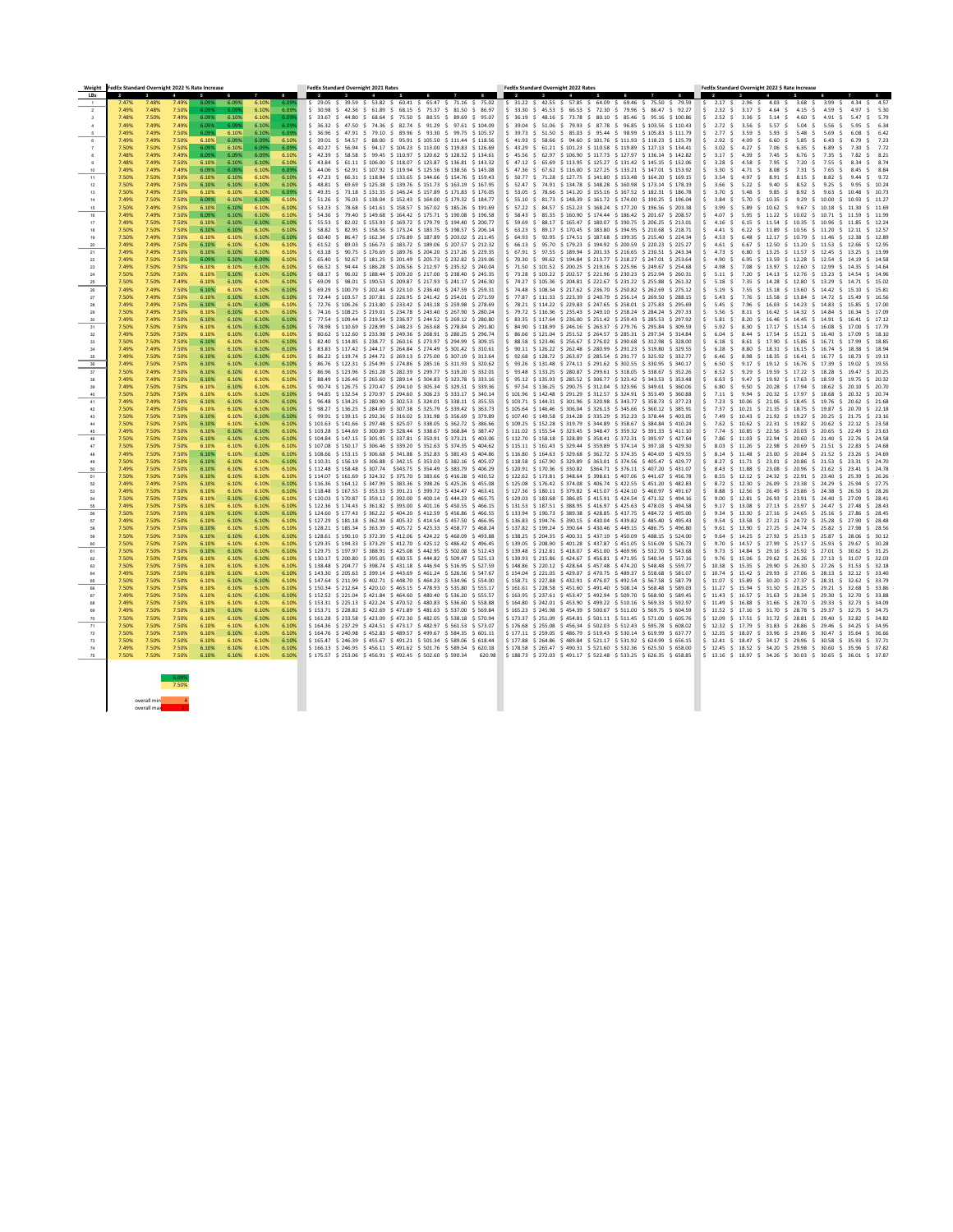| <b>LBs</b><br>$\overline{2}$<br>$\mathbf{3}$<br>7.48%<br>7.49%<br>6.09%<br>6.09%<br>6.10%<br>6.09%<br>29.05 \$ 39.59 \$ 53.82 \$ 60.41 \$ 65.47 \$ 71.16 \$ 75.02<br>$$31.22$ \$ 42.55 \$ 57.85 \$ 64.09 \$ 69.46 \$ 75.50 \$ 79.59<br>$\begin{array}{ccccccccc} \text{\textbackslash} & & & \text{\textbackslash} & & \text{\textbackslash} & & \text{\textbackslash} & \text{\textbackslash} & \text{\textbackslash} & \text{\textbackslash} & \text{\textbackslash} & \text{\textbackslash} & \text{\textbackslash} & \text{\textbackslash} & \text{\textbackslash} & \text{\textbackslash} & \text{\textbackslash} & \text{\textbackslash} & \text{\textbackslash} & \text{\textbackslash} & \text{\textbackslash} & \text{\textbackslash} & \text{\textbackslash} & \text{\textbackslash} & \text{\textbackslash} & \text{\textbackslash} & \text{\textbackslash} & \text{\textbackslash} & \text{\textbackslash}$<br>7.47%<br>3.68<br>3.99<br>- S<br>7.50%<br>6.099<br>6.10%<br>6.09%<br>6.09%<br>61.89<br>33.30<br>66.53 \$ 72.30 \$ 79.96 \$ 86.47<br>S.<br>7.49%<br>7.48%<br>S 30.98<br>42.36<br>68.15<br>-S.<br>75.37<br>\$ 81.50<br>\$45.53<br>92.27<br>2<br>-86.97<br>S.<br>S.<br>4.64<br>4.59<br>7.49%<br>6.10%<br>6.099<br>7.50%<br>6.09%<br>6.10%<br>\$ 89.69 \$ 95.07<br>36.19 \$ 48.16<br>73.78 \$ 80.10 \$ 85.46 \$ 95.16 \$ 100.86<br>S.<br>2.52<br>\$ 5.79<br>7.48%<br>\$ 33.67<br>75.50<br>\$ 80.55<br>S.<br>7.49%<br>7.49%<br>6.09%<br>6.09%<br>6.10%<br>6.09%<br>$$74.36$ \$ 82.74 \$ 91.29 \$ 97.61 \$ 104.09<br>$$51.06$ \$ 79.93 \$ 87.78 \$ 96.85 \$ 103.56 \$ 110.43<br>2.72<br>7.49%<br>$$36.32 \quad $47.50$<br>\$39.04<br>-S.<br>-3.56<br>5.57<br>-S.<br>6.10%<br>7.50%<br>7.49%<br>7.49%<br>6.10%<br>6.099<br>\$ 99.75 \$ 105.37<br>85.03 \$ 95.44 \$ 98.99 \$ 105.83 \$ 111.79<br>6.09%<br>\$ 36.96<br>79.10<br>S 89.96 S 93.30<br>\$    39.73    \$    51.50<br>S.<br>2.77<br>47.91<br>-S.<br>S.<br>3.59<br>5.93<br>5.48<br>6.10%<br>7.49%<br>7.50%<br>6.10%<br>6.09%<br>6.09%<br>$$105.50 \text{ } $111.44 \text{ } $118.56$<br>41.93 \$ 58.66 \$ 94.60 \$ 101.76 \$ 111.93 \$ 118.23 \$ 125.79<br>-Ŝ<br>2.92<br>7.49%<br>$5\quad 39.01$<br>54.57<br>88.00<br>\$95.91<br>S.<br>-5.85<br>7.50%<br>6.09%<br>6.10%<br>6.09%<br>7.50%<br>7.50%<br>6.09%<br>40.27 \$ 56.94 \$ 94.17 \$ 104.23 \$ 113.00 \$ 119.83 \$ 126.69<br>43.29 \$ 61.21 \$ 101.23 \$ 110.58 \$ 119.89 \$ 127.13 \$ 134.41<br>3.02<br>7.06<br>-S.<br>6.35<br>6.09%<br>7.49%<br>7.49%<br>6.10%<br>58.58 \$ 99.45 \$ 110.97 \$ 120.62 \$ 128.32 \$ 134.61<br>7.48%<br>$6.09\%$<br>6.09%<br>\$42.39<br>S 45.56 S 62.97<br>\$106.90 \$117.73 \$127.97 \$136.14 \$142.82<br>-S.<br>7.45<br>-S<br>7.50%<br>$$106.00 \text{ } $118.07 \text{ } $123.87 \text{ } $136.81 \text{ } $143.32$<br>$$47.12 \t$65.69 \t$113.95 \t$125.27 \t$131.42 \t$145.15 \t$15.06$<br>7.49%<br>6.10%<br>6.10%<br>6.10%<br>S.<br>3.28<br>7.48%<br>6.10%<br>43.84<br>61.11<br>7.95<br>7.20<br>S.<br>7.49%<br>6.09%<br>6.09%<br>7.49%<br>7.49%<br>6.09%<br>6.10%<br>$$44.06 \t$62.91 \t$107.92 \t$119.94 \t$125.56 \t$138.56 \t$145.08$<br>$$47.36 \t$67.62 \t$116.00 \t$127.25 \t$133.21 \t$147.01 \t$153.92$<br>3.30<br>8.08<br>-S.<br>-S<br>7.31<br>10<br>7.50%<br>7.50%<br>7.50%<br>6.10%<br>6.10%<br>$$118.84$ $$133.65$ $$144.66$ $$154.76$ $$159.43$<br>$$50.77$ \$ 71.28 \$ 127.75 \$ 141.80 \$ 153.48 \$ 164.20 \$ 169.15<br>6.10%<br>6.10%<br>\$ 47.23<br>66.31<br>S.<br>- 3.54<br>-S.<br>8.91<br>8.15<br>11<br>-S<br>7.50%<br>6.10%<br>6.10%<br>69.69 \$125.38 \$139.76 \$151.73 \$163.19 \$167.95<br>52.47<br>$$74.91$ $$134.78$ $$148.28$ $$160.98$ $$173.14$ $$178.19$<br>7.50%<br>7.49%<br>6.10%<br>6.10%<br>48.81<br>- 3.66<br>-S<br>9.40<br>12<br>7.50%<br>7.49%<br>6.10%<br>6.10%<br>6.09%<br>$\frac{1}{2}$ 49.35 $\frac{1}{2}$ 73.18 $\frac{1}{2}$ 131.35 $\frac{1}{2}$ 146.24 $\frac{1}{2}$ 157.89 $\frac{1}{2}$ 171.83 $\frac{1}{2}$ 176.05<br>$$53.05$ \$ 78.66 \$ 141.20 \$ 155.16 \$ 167.52 \$ 182.31 \$ 186.78<br>7.50%<br>6.10%<br>9.85<br>-S<br>8.92<br>9.63<br>13<br>5.48<br>-S.<br>7.50%<br>6.09%<br>6.10%<br>6.10%<br>7.50%<br>6.10%<br>76.03 \$138.04 \$152.43 \$164.00 \$179.32 \$184.77<br>$$55.10 \t$81.73 \t$148.39 \t$161.72 \t$174.00 \t$190.25 \t$196.04$<br>7.49%<br>$5\quad 51.26\quad 5$<br>9.29<br>10.35<br>- S<br>-S<br>14<br>7.50%<br>6.10%<br>7.49%<br>6.10%<br>6.10%<br>6.10%<br>$$141.61$ \$158.57 \$167.02 \$185.26 \$191.69<br>\$ 57.22 \$ 84.57 \$ 152.23 \$ 168.24 \$ 177.20 \$ 196.56 \$ 203.38<br>3.99<br>11.30 \$ 11.69<br>7.50%<br>53.23 \$<br>78.68<br>5.89<br>10.62<br>-S.<br>9.67<br>10.18<br>-S.<br>15<br>-S.<br>7.50%<br>6.09%<br>6.10%<br>$$149.68$ \$ 164.42 \$ 175.71 \$ 190.08 \$ 196.58<br>$$58.43$ \$ 85.35 \$ 160.90 \$ 174.44 \$ 186.42 \$ 201.67 \$ 208.57<br>7.49%<br>7.49%<br>6.10%<br>6.10%<br>S 54.36 S<br>79.40<br>- 4.07<br>11.22<br>\$10.02<br>16<br>5.95<br>S.<br>S 10.71<br>7.50%<br>6.10%<br>6.10%<br>$$153.93$ $$169.72$ $$179.79$ $$194.40$ $$200.77$<br>\$ 88.17 \$ 165.47 \$ 180.07 \$ 190.75 \$ 206.25 \$ 213.01<br>7.49%<br>7.50%<br>6.10%<br>6.10%<br>55.53 \$<br>82.02<br>59.69<br>11.54<br>\$ 10.35 \$ 10.96<br>4.16<br>6.15<br>- S<br>7.50%<br>7.50%<br>6.10%<br>7.50%<br>6.10%<br>6.10%<br>6.10%<br>$$32.95 \t$ 158.56 \t$ 173.24 \t$ 183.75 \t$ 198.57 \t$ 206.14$<br>63.23 \$ 89.17 \$ 170.45 \$ 183.80 \$ 194.95 \$ 210.68 \$ 218.71<br>58.82<br>11.89<br>\$ 10.56 \$ 11.20<br>-S<br>18<br>7.50%<br>6.10%<br>6.10%<br>$$162.34$ $$176.89$ $$187.89$ $$203.02$ $$211.45$<br>$\frac{1}{2}$ 92.95 $\frac{1}{2}$ 174.51 $\frac{1}{2}$ 187.68 $\frac{1}{2}$ 199.35 $\frac{1}{2}$ 215.40 $\frac{1}{2}$ 224.34<br>7.50%<br>7.49%<br>6.10%<br>6.10%<br>S 60.40<br>86.47<br>64.93<br>10.79<br>19<br>4.53<br>12.17<br>-S.<br>S 11.46<br>6.48<br>-S.<br>7.50%<br>7.49%<br>6.10%<br>6.10%<br>6.10%<br>6.10%<br>$$166.73$$ $$183.72$$ $$189.06$$ $$207.57$$ $$212.32$$<br>$$66.13$ \$95.70 \$179.23 \$194.92 \$200.59 \$220.23 \$225.27<br>\$ 11.20 \$ 11.53<br>$$12.66$ \$ 12.95<br>20<br>7.49%<br>$5\quad 61.52\quad 5$<br>89.03<br>-4.61<br>12.50<br>-S<br>7.50%<br>6.10%<br>7.49%<br>6.10%<br>6.10%<br>63.18 \$ 90.75 \$ 176.69 \$ 189.76 \$ 204.20 \$ 217.26 \$ 229.35<br>67.91 \$ 97.55 \$ 189.94 \$ 201.33 \$ 216.65 \$ 230.51 \$ 243.34<br>4.73<br>\$ 13.25 \$ 13.99<br>7.49%<br>6.10%<br>6.80<br>S 13.25 S 11.57 S 12.45<br>21<br>7.50%<br>6.09%<br>6.10%<br>6.09%<br>$$181.25$ \$ 201.49 \$ 205.73 \$ 232.82 \$ 239.06<br>\$194.84 \$213.77 \$218.27 \$247.01 \$253.64<br>7.49%<br>7.50%<br>6.10%<br>65.40<br>70.30<br>S 99.62<br>4.90<br>13.59<br>\$ 12.28 \$ 12.54<br>92.67<br>S.<br>6.95<br>22<br>-S.<br>-S.<br>7.50%<br>7.50%<br>6.10%<br>6.10%<br>$$186.28$$ $$206.56$$ $$212.97$$ $$235.32$$ $$240.04$$<br>$\frac{1}{2}$ 71.50 $\frac{1}{2}$ 101.52 $\frac{1}{2}$ 200.25 $\frac{1}{2}$ 219.16 $\frac{1}{2}$ 225.96 $\frac{1}{2}$ 249.67 $\frac{1}{2}$ 254.68<br>4.98<br>7.08<br>\$ 12.60 \$ 12.99<br>7.49%<br>6.10%<br>6.10%<br>66.52<br>94.44<br>S.<br>13.97<br>23<br>-S.<br>-S.<br>7.50%<br>6.10%<br>6.10%<br>7.50%<br>6.10%<br>$$188.44$ $$209.20$ $$217.00$ $$238.40$ $$245.35$<br>73.28 \$ 103.22 \$ 202.57 \$ 221.96 \$ 230.23 \$ 252.94 \$ 260.31<br>7.50%<br>6.10%<br>68.17 S<br>96.02<br>\$ 14.13 \$ 12.76 \$ 13.23<br>7.20<br>7.49%<br>7.50%<br>7.50%<br>6.10%<br>6.10%<br>6.10%<br>6.10%<br>98.01<br>$$190.53$ \$ 209.87 \$ 217.93 \$ 241.17 \$ 246.30<br>$$74.27$ \$105.36 \$204.81 \$222.67 \$231.22 \$255.88 \$261.32<br>\$69.09<br>S.<br>14.28 \$ 12.80<br>13.29<br>25<br>-S.<br>7.35<br>-S<br>-S.<br>-S.<br>7.50%<br>$$69.29$ \$100.79 \$202.44 \$223.10 \$236.40 \$247.59 \$259.31<br>\$ 217.62 \$ 236.70 \$ 250.82 \$ 262.69 \$ 275.12<br>7.49%<br>6.10%<br>6.10%<br>6.10%<br>6.10%<br>74.48 \$ 108.34<br>26<br>7.49%<br>\$13.60<br>-S.<br>-S<br>15.18<br>14.42<br>-S.<br>7.50%<br>6.10%<br>$\frac{1}{2}$ 72.44 $\frac{1}{2}$ 103.57 $\frac{1}{2}$ 207.81 $\frac{1}{2}$ 226.95 $\frac{1}{2}$ 241.42 $\frac{1}{2}$ 254.01 $\frac{1}{2}$ 271.59<br>77.87 \$ 111.33 \$ 223.39 \$ 240.79 \$ 256.14 \$ 269.50 \$ 288.15<br>15.49 \$ 16.56<br>7.50%<br>7.49%<br>6.10%<br>6.10%<br>6.10%<br>15.58 \$ 13.84 \$ 14.72<br>5.43<br>-S.<br>-S.<br>7.50%<br>6.10%<br>7.49%<br>7.49%<br>6.10%<br>6.10%<br>6.10%<br>$\frac{1}{2}$ 72.76 $\frac{1}{2}$ 106.26 $\frac{1}{2}$ 213.80 $\frac{1}{2}$ 233.42 $\frac{1}{2}$ 243.18 $\frac{1}{2}$ 259.98 $\frac{1}{2}$ 278.69<br>$$78.21$ \$114.22 \$229.83 \$247.65 \$258.01 \$275.83 \$295.69<br>-S<br>7.96 S<br>16.03 S 14.23 S 14.83<br>5.45<br>-S.<br>7.50%<br>6.10%<br>6.10%<br>74.16 \$ 108.25 \$ 219.01 \$ 234.78 \$ 243.40 \$ 267.90 \$ 280.24<br>79.72 \$ 116.36 \$ 235.43 \$ 249.10 \$ 258.24 \$ 284.24 \$ 297.33<br>5.56<br>7.50%<br>7.49%<br>6.10%<br>6.10%<br>S.<br>S.<br>8.11 \$ 16.42 \$ 14.32 \$ 14.84<br>$$77.54$ $$109.44$ $$219.54$ $$236.97$ $$244.52$ $$269.12$ $$280.80$<br>$$3.35 \t$ 117.64 \t$ 236.00 \t$ 251.42 \t$ 259.43 \t$ 285.53 \t$ 297.92$<br>7.49%<br>7.49%<br>7.50%<br>6.10%<br>6.10%<br>6.10%<br>6.10%<br>30<br>7.50%<br>$$78.98$ $$110.69$ $$228.99$ $$248.23$ $$263.68$ $$278.84$ $$291.80$<br>$$$ 84.90 $$$ 118.99 $$$ 246.16 $$$ 263.37 $$$ 279.76 $$$ 295.84 $$$ 309.59<br>7.50%<br>7.50%<br>6.10%<br>6.10%<br>6.10%<br>6.10%<br>$$80.62$$ \$112.60 \$233.98 \$249.36 \$268.91 \$280.25 \$296.74<br>$$86.66 \t$121.04 \t$251.52 \t$264.57 \t$285.31 \t$297.34 \t$314.84$<br>7.49%<br>7.50%<br>7.50%<br>6.10%<br>6.10%<br>$\frac{1}{2}$ 6.04 \$ 8.44 \$ 17.54 \$ 15.21 \$ 16.40 \$ 17.09 \$ 18.10<br>6.10%<br>6.10%<br>$$2,40$ $$114.85$ $$238.77$ $$260.16$ $$273.97$ $$294.99$ $$309.15$<br>$$38.58$ \$ 123.46 \$ 256.67 \$ 276.02 \$ 290.68 \$ 312.98 \$ 328.00<br>7.50%<br>7.50%<br>6.18 \$ 8.61 \$ 17.90 \$ 15.86 \$ 16.71 \$ 17.99 \$ 18.85<br>7.50%<br>6.10%<br>6.10%<br>6.10%<br>6.10%<br>33<br>$$3.83$ \$ 117.42 \$ 244.17 \$ 264.84 \$ 274.49 \$ 301.42 \$ 310.61<br>$$90.11$ $$126.22$ $$262.48$ $$280.99$ $$291.23$ $$319.80$ $$329.55$<br>7.49%<br>7.50%<br>6.10%<br>6.10%<br>6.28 \$ 8.80 \$ 18.31 \$ 16.15 \$ 16.74 \$ 18.38 \$ 18.94<br>7.49%<br>6.10%<br>6.10%<br>7.50%<br>$$86.22$$ \$119.74 \$244.72 \$269.13 \$275.00 \$307.19 \$313.64<br>$$92.68$$ \$128.72 \$263.07 \$285.54 \$291.77 \$325.92 \$332.77<br>7.49%<br>7.50%<br>6.10%<br>6.10%<br>6.10%<br>6.10%<br>$$86.76 \$122.31 \$254.99 \$274.86 \$285.16 \$311.93 \$320.62$<br>$$93.26$ $$131.48$ $$274.11$ $$291.62$ $$302.55$ $$330.95$ $$340.17$<br>7.50%<br>7.49%<br>7.50%<br>6.10%<br>6.10%<br>6.10%<br>6.10%<br>6.50<br>36<br>$$36.96 \t$ 123.96 \t$ 261.28 \t$ 282.39 \t$ 299.77 \t$ 319.20 \t$ 332.01$<br>$$93.48$ $$133.25$ $$280.87$ $$299.61$ $$318.05$ $$338.67$ $$352.26$<br>7.50%<br>6.10%<br>7.50%<br>7.49%<br>6.10%<br>6.10%<br>6.10%<br>7.50%<br>$$88.49$ $$126.46$ $$265.60$ $$289.14$ $$304.83$ $$323.78$ $$333.16$<br>$$95.12$$ \$135.93 \$285.52 \$306.77 \$323.42 \$343.53 \$353.48<br>7.49%<br>6.10%<br>6.10%<br>6.10%<br>6.10%<br>6.63 \$ 9.47 \$ 19.92 \$ 17.63 \$ 18.59 \$ 19.75 \$ 20.32<br>7.49%<br>$\frac{1}{5}$ 90.74 $\frac{1}{5}$ 126.75 $\frac{1}{5}$ 270.47 $\frac{1}{5}$ 294.10 $\frac{1}{5}$ 305.34 $\frac{1}{5}$ 329.51 $\frac{1}{5}$ 339.36<br>$$97.54$ $$136.25$ $$290.75$ $$312.04$ $$323.96$ $$349.61$ $$360.06$<br>6.80 \$ 9.50 \$ 20.28 \$ 17.94 \$ 18.62 \$ 20.10 \$ 20.70<br>7.50%<br>7.50%<br>6.10%<br>7.49%<br>6.10%<br>6.10%<br>6.10%<br>S.<br>$$94.85$ \$132.54 \$270.97 \$294.60 \$306.23 \$333.17 \$340.14<br>$$101.96 \t$ 142.48 \t$ 291.29 \t$ 312.57 \t$ 324.91 \t$ 353.49 \t$ 360.88$<br>7.50%<br>7.50%<br>7.50%<br>6.10%<br>6.10%<br>6.10%<br>6.10%<br>40<br>7.50%<br>$$96.48$$ \$134.25 \$280.90 \$302.53 \$324.01 \$338.11 \$355.55<br>$$103.71$ $$144.31$ $$301.96$ $$320.98$ $$343.77$ $$358.73$ $$377.23$<br>7.49%<br>6.10%<br>6.10%<br>6.10%<br>7.49%<br>6.10%<br>$$98.27$ \$136.25 \$284.69 \$307.38 \$325.79 \$339.42 \$363.73<br>$$105.64 \t$146.46 \t$306.04 \t$326.13 \t$345.66 \t$360.12 \t$385.91$<br>7.49%<br>7.50%<br>7.50%<br>6.10%<br>6.10%<br>6.10%<br>6.10%<br>S.<br>42<br>7.50%<br>$$99.91$ \$ 139.15 \$ 292.36 \$ 316.02 \$ 331.98 \$ 356.69 \$ 379.89<br>$$107.40$$ $$149.58$$ $$314.28$$ $$335.29$$ $$352.23$$ $$378.44$$ $$403.05$<br>7.50%<br>7.50%<br>6.10%<br>6.10%<br>6.10%<br>6.10%<br>43<br>7.50%<br>$$101.63$ $$141.66$ $$297.48$ $$325.07$ $$338.05$ $$362.72$ $$386.66$<br>$$109.25$ $$152.28$ $$319.79$ $$344.89$ $$358.67$ $$384.84$ $$410.24$<br>7.62 \$ 10.62 \$ 22.31 \$ 19.82 \$ 20.62 \$ 22.12 \$ 23.58<br>7.50%<br>6.10%<br>7.50%<br>6.10%<br>6.10%<br>6.10%<br>$$103.28$ \$ 144.69 \$ 300.89 \$ 328.44 \$ 338.67 \$ 368.84 \$ 387.47<br>$$111.02$ $$155.54$ $$323.45$ $$348.47$ $$359.32$ $$391.33$ $$411.10$<br>7.74 \$ 10.85 \$ 22.56 \$ 20.03 \$ 20.65 \$ 22.49 \$ 23.63<br>7.49%<br>7.50%<br>7.50%<br>6.10%<br>6.10%<br>6.10%<br>6.10%<br>45<br>$$104.84$ \$ 147.15 \$ 305.95 \$ 337.81 \$ 350.91 \$ 373.21 \$ 403.06<br>7.50%<br>7.50%<br>$$112.70$ $$158.18$ $$328.89$ $$358.41$ $$372.31$ $$395.97$ $$427.64$<br>7.50%<br>6.10%<br>6.10%<br>6.10%<br>6.10%<br>$$107.08$$ \$150.17 \$306.46 \$339.20 \$352.63 \$374.35 \$404.62<br>$$115.11 \t$ 161.43 \t$ 329.44 \t$ 359.89 \t$ 374.14 \t$ 397.18 \t$ 429.30$<br>7.50%<br>7.50%<br>7.50%<br>6.10%<br>6.10%<br>6.10%<br>6.10%<br>7.50%<br>$$108.66 \t$ 153.15 \t$ 306.68 \t$ 341.88 \t$ 352.83 \t$ 381.43 \t$ 404.86$<br>$$116.80$ $$164.63$ $$329.68$ $$362.72$ $$374.35$ $$404.69$ $$429.55$<br>7.50%<br>6.10%<br>7.49%<br>6.10%<br>6.10%<br>6.10%<br>$$110.31$ $$156.19$ $$306.88$ $$342.15$ $$353.03$ $$382.16$ $$405.07$<br>$$118.58$ $$167.90$ $$329.89$ $$363.01$ $$374.56$ $$405.47$ $$429.77$<br>7.50%<br>7.50%<br>6.10%<br>7.50%<br>6.10%<br>6.10%<br>6.10%<br>$$112.48$ $$158.48$ $$307.74$ $$343.75$ $$354.49$ $$383.79$ $$406.29$<br>$$120.91$ $$170.36$ $$330.82$ $$364.71$ $$376.11$ $$407.20$ $$431.07$<br>7.50%<br>7.50%<br>7.49%<br>6.10%<br>6.10%<br>6.10%<br>6.10%<br>50<br>$$114.07$ \$ 161.69 \$ 324.32 \$ 375.70 \$ 383.66 \$ 416.28 \$ 430.52<br>$$122.62$ $$173.81$ $$348.64$ $$398.61$ $$407.06$ $$441.67$ $$456.78$<br>7.50%<br>6.10%<br>$\begin{bmatrix} 5 & 8.55 & 5 & 12.12 & 5 & 24.32 & 5 & 22.91 & 5 & 23.40 & 5 & 25.39 & 5 & 26.26 \end{bmatrix}$<br>7.50%<br>7.50%<br>6.10%<br>6.10%<br>6.10%<br>51<br>$$116.36$ $$164.12$ $$347.99$ $$383.36$ $$398.26$ $$425.26$ $$455.08$<br>$$125.08$$ \$ 176.42 \$ 374.08 \$ 406.74 \$ 422.55 \$ 451.20 \$ 482.83<br>7.49%<br>7.50%<br>6.10%<br>6.10%<br>7.49%<br>6.10%<br>6.10%<br>52<br>\$118.48 \$167.55 \$353.33 \$391.21 \$399.72 \$434.47 \$463.41<br>$$127.36$ $$180.11$ $$379.82$ $$415.07$ $$424.10$ $$460.97$ $$491.67$<br>7.50%<br>7.49%<br>7.50%<br>6.10%<br>6.10%<br>6.10%<br>6.10%<br>53.<br>$$120.03$ $$170.87$ $$359.12$ $$392.00$ $$400.14$ $$444.23$ $$465.75$<br>$$129.03$ $$183.68$ $$386.05$ $$415.91$ $$424.54$ $$471.32$ $$494.16$<br>7.50%<br>7.50%<br>6.10%<br>6.10%<br>6.10%<br>6.10%<br>7.50%<br>$$122.36$ $$174.43$ $$361.82$ $$393.00$ $$401.16$ $$450.55$ $$466.15$<br>$$131.53$ $$187.51$ $$388.95$ $$416.97$ $$425.63$ $$478.03$ $$494.58$<br>$\frac{1}{5}$ 9.17 \$ 13.08 \$ 27.13 \$ 23.97 \$ 24.47 \$ 27.48 \$ 28.43<br>7.50%<br>7.50%<br>6.10%<br>6.10%<br>7.49%<br>6.10%<br>6.10%<br>$\frac{1}{2}$ \$ 124.60 \$ 177.43 \$ 362.22 \$ 404.20 \$ 412.59 \$ 456.86 \$ 466.55<br>$$133.94$ $$190.73$ $$389.38$ $$428.85$ $$437.75$ $$484.72$ $$495.00$<br>7.50%<br>7.50%<br>7.50%<br>6.10%<br>6.10%<br>6.10%<br>6.10%<br>$\frac{1}{2}$ \$ 127.29 \$ 181.18 \$ 362.94 \$ 405.32 \$ 414.54 \$ 457.50 \$ 466.95<br>$$136.83$ $$194.76$ $$390.15$ $$430.04$ $$439.82$ $$485.40$ $$495.43$<br>7.49%<br>7.50%<br>7.50%<br>6.10%<br>6.10%<br>6.10%<br>6.10%<br>$$128.21$ $$185.34$ $$363.39$ $$405.72$ $$423.33$ $$458.77$ $$468.24$<br>$$137.82$ $$199.24$ $$390.64$ $$430.46$ $$449.15$ $$486.75$ $$496.80$<br>7.50%<br>7.50%<br>6.10%<br>7.50%<br>6.10%<br>6.10%<br>6.10%<br>$$128.61$ $$190.10$ $$372.39$ $$412.06$ $$424.22$ $$460.09$ $$493.88$<br>$$138.25$ $$204.35$ $$400.31$ $$437.19$ $$450.09$ $$488.15$ $$524.00$<br>7.50%<br>7.50%<br>7.50%<br>6.10%<br>6.10%<br>6.10%<br>6.10%<br>$\frac{1}{2}$ \$ 129.35 \$ 194.33 \$ 373.29 \$ 412.70 \$ 425.12 \$ 486.42 \$ 496.45<br>\$139.05 \$208.90 \$401.28 \$437.87 \$451.05 \$516.09 \$526.73<br>7.50%<br>7.50%<br>6.10%<br>6.10%<br>5 9.70 \$ 14.57 \$ 27.99 \$ 25.17 \$ 25.93 \$ 29.67 \$ 30.28<br>7.50%<br>6.10%<br>6.10%<br>\$129.75 \$197.97 \$388.91 \$425.08 \$442.95 \$502.08 \$512.43 \$139.48 \$212.81 \$418.07 \$451.00 \$469.96 \$532.70 \$543.68 \$9.73 \$14.84 \$29.16 \$25.92 \$27.01 \$30.62 \$31.25<br>7.50% 7.50% 7.50%<br>6.10%<br>$6.10\%$<br>6.10%<br>6.10%<br>61<br>\$130.17 \$200.80 \$395.05 \$430.55 \$444.82 \$509.47 \$525.13 \$139.93 \$215.86 \$424.67 \$456.81 \$471.95 \$540.54 \$557.16 \$ 9.76 \$15.06 \$29.62 \$26.26 \$27.13 \$31.07 \$32.03<br>$6.10\%$<br>6.10%<br>7.50%<br>7.50%<br>7.50%<br>6.10%<br>$6.10\%$<br>62<br>7.50%<br>6.10%<br>\$138.48 \$204.77 \$398.74 \$431.18 \$446.94 \$516.95 \$527.59 \$148.86 \$220.12 \$428.64 \$457.48 \$474.20 \$548.48 \$559.77 \$ 10.38 \$15.35 \$29.90 \$26.30 \$27.26 \$31.53 \$32.18<br>7.50%<br>6.10%<br>6.10%<br>6.10%<br>7.50%<br>63<br>6.10%<br>6.10%<br>\$143.30 \$205.63 \$399.14 \$443.69 \$461.24 \$526.56 \$547.67 \$154.04 \$221.05 \$429.07 \$470.75 \$489.37 \$558.68 \$581.07 \$10.74 \$15.42 \$29.93 \$27.06 \$28.13 \$32.12 \$33.40<br>7.50%<br>7.50%<br>6.10%<br>6.10%<br>64<br>7.49%<br>6.10%<br>\$147.64 \$211.99 \$402.71 \$448.70 \$464.23 \$534.96 \$554.00 \$158.71 \$227.88 \$432.91 \$476.07 \$492.54 \$567.58 \$587.79 \$11.07 \$15.89 \$30.20 \$27.37 \$28.31 \$32.62 \$33.79<br>7.50%<br>7.50%<br>6.10%<br>6.10%<br>65<br>7.50%<br>6.10%<br>6.10%<br>\$150.34 \$212.64 \$420.10 \$463.15 \$478.93 \$535.80 \$555.17 \$161.61 \$228.58 \$451.60 \$491.40 \$508.14 \$568.48 \$589.03 \$11.27 \$15.94 \$31.50 \$28.25 \$29.21 \$32.68 \$33.86<br>7.50%<br>7.50%<br>6.10%<br>6.10%<br>7.50%<br>6.10%<br>66<br>\$152.52 \$221.04 \$421.84 \$464.60 \$480.40 \$536.20 \$555.57 \$163.95 \$237.61 \$453.47 \$492.94 \$509.70 \$568.90 \$589.45 \$11.43 \$16.57 \$31.63 \$28.34 \$29.30 \$32.70 \$33.88<br>7.50%<br>6.10%<br>6.10%<br>7.49%<br>7.50%<br>$6.10\%$<br>$6.10\%$<br>67<br>$\frac{1}{5}$ 153.31 $\frac{1}{5}$ 225.13 $\frac{1}{5}$ 422.24 $\frac{1}{5}$ 470.52 $\frac{1}{5}$ 480.83 $\frac{1}{5}$ 536.60 $\frac{1}{5}$ 558.88<br>\$164.80 \$242.01 \$453.90 \$499.22 \$510.16 \$569.33 \$592.97 \$11.49 \$16.88 \$31.66 \$28.70 \$29.33 \$32.73 \$34.09<br>7.50%<br>6.10%<br>6.10%<br>6.10%<br>7.49%<br>7.50%<br>6.10%<br>7.50%<br>6.10%<br>$\frac{1}{5}$ 153.71 $\frac{1}{5}$ 228.82 $\frac{1}{5}$ 422.69 $\frac{1}{5}$ 471.89 $\frac{1}{5}$ 481.63 $\frac{1}{5}$ 537.00 $\frac{1}{5}$ 569.84<br>$\frac{1}{2}$ \$ 165.23 \$ 245.98 \$ 454.39 \$ 500.67 \$ 511.00 \$ 569.75 \$ 604.59<br>7.50%<br>6.10%<br>6.10%<br>6.10%<br>7.49%<br>69<br>6.10%<br> \$161.28 \$233.58 \$423.09 \$472.30 \$482.05 \$538.18 \$570.94  \$173.37 \$251.09 \$454.81 \$501.11 \$511.45 \$571.00 \$605.76 }<br>7.50%<br>6.10%<br>6.10%<br>7.50%<br>7.50%<br>6.10%<br>70<br>6.10%<br>\$164.36 \$237.29 \$424.51 \$473.17 \$482.97 \$561.53 \$573.07 \$176.68 \$255.08 \$456.34 \$502.03 \$512.43 \$595.78 \$608.02 \$12.32 \$17.79 \$31.83 \$28.86 \$29.46 \$34.25 \$34.95<br>7.50%<br>7.50%<br>6.10%<br>6.10%<br>71<br>7.50%<br>6.10%<br>7.50%<br>6.10%<br>6.10%<br> \$ 164.76 \$ 240.98 \$ 452.83 \$ 489.57 \$ 499.67 \$ 584.35 \$ 601.11   \$ 177.11 \$ 259.05 \$ 486.79 \$ 519.43 \$ 530.14 \$ 619.99 \$ 637.77   \$ 12.35 \$ 18.07 \$ 33.96 \$ 29.86 \$ 30.47 \$ 35.64 \$ 36.66<br>7.50%<br>6.10%<br>6.10%<br>7.50%<br>72<br> \$165.47 \$246.39 \$455.67 \$491.21 \$501.34 \$589.06 \$618.44  \$177.88 \$264.86 \$489.84 \$521.17 \$531.92 \$624.99 \$656.15  \$12.41 \$18.47 \$34.17 \$29.96 \$30.58 \$35.93 \$37.71<br>7.50%<br>6.10%<br>6.10%<br>6.10%<br>7.50%<br>7.50%<br>6.10%<br>73<br>$\frac{1}{5}$ 166.13 $\frac{1}{5}$ 246.95 $\frac{1}{5}$ 456.11 $\frac{1}{5}$ 491.62 $\frac{1}{5}$ 501.76 $\frac{1}{5}$ 589.54 $\frac{1}{5}$ 620.18<br>$\frac{1}{2}$ \$ 178.58 \$ 265.47 \$ 490.31 \$ 521.60 \$ 532.36 \$ 625.50 \$ 658.00<br>7.50%<br>7.50%<br>6.10%<br>6.10%<br>7.49%<br>6.10%<br>6.10%<br>74<br>7.50%<br>6.10%<br>6.10%<br>6.10%<br> \$175.57 \$253.06 \$456.91 \$492.45 \$502.60 \$590.34 620.98 \$188.73 \$272.03 \$491.17 \$522.48 \$533.25 \$626.35 \$658.85 \$13.16 \$18.97 \$34.26 \$30.03 \$30.65 \$36.01 \$37.87<br>7.50%<br>6.10%<br>7.50%<br>75 | Weight | FedEx Standard Overnight 2022 % Rate Increase |  |  |  | FedEx Standard Overnight 2021 Rates | FedEx Standard Overnight 2022 Rates | FedEx Standard Overnight 2022 \$ Rate Increase                                                                                             |
|---------------------------------------------------------------------------------------------------------------------------------------------------------------------------------------------------------------------------------------------------------------------------------------------------------------------------------------------------------------------------------------------------------------------------------------------------------------------------------------------------------------------------------------------------------------------------------------------------------------------------------------------------------------------------------------------------------------------------------------------------------------------------------------------------------------------------------------------------------------------------------------------------------------------------------------------------------------------------------------------------------------------------------------------------------------------------------------------------------------------------------------------------------------------------------------------------------------------------------------------------------------------------------------------------------------------------------------------------------------------------------------------------------------------------------------------------------------------------------------------------------------------------------------------------------------------------------------------------------------------------------------------------------------------------------------------------------------------------------------------------------------------------------------------------------------------------------------------------------------------------------------------------------------------------------------------------------------------------------------------------------------------------------------------------------------------------------------------------------------------------------------------------------------------------------------------------------------------------------------------------------------------------------------------------------------------------------------------------------------------------------------------------------------------------------------------------------------------------------------------------------------------------------------------------------------------------------------------------------------------------------------------------------------------------------------------------------------------------------------------------------------------------------------------------------------------------------------------------------------------------------------------------------------------------------------------------------------------------------------------------------------------------------------------------------------------------------------------------------------------------------------------------------------------------------------------------------------------------------------------------------------------------------------------------------------------------------------------------------------------------------------------------------------------------------------------------------------------------------------------------------------------------------------------------------------------------------------------------------------------------------------------------------------------------------------------------------------------------------------------------------------------------------------------------------------------------------------------------------------------------------------------------------------------------------------------------------------------------------------------------------------------------------------------------------------------------------------------------------------------------------------------------------------------------------------------------------------------------------------------------------------------------------------------------------------------------------------------------------------------------------------------------------------------------------------------------------------------------------------------------------------------------------------------------------------------------------------------------------------------------------------------------------------------------------------------------------------------------------------------------------------------------------------------------------------------------------------------------------------------------------------------------------------------------------------------------------------------------------------------------------------------------------------------------------------------------------------------------------------------------------------------------------------------------------------------------------------------------------------------------------------------------------------------------------------------------------------------------------------------------------------------------------------------------------------------------------------------------------------------------------------------------------------------------------------------------------------------------------------------------------------------------------------------------------------------------------------------------------------------------------------------------------------------------------------------------------------------------------------------------------------------------------------------------------------------------------------------------------------------------------------------------------------------------------------------------------------------------------------------------------------------------------------------------------------------------------------------------------------------------------------------------------------------------------------------------------------------------------------------------------------------------------------------------------------------------------------------------------------------------------------------------------------------------------------------------------------------------------------------------------------------------------------------------------------------------------------------------------------------------------------------------------------------------------------------------------------------------------------------------------------------------------------------------------------------------------------------------------------------------------------------------------------------------------------------------------------------------------------------------------------------------------------------------------------------------------------------------------------------------------------------------------------------------------------------------------------------------------------------------------------------------------------------------------------------------------------------------------------------------------------------------------------------------------------------------------------------------------------------------------------------------------------------------------------------------------------------------------------------------------------------------------------------------------------------------------------------------------------------------------------------------------------------------------------------------------------------------------------------------------------------------------------------------------------------------------------------------------------------------------------------------------------------------------------------------------------------------------------------------------------------------------------------------------------------------------------------------------------------------------------------------------------------------------------------------------------------------------------------------------------------------------------------------------------------------------------------------------------------------------------------------------------------------------------------------------------------------------------------------------------------------------------------------------------------------------------------------------------------------------------------------------------------------------------------------------------------------------------------------------------------------------------------------------------------------------------------------------------------------------------------------------------------------------------------------------------------------------------------------------------------------------------------------------------------------------------------------------------------------------------------------------------------------------------------------------------------------------------------------------------------------------------------------------------------------------------------------------------------------------------------------------------------------------------------------------------------------------------------------------------------------------------------------------------------------------------------------------------------------------------------------------------------------------------------------------------------------------------------------------------------------------------------------------------------------------------------------------------------------------------------------------------------------------------------------------------------------------------------------------------------------------------------------------------------------------------------------------------------------------------------------------------------------------------------------------------------------------------------------------------------------------------------------------------------------------------------------------------------------------------------------------------------------------------------------------------------------------------------------------------------------------------------------------------------------------------------------------------------------------------------------------------------------------------------------------------------------------------------------------------------------------------------------------------------------------------------------------------------------------------------------------------------------------------------------------------------------------------------------------------------------------------------------------------------------------------------------------------------------------------------------------------------------------------------------------------------------------------------------------------------------------------------------------------------------------------------------------------------------------------------------------------------------------------------------------------------------------------------------------------------------------------------------------------------------------------------------------------------------------------------------------------------------------------------------------------------------------------------------------------------------------------------------------------------------------------------------------------------------------------------------------------------------------------------------------------------------------------------------------------------------------------------------------------------------------------------------------------------------------------------------------------------------------------------------------------------------------------------------------------------------------------------------------------------------------------------------------------------------------------------------------------------------------------------------------------------------------------------------------------------------------------------------------------------------------------------------------------------------------------------------------------------------------------------------------------------------------------------------------------------------------------------------------------------------------------------------------------------------------------------------------------------------------------------------------------------------------------------------------------------------------------------------------------------------------------------------------------------------------------------------------------------------------------------------------------------------------------------------------------------------------------------------------------------------------------------------------------------------------------------------------------------------------------------------------------------------------------------------------------------------------------------------------------------------------------------------------------------------------------------------------------------------------------------------------------------------------------------------------------------------------------------------------------------------------------------------------------------------------------------------------------------------------------------------------------------------------------------------------------------------------------------------------------------------------------------------------------------------------------------------------------------------------------------------------------------------------------------------------------------------------------------------------------------------------------------------------------------------------------------------------------------------------------------------------------------------------------------------------------------------------------------------------------------------------------------------------------------------------------------------------------------------------------------------------------------------------------------------------------------------------------------------------------------------------------------------------------------------------------------------------------------------------------------------------------------------------------------------------------------------------------------------------------------------------------------------------------------------------------------------------------------------------------------------------------------------------------------------------------------------------------------------------------------------------------------------------------------------------------------------------------------------------------------------------------------------------------------------------------------------------------------------------------------------------------------------------------------------------------------------------------------------------------------------------------------------------------------------------------------------------------------------------------------------------------------------------------------------------------------------------------------------------------------------------------------------------------------------------------------------------------------------------------------------------------------------------------------------------------------------------------------------------------------------------------------------------------------------------------------------------------------------------------------------------------------------------------------------------------------------------------------------------------------------------------------------------------------------------------------------------------------------------------------------------------------------------------------------------------------------------------------------------------------------------------------------------------------------------------------------------------------------------------------------------------------------------------------------------------------------------------------------------------------------------------------------------------------------------------------------------------------------------------------------------------------------------------------------------------------------------------------------------------------------------------------------------------------------------------------------------------------------------------------------------------------------------------------------------------------------------------------------------------------------------------------------------------------------------------------------------------------------------------------------------------------------------------------------------------------------------------------------------------------------------------------------------------------------------------------------------------------------------------------------------------------------------------------------------------------------------------------------------------------------------------------------------------------------------------------------------------------------------------------------------------------------------------------------------------------------------------------------------------------------------------------------------------------------------------------------------------------------------------------------------------------------------------------------------------------------------------------------------------------------------------------------------------------------------------------------------------------------------------------------------------------------------------------------------------------------------------------------------------------------------------------------------------------------------------------------------------------------------------------------------------------------------------------------------------------------------------------------------------------------------------------------------------------------------------------------------------------------------------------------------------------------------------------------------------------------------------------------------------------------------------------------------------------------------------------------------------------------------------------------------------------------------------------------------------------------------------------------------------------------------------------------------------------------------------------------------------------------------------------------------------------------------------------------------------------------------------------------------------------------------------------------------------------------------------------------------------------------------------------------------------------------------------------------------------------------------------------------------------------------------------------------------------------------------------------------------------------------------------------------------------------------------------------------------------------------------------------------------------------------------------------------------------------------------------------------------------------------------------------------------------------------------------------------------|--------|-----------------------------------------------|--|--|--|-------------------------------------|-------------------------------------|--------------------------------------------------------------------------------------------------------------------------------------------|
|                                                                                                                                                                                                                                                                                                                                                                                                                                                                                                                                                                                                                                                                                                                                                                                                                                                                                                                                                                                                                                                                                                                                                                                                                                                                                                                                                                                                                                                                                                                                                                                                                                                                                                                                                                                                                                                                                                                                                                                                                                                                                                                                                                                                                                                                                                                                                                                                                                                                                                                                                                                                                                                                                                                                                                                                                                                                                                                                                                                                                                                                                                                                                                                                                                                                                                                                                                                                                                                                                                                                                                                                                                                                                                                                                                                                                                                                                                                                                                                                                                                                                                                                                                                                                                                                                                                                                                                                                                                                                                                                                                                                                                                                                                                                                                                                                                                                                                                                                                                                                                                                                                                                                                                                                                                                                                                                                                                                                                                                                                                                                                                                                                                                                                                                                                                                                                                                                                                                                                                                                                                                                                                                                                                                                                                                                                                                                                                                                                                                                                                                                                                                                                                                                                                                                                                                                                                                                                                                                                                                                                                                                                                                                                                                                                                                                                                                                                                                                                                                                                                                                                                                                                                                                                                                                                                                                                                                                                                                                                                                                                                                                                                                                                                                                                                                                                                                                                                                                                                                                                                                                                                                                                                                                                                                                                                                                                                                                                                                                                                                                                                                                                                                                                                                                                                                                                                                                                                                                                                                                                                                                                                                                                                                                                                                                                                                                                                                                                                                                                                                                                                                                                                                                                                                                                                                                                                                                                                                                                                                                                                                                                                                                                                                                                                                                                                                                                                                                                                                                                                                                                                                                                                                                                                                                                                                                                                                                                                                                                                                                                                                                                                                                                                                                                                                                                                                                                                                                                                                                                                                                                                                                                                                                                                                                                                                                                                                                                                                                                                                                                                                                                                                                                                                                                                                                                                                                                                                                                                                                                                                                                                                                                                                                                                                                                                                                                                                                                                                                                                                                                                                                                                                                                                                                                                                                                                                                                                                                                                                                                                                                                                                                                                                                                                                                                                                                                                                                                                                                                                                                                                                                                                                                                                                                                                                                                                                                                                                                                                                                                                                                                                                                                                                                                                                                                                                                                                                                                                                                                                                                                                                                                                                                                                                                                                                                                                                                                                                                                                                                                                                                                                                                                                                                                                                                                                                                                                                                                                                                                                                                                                                                                                                                                                                                                                                                                                                                                                                                                                                                                                                                                                                                                                                                                                                                                                                                                                                                                                                                                                                                                                                                                                                                                                                                                                                                                                                                                                                                                                                                                                                                                                                                                                                                                                                                                                                                                                                                                                                                                                                                                                                                                                                                                                                                                                                                                                                                                                                                                                                                                                                                                                                                                                                                                                                                                                                                                                                                                                                                                                                                                                                                                                                                                                                                                                                                                                                                                                                                                                                                                                                                                                                                                                                                                                                                                                                                                                                                                                                                                                                                                                                                                                                                                 |        |                                               |  |  |  |                                     |                                     |                                                                                                                                            |
|                                                                                                                                                                                                                                                                                                                                                                                                                                                                                                                                                                                                                                                                                                                                                                                                                                                                                                                                                                                                                                                                                                                                                                                                                                                                                                                                                                                                                                                                                                                                                                                                                                                                                                                                                                                                                                                                                                                                                                                                                                                                                                                                                                                                                                                                                                                                                                                                                                                                                                                                                                                                                                                                                                                                                                                                                                                                                                                                                                                                                                                                                                                                                                                                                                                                                                                                                                                                                                                                                                                                                                                                                                                                                                                                                                                                                                                                                                                                                                                                                                                                                                                                                                                                                                                                                                                                                                                                                                                                                                                                                                                                                                                                                                                                                                                                                                                                                                                                                                                                                                                                                                                                                                                                                                                                                                                                                                                                                                                                                                                                                                                                                                                                                                                                                                                                                                                                                                                                                                                                                                                                                                                                                                                                                                                                                                                                                                                                                                                                                                                                                                                                                                                                                                                                                                                                                                                                                                                                                                                                                                                                                                                                                                                                                                                                                                                                                                                                                                                                                                                                                                                                                                                                                                                                                                                                                                                                                                                                                                                                                                                                                                                                                                                                                                                                                                                                                                                                                                                                                                                                                                                                                                                                                                                                                                                                                                                                                                                                                                                                                                                                                                                                                                                                                                                                                                                                                                                                                                                                                                                                                                                                                                                                                                                                                                                                                                                                                                                                                                                                                                                                                                                                                                                                                                                                                                                                                                                                                                                                                                                                                                                                                                                                                                                                                                                                                                                                                                                                                                                                                                                                                                                                                                                                                                                                                                                                                                                                                                                                                                                                                                                                                                                                                                                                                                                                                                                                                                                                                                                                                                                                                                                                                                                                                                                                                                                                                                                                                                                                                                                                                                                                                                                                                                                                                                                                                                                                                                                                                                                                                                                                                                                                                                                                                                                                                                                                                                                                                                                                                                                                                                                                                                                                                                                                                                                                                                                                                                                                                                                                                                                                                                                                                                                                                                                                                                                                                                                                                                                                                                                                                                                                                                                                                                                                                                                                                                                                                                                                                                                                                                                                                                                                                                                                                                                                                                                                                                                                                                                                                                                                                                                                                                                                                                                                                                                                                                                                                                                                                                                                                                                                                                                                                                                                                                                                                                                                                                                                                                                                                                                                                                                                                                                                                                                                                                                                                                                                                                                                                                                                                                                                                                                                                                                                                                                                                                                                                                                                                                                                                                                                                                                                                                                                                                                                                                                                                                                                                                                                                                                                                                                                                                                                                                                                                                                                                                                                                                                                                                                                                                                                                                                                                                                                                                                                                                                                                                                                                                                                                                                                                                                                                                                                                                                                                                                                                                                                                                                                                                                                                                                                                                                                                                                                                                                                                                                                                                                                                                                                                                                                                                                                                                                                                                                                                                                                                                                                                                                                                                                                                                                                                                                                                                 |        |                                               |  |  |  |                                     |                                     | 4.34 \$ 4.57                                                                                                                               |
|                                                                                                                                                                                                                                                                                                                                                                                                                                                                                                                                                                                                                                                                                                                                                                                                                                                                                                                                                                                                                                                                                                                                                                                                                                                                                                                                                                                                                                                                                                                                                                                                                                                                                                                                                                                                                                                                                                                                                                                                                                                                                                                                                                                                                                                                                                                                                                                                                                                                                                                                                                                                                                                                                                                                                                                                                                                                                                                                                                                                                                                                                                                                                                                                                                                                                                                                                                                                                                                                                                                                                                                                                                                                                                                                                                                                                                                                                                                                                                                                                                                                                                                                                                                                                                                                                                                                                                                                                                                                                                                                                                                                                                                                                                                                                                                                                                                                                                                                                                                                                                                                                                                                                                                                                                                                                                                                                                                                                                                                                                                                                                                                                                                                                                                                                                                                                                                                                                                                                                                                                                                                                                                                                                                                                                                                                                                                                                                                                                                                                                                                                                                                                                                                                                                                                                                                                                                                                                                                                                                                                                                                                                                                                                                                                                                                                                                                                                                                                                                                                                                                                                                                                                                                                                                                                                                                                                                                                                                                                                                                                                                                                                                                                                                                                                                                                                                                                                                                                                                                                                                                                                                                                                                                                                                                                                                                                                                                                                                                                                                                                                                                                                                                                                                                                                                                                                                                                                                                                                                                                                                                                                                                                                                                                                                                                                                                                                                                                                                                                                                                                                                                                                                                                                                                                                                                                                                                                                                                                                                                                                                                                                                                                                                                                                                                                                                                                                                                                                                                                                                                                                                                                                                                                                                                                                                                                                                                                                                                                                                                                                                                                                                                                                                                                                                                                                                                                                                                                                                                                                                                                                                                                                                                                                                                                                                                                                                                                                                                                                                                                                                                                                                                                                                                                                                                                                                                                                                                                                                                                                                                                                                                                                                                                                                                                                                                                                                                                                                                                                                                                                                                                                                                                                                                                                                                                                                                                                                                                                                                                                                                                                                                                                                                                                                                                                                                                                                                                                                                                                                                                                                                                                                                                                                                                                                                                                                                                                                                                                                                                                                                                                                                                                                                                                                                                                                                                                                                                                                                                                                                                                                                                                                                                                                                                                                                                                                                                                                                                                                                                                                                                                                                                                                                                                                                                                                                                                                                                                                                                                                                                                                                                                                                                                                                                                                                                                                                                                                                                                                                                                                                                                                                                                                                                                                                                                                                                                                                                                                                                                                                                                                                                                                                                                                                                                                                                                                                                                                                                                                                                                                                                                                                                                                                                                                                                                                                                                                                                                                                                                                                                                                                                                                                                                                                                                                                                                                                                                                                                                                                                                                                                                                                                                                                                                                                                                                                                                                                                                                                                                                                                                                                                                                                                                                                                                                                                                                                                                                                                                                                                                                                                                                                                                                                                                                                                                                                                                                                                                                                                                                                                                                                                                                                                                 |        |                                               |  |  |  |                                     |                                     | \$ 5.30                                                                                                                                    |
|                                                                                                                                                                                                                                                                                                                                                                                                                                                                                                                                                                                                                                                                                                                                                                                                                                                                                                                                                                                                                                                                                                                                                                                                                                                                                                                                                                                                                                                                                                                                                                                                                                                                                                                                                                                                                                                                                                                                                                                                                                                                                                                                                                                                                                                                                                                                                                                                                                                                                                                                                                                                                                                                                                                                                                                                                                                                                                                                                                                                                                                                                                                                                                                                                                                                                                                                                                                                                                                                                                                                                                                                                                                                                                                                                                                                                                                                                                                                                                                                                                                                                                                                                                                                                                                                                                                                                                                                                                                                                                                                                                                                                                                                                                                                                                                                                                                                                                                                                                                                                                                                                                                                                                                                                                                                                                                                                                                                                                                                                                                                                                                                                                                                                                                                                                                                                                                                                                                                                                                                                                                                                                                                                                                                                                                                                                                                                                                                                                                                                                                                                                                                                                                                                                                                                                                                                                                                                                                                                                                                                                                                                                                                                                                                                                                                                                                                                                                                                                                                                                                                                                                                                                                                                                                                                                                                                                                                                                                                                                                                                                                                                                                                                                                                                                                                                                                                                                                                                                                                                                                                                                                                                                                                                                                                                                                                                                                                                                                                                                                                                                                                                                                                                                                                                                                                                                                                                                                                                                                                                                                                                                                                                                                                                                                                                                                                                                                                                                                                                                                                                                                                                                                                                                                                                                                                                                                                                                                                                                                                                                                                                                                                                                                                                                                                                                                                                                                                                                                                                                                                                                                                                                                                                                                                                                                                                                                                                                                                                                                                                                                                                                                                                                                                                                                                                                                                                                                                                                                                                                                                                                                                                                                                                                                                                                                                                                                                                                                                                                                                                                                                                                                                                                                                                                                                                                                                                                                                                                                                                                                                                                                                                                                                                                                                                                                                                                                                                                                                                                                                                                                                                                                                                                                                                                                                                                                                                                                                                                                                                                                                                                                                                                                                                                                                                                                                                                                                                                                                                                                                                                                                                                                                                                                                                                                                                                                                                                                                                                                                                                                                                                                                                                                                                                                                                                                                                                                                                                                                                                                                                                                                                                                                                                                                                                                                                                                                                                                                                                                                                                                                                                                                                                                                                                                                                                                                                                                                                                                                                                                                                                                                                                                                                                                                                                                                                                                                                                                                                                                                                                                                                                                                                                                                                                                                                                                                                                                                                                                                                                                                                                                                                                                                                                                                                                                                                                                                                                                                                                                                                                                                                                                                                                                                                                                                                                                                                                                                                                                                                                                                                                                                                                                                                                                                                                                                                                                                                                                                                                                                                                                                                                                                                                                                                                                                                                                                                                                                                                                                                                                                                                                                                                                                                                                                                                                                                                                                                                                                                                                                                                                                                                                                                                                                                                                                                                                                                                                                                                                                                                                                                                                                                                                                                                 |        |                                               |  |  |  |                                     |                                     | \$ 6.34                                                                                                                                    |
|                                                                                                                                                                                                                                                                                                                                                                                                                                                                                                                                                                                                                                                                                                                                                                                                                                                                                                                                                                                                                                                                                                                                                                                                                                                                                                                                                                                                                                                                                                                                                                                                                                                                                                                                                                                                                                                                                                                                                                                                                                                                                                                                                                                                                                                                                                                                                                                                                                                                                                                                                                                                                                                                                                                                                                                                                                                                                                                                                                                                                                                                                                                                                                                                                                                                                                                                                                                                                                                                                                                                                                                                                                                                                                                                                                                                                                                                                                                                                                                                                                                                                                                                                                                                                                                                                                                                                                                                                                                                                                                                                                                                                                                                                                                                                                                                                                                                                                                                                                                                                                                                                                                                                                                                                                                                                                                                                                                                                                                                                                                                                                                                                                                                                                                                                                                                                                                                                                                                                                                                                                                                                                                                                                                                                                                                                                                                                                                                                                                                                                                                                                                                                                                                                                                                                                                                                                                                                                                                                                                                                                                                                                                                                                                                                                                                                                                                                                                                                                                                                                                                                                                                                                                                                                                                                                                                                                                                                                                                                                                                                                                                                                                                                                                                                                                                                                                                                                                                                                                                                                                                                                                                                                                                                                                                                                                                                                                                                                                                                                                                                                                                                                                                                                                                                                                                                                                                                                                                                                                                                                                                                                                                                                                                                                                                                                                                                                                                                                                                                                                                                                                                                                                                                                                                                                                                                                                                                                                                                                                                                                                                                                                                                                                                                                                                                                                                                                                                                                                                                                                                                                                                                                                                                                                                                                                                                                                                                                                                                                                                                                                                                                                                                                                                                                                                                                                                                                                                                                                                                                                                                                                                                                                                                                                                                                                                                                                                                                                                                                                                                                                                                                                                                                                                                                                                                                                                                                                                                                                                                                                                                                                                                                                                                                                                                                                                                                                                                                                                                                                                                                                                                                                                                                                                                                                                                                                                                                                                                                                                                                                                                                                                                                                                                                                                                                                                                                                                                                                                                                                                                                                                                                                                                                                                                                                                                                                                                                                                                                                                                                                                                                                                                                                                                                                                                                                                                                                                                                                                                                                                                                                                                                                                                                                                                                                                                                                                                                                                                                                                                                                                                                                                                                                                                                                                                                                                                                                                                                                                                                                                                                                                                                                                                                                                                                                                                                                                                                                                                                                                                                                                                                                                                                                                                                                                                                                                                                                                                                                                                                                                                                                                                                                                                                                                                                                                                                                                                                                                                                                                                                                                                                                                                                                                                                                                                                                                                                                                                                                                                                                                                                                                                                                                                                                                                                                                                                                                                                                                                                                                                                                                                                                                                                                                                                                                                                                                                                                                                                                                                                                                                                                                                                                                                                                                                                                                                                                                                                                                                                                                                                                                                                                                                                                                                                                                                                                                                                                                                                                                                                                                                                                                                                                                                                 |        |                                               |  |  |  |                                     |                                     | \$ 6.42                                                                                                                                    |
|                                                                                                                                                                                                                                                                                                                                                                                                                                                                                                                                                                                                                                                                                                                                                                                                                                                                                                                                                                                                                                                                                                                                                                                                                                                                                                                                                                                                                                                                                                                                                                                                                                                                                                                                                                                                                                                                                                                                                                                                                                                                                                                                                                                                                                                                                                                                                                                                                                                                                                                                                                                                                                                                                                                                                                                                                                                                                                                                                                                                                                                                                                                                                                                                                                                                                                                                                                                                                                                                                                                                                                                                                                                                                                                                                                                                                                                                                                                                                                                                                                                                                                                                                                                                                                                                                                                                                                                                                                                                                                                                                                                                                                                                                                                                                                                                                                                                                                                                                                                                                                                                                                                                                                                                                                                                                                                                                                                                                                                                                                                                                                                                                                                                                                                                                                                                                                                                                                                                                                                                                                                                                                                                                                                                                                                                                                                                                                                                                                                                                                                                                                                                                                                                                                                                                                                                                                                                                                                                                                                                                                                                                                                                                                                                                                                                                                                                                                                                                                                                                                                                                                                                                                                                                                                                                                                                                                                                                                                                                                                                                                                                                                                                                                                                                                                                                                                                                                                                                                                                                                                                                                                                                                                                                                                                                                                                                                                                                                                                                                                                                                                                                                                                                                                                                                                                                                                                                                                                                                                                                                                                                                                                                                                                                                                                                                                                                                                                                                                                                                                                                                                                                                                                                                                                                                                                                                                                                                                                                                                                                                                                                                                                                                                                                                                                                                                                                                                                                                                                                                                                                                                                                                                                                                                                                                                                                                                                                                                                                                                                                                                                                                                                                                                                                                                                                                                                                                                                                                                                                                                                                                                                                                                                                                                                                                                                                                                                                                                                                                                                                                                                                                                                                                                                                                                                                                                                                                                                                                                                                                                                                                                                                                                                                                                                                                                                                                                                                                                                                                                                                                                                                                                                                                                                                                                                                                                                                                                                                                                                                                                                                                                                                                                                                                                                                                                                                                                                                                                                                                                                                                                                                                                                                                                                                                                                                                                                                                                                                                                                                                                                                                                                                                                                                                                                                                                                                                                                                                                                                                                                                                                                                                                                                                                                                                                                                                                                                                                                                                                                                                                                                                                                                                                                                                                                                                                                                                                                                                                                                                                                                                                                                                                                                                                                                                                                                                                                                                                                                                                                                                                                                                                                                                                                                                                                                                                                                                                                                                                                                                                                                                                                                                                                                                                                                                                                                                                                                                                                                                                                                                                                                                                                                                                                                                                                                                                                                                                                                                                                                                                                                                                                                                                                                                                                                                                                                                                                                                                                                                                                                                                                                                                                                                                                                                                                                                                                                                                                                                                                                                                                                                                                                                                                                                                                                                                                                                                                                                                                                                                                                                                                                                                                                                                                                                                                                                                                                                                                                                                                                                                                                                                                                                                                                                 |        |                                               |  |  |  |                                     |                                     | \$7.23                                                                                                                                     |
|                                                                                                                                                                                                                                                                                                                                                                                                                                                                                                                                                                                                                                                                                                                                                                                                                                                                                                                                                                                                                                                                                                                                                                                                                                                                                                                                                                                                                                                                                                                                                                                                                                                                                                                                                                                                                                                                                                                                                                                                                                                                                                                                                                                                                                                                                                                                                                                                                                                                                                                                                                                                                                                                                                                                                                                                                                                                                                                                                                                                                                                                                                                                                                                                                                                                                                                                                                                                                                                                                                                                                                                                                                                                                                                                                                                                                                                                                                                                                                                                                                                                                                                                                                                                                                                                                                                                                                                                                                                                                                                                                                                                                                                                                                                                                                                                                                                                                                                                                                                                                                                                                                                                                                                                                                                                                                                                                                                                                                                                                                                                                                                                                                                                                                                                                                                                                                                                                                                                                                                                                                                                                                                                                                                                                                                                                                                                                                                                                                                                                                                                                                                                                                                                                                                                                                                                                                                                                                                                                                                                                                                                                                                                                                                                                                                                                                                                                                                                                                                                                                                                                                                                                                                                                                                                                                                                                                                                                                                                                                                                                                                                                                                                                                                                                                                                                                                                                                                                                                                                                                                                                                                                                                                                                                                                                                                                                                                                                                                                                                                                                                                                                                                                                                                                                                                                                                                                                                                                                                                                                                                                                                                                                                                                                                                                                                                                                                                                                                                                                                                                                                                                                                                                                                                                                                                                                                                                                                                                                                                                                                                                                                                                                                                                                                                                                                                                                                                                                                                                                                                                                                                                                                                                                                                                                                                                                                                                                                                                                                                                                                                                                                                                                                                                                                                                                                                                                                                                                                                                                                                                                                                                                                                                                                                                                                                                                                                                                                                                                                                                                                                                                                                                                                                                                                                                                                                                                                                                                                                                                                                                                                                                                                                                                                                                                                                                                                                                                                                                                                                                                                                                                                                                                                                                                                                                                                                                                                                                                                                                                                                                                                                                                                                                                                                                                                                                                                                                                                                                                                                                                                                                                                                                                                                                                                                                                                                                                                                                                                                                                                                                                                                                                                                                                                                                                                                                                                                                                                                                                                                                                                                                                                                                                                                                                                                                                                                                                                                                                                                                                                                                                                                                                                                                                                                                                                                                                                                                                                                                                                                                                                                                                                                                                                                                                                                                                                                                                                                                                                                                                                                                                                                                                                                                                                                                                                                                                                                                                                                                                                                                                                                                                                                                                                                                                                                                                                                                                                                                                                                                                                                                                                                                                                                                                                                                                                                                                                                                                                                                                                                                                                                                                                                                                                                                                                                                                                                                                                                                                                                                                                                                                                                                                                                                                                                                                                                                                                                                                                                                                                                                                                                                                                                                                                                                                                                                                                                                                                                                                                                                                                                                                                                                                                                                                                                                                                                                                                                                                                                                                                                                                                                                                                                                                                 |        |                                               |  |  |  |                                     |                                     | \$7.72                                                                                                                                     |
|                                                                                                                                                                                                                                                                                                                                                                                                                                                                                                                                                                                                                                                                                                                                                                                                                                                                                                                                                                                                                                                                                                                                                                                                                                                                                                                                                                                                                                                                                                                                                                                                                                                                                                                                                                                                                                                                                                                                                                                                                                                                                                                                                                                                                                                                                                                                                                                                                                                                                                                                                                                                                                                                                                                                                                                                                                                                                                                                                                                                                                                                                                                                                                                                                                                                                                                                                                                                                                                                                                                                                                                                                                                                                                                                                                                                                                                                                                                                                                                                                                                                                                                                                                                                                                                                                                                                                                                                                                                                                                                                                                                                                                                                                                                                                                                                                                                                                                                                                                                                                                                                                                                                                                                                                                                                                                                                                                                                                                                                                                                                                                                                                                                                                                                                                                                                                                                                                                                                                                                                                                                                                                                                                                                                                                                                                                                                                                                                                                                                                                                                                                                                                                                                                                                                                                                                                                                                                                                                                                                                                                                                                                                                                                                                                                                                                                                                                                                                                                                                                                                                                                                                                                                                                                                                                                                                                                                                                                                                                                                                                                                                                                                                                                                                                                                                                                                                                                                                                                                                                                                                                                                                                                                                                                                                                                                                                                                                                                                                                                                                                                                                                                                                                                                                                                                                                                                                                                                                                                                                                                                                                                                                                                                                                                                                                                                                                                                                                                                                                                                                                                                                                                                                                                                                                                                                                                                                                                                                                                                                                                                                                                                                                                                                                                                                                                                                                                                                                                                                                                                                                                                                                                                                                                                                                                                                                                                                                                                                                                                                                                                                                                                                                                                                                                                                                                                                                                                                                                                                                                                                                                                                                                                                                                                                                                                                                                                                                                                                                                                                                                                                                                                                                                                                                                                                                                                                                                                                                                                                                                                                                                                                                                                                                                                                                                                                                                                                                                                                                                                                                                                                                                                                                                                                                                                                                                                                                                                                                                                                                                                                                                                                                                                                                                                                                                                                                                                                                                                                                                                                                                                                                                                                                                                                                                                                                                                                                                                                                                                                                                                                                                                                                                                                                                                                                                                                                                                                                                                                                                                                                                                                                                                                                                                                                                                                                                                                                                                                                                                                                                                                                                                                                                                                                                                                                                                                                                                                                                                                                                                                                                                                                                                                                                                                                                                                                                                                                                                                                                                                                                                                                                                                                                                                                                                                                                                                                                                                                                                                                                                                                                                                                                                                                                                                                                                                                                                                                                                                                                                                                                                                                                                                                                                                                                                                                                                                                                                                                                                                                                                                                                                                                                                                                                                                                                                                                                                                                                                                                                                                                                                                                                                                                                                                                                                                                                                                                                                                                                                                                                                                                                                                                                                                                                                                                                                                                                                                                                                                                                                                                                                                                                                                                                                                                                                                                                                                                                                                                                                                                                                                                                                                                                                                                                 |        |                                               |  |  |  |                                     |                                     | \$ 8.21<br>\$ 8.74                                                                                                                         |
|                                                                                                                                                                                                                                                                                                                                                                                                                                                                                                                                                                                                                                                                                                                                                                                                                                                                                                                                                                                                                                                                                                                                                                                                                                                                                                                                                                                                                                                                                                                                                                                                                                                                                                                                                                                                                                                                                                                                                                                                                                                                                                                                                                                                                                                                                                                                                                                                                                                                                                                                                                                                                                                                                                                                                                                                                                                                                                                                                                                                                                                                                                                                                                                                                                                                                                                                                                                                                                                                                                                                                                                                                                                                                                                                                                                                                                                                                                                                                                                                                                                                                                                                                                                                                                                                                                                                                                                                                                                                                                                                                                                                                                                                                                                                                                                                                                                                                                                                                                                                                                                                                                                                                                                                                                                                                                                                                                                                                                                                                                                                                                                                                                                                                                                                                                                                                                                                                                                                                                                                                                                                                                                                                                                                                                                                                                                                                                                                                                                                                                                                                                                                                                                                                                                                                                                                                                                                                                                                                                                                                                                                                                                                                                                                                                                                                                                                                                                                                                                                                                                                                                                                                                                                                                                                                                                                                                                                                                                                                                                                                                                                                                                                                                                                                                                                                                                                                                                                                                                                                                                                                                                                                                                                                                                                                                                                                                                                                                                                                                                                                                                                                                                                                                                                                                                                                                                                                                                                                                                                                                                                                                                                                                                                                                                                                                                                                                                                                                                                                                                                                                                                                                                                                                                                                                                                                                                                                                                                                                                                                                                                                                                                                                                                                                                                                                                                                                                                                                                                                                                                                                                                                                                                                                                                                                                                                                                                                                                                                                                                                                                                                                                                                                                                                                                                                                                                                                                                                                                                                                                                                                                                                                                                                                                                                                                                                                                                                                                                                                                                                                                                                                                                                                                                                                                                                                                                                                                                                                                                                                                                                                                                                                                                                                                                                                                                                                                                                                                                                                                                                                                                                                                                                                                                                                                                                                                                                                                                                                                                                                                                                                                                                                                                                                                                                                                                                                                                                                                                                                                                                                                                                                                                                                                                                                                                                                                                                                                                                                                                                                                                                                                                                                                                                                                                                                                                                                                                                                                                                                                                                                                                                                                                                                                                                                                                                                                                                                                                                                                                                                                                                                                                                                                                                                                                                                                                                                                                                                                                                                                                                                                                                                                                                                                                                                                                                                                                                                                                                                                                                                                                                                                                                                                                                                                                                                                                                                                                                                                                                                                                                                                                                                                                                                                                                                                                                                                                                                                                                                                                                                                                                                                                                                                                                                                                                                                                                                                                                                                                                                                                                                                                                                                                                                                                                                                                                                                                                                                                                                                                                                                                                                                                                                                                                                                                                                                                                                                                                                                                                                                                                                                                                                                                                                                                                                                                                                                                                                                                                                                                                                                                                                                                                                                                                                                                                                                                                                                                                                                                                                                                                                                                                                                                                                 |        |                                               |  |  |  |                                     |                                     | \$ 8.84                                                                                                                                    |
|                                                                                                                                                                                                                                                                                                                                                                                                                                                                                                                                                                                                                                                                                                                                                                                                                                                                                                                                                                                                                                                                                                                                                                                                                                                                                                                                                                                                                                                                                                                                                                                                                                                                                                                                                                                                                                                                                                                                                                                                                                                                                                                                                                                                                                                                                                                                                                                                                                                                                                                                                                                                                                                                                                                                                                                                                                                                                                                                                                                                                                                                                                                                                                                                                                                                                                                                                                                                                                                                                                                                                                                                                                                                                                                                                                                                                                                                                                                                                                                                                                                                                                                                                                                                                                                                                                                                                                                                                                                                                                                                                                                                                                                                                                                                                                                                                                                                                                                                                                                                                                                                                                                                                                                                                                                                                                                                                                                                                                                                                                                                                                                                                                                                                                                                                                                                                                                                                                                                                                                                                                                                                                                                                                                                                                                                                                                                                                                                                                                                                                                                                                                                                                                                                                                                                                                                                                                                                                                                                                                                                                                                                                                                                                                                                                                                                                                                                                                                                                                                                                                                                                                                                                                                                                                                                                                                                                                                                                                                                                                                                                                                                                                                                                                                                                                                                                                                                                                                                                                                                                                                                                                                                                                                                                                                                                                                                                                                                                                                                                                                                                                                                                                                                                                                                                                                                                                                                                                                                                                                                                                                                                                                                                                                                                                                                                                                                                                                                                                                                                                                                                                                                                                                                                                                                                                                                                                                                                                                                                                                                                                                                                                                                                                                                                                                                                                                                                                                                                                                                                                                                                                                                                                                                                                                                                                                                                                                                                                                                                                                                                                                                                                                                                                                                                                                                                                                                                                                                                                                                                                                                                                                                                                                                                                                                                                                                                                                                                                                                                                                                                                                                                                                                                                                                                                                                                                                                                                                                                                                                                                                                                                                                                                                                                                                                                                                                                                                                                                                                                                                                                                                                                                                                                                                                                                                                                                                                                                                                                                                                                                                                                                                                                                                                                                                                                                                                                                                                                                                                                                                                                                                                                                                                                                                                                                                                                                                                                                                                                                                                                                                                                                                                                                                                                                                                                                                                                                                                                                                                                                                                                                                                                                                                                                                                                                                                                                                                                                                                                                                                                                                                                                                                                                                                                                                                                                                                                                                                                                                                                                                                                                                                                                                                                                                                                                                                                                                                                                                                                                                                                                                                                                                                                                                                                                                                                                                                                                                                                                                                                                                                                                                                                                                                                                                                                                                                                                                                                                                                                                                                                                                                                                                                                                                                                                                                                                                                                                                                                                                                                                                                                                                                                                                                                                                                                                                                                                                                                                                                                                                                                                                                                                                                                                                                                                                                                                                                                                                                                                                                                                                                                                                                                                                                                                                                                                                                                                                                                                                                                                                                                                                                                                                                                                                                                                                                                                                                                                                                                                                                                                                                                                                                                                                                                 |        |                                               |  |  |  |                                     |                                     | \$ 9.72                                                                                                                                    |
|                                                                                                                                                                                                                                                                                                                                                                                                                                                                                                                                                                                                                                                                                                                                                                                                                                                                                                                                                                                                                                                                                                                                                                                                                                                                                                                                                                                                                                                                                                                                                                                                                                                                                                                                                                                                                                                                                                                                                                                                                                                                                                                                                                                                                                                                                                                                                                                                                                                                                                                                                                                                                                                                                                                                                                                                                                                                                                                                                                                                                                                                                                                                                                                                                                                                                                                                                                                                                                                                                                                                                                                                                                                                                                                                                                                                                                                                                                                                                                                                                                                                                                                                                                                                                                                                                                                                                                                                                                                                                                                                                                                                                                                                                                                                                                                                                                                                                                                                                                                                                                                                                                                                                                                                                                                                                                                                                                                                                                                                                                                                                                                                                                                                                                                                                                                                                                                                                                                                                                                                                                                                                                                                                                                                                                                                                                                                                                                                                                                                                                                                                                                                                                                                                                                                                                                                                                                                                                                                                                                                                                                                                                                                                                                                                                                                                                                                                                                                                                                                                                                                                                                                                                                                                                                                                                                                                                                                                                                                                                                                                                                                                                                                                                                                                                                                                                                                                                                                                                                                                                                                                                                                                                                                                                                                                                                                                                                                                                                                                                                                                                                                                                                                                                                                                                                                                                                                                                                                                                                                                                                                                                                                                                                                                                                                                                                                                                                                                                                                                                                                                                                                                                                                                                                                                                                                                                                                                                                                                                                                                                                                                                                                                                                                                                                                                                                                                                                                                                                                                                                                                                                                                                                                                                                                                                                                                                                                                                                                                                                                                                                                                                                                                                                                                                                                                                                                                                                                                                                                                                                                                                                                                                                                                                                                                                                                                                                                                                                                                                                                                                                                                                                                                                                                                                                                                                                                                                                                                                                                                                                                                                                                                                                                                                                                                                                                                                                                                                                                                                                                                                                                                                                                                                                                                                                                                                                                                                                                                                                                                                                                                                                                                                                                                                                                                                                                                                                                                                                                                                                                                                                                                                                                                                                                                                                                                                                                                                                                                                                                                                                                                                                                                                                                                                                                                                                                                                                                                                                                                                                                                                                                                                                                                                                                                                                                                                                                                                                                                                                                                                                                                                                                                                                                                                                                                                                                                                                                                                                                                                                                                                                                                                                                                                                                                                                                                                                                                                                                                                                                                                                                                                                                                                                                                                                                                                                                                                                                                                                                                                                                                                                                                                                                                                                                                                                                                                                                                                                                                                                                                                                                                                                                                                                                                                                                                                                                                                                                                                                                                                                                                                                                                                                                                                                                                                                                                                                                                                                                                                                                                                                                                                                                                                                                                                                                                                                                                                                                                                                                                                                                                                                                                                                                                                                                                                                                                                                                                                                                                                                                                                                                                                                                                                                                                                                                                                                                                                                                                                                                                                                                                                                                                                                                                                 |        |                                               |  |  |  |                                     |                                     | \$10.24                                                                                                                                    |
|                                                                                                                                                                                                                                                                                                                                                                                                                                                                                                                                                                                                                                                                                                                                                                                                                                                                                                                                                                                                                                                                                                                                                                                                                                                                                                                                                                                                                                                                                                                                                                                                                                                                                                                                                                                                                                                                                                                                                                                                                                                                                                                                                                                                                                                                                                                                                                                                                                                                                                                                                                                                                                                                                                                                                                                                                                                                                                                                                                                                                                                                                                                                                                                                                                                                                                                                                                                                                                                                                                                                                                                                                                                                                                                                                                                                                                                                                                                                                                                                                                                                                                                                                                                                                                                                                                                                                                                                                                                                                                                                                                                                                                                                                                                                                                                                                                                                                                                                                                                                                                                                                                                                                                                                                                                                                                                                                                                                                                                                                                                                                                                                                                                                                                                                                                                                                                                                                                                                                                                                                                                                                                                                                                                                                                                                                                                                                                                                                                                                                                                                                                                                                                                                                                                                                                                                                                                                                                                                                                                                                                                                                                                                                                                                                                                                                                                                                                                                                                                                                                                                                                                                                                                                                                                                                                                                                                                                                                                                                                                                                                                                                                                                                                                                                                                                                                                                                                                                                                                                                                                                                                                                                                                                                                                                                                                                                                                                                                                                                                                                                                                                                                                                                                                                                                                                                                                                                                                                                                                                                                                                                                                                                                                                                                                                                                                                                                                                                                                                                                                                                                                                                                                                                                                                                                                                                                                                                                                                                                                                                                                                                                                                                                                                                                                                                                                                                                                                                                                                                                                                                                                                                                                                                                                                                                                                                                                                                                                                                                                                                                                                                                                                                                                                                                                                                                                                                                                                                                                                                                                                                                                                                                                                                                                                                                                                                                                                                                                                                                                                                                                                                                                                                                                                                                                                                                                                                                                                                                                                                                                                                                                                                                                                                                                                                                                                                                                                                                                                                                                                                                                                                                                                                                                                                                                                                                                                                                                                                                                                                                                                                                                                                                                                                                                                                                                                                                                                                                                                                                                                                                                                                                                                                                                                                                                                                                                                                                                                                                                                                                                                                                                                                                                                                                                                                                                                                                                                                                                                                                                                                                                                                                                                                                                                                                                                                                                                                                                                                                                                                                                                                                                                                                                                                                                                                                                                                                                                                                                                                                                                                                                                                                                                                                                                                                                                                                                                                                                                                                                                                                                                                                                                                                                                                                                                                                                                                                                                                                                                                                                                                                                                                                                                                                                                                                                                                                                                                                                                                                                                                                                                                                                                                                                                                                                                                                                                                                                                                                                                                                                                                                                                                                                                                                                                                                                                                                                                                                                                                                                                                                                                                                                                                                                                                                                                                                                                                                                                                                                                                                                                                                                                                                                                                                                                                                                                                                                                                                                                                                                                                                                                                                                                                                                                                                                                                                                                                                                                                                                                                                                                                                                                                                                                                                 |        |                                               |  |  |  |                                     |                                     | \$ 10.73                                                                                                                                   |
|                                                                                                                                                                                                                                                                                                                                                                                                                                                                                                                                                                                                                                                                                                                                                                                                                                                                                                                                                                                                                                                                                                                                                                                                                                                                                                                                                                                                                                                                                                                                                                                                                                                                                                                                                                                                                                                                                                                                                                                                                                                                                                                                                                                                                                                                                                                                                                                                                                                                                                                                                                                                                                                                                                                                                                                                                                                                                                                                                                                                                                                                                                                                                                                                                                                                                                                                                                                                                                                                                                                                                                                                                                                                                                                                                                                                                                                                                                                                                                                                                                                                                                                                                                                                                                                                                                                                                                                                                                                                                                                                                                                                                                                                                                                                                                                                                                                                                                                                                                                                                                                                                                                                                                                                                                                                                                                                                                                                                                                                                                                                                                                                                                                                                                                                                                                                                                                                                                                                                                                                                                                                                                                                                                                                                                                                                                                                                                                                                                                                                                                                                                                                                                                                                                                                                                                                                                                                                                                                                                                                                                                                                                                                                                                                                                                                                                                                                                                                                                                                                                                                                                                                                                                                                                                                                                                                                                                                                                                                                                                                                                                                                                                                                                                                                                                                                                                                                                                                                                                                                                                                                                                                                                                                                                                                                                                                                                                                                                                                                                                                                                                                                                                                                                                                                                                                                                                                                                                                                                                                                                                                                                                                                                                                                                                                                                                                                                                                                                                                                                                                                                                                                                                                                                                                                                                                                                                                                                                                                                                                                                                                                                                                                                                                                                                                                                                                                                                                                                                                                                                                                                                                                                                                                                                                                                                                                                                                                                                                                                                                                                                                                                                                                                                                                                                                                                                                                                                                                                                                                                                                                                                                                                                                                                                                                                                                                                                                                                                                                                                                                                                                                                                                                                                                                                                                                                                                                                                                                                                                                                                                                                                                                                                                                                                                                                                                                                                                                                                                                                                                                                                                                                                                                                                                                                                                                                                                                                                                                                                                                                                                                                                                                                                                                                                                                                                                                                                                                                                                                                                                                                                                                                                                                                                                                                                                                                                                                                                                                                                                                                                                                                                                                                                                                                                                                                                                                                                                                                                                                                                                                                                                                                                                                                                                                                                                                                                                                                                                                                                                                                                                                                                                                                                                                                                                                                                                                                                                                                                                                                                                                                                                                                                                                                                                                                                                                                                                                                                                                                                                                                                                                                                                                                                                                                                                                                                                                                                                                                                                                                                                                                                                                                                                                                                                                                                                                                                                                                                                                                                                                                                                                                                                                                                                                                                                                                                                                                                                                                                                                                                                                                                                                                                                                                                                                                                                                                                                                                                                                                                                                                                                                                                                                                                                                                                                                                                                                                                                                                                                                                                                                                                                                                                                                                                                                                                                                                                                                                                                                                                                                                                                                                                                                                                                                                                                                                                                                                                                                                                                                                                                                                                                                                                                                                 |        |                                               |  |  |  |                                     |                                     | \$11.27                                                                                                                                    |
|                                                                                                                                                                                                                                                                                                                                                                                                                                                                                                                                                                                                                                                                                                                                                                                                                                                                                                                                                                                                                                                                                                                                                                                                                                                                                                                                                                                                                                                                                                                                                                                                                                                                                                                                                                                                                                                                                                                                                                                                                                                                                                                                                                                                                                                                                                                                                                                                                                                                                                                                                                                                                                                                                                                                                                                                                                                                                                                                                                                                                                                                                                                                                                                                                                                                                                                                                                                                                                                                                                                                                                                                                                                                                                                                                                                                                                                                                                                                                                                                                                                                                                                                                                                                                                                                                                                                                                                                                                                                                                                                                                                                                                                                                                                                                                                                                                                                                                                                                                                                                                                                                                                                                                                                                                                                                                                                                                                                                                                                                                                                                                                                                                                                                                                                                                                                                                                                                                                                                                                                                                                                                                                                                                                                                                                                                                                                                                                                                                                                                                                                                                                                                                                                                                                                                                                                                                                                                                                                                                                                                                                                                                                                                                                                                                                                                                                                                                                                                                                                                                                                                                                                                                                                                                                                                                                                                                                                                                                                                                                                                                                                                                                                                                                                                                                                                                                                                                                                                                                                                                                                                                                                                                                                                                                                                                                                                                                                                                                                                                                                                                                                                                                                                                                                                                                                                                                                                                                                                                                                                                                                                                                                                                                                                                                                                                                                                                                                                                                                                                                                                                                                                                                                                                                                                                                                                                                                                                                                                                                                                                                                                                                                                                                                                                                                                                                                                                                                                                                                                                                                                                                                                                                                                                                                                                                                                                                                                                                                                                                                                                                                                                                                                                                                                                                                                                                                                                                                                                                                                                                                                                                                                                                                                                                                                                                                                                                                                                                                                                                                                                                                                                                                                                                                                                                                                                                                                                                                                                                                                                                                                                                                                                                                                                                                                                                                                                                                                                                                                                                                                                                                                                                                                                                                                                                                                                                                                                                                                                                                                                                                                                                                                                                                                                                                                                                                                                                                                                                                                                                                                                                                                                                                                                                                                                                                                                                                                                                                                                                                                                                                                                                                                                                                                                                                                                                                                                                                                                                                                                                                                                                                                                                                                                                                                                                                                                                                                                                                                                                                                                                                                                                                                                                                                                                                                                                                                                                                                                                                                                                                                                                                                                                                                                                                                                                                                                                                                                                                                                                                                                                                                                                                                                                                                                                                                                                                                                                                                                                                                                                                                                                                                                                                                                                                                                                                                                                                                                                                                                                                                                                                                                                                                                                                                                                                                                                                                                                                                                                                                                                                                                                                                                                                                                                                                                                                                                                                                                                                                                                                                                                                                                                                                                                                                                                                                                                                                                                                                                                                                                                                                                                                                                                                                                                                                                                                                                                                                                                                                                                                                                                                                                                                                                                                                                                                                                                                                                                                                                                                                                                                                                                                                                                                                                 |        |                                               |  |  |  |                                     |                                     | 11.59 \$ 11.99                                                                                                                             |
|                                                                                                                                                                                                                                                                                                                                                                                                                                                                                                                                                                                                                                                                                                                                                                                                                                                                                                                                                                                                                                                                                                                                                                                                                                                                                                                                                                                                                                                                                                                                                                                                                                                                                                                                                                                                                                                                                                                                                                                                                                                                                                                                                                                                                                                                                                                                                                                                                                                                                                                                                                                                                                                                                                                                                                                                                                                                                                                                                                                                                                                                                                                                                                                                                                                                                                                                                                                                                                                                                                                                                                                                                                                                                                                                                                                                                                                                                                                                                                                                                                                                                                                                                                                                                                                                                                                                                                                                                                                                                                                                                                                                                                                                                                                                                                                                                                                                                                                                                                                                                                                                                                                                                                                                                                                                                                                                                                                                                                                                                                                                                                                                                                                                                                                                                                                                                                                                                                                                                                                                                                                                                                                                                                                                                                                                                                                                                                                                                                                                                                                                                                                                                                                                                                                                                                                                                                                                                                                                                                                                                                                                                                                                                                                                                                                                                                                                                                                                                                                                                                                                                                                                                                                                                                                                                                                                                                                                                                                                                                                                                                                                                                                                                                                                                                                                                                                                                                                                                                                                                                                                                                                                                                                                                                                                                                                                                                                                                                                                                                                                                                                                                                                                                                                                                                                                                                                                                                                                                                                                                                                                                                                                                                                                                                                                                                                                                                                                                                                                                                                                                                                                                                                                                                                                                                                                                                                                                                                                                                                                                                                                                                                                                                                                                                                                                                                                                                                                                                                                                                                                                                                                                                                                                                                                                                                                                                                                                                                                                                                                                                                                                                                                                                                                                                                                                                                                                                                                                                                                                                                                                                                                                                                                                                                                                                                                                                                                                                                                                                                                                                                                                                                                                                                                                                                                                                                                                                                                                                                                                                                                                                                                                                                                                                                                                                                                                                                                                                                                                                                                                                                                                                                                                                                                                                                                                                                                                                                                                                                                                                                                                                                                                                                                                                                                                                                                                                                                                                                                                                                                                                                                                                                                                                                                                                                                                                                                                                                                                                                                                                                                                                                                                                                                                                                                                                                                                                                                                                                                                                                                                                                                                                                                                                                                                                                                                                                                                                                                                                                                                                                                                                                                                                                                                                                                                                                                                                                                                                                                                                                                                                                                                                                                                                                                                                                                                                                                                                                                                                                                                                                                                                                                                                                                                                                                                                                                                                                                                                                                                                                                                                                                                                                                                                                                                                                                                                                                                                                                                                                                                                                                                                                                                                                                                                                                                                                                                                                                                                                                                                                                                                                                                                                                                                                                                                                                                                                                                                                                                                                                                                                                                                                                                                                                                                                                                                                                                                                                                                                                                                                                                                                                                                                                                                                                                                                                                                                                                                                                                                                                                                                                                                                                                                                                                                                                                                                                                                                                                                                                                                                                                                                                                                                                                                 |        |                                               |  |  |  |                                     |                                     | \$ 11.85 \$ 12.24                                                                                                                          |
|                                                                                                                                                                                                                                                                                                                                                                                                                                                                                                                                                                                                                                                                                                                                                                                                                                                                                                                                                                                                                                                                                                                                                                                                                                                                                                                                                                                                                                                                                                                                                                                                                                                                                                                                                                                                                                                                                                                                                                                                                                                                                                                                                                                                                                                                                                                                                                                                                                                                                                                                                                                                                                                                                                                                                                                                                                                                                                                                                                                                                                                                                                                                                                                                                                                                                                                                                                                                                                                                                                                                                                                                                                                                                                                                                                                                                                                                                                                                                                                                                                                                                                                                                                                                                                                                                                                                                                                                                                                                                                                                                                                                                                                                                                                                                                                                                                                                                                                                                                                                                                                                                                                                                                                                                                                                                                                                                                                                                                                                                                                                                                                                                                                                                                                                                                                                                                                                                                                                                                                                                                                                                                                                                                                                                                                                                                                                                                                                                                                                                                                                                                                                                                                                                                                                                                                                                                                                                                                                                                                                                                                                                                                                                                                                                                                                                                                                                                                                                                                                                                                                                                                                                                                                                                                                                                                                                                                                                                                                                                                                                                                                                                                                                                                                                                                                                                                                                                                                                                                                                                                                                                                                                                                                                                                                                                                                                                                                                                                                                                                                                                                                                                                                                                                                                                                                                                                                                                                                                                                                                                                                                                                                                                                                                                                                                                                                                                                                                                                                                                                                                                                                                                                                                                                                                                                                                                                                                                                                                                                                                                                                                                                                                                                                                                                                                                                                                                                                                                                                                                                                                                                                                                                                                                                                                                                                                                                                                                                                                                                                                                                                                                                                                                                                                                                                                                                                                                                                                                                                                                                                                                                                                                                                                                                                                                                                                                                                                                                                                                                                                                                                                                                                                                                                                                                                                                                                                                                                                                                                                                                                                                                                                                                                                                                                                                                                                                                                                                                                                                                                                                                                                                                                                                                                                                                                                                                                                                                                                                                                                                                                                                                                                                                                                                                                                                                                                                                                                                                                                                                                                                                                                                                                                                                                                                                                                                                                                                                                                                                                                                                                                                                                                                                                                                                                                                                                                                                                                                                                                                                                                                                                                                                                                                                                                                                                                                                                                                                                                                                                                                                                                                                                                                                                                                                                                                                                                                                                                                                                                                                                                                                                                                                                                                                                                                                                                                                                                                                                                                                                                                                                                                                                                                                                                                                                                                                                                                                                                                                                                                                                                                                                                                                                                                                                                                                                                                                                                                                                                                                                                                                                                                                                                                                                                                                                                                                                                                                                                                                                                                                                                                                                                                                                                                                                                                                                                                                                                                                                                                                                                                                                                                                                                                                                                                                                                                                                                                                                                                                                                                                                                                                                                                                                                                                                                                                                                                                                                                                                                                                                                                                                                                                                                                                                                                                                                                                                                                                                                                                                                                                                                                                                                                                                                                 |        |                                               |  |  |  |                                     |                                     | \$12.57                                                                                                                                    |
|                                                                                                                                                                                                                                                                                                                                                                                                                                                                                                                                                                                                                                                                                                                                                                                                                                                                                                                                                                                                                                                                                                                                                                                                                                                                                                                                                                                                                                                                                                                                                                                                                                                                                                                                                                                                                                                                                                                                                                                                                                                                                                                                                                                                                                                                                                                                                                                                                                                                                                                                                                                                                                                                                                                                                                                                                                                                                                                                                                                                                                                                                                                                                                                                                                                                                                                                                                                                                                                                                                                                                                                                                                                                                                                                                                                                                                                                                                                                                                                                                                                                                                                                                                                                                                                                                                                                                                                                                                                                                                                                                                                                                                                                                                                                                                                                                                                                                                                                                                                                                                                                                                                                                                                                                                                                                                                                                                                                                                                                                                                                                                                                                                                                                                                                                                                                                                                                                                                                                                                                                                                                                                                                                                                                                                                                                                                                                                                                                                                                                                                                                                                                                                                                                                                                                                                                                                                                                                                                                                                                                                                                                                                                                                                                                                                                                                                                                                                                                                                                                                                                                                                                                                                                                                                                                                                                                                                                                                                                                                                                                                                                                                                                                                                                                                                                                                                                                                                                                                                                                                                                                                                                                                                                                                                                                                                                                                                                                                                                                                                                                                                                                                                                                                                                                                                                                                                                                                                                                                                                                                                                                                                                                                                                                                                                                                                                                                                                                                                                                                                                                                                                                                                                                                                                                                                                                                                                                                                                                                                                                                                                                                                                                                                                                                                                                                                                                                                                                                                                                                                                                                                                                                                                                                                                                                                                                                                                                                                                                                                                                                                                                                                                                                                                                                                                                                                                                                                                                                                                                                                                                                                                                                                                                                                                                                                                                                                                                                                                                                                                                                                                                                                                                                                                                                                                                                                                                                                                                                                                                                                                                                                                                                                                                                                                                                                                                                                                                                                                                                                                                                                                                                                                                                                                                                                                                                                                                                                                                                                                                                                                                                                                                                                                                                                                                                                                                                                                                                                                                                                                                                                                                                                                                                                                                                                                                                                                                                                                                                                                                                                                                                                                                                                                                                                                                                                                                                                                                                                                                                                                                                                                                                                                                                                                                                                                                                                                                                                                                                                                                                                                                                                                                                                                                                                                                                                                                                                                                                                                                                                                                                                                                                                                                                                                                                                                                                                                                                                                                                                                                                                                                                                                                                                                                                                                                                                                                                                                                                                                                                                                                                                                                                                                                                                                                                                                                                                                                                                                                                                                                                                                                                                                                                                                                                                                                                                                                                                                                                                                                                                                                                                                                                                                                                                                                                                                                                                                                                                                                                                                                                                                                                                                                                                                                                                                                                                                                                                                                                                                                                                                                                                                                                                                                                                                                                                                                                                                                                                                                                                                                                                                                                                                                                                                                                                                                                                                                                                                                                                                                                                                                                                                                                                                                                 |        |                                               |  |  |  |                                     |                                     | \$12.89                                                                                                                                    |
|                                                                                                                                                                                                                                                                                                                                                                                                                                                                                                                                                                                                                                                                                                                                                                                                                                                                                                                                                                                                                                                                                                                                                                                                                                                                                                                                                                                                                                                                                                                                                                                                                                                                                                                                                                                                                                                                                                                                                                                                                                                                                                                                                                                                                                                                                                                                                                                                                                                                                                                                                                                                                                                                                                                                                                                                                                                                                                                                                                                                                                                                                                                                                                                                                                                                                                                                                                                                                                                                                                                                                                                                                                                                                                                                                                                                                                                                                                                                                                                                                                                                                                                                                                                                                                                                                                                                                                                                                                                                                                                                                                                                                                                                                                                                                                                                                                                                                                                                                                                                                                                                                                                                                                                                                                                                                                                                                                                                                                                                                                                                                                                                                                                                                                                                                                                                                                                                                                                                                                                                                                                                                                                                                                                                                                                                                                                                                                                                                                                                                                                                                                                                                                                                                                                                                                                                                                                                                                                                                                                                                                                                                                                                                                                                                                                                                                                                                                                                                                                                                                                                                                                                                                                                                                                                                                                                                                                                                                                                                                                                                                                                                                                                                                                                                                                                                                                                                                                                                                                                                                                                                                                                                                                                                                                                                                                                                                                                                                                                                                                                                                                                                                                                                                                                                                                                                                                                                                                                                                                                                                                                                                                                                                                                                                                                                                                                                                                                                                                                                                                                                                                                                                                                                                                                                                                                                                                                                                                                                                                                                                                                                                                                                                                                                                                                                                                                                                                                                                                                                                                                                                                                                                                                                                                                                                                                                                                                                                                                                                                                                                                                                                                                                                                                                                                                                                                                                                                                                                                                                                                                                                                                                                                                                                                                                                                                                                                                                                                                                                                                                                                                                                                                                                                                                                                                                                                                                                                                                                                                                                                                                                                                                                                                                                                                                                                                                                                                                                                                                                                                                                                                                                                                                                                                                                                                                                                                                                                                                                                                                                                                                                                                                                                                                                                                                                                                                                                                                                                                                                                                                                                                                                                                                                                                                                                                                                                                                                                                                                                                                                                                                                                                                                                                                                                                                                                                                                                                                                                                                                                                                                                                                                                                                                                                                                                                                                                                                                                                                                                                                                                                                                                                                                                                                                                                                                                                                                                                                                                                                                                                                                                                                                                                                                                                                                                                                                                                                                                                                                                                                                                                                                                                                                                                                                                                                                                                                                                                                                                                                                                                                                                                                                                                                                                                                                                                                                                                                                                                                                                                                                                                                                                                                                                                                                                                                                                                                                                                                                                                                                                                                                                                                                                                                                                                                                                                                                                                                                                                                                                                                                                                                                                                                                                                                                                                                                                                                                                                                                                                                                                                                                                                                                                                                                                                                                                                                                                                                                                                                                                                                                                                                                                                                                                                                                                                                                                                                                                                                                                                                                                                                                                                                                                                                                 |        |                                               |  |  |  |                                     |                                     |                                                                                                                                            |
|                                                                                                                                                                                                                                                                                                                                                                                                                                                                                                                                                                                                                                                                                                                                                                                                                                                                                                                                                                                                                                                                                                                                                                                                                                                                                                                                                                                                                                                                                                                                                                                                                                                                                                                                                                                                                                                                                                                                                                                                                                                                                                                                                                                                                                                                                                                                                                                                                                                                                                                                                                                                                                                                                                                                                                                                                                                                                                                                                                                                                                                                                                                                                                                                                                                                                                                                                                                                                                                                                                                                                                                                                                                                                                                                                                                                                                                                                                                                                                                                                                                                                                                                                                                                                                                                                                                                                                                                                                                                                                                                                                                                                                                                                                                                                                                                                                                                                                                                                                                                                                                                                                                                                                                                                                                                                                                                                                                                                                                                                                                                                                                                                                                                                                                                                                                                                                                                                                                                                                                                                                                                                                                                                                                                                                                                                                                                                                                                                                                                                                                                                                                                                                                                                                                                                                                                                                                                                                                                                                                                                                                                                                                                                                                                                                                                                                                                                                                                                                                                                                                                                                                                                                                                                                                                                                                                                                                                                                                                                                                                                                                                                                                                                                                                                                                                                                                                                                                                                                                                                                                                                                                                                                                                                                                                                                                                                                                                                                                                                                                                                                                                                                                                                                                                                                                                                                                                                                                                                                                                                                                                                                                                                                                                                                                                                                                                                                                                                                                                                                                                                                                                                                                                                                                                                                                                                                                                                                                                                                                                                                                                                                                                                                                                                                                                                                                                                                                                                                                                                                                                                                                                                                                                                                                                                                                                                                                                                                                                                                                                                                                                                                                                                                                                                                                                                                                                                                                                                                                                                                                                                                                                                                                                                                                                                                                                                                                                                                                                                                                                                                                                                                                                                                                                                                                                                                                                                                                                                                                                                                                                                                                                                                                                                                                                                                                                                                                                                                                                                                                                                                                                                                                                                                                                                                                                                                                                                                                                                                                                                                                                                                                                                                                                                                                                                                                                                                                                                                                                                                                                                                                                                                                                                                                                                                                                                                                                                                                                                                                                                                                                                                                                                                                                                                                                                                                                                                                                                                                                                                                                                                                                                                                                                                                                                                                                                                                                                                                                                                                                                                                                                                                                                                                                                                                                                                                                                                                                                                                                                                                                                                                                                                                                                                                                                                                                                                                                                                                                                                                                                                                                                                                                                                                                                                                                                                                                                                                                                                                                                                                                                                                                                                                                                                                                                                                                                                                                                                                                                                                                                                                                                                                                                                                                                                                                                                                                                                                                                                                                                                                                                                                                                                                                                                                                                                                                                                                                                                                                                                                                                                                                                                                                                                                                                                                                                                                                                                                                                                                                                                                                                                                                                                                                                                                                                                                                                                                                                                                                                                                                                                                                                                                                                                                                                                                                                                                                                                                                                                                                                                                                                                                                                                                                                                 |        |                                               |  |  |  |                                     |                                     | \$14.58                                                                                                                                    |
|                                                                                                                                                                                                                                                                                                                                                                                                                                                                                                                                                                                                                                                                                                                                                                                                                                                                                                                                                                                                                                                                                                                                                                                                                                                                                                                                                                                                                                                                                                                                                                                                                                                                                                                                                                                                                                                                                                                                                                                                                                                                                                                                                                                                                                                                                                                                                                                                                                                                                                                                                                                                                                                                                                                                                                                                                                                                                                                                                                                                                                                                                                                                                                                                                                                                                                                                                                                                                                                                                                                                                                                                                                                                                                                                                                                                                                                                                                                                                                                                                                                                                                                                                                                                                                                                                                                                                                                                                                                                                                                                                                                                                                                                                                                                                                                                                                                                                                                                                                                                                                                                                                                                                                                                                                                                                                                                                                                                                                                                                                                                                                                                                                                                                                                                                                                                                                                                                                                                                                                                                                                                                                                                                                                                                                                                                                                                                                                                                                                                                                                                                                                                                                                                                                                                                                                                                                                                                                                                                                                                                                                                                                                                                                                                                                                                                                                                                                                                                                                                                                                                                                                                                                                                                                                                                                                                                                                                                                                                                                                                                                                                                                                                                                                                                                                                                                                                                                                                                                                                                                                                                                                                                                                                                                                                                                                                                                                                                                                                                                                                                                                                                                                                                                                                                                                                                                                                                                                                                                                                                                                                                                                                                                                                                                                                                                                                                                                                                                                                                                                                                                                                                                                                                                                                                                                                                                                                                                                                                                                                                                                                                                                                                                                                                                                                                                                                                                                                                                                                                                                                                                                                                                                                                                                                                                                                                                                                                                                                                                                                                                                                                                                                                                                                                                                                                                                                                                                                                                                                                                                                                                                                                                                                                                                                                                                                                                                                                                                                                                                                                                                                                                                                                                                                                                                                                                                                                                                                                                                                                                                                                                                                                                                                                                                                                                                                                                                                                                                                                                                                                                                                                                                                                                                                                                                                                                                                                                                                                                                                                                                                                                                                                                                                                                                                                                                                                                                                                                                                                                                                                                                                                                                                                                                                                                                                                                                                                                                                                                                                                                                                                                                                                                                                                                                                                                                                                                                                                                                                                                                                                                                                                                                                                                                                                                                                                                                                                                                                                                                                                                                                                                                                                                                                                                                                                                                                                                                                                                                                                                                                                                                                                                                                                                                                                                                                                                                                                                                                                                                                                                                                                                                                                                                                                                                                                                                                                                                                                                                                                                                                                                                                                                                                                                                                                                                                                                                                                                                                                                                                                                                                                                                                                                                                                                                                                                                                                                                                                                                                                                                                                                                                                                                                                                                                                                                                                                                                                                                                                                                                                                                                                                                                                                                                                                                                                                                                                                                                                                                                                                                                                                                                                                                                                                                                                                                                                                                                                                                                                                                                                                                                                                                                                                                                                                                                                                                                                                                                                                                                                                                                                                                                                                                                                                 |        |                                               |  |  |  |                                     |                                     | S 14.35 S 14.64                                                                                                                            |
|                                                                                                                                                                                                                                                                                                                                                                                                                                                                                                                                                                                                                                                                                                                                                                                                                                                                                                                                                                                                                                                                                                                                                                                                                                                                                                                                                                                                                                                                                                                                                                                                                                                                                                                                                                                                                                                                                                                                                                                                                                                                                                                                                                                                                                                                                                                                                                                                                                                                                                                                                                                                                                                                                                                                                                                                                                                                                                                                                                                                                                                                                                                                                                                                                                                                                                                                                                                                                                                                                                                                                                                                                                                                                                                                                                                                                                                                                                                                                                                                                                                                                                                                                                                                                                                                                                                                                                                                                                                                                                                                                                                                                                                                                                                                                                                                                                                                                                                                                                                                                                                                                                                                                                                                                                                                                                                                                                                                                                                                                                                                                                                                                                                                                                                                                                                                                                                                                                                                                                                                                                                                                                                                                                                                                                                                                                                                                                                                                                                                                                                                                                                                                                                                                                                                                                                                                                                                                                                                                                                                                                                                                                                                                                                                                                                                                                                                                                                                                                                                                                                                                                                                                                                                                                                                                                                                                                                                                                                                                                                                                                                                                                                                                                                                                                                                                                                                                                                                                                                                                                                                                                                                                                                                                                                                                                                                                                                                                                                                                                                                                                                                                                                                                                                                                                                                                                                                                                                                                                                                                                                                                                                                                                                                                                                                                                                                                                                                                                                                                                                                                                                                                                                                                                                                                                                                                                                                                                                                                                                                                                                                                                                                                                                                                                                                                                                                                                                                                                                                                                                                                                                                                                                                                                                                                                                                                                                                                                                                                                                                                                                                                                                                                                                                                                                                                                                                                                                                                                                                                                                                                                                                                                                                                                                                                                                                                                                                                                                                                                                                                                                                                                                                                                                                                                                                                                                                                                                                                                                                                                                                                                                                                                                                                                                                                                                                                                                                                                                                                                                                                                                                                                                                                                                                                                                                                                                                                                                                                                                                                                                                                                                                                                                                                                                                                                                                                                                                                                                                                                                                                                                                                                                                                                                                                                                                                                                                                                                                                                                                                                                                                                                                                                                                                                                                                                                                                                                                                                                                                                                                                                                                                                                                                                                                                                                                                                                                                                                                                                                                                                                                                                                                                                                                                                                                                                                                                                                                                                                                                                                                                                                                                                                                                                                                                                                                                                                                                                                                                                                                                                                                                                                                                                                                                                                                                                                                                                                                                                                                                                                                                                                                                                                                                                                                                                                                                                                                                                                                                                                                                                                                                                                                                                                                                                                                                                                                                                                                                                                                                                                                                                                                                                                                                                                                                                                                                                                                                                                                                                                                                                                                                                                                                                                                                                                                                                                                                                                                                                                                                                                                                                                                                                                                                                                                                                                                                                                                                                                                                                                                                                                                                                                                                                                                                                                                                                                                                                                                                                                                                                                                                                                                                                                                                                 |        |                                               |  |  |  |                                     |                                     | S 14.54 S 14.96                                                                                                                            |
|                                                                                                                                                                                                                                                                                                                                                                                                                                                                                                                                                                                                                                                                                                                                                                                                                                                                                                                                                                                                                                                                                                                                                                                                                                                                                                                                                                                                                                                                                                                                                                                                                                                                                                                                                                                                                                                                                                                                                                                                                                                                                                                                                                                                                                                                                                                                                                                                                                                                                                                                                                                                                                                                                                                                                                                                                                                                                                                                                                                                                                                                                                                                                                                                                                                                                                                                                                                                                                                                                                                                                                                                                                                                                                                                                                                                                                                                                                                                                                                                                                                                                                                                                                                                                                                                                                                                                                                                                                                                                                                                                                                                                                                                                                                                                                                                                                                                                                                                                                                                                                                                                                                                                                                                                                                                                                                                                                                                                                                                                                                                                                                                                                                                                                                                                                                                                                                                                                                                                                                                                                                                                                                                                                                                                                                                                                                                                                                                                                                                                                                                                                                                                                                                                                                                                                                                                                                                                                                                                                                                                                                                                                                                                                                                                                                                                                                                                                                                                                                                                                                                                                                                                                                                                                                                                                                                                                                                                                                                                                                                                                                                                                                                                                                                                                                                                                                                                                                                                                                                                                                                                                                                                                                                                                                                                                                                                                                                                                                                                                                                                                                                                                                                                                                                                                                                                                                                                                                                                                                                                                                                                                                                                                                                                                                                                                                                                                                                                                                                                                                                                                                                                                                                                                                                                                                                                                                                                                                                                                                                                                                                                                                                                                                                                                                                                                                                                                                                                                                                                                                                                                                                                                                                                                                                                                                                                                                                                                                                                                                                                                                                                                                                                                                                                                                                                                                                                                                                                                                                                                                                                                                                                                                                                                                                                                                                                                                                                                                                                                                                                                                                                                                                                                                                                                                                                                                                                                                                                                                                                                                                                                                                                                                                                                                                                                                                                                                                                                                                                                                                                                                                                                                                                                                                                                                                                                                                                                                                                                                                                                                                                                                                                                                                                                                                                                                                                                                                                                                                                                                                                                                                                                                                                                                                                                                                                                                                                                                                                                                                                                                                                                                                                                                                                                                                                                                                                                                                                                                                                                                                                                                                                                                                                                                                                                                                                                                                                                                                                                                                                                                                                                                                                                                                                                                                                                                                                                                                                                                                                                                                                                                                                                                                                                                                                                                                                                                                                                                                                                                                                                                                                                                                                                                                                                                                                                                                                                                                                                                                                                                                                                                                                                                                                                                                                                                                                                                                                                                                                                                                                                                                                                                                                                                                                                                                                                                                                                                                                                                                                                                                                                                                                                                                                                                                                                                                                                                                                                                                                                                                                                                                                                                                                                                                                                                                                                                                                                                                                                                                                                                                                                                                                                                                                                                                                                                                                                                                                                                                                                                                                                                                                                                                                                                                                                                                                                                                                                                                                                                                                                                                                                                                                                                                                                 |        |                                               |  |  |  |                                     |                                     | \$ 15.02                                                                                                                                   |
|                                                                                                                                                                                                                                                                                                                                                                                                                                                                                                                                                                                                                                                                                                                                                                                                                                                                                                                                                                                                                                                                                                                                                                                                                                                                                                                                                                                                                                                                                                                                                                                                                                                                                                                                                                                                                                                                                                                                                                                                                                                                                                                                                                                                                                                                                                                                                                                                                                                                                                                                                                                                                                                                                                                                                                                                                                                                                                                                                                                                                                                                                                                                                                                                                                                                                                                                                                                                                                                                                                                                                                                                                                                                                                                                                                                                                                                                                                                                                                                                                                                                                                                                                                                                                                                                                                                                                                                                                                                                                                                                                                                                                                                                                                                                                                                                                                                                                                                                                                                                                                                                                                                                                                                                                                                                                                                                                                                                                                                                                                                                                                                                                                                                                                                                                                                                                                                                                                                                                                                                                                                                                                                                                                                                                                                                                                                                                                                                                                                                                                                                                                                                                                                                                                                                                                                                                                                                                                                                                                                                                                                                                                                                                                                                                                                                                                                                                                                                                                                                                                                                                                                                                                                                                                                                                                                                                                                                                                                                                                                                                                                                                                                                                                                                                                                                                                                                                                                                                                                                                                                                                                                                                                                                                                                                                                                                                                                                                                                                                                                                                                                                                                                                                                                                                                                                                                                                                                                                                                                                                                                                                                                                                                                                                                                                                                                                                                                                                                                                                                                                                                                                                                                                                                                                                                                                                                                                                                                                                                                                                                                                                                                                                                                                                                                                                                                                                                                                                                                                                                                                                                                                                                                                                                                                                                                                                                                                                                                                                                                                                                                                                                                                                                                                                                                                                                                                                                                                                                                                                                                                                                                                                                                                                                                                                                                                                                                                                                                                                                                                                                                                                                                                                                                                                                                                                                                                                                                                                                                                                                                                                                                                                                                                                                                                                                                                                                                                                                                                                                                                                                                                                                                                                                                                                                                                                                                                                                                                                                                                                                                                                                                                                                                                                                                                                                                                                                                                                                                                                                                                                                                                                                                                                                                                                                                                                                                                                                                                                                                                                                                                                                                                                                                                                                                                                                                                                                                                                                                                                                                                                                                                                                                                                                                                                                                                                                                                                                                                                                                                                                                                                                                                                                                                                                                                                                                                                                                                                                                                                                                                                                                                                                                                                                                                                                                                                                                                                                                                                                                                                                                                                                                                                                                                                                                                                                                                                                                                                                                                                                                                                                                                                                                                                                                                                                                                                                                                                                                                                                                                                                                                                                                                                                                                                                                                                                                                                                                                                                                                                                                                                                                                                                                                                                                                                                                                                                                                                                                                                                                                                                                                                                                                                                                                                                                                                                                                                                                                                                                                                                                                                                                                                                                                                                                                                                                                                                                                                                                                                                                                                                                                                                                                                                                                                                                                                                                                                                                                                                                                                                                                                                                                                                                                                                 |        |                                               |  |  |  |                                     |                                     | \$15.81                                                                                                                                    |
|                                                                                                                                                                                                                                                                                                                                                                                                                                                                                                                                                                                                                                                                                                                                                                                                                                                                                                                                                                                                                                                                                                                                                                                                                                                                                                                                                                                                                                                                                                                                                                                                                                                                                                                                                                                                                                                                                                                                                                                                                                                                                                                                                                                                                                                                                                                                                                                                                                                                                                                                                                                                                                                                                                                                                                                                                                                                                                                                                                                                                                                                                                                                                                                                                                                                                                                                                                                                                                                                                                                                                                                                                                                                                                                                                                                                                                                                                                                                                                                                                                                                                                                                                                                                                                                                                                                                                                                                                                                                                                                                                                                                                                                                                                                                                                                                                                                                                                                                                                                                                                                                                                                                                                                                                                                                                                                                                                                                                                                                                                                                                                                                                                                                                                                                                                                                                                                                                                                                                                                                                                                                                                                                                                                                                                                                                                                                                                                                                                                                                                                                                                                                                                                                                                                                                                                                                                                                                                                                                                                                                                                                                                                                                                                                                                                                                                                                                                                                                                                                                                                                                                                                                                                                                                                                                                                                                                                                                                                                                                                                                                                                                                                                                                                                                                                                                                                                                                                                                                                                                                                                                                                                                                                                                                                                                                                                                                                                                                                                                                                                                                                                                                                                                                                                                                                                                                                                                                                                                                                                                                                                                                                                                                                                                                                                                                                                                                                                                                                                                                                                                                                                                                                                                                                                                                                                                                                                                                                                                                                                                                                                                                                                                                                                                                                                                                                                                                                                                                                                                                                                                                                                                                                                                                                                                                                                                                                                                                                                                                                                                                                                                                                                                                                                                                                                                                                                                                                                                                                                                                                                                                                                                                                                                                                                                                                                                                                                                                                                                                                                                                                                                                                                                                                                                                                                                                                                                                                                                                                                                                                                                                                                                                                                                                                                                                                                                                                                                                                                                                                                                                                                                                                                                                                                                                                                                                                                                                                                                                                                                                                                                                                                                                                                                                                                                                                                                                                                                                                                                                                                                                                                                                                                                                                                                                                                                                                                                                                                                                                                                                                                                                                                                                                                                                                                                                                                                                                                                                                                                                                                                                                                                                                                                                                                                                                                                                                                                                                                                                                                                                                                                                                                                                                                                                                                                                                                                                                                                                                                                                                                                                                                                                                                                                                                                                                                                                                                                                                                                                                                                                                                                                                                                                                                                                                                                                                                                                                                                                                                                                                                                                                                                                                                                                                                                                                                                                                                                                                                                                                                                                                                                                                                                                                                                                                                                                                                                                                                                                                                                                                                                                                                                                                                                                                                                                                                                                                                                                                                                                                                                                                                                                                                                                                                                                                                                                                                                                                                                                                                                                                                                                                                                                                                                                                                                                                                                                                                                                                                                                                                                                                                                                                                                                                                                                                                                                                                                                                                                                                                                                                                                                                                                                                                                                 |        |                                               |  |  |  |                                     |                                     | \$ 15.85 \$ 17.00                                                                                                                          |
|                                                                                                                                                                                                                                                                                                                                                                                                                                                                                                                                                                                                                                                                                                                                                                                                                                                                                                                                                                                                                                                                                                                                                                                                                                                                                                                                                                                                                                                                                                                                                                                                                                                                                                                                                                                                                                                                                                                                                                                                                                                                                                                                                                                                                                                                                                                                                                                                                                                                                                                                                                                                                                                                                                                                                                                                                                                                                                                                                                                                                                                                                                                                                                                                                                                                                                                                                                                                                                                                                                                                                                                                                                                                                                                                                                                                                                                                                                                                                                                                                                                                                                                                                                                                                                                                                                                                                                                                                                                                                                                                                                                                                                                                                                                                                                                                                                                                                                                                                                                                                                                                                                                                                                                                                                                                                                                                                                                                                                                                                                                                                                                                                                                                                                                                                                                                                                                                                                                                                                                                                                                                                                                                                                                                                                                                                                                                                                                                                                                                                                                                                                                                                                                                                                                                                                                                                                                                                                                                                                                                                                                                                                                                                                                                                                                                                                                                                                                                                                                                                                                                                                                                                                                                                                                                                                                                                                                                                                                                                                                                                                                                                                                                                                                                                                                                                                                                                                                                                                                                                                                                                                                                                                                                                                                                                                                                                                                                                                                                                                                                                                                                                                                                                                                                                                                                                                                                                                                                                                                                                                                                                                                                                                                                                                                                                                                                                                                                                                                                                                                                                                                                                                                                                                                                                                                                                                                                                                                                                                                                                                                                                                                                                                                                                                                                                                                                                                                                                                                                                                                                                                                                                                                                                                                                                                                                                                                                                                                                                                                                                                                                                                                                                                                                                                                                                                                                                                                                                                                                                                                                                                                                                                                                                                                                                                                                                                                                                                                                                                                                                                                                                                                                                                                                                                                                                                                                                                                                                                                                                                                                                                                                                                                                                                                                                                                                                                                                                                                                                                                                                                                                                                                                                                                                                                                                                                                                                                                                                                                                                                                                                                                                                                                                                                                                                                                                                                                                                                                                                                                                                                                                                                                                                                                                                                                                                                                                                                                                                                                                                                                                                                                                                                                                                                                                                                                                                                                                                                                                                                                                                                                                                                                                                                                                                                                                                                                                                                                                                                                                                                                                                                                                                                                                                                                                                                                                                                                                                                                                                                                                                                                                                                                                                                                                                                                                                                                                                                                                                                                                                                                                                                                                                                                                                                                                                                                                                                                                                                                                                                                                                                                                                                                                                                                                                                                                                                                                                                                                                                                                                                                                                                                                                                                                                                                                                                                                                                                                                                                                                                                                                                                                                                                                                                                                                                                                                                                                                                                                                                                                                                                                                                                                                                                                                                                                                                                                                                                                                                                                                                                                                                                                                                                                                                                                                                                                                                                                                                                                                                                                                                                                                                                                                                                                                                                                                                                                                                                                                                                                                                                                                                                                                                                                                                 |        |                                               |  |  |  |                                     |                                     | \$ 16.34 \$ 17.09                                                                                                                          |
|                                                                                                                                                                                                                                                                                                                                                                                                                                                                                                                                                                                                                                                                                                                                                                                                                                                                                                                                                                                                                                                                                                                                                                                                                                                                                                                                                                                                                                                                                                                                                                                                                                                                                                                                                                                                                                                                                                                                                                                                                                                                                                                                                                                                                                                                                                                                                                                                                                                                                                                                                                                                                                                                                                                                                                                                                                                                                                                                                                                                                                                                                                                                                                                                                                                                                                                                                                                                                                                                                                                                                                                                                                                                                                                                                                                                                                                                                                                                                                                                                                                                                                                                                                                                                                                                                                                                                                                                                                                                                                                                                                                                                                                                                                                                                                                                                                                                                                                                                                                                                                                                                                                                                                                                                                                                                                                                                                                                                                                                                                                                                                                                                                                                                                                                                                                                                                                                                                                                                                                                                                                                                                                                                                                                                                                                                                                                                                                                                                                                                                                                                                                                                                                                                                                                                                                                                                                                                                                                                                                                                                                                                                                                                                                                                                                                                                                                                                                                                                                                                                                                                                                                                                                                                                                                                                                                                                                                                                                                                                                                                                                                                                                                                                                                                                                                                                                                                                                                                                                                                                                                                                                                                                                                                                                                                                                                                                                                                                                                                                                                                                                                                                                                                                                                                                                                                                                                                                                                                                                                                                                                                                                                                                                                                                                                                                                                                                                                                                                                                                                                                                                                                                                                                                                                                                                                                                                                                                                                                                                                                                                                                                                                                                                                                                                                                                                                                                                                                                                                                                                                                                                                                                                                                                                                                                                                                                                                                                                                                                                                                                                                                                                                                                                                                                                                                                                                                                                                                                                                                                                                                                                                                                                                                                                                                                                                                                                                                                                                                                                                                                                                                                                                                                                                                                                                                                                                                                                                                                                                                                                                                                                                                                                                                                                                                                                                                                                                                                                                                                                                                                                                                                                                                                                                                                                                                                                                                                                                                                                                                                                                                                                                                                                                                                                                                                                                                                                                                                                                                                                                                                                                                                                                                                                                                                                                                                                                                                                                                                                                                                                                                                                                                                                                                                                                                                                                                                                                                                                                                                                                                                                                                                                                                                                                                                                                                                                                                                                                                                                                                                                                                                                                                                                                                                                                                                                                                                                                                                                                                                                                                                                                                                                                                                                                                                                                                                                                                                                                                                                                                                                                                                                                                                                                                                                                                                                                                                                                                                                                                                                                                                                                                                                                                                                                                                                                                                                                                                                                                                                                                                                                                                                                                                                                                                                                                                                                                                                                                                                                                                                                                                                                                                                                                                                                                                                                                                                                                                                                                                                                                                                                                                                                                                                                                                                                                                                                                                                                                                                                                                                                                                                                                                                                                                                                                                                                                                                                                                                                                                                                                                                                                                                                                                                                                                                                                                                                                                                                                                                                                                                                                                                                                                                                                                 |        |                                               |  |  |  |                                     |                                     | $\frac{1}{5}$ 5.81 \$ 8.20 \$ 16.46 \$ 14.45 \$ 14.91 \$ 16.41 \$ 17.12                                                                    |
|                                                                                                                                                                                                                                                                                                                                                                                                                                                                                                                                                                                                                                                                                                                                                                                                                                                                                                                                                                                                                                                                                                                                                                                                                                                                                                                                                                                                                                                                                                                                                                                                                                                                                                                                                                                                                                                                                                                                                                                                                                                                                                                                                                                                                                                                                                                                                                                                                                                                                                                                                                                                                                                                                                                                                                                                                                                                                                                                                                                                                                                                                                                                                                                                                                                                                                                                                                                                                                                                                                                                                                                                                                                                                                                                                                                                                                                                                                                                                                                                                                                                                                                                                                                                                                                                                                                                                                                                                                                                                                                                                                                                                                                                                                                                                                                                                                                                                                                                                                                                                                                                                                                                                                                                                                                                                                                                                                                                                                                                                                                                                                                                                                                                                                                                                                                                                                                                                                                                                                                                                                                                                                                                                                                                                                                                                                                                                                                                                                                                                                                                                                                                                                                                                                                                                                                                                                                                                                                                                                                                                                                                                                                                                                                                                                                                                                                                                                                                                                                                                                                                                                                                                                                                                                                                                                                                                                                                                                                                                                                                                                                                                                                                                                                                                                                                                                                                                                                                                                                                                                                                                                                                                                                                                                                                                                                                                                                                                                                                                                                                                                                                                                                                                                                                                                                                                                                                                                                                                                                                                                                                                                                                                                                                                                                                                                                                                                                                                                                                                                                                                                                                                                                                                                                                                                                                                                                                                                                                                                                                                                                                                                                                                                                                                                                                                                                                                                                                                                                                                                                                                                                                                                                                                                                                                                                                                                                                                                                                                                                                                                                                                                                                                                                                                                                                                                                                                                                                                                                                                                                                                                                                                                                                                                                                                                                                                                                                                                                                                                                                                                                                                                                                                                                                                                                                                                                                                                                                                                                                                                                                                                                                                                                                                                                                                                                                                                                                                                                                                                                                                                                                                                                                                                                                                                                                                                                                                                                                                                                                                                                                                                                                                                                                                                                                                                                                                                                                                                                                                                                                                                                                                                                                                                                                                                                                                                                                                                                                                                                                                                                                                                                                                                                                                                                                                                                                                                                                                                                                                                                                                                                                                                                                                                                                                                                                                                                                                                                                                                                                                                                                                                                                                                                                                                                                                                                                                                                                                                                                                                                                                                                                                                                                                                                                                                                                                                                                                                                                                                                                                                                                                                                                                                                                                                                                                                                                                                                                                                                                                                                                                                                                                                                                                                                                                                                                                                                                                                                                                                                                                                                                                                                                                                                                                                                                                                                                                                                                                                                                                                                                                                                                                                                                                                                                                                                                                                                                                                                                                                                                                                                                                                                                                                                                                                                                                                                                                                                                                                                                                                                                                                                                                                                                                                                                                                                                                                                                                                                                                                                                                                                                                                                                                                                                                                                                                                                                                                                                                                                                                                                                                                                                                                                                                                 |        |                                               |  |  |  |                                     |                                     | $\begin{array}{ccccccccc} \xi & 5.92 & \xi & 8.30 & \xi & 17.17 & \xi & 15.14 & \xi & 16.08 & \xi & 17.00 & \xi & 17.79 \end{array}$       |
|                                                                                                                                                                                                                                                                                                                                                                                                                                                                                                                                                                                                                                                                                                                                                                                                                                                                                                                                                                                                                                                                                                                                                                                                                                                                                                                                                                                                                                                                                                                                                                                                                                                                                                                                                                                                                                                                                                                                                                                                                                                                                                                                                                                                                                                                                                                                                                                                                                                                                                                                                                                                                                                                                                                                                                                                                                                                                                                                                                                                                                                                                                                                                                                                                                                                                                                                                                                                                                                                                                                                                                                                                                                                                                                                                                                                                                                                                                                                                                                                                                                                                                                                                                                                                                                                                                                                                                                                                                                                                                                                                                                                                                                                                                                                                                                                                                                                                                                                                                                                                                                                                                                                                                                                                                                                                                                                                                                                                                                                                                                                                                                                                                                                                                                                                                                                                                                                                                                                                                                                                                                                                                                                                                                                                                                                                                                                                                                                                                                                                                                                                                                                                                                                                                                                                                                                                                                                                                                                                                                                                                                                                                                                                                                                                                                                                                                                                                                                                                                                                                                                                                                                                                                                                                                                                                                                                                                                                                                                                                                                                                                                                                                                                                                                                                                                                                                                                                                                                                                                                                                                                                                                                                                                                                                                                                                                                                                                                                                                                                                                                                                                                                                                                                                                                                                                                                                                                                                                                                                                                                                                                                                                                                                                                                                                                                                                                                                                                                                                                                                                                                                                                                                                                                                                                                                                                                                                                                                                                                                                                                                                                                                                                                                                                                                                                                                                                                                                                                                                                                                                                                                                                                                                                                                                                                                                                                                                                                                                                                                                                                                                                                                                                                                                                                                                                                                                                                                                                                                                                                                                                                                                                                                                                                                                                                                                                                                                                                                                                                                                                                                                                                                                                                                                                                                                                                                                                                                                                                                                                                                                                                                                                                                                                                                                                                                                                                                                                                                                                                                                                                                                                                                                                                                                                                                                                                                                                                                                                                                                                                                                                                                                                                                                                                                                                                                                                                                                                                                                                                                                                                                                                                                                                                                                                                                                                                                                                                                                                                                                                                                                                                                                                                                                                                                                                                                                                                                                                                                                                                                                                                                                                                                                                                                                                                                                                                                                                                                                                                                                                                                                                                                                                                                                                                                                                                                                                                                                                                                                                                                                                                                                                                                                                                                                                                                                                                                                                                                                                                                                                                                                                                                                                                                                                                                                                                                                                                                                                                                                                                                                                                                                                                                                                                                                                                                                                                                                                                                                                                                                                                                                                                                                                                                                                                                                                                                                                                                                                                                                                                                                                                                                                                                                                                                                                                                                                                                                                                                                                                                                                                                                                                                                                                                                                                                                                                                                                                                                                                                                                                                                                                                                                                                                                                                                                                                                                                                                                                                                                                                                                                                                                                                                                                                                                                                                                                                                                                                                                                                                                                                                                                                                                                                                                                 |        |                                               |  |  |  |                                     |                                     |                                                                                                                                            |
|                                                                                                                                                                                                                                                                                                                                                                                                                                                                                                                                                                                                                                                                                                                                                                                                                                                                                                                                                                                                                                                                                                                                                                                                                                                                                                                                                                                                                                                                                                                                                                                                                                                                                                                                                                                                                                                                                                                                                                                                                                                                                                                                                                                                                                                                                                                                                                                                                                                                                                                                                                                                                                                                                                                                                                                                                                                                                                                                                                                                                                                                                                                                                                                                                                                                                                                                                                                                                                                                                                                                                                                                                                                                                                                                                                                                                                                                                                                                                                                                                                                                                                                                                                                                                                                                                                                                                                                                                                                                                                                                                                                                                                                                                                                                                                                                                                                                                                                                                                                                                                                                                                                                                                                                                                                                                                                                                                                                                                                                                                                                                                                                                                                                                                                                                                                                                                                                                                                                                                                                                                                                                                                                                                                                                                                                                                                                                                                                                                                                                                                                                                                                                                                                                                                                                                                                                                                                                                                                                                                                                                                                                                                                                                                                                                                                                                                                                                                                                                                                                                                                                                                                                                                                                                                                                                                                                                                                                                                                                                                                                                                                                                                                                                                                                                                                                                                                                                                                                                                                                                                                                                                                                                                                                                                                                                                                                                                                                                                                                                                                                                                                                                                                                                                                                                                                                                                                                                                                                                                                                                                                                                                                                                                                                                                                                                                                                                                                                                                                                                                                                                                                                                                                                                                                                                                                                                                                                                                                                                                                                                                                                                                                                                                                                                                                                                                                                                                                                                                                                                                                                                                                                                                                                                                                                                                                                                                                                                                                                                                                                                                                                                                                                                                                                                                                                                                                                                                                                                                                                                                                                                                                                                                                                                                                                                                                                                                                                                                                                                                                                                                                                                                                                                                                                                                                                                                                                                                                                                                                                                                                                                                                                                                                                                                                                                                                                                                                                                                                                                                                                                                                                                                                                                                                                                                                                                                                                                                                                                                                                                                                                                                                                                                                                                                                                                                                                                                                                                                                                                                                                                                                                                                                                                                                                                                                                                                                                                                                                                                                                                                                                                                                                                                                                                                                                                                                                                                                                                                                                                                                                                                                                                                                                                                                                                                                                                                                                                                                                                                                                                                                                                                                                                                                                                                                                                                                                                                                                                                                                                                                                                                                                                                                                                                                                                                                                                                                                                                                                                                                                                                                                                                                                                                                                                                                                                                                                                                                                                                                                                                                                                                                                                                                                                                                                                                                                                                                                                                                                                                                                                                                                                                                                                                                                                                                                                                                                                                                                                                                                                                                                                                                                                                                                                                                                                                                                                                                                                                                                                                                                                                                                                                                                                                                                                                                                                                                                                                                                                                                                                                                                                                                                                                                                                                                                                                                                                                                                                                                                                                                                                                                                                                                                                                                                                                                                                                                                                                                                                                                                                                                                                                                                                                                                                 |        |                                               |  |  |  |                                     |                                     |                                                                                                                                            |
|                                                                                                                                                                                                                                                                                                                                                                                                                                                                                                                                                                                                                                                                                                                                                                                                                                                                                                                                                                                                                                                                                                                                                                                                                                                                                                                                                                                                                                                                                                                                                                                                                                                                                                                                                                                                                                                                                                                                                                                                                                                                                                                                                                                                                                                                                                                                                                                                                                                                                                                                                                                                                                                                                                                                                                                                                                                                                                                                                                                                                                                                                                                                                                                                                                                                                                                                                                                                                                                                                                                                                                                                                                                                                                                                                                                                                                                                                                                                                                                                                                                                                                                                                                                                                                                                                                                                                                                                                                                                                                                                                                                                                                                                                                                                                                                                                                                                                                                                                                                                                                                                                                                                                                                                                                                                                                                                                                                                                                                                                                                                                                                                                                                                                                                                                                                                                                                                                                                                                                                                                                                                                                                                                                                                                                                                                                                                                                                                                                                                                                                                                                                                                                                                                                                                                                                                                                                                                                                                                                                                                                                                                                                                                                                                                                                                                                                                                                                                                                                                                                                                                                                                                                                                                                                                                                                                                                                                                                                                                                                                                                                                                                                                                                                                                                                                                                                                                                                                                                                                                                                                                                                                                                                                                                                                                                                                                                                                                                                                                                                                                                                                                                                                                                                                                                                                                                                                                                                                                                                                                                                                                                                                                                                                                                                                                                                                                                                                                                                                                                                                                                                                                                                                                                                                                                                                                                                                                                                                                                                                                                                                                                                                                                                                                                                                                                                                                                                                                                                                                                                                                                                                                                                                                                                                                                                                                                                                                                                                                                                                                                                                                                                                                                                                                                                                                                                                                                                                                                                                                                                                                                                                                                                                                                                                                                                                                                                                                                                                                                                                                                                                                                                                                                                                                                                                                                                                                                                                                                                                                                                                                                                                                                                                                                                                                                                                                                                                                                                                                                                                                                                                                                                                                                                                                                                                                                                                                                                                                                                                                                                                                                                                                                                                                                                                                                                                                                                                                                                                                                                                                                                                                                                                                                                                                                                                                                                                                                                                                                                                                                                                                                                                                                                                                                                                                                                                                                                                                                                                                                                                                                                                                                                                                                                                                                                                                                                                                                                                                                                                                                                                                                                                                                                                                                                                                                                                                                                                                                                                                                                                                                                                                                                                                                                                                                                                                                                                                                                                                                                                                                                                                                                                                                                                                                                                                                                                                                                                                                                                                                                                                                                                                                                                                                                                                                                                                                                                                                                                                                                                                                                                                                                                                                                                                                                                                                                                                                                                                                                                                                                                                                                                                                                                                                                                                                                                                                                                                                                                                                                                                                                                                                                                                                                                                                                                                                                                                                                                                                                                                                                                                                                                                                                                                                                                                                                                                                                                                                                                                                                                                                                                                                                                                                                                                                                                                                                                                                                                                                                                                                                                                                                                                                                                                                 |        |                                               |  |  |  |                                     |                                     | 6.46 \$ 8.98 \$ 18.35 \$ 16.41 \$ 16.77 \$ 18.73 \$ 19.13                                                                                  |
|                                                                                                                                                                                                                                                                                                                                                                                                                                                                                                                                                                                                                                                                                                                                                                                                                                                                                                                                                                                                                                                                                                                                                                                                                                                                                                                                                                                                                                                                                                                                                                                                                                                                                                                                                                                                                                                                                                                                                                                                                                                                                                                                                                                                                                                                                                                                                                                                                                                                                                                                                                                                                                                                                                                                                                                                                                                                                                                                                                                                                                                                                                                                                                                                                                                                                                                                                                                                                                                                                                                                                                                                                                                                                                                                                                                                                                                                                                                                                                                                                                                                                                                                                                                                                                                                                                                                                                                                                                                                                                                                                                                                                                                                                                                                                                                                                                                                                                                                                                                                                                                                                                                                                                                                                                                                                                                                                                                                                                                                                                                                                                                                                                                                                                                                                                                                                                                                                                                                                                                                                                                                                                                                                                                                                                                                                                                                                                                                                                                                                                                                                                                                                                                                                                                                                                                                                                                                                                                                                                                                                                                                                                                                                                                                                                                                                                                                                                                                                                                                                                                                                                                                                                                                                                                                                                                                                                                                                                                                                                                                                                                                                                                                                                                                                                                                                                                                                                                                                                                                                                                                                                                                                                                                                                                                                                                                                                                                                                                                                                                                                                                                                                                                                                                                                                                                                                                                                                                                                                                                                                                                                                                                                                                                                                                                                                                                                                                                                                                                                                                                                                                                                                                                                                                                                                                                                                                                                                                                                                                                                                                                                                                                                                                                                                                                                                                                                                                                                                                                                                                                                                                                                                                                                                                                                                                                                                                                                                                                                                                                                                                                                                                                                                                                                                                                                                                                                                                                                                                                                                                                                                                                                                                                                                                                                                                                                                                                                                                                                                                                                                                                                                                                                                                                                                                                                                                                                                                                                                                                                                                                                                                                                                                                                                                                                                                                                                                                                                                                                                                                                                                                                                                                                                                                                                                                                                                                                                                                                                                                                                                                                                                                                                                                                                                                                                                                                                                                                                                                                                                                                                                                                                                                                                                                                                                                                                                                                                                                                                                                                                                                                                                                                                                                                                                                                                                                                                                                                                                                                                                                                                                                                                                                                                                                                                                                                                                                                                                                                                                                                                                                                                                                                                                                                                                                                                                                                                                                                                                                                                                                                                                                                                                                                                                                                                                                                                                                                                                                                                                                                                                                                                                                                                                                                                                                                                                                                                                                                                                                                                                                                                                                                                                                                                                                                                                                                                                                                                                                                                                                                                                                                                                                                                                                                                                                                                                                                                                                                                                                                                                                                                                                                                                                                                                                                                                                                                                                                                                                                                                                                                                                                                                                                                                                                                                                                                                                                                                                                                                                                                                                                                                                                                                                                                                                                                                                                                                                                                                                                                                                                                                                                                                                                                                                                                                                                                                                                                                                                                                                                                                                                                                                                                                                                                 |        |                                               |  |  |  |                                     |                                     | $\frac{1}{2}$ 9.17 \$ 19.12 \$ 16.76 \$ 17.39 \$ 19.02 \$ 19.55                                                                            |
|                                                                                                                                                                                                                                                                                                                                                                                                                                                                                                                                                                                                                                                                                                                                                                                                                                                                                                                                                                                                                                                                                                                                                                                                                                                                                                                                                                                                                                                                                                                                                                                                                                                                                                                                                                                                                                                                                                                                                                                                                                                                                                                                                                                                                                                                                                                                                                                                                                                                                                                                                                                                                                                                                                                                                                                                                                                                                                                                                                                                                                                                                                                                                                                                                                                                                                                                                                                                                                                                                                                                                                                                                                                                                                                                                                                                                                                                                                                                                                                                                                                                                                                                                                                                                                                                                                                                                                                                                                                                                                                                                                                                                                                                                                                                                                                                                                                                                                                                                                                                                                                                                                                                                                                                                                                                                                                                                                                                                                                                                                                                                                                                                                                                                                                                                                                                                                                                                                                                                                                                                                                                                                                                                                                                                                                                                                                                                                                                                                                                                                                                                                                                                                                                                                                                                                                                                                                                                                                                                                                                                                                                                                                                                                                                                                                                                                                                                                                                                                                                                                                                                                                                                                                                                                                                                                                                                                                                                                                                                                                                                                                                                                                                                                                                                                                                                                                                                                                                                                                                                                                                                                                                                                                                                                                                                                                                                                                                                                                                                                                                                                                                                                                                                                                                                                                                                                                                                                                                                                                                                                                                                                                                                                                                                                                                                                                                                                                                                                                                                                                                                                                                                                                                                                                                                                                                                                                                                                                                                                                                                                                                                                                                                                                                                                                                                                                                                                                                                                                                                                                                                                                                                                                                                                                                                                                                                                                                                                                                                                                                                                                                                                                                                                                                                                                                                                                                                                                                                                                                                                                                                                                                                                                                                                                                                                                                                                                                                                                                                                                                                                                                                                                                                                                                                                                                                                                                                                                                                                                                                                                                                                                                                                                                                                                                                                                                                                                                                                                                                                                                                                                                                                                                                                                                                                                                                                                                                                                                                                                                                                                                                                                                                                                                                                                                                                                                                                                                                                                                                                                                                                                                                                                                                                                                                                                                                                                                                                                                                                                                                                                                                                                                                                                                                                                                                                                                                                                                                                                                                                                                                                                                                                                                                                                                                                                                                                                                                                                                                                                                                                                                                                                                                                                                                                                                                                                                                                                                                                                                                                                                                                                                                                                                                                                                                                                                                                                                                                                                                                                                                                                                                                                                                                                                                                                                                                                                                                                                                                                                                                                                                                                                                                                                                                                                                                                                                                                                                                                                                                                                                                                                                                                                                                                                                                                                                                                                                                                                                                                                                                                                                                                                                                                                                                                                                                                                                                                                                                                                                                                                                                                                                                                                                                                                                                                                                                                                                                                                                                                                                                                                                                                                                                                                                                                                                                                                                                                                                                                                                                                                                                                                                                                                                                                                                                                                                                                                                                                                                                                                                                                                                                                                                                                                                                 |        |                                               |  |  |  |                                     |                                     | 6.52 \$ 9.29 \$ 19.59 \$ 17.22 \$ 18.28 \$ 19.47 \$ 20.25                                                                                  |
|                                                                                                                                                                                                                                                                                                                                                                                                                                                                                                                                                                                                                                                                                                                                                                                                                                                                                                                                                                                                                                                                                                                                                                                                                                                                                                                                                                                                                                                                                                                                                                                                                                                                                                                                                                                                                                                                                                                                                                                                                                                                                                                                                                                                                                                                                                                                                                                                                                                                                                                                                                                                                                                                                                                                                                                                                                                                                                                                                                                                                                                                                                                                                                                                                                                                                                                                                                                                                                                                                                                                                                                                                                                                                                                                                                                                                                                                                                                                                                                                                                                                                                                                                                                                                                                                                                                                                                                                                                                                                                                                                                                                                                                                                                                                                                                                                                                                                                                                                                                                                                                                                                                                                                                                                                                                                                                                                                                                                                                                                                                                                                                                                                                                                                                                                                                                                                                                                                                                                                                                                                                                                                                                                                                                                                                                                                                                                                                                                                                                                                                                                                                                                                                                                                                                                                                                                                                                                                                                                                                                                                                                                                                                                                                                                                                                                                                                                                                                                                                                                                                                                                                                                                                                                                                                                                                                                                                                                                                                                                                                                                                                                                                                                                                                                                                                                                                                                                                                                                                                                                                                                                                                                                                                                                                                                                                                                                                                                                                                                                                                                                                                                                                                                                                                                                                                                                                                                                                                                                                                                                                                                                                                                                                                                                                                                                                                                                                                                                                                                                                                                                                                                                                                                                                                                                                                                                                                                                                                                                                                                                                                                                                                                                                                                                                                                                                                                                                                                                                                                                                                                                                                                                                                                                                                                                                                                                                                                                                                                                                                                                                                                                                                                                                                                                                                                                                                                                                                                                                                                                                                                                                                                                                                                                                                                                                                                                                                                                                                                                                                                                                                                                                                                                                                                                                                                                                                                                                                                                                                                                                                                                                                                                                                                                                                                                                                                                                                                                                                                                                                                                                                                                                                                                                                                                                                                                                                                                                                                                                                                                                                                                                                                                                                                                                                                                                                                                                                                                                                                                                                                                                                                                                                                                                                                                                                                                                                                                                                                                                                                                                                                                                                                                                                                                                                                                                                                                                                                                                                                                                                                                                                                                                                                                                                                                                                                                                                                                                                                                                                                                                                                                                                                                                                                                                                                                                                                                                                                                                                                                                                                                                                                                                                                                                                                                                                                                                                                                                                                                                                                                                                                                                                                                                                                                                                                                                                                                                                                                                                                                                                                                                                                                                                                                                                                                                                                                                                                                                                                                                                                                                                                                                                                                                                                                                                                                                                                                                                                                                                                                                                                                                                                                                                                                                                                                                                                                                                                                                                                                                                                                                                                                                                                                                                                                                                                                                                                                                                                                                                                                                                                                                                                                                                                                                                                                                                                                                                                                                                                                                                                                                                                                                                                                                                                                                                                                                                                                                                                                                                                                                                                                                                                                                                                                 |        |                                               |  |  |  |                                     |                                     |                                                                                                                                            |
|                                                                                                                                                                                                                                                                                                                                                                                                                                                                                                                                                                                                                                                                                                                                                                                                                                                                                                                                                                                                                                                                                                                                                                                                                                                                                                                                                                                                                                                                                                                                                                                                                                                                                                                                                                                                                                                                                                                                                                                                                                                                                                                                                                                                                                                                                                                                                                                                                                                                                                                                                                                                                                                                                                                                                                                                                                                                                                                                                                                                                                                                                                                                                                                                                                                                                                                                                                                                                                                                                                                                                                                                                                                                                                                                                                                                                                                                                                                                                                                                                                                                                                                                                                                                                                                                                                                                                                                                                                                                                                                                                                                                                                                                                                                                                                                                                                                                                                                                                                                                                                                                                                                                                                                                                                                                                                                                                                                                                                                                                                                                                                                                                                                                                                                                                                                                                                                                                                                                                                                                                                                                                                                                                                                                                                                                                                                                                                                                                                                                                                                                                                                                                                                                                                                                                                                                                                                                                                                                                                                                                                                                                                                                                                                                                                                                                                                                                                                                                                                                                                                                                                                                                                                                                                                                                                                                                                                                                                                                                                                                                                                                                                                                                                                                                                                                                                                                                                                                                                                                                                                                                                                                                                                                                                                                                                                                                                                                                                                                                                                                                                                                                                                                                                                                                                                                                                                                                                                                                                                                                                                                                                                                                                                                                                                                                                                                                                                                                                                                                                                                                                                                                                                                                                                                                                                                                                                                                                                                                                                                                                                                                                                                                                                                                                                                                                                                                                                                                                                                                                                                                                                                                                                                                                                                                                                                                                                                                                                                                                                                                                                                                                                                                                                                                                                                                                                                                                                                                                                                                                                                                                                                                                                                                                                                                                                                                                                                                                                                                                                                                                                                                                                                                                                                                                                                                                                                                                                                                                                                                                                                                                                                                                                                                                                                                                                                                                                                                                                                                                                                                                                                                                                                                                                                                                                                                                                                                                                                                                                                                                                                                                                                                                                                                                                                                                                                                                                                                                                                                                                                                                                                                                                                                                                                                                                                                                                                                                                                                                                                                                                                                                                                                                                                                                                                                                                                                                                                                                                                                                                                                                                                                                                                                                                                                                                                                                                                                                                                                                                                                                                                                                                                                                                                                                                                                                                                                                                                                                                                                                                                                                                                                                                                                                                                                                                                                                                                                                                                                                                                                                                                                                                                                                                                                                                                                                                                                                                                                                                                                                                                                                                                                                                                                                                                                                                                                                                                                                                                                                                                                                                                                                                                                                                                                                                                                                                                                                                                                                                                                                                                                                                                                                                                                                                                                                                                                                                                                                                                                                                                                                                                                                                                                                                                                                                                                                                                                                                                                                                                                                                                                                                                                                                                                                                                                                                                                                                                                                                                                                                                                                                                                                                                                                                                                                                                                                                                                                                                                                                                                                                                                                                                                                                                                                 |        |                                               |  |  |  |                                     |                                     | $\frac{1}{2}$ 7.11 \$ 9.94 \$ 20.32 \$ 17.97 \$ 18.68 \$ 20.32 \$ 20.74                                                                    |
|                                                                                                                                                                                                                                                                                                                                                                                                                                                                                                                                                                                                                                                                                                                                                                                                                                                                                                                                                                                                                                                                                                                                                                                                                                                                                                                                                                                                                                                                                                                                                                                                                                                                                                                                                                                                                                                                                                                                                                                                                                                                                                                                                                                                                                                                                                                                                                                                                                                                                                                                                                                                                                                                                                                                                                                                                                                                                                                                                                                                                                                                                                                                                                                                                                                                                                                                                                                                                                                                                                                                                                                                                                                                                                                                                                                                                                                                                                                                                                                                                                                                                                                                                                                                                                                                                                                                                                                                                                                                                                                                                                                                                                                                                                                                                                                                                                                                                                                                                                                                                                                                                                                                                                                                                                                                                                                                                                                                                                                                                                                                                                                                                                                                                                                                                                                                                                                                                                                                                                                                                                                                                                                                                                                                                                                                                                                                                                                                                                                                                                                                                                                                                                                                                                                                                                                                                                                                                                                                                                                                                                                                                                                                                                                                                                                                                                                                                                                                                                                                                                                                                                                                                                                                                                                                                                                                                                                                                                                                                                                                                                                                                                                                                                                                                                                                                                                                                                                                                                                                                                                                                                                                                                                                                                                                                                                                                                                                                                                                                                                                                                                                                                                                                                                                                                                                                                                                                                                                                                                                                                                                                                                                                                                                                                                                                                                                                                                                                                                                                                                                                                                                                                                                                                                                                                                                                                                                                                                                                                                                                                                                                                                                                                                                                                                                                                                                                                                                                                                                                                                                                                                                                                                                                                                                                                                                                                                                                                                                                                                                                                                                                                                                                                                                                                                                                                                                                                                                                                                                                                                                                                                                                                                                                                                                                                                                                                                                                                                                                                                                                                                                                                                                                                                                                                                                                                                                                                                                                                                                                                                                                                                                                                                                                                                                                                                                                                                                                                                                                                                                                                                                                                                                                                                                                                                                                                                                                                                                                                                                                                                                                                                                                                                                                                                                                                                                                                                                                                                                                                                                                                                                                                                                                                                                                                                                                                                                                                                                                                                                                                                                                                                                                                                                                                                                                                                                                                                                                                                                                                                                                                                                                                                                                                                                                                                                                                                                                                                                                                                                                                                                                                                                                                                                                                                                                                                                                                                                                                                                                                                                                                                                                                                                                                                                                                                                                                                                                                                                                                                                                                                                                                                                                                                                                                                                                                                                                                                                                                                                                                                                                                                                                                                                                                                                                                                                                                                                                                                                                                                                                                                                                                                                                                                                                                                                                                                                                                                                                                                                                                                                                                                                                                                                                                                                                                                                                                                                                                                                                                                                                                                                                                                                                                                                                                                                                                                                                                                                                                                                                                                                                                                                                                                                                                                                                                                                                                                                                                                                                                                                                                                                                                                                                                                                                                                                                                                                                                                                                                                                                                                                                                                                                                                                                                 |        |                                               |  |  |  |                                     |                                     | $\frac{1}{2}$ 7.23 \$ 10.06 \$ 21.06 \$ 18.45 \$ 19.76 \$ 20.62 \$ 21.68                                                                   |
|                                                                                                                                                                                                                                                                                                                                                                                                                                                                                                                                                                                                                                                                                                                                                                                                                                                                                                                                                                                                                                                                                                                                                                                                                                                                                                                                                                                                                                                                                                                                                                                                                                                                                                                                                                                                                                                                                                                                                                                                                                                                                                                                                                                                                                                                                                                                                                                                                                                                                                                                                                                                                                                                                                                                                                                                                                                                                                                                                                                                                                                                                                                                                                                                                                                                                                                                                                                                                                                                                                                                                                                                                                                                                                                                                                                                                                                                                                                                                                                                                                                                                                                                                                                                                                                                                                                                                                                                                                                                                                                                                                                                                                                                                                                                                                                                                                                                                                                                                                                                                                                                                                                                                                                                                                                                                                                                                                                                                                                                                                                                                                                                                                                                                                                                                                                                                                                                                                                                                                                                                                                                                                                                                                                                                                                                                                                                                                                                                                                                                                                                                                                                                                                                                                                                                                                                                                                                                                                                                                                                                                                                                                                                                                                                                                                                                                                                                                                                                                                                                                                                                                                                                                                                                                                                                                                                                                                                                                                                                                                                                                                                                                                                                                                                                                                                                                                                                                                                                                                                                                                                                                                                                                                                                                                                                                                                                                                                                                                                                                                                                                                                                                                                                                                                                                                                                                                                                                                                                                                                                                                                                                                                                                                                                                                                                                                                                                                                                                                                                                                                                                                                                                                                                                                                                                                                                                                                                                                                                                                                                                                                                                                                                                                                                                                                                                                                                                                                                                                                                                                                                                                                                                                                                                                                                                                                                                                                                                                                                                                                                                                                                                                                                                                                                                                                                                                                                                                                                                                                                                                                                                                                                                                                                                                                                                                                                                                                                                                                                                                                                                                                                                                                                                                                                                                                                                                                                                                                                                                                                                                                                                                                                                                                                                                                                                                                                                                                                                                                                                                                                                                                                                                                                                                                                                                                                                                                                                                                                                                                                                                                                                                                                                                                                                                                                                                                                                                                                                                                                                                                                                                                                                                                                                                                                                                                                                                                                                                                                                                                                                                                                                                                                                                                                                                                                                                                                                                                                                                                                                                                                                                                                                                                                                                                                                                                                                                                                                                                                                                                                                                                                                                                                                                                                                                                                                                                                                                                                                                                                                                                                                                                                                                                                                                                                                                                                                                                                                                                                                                                                                                                                                                                                                                                                                                                                                                                                                                                                                                                                                                                                                                                                                                                                                                                                                                                                                                                                                                                                                                                                                                                                                                                                                                                                                                                                                                                                                                                                                                                                                                                                                                                                                                                                                                                                                                                                                                                                                                                                                                                                                                                                                                                                                                                                                                                                                                                                                                                                                                                                                                                                                                                                                                                                                                                                                                                                                                                                                                                                                                                                                                                                                                                                                                                                                                                                                                                                                                                                                                                                                                                                                                                                                                                                                 |        |                                               |  |  |  |                                     |                                     | 7.37 \$ 10.21 \$ 21.35 \$ 18.75 \$ 19.87 \$ 20.70 \$ 22.18                                                                                 |
|                                                                                                                                                                                                                                                                                                                                                                                                                                                                                                                                                                                                                                                                                                                                                                                                                                                                                                                                                                                                                                                                                                                                                                                                                                                                                                                                                                                                                                                                                                                                                                                                                                                                                                                                                                                                                                                                                                                                                                                                                                                                                                                                                                                                                                                                                                                                                                                                                                                                                                                                                                                                                                                                                                                                                                                                                                                                                                                                                                                                                                                                                                                                                                                                                                                                                                                                                                                                                                                                                                                                                                                                                                                                                                                                                                                                                                                                                                                                                                                                                                                                                                                                                                                                                                                                                                                                                                                                                                                                                                                                                                                                                                                                                                                                                                                                                                                                                                                                                                                                                                                                                                                                                                                                                                                                                                                                                                                                                                                                                                                                                                                                                                                                                                                                                                                                                                                                                                                                                                                                                                                                                                                                                                                                                                                                                                                                                                                                                                                                                                                                                                                                                                                                                                                                                                                                                                                                                                                                                                                                                                                                                                                                                                                                                                                                                                                                                                                                                                                                                                                                                                                                                                                                                                                                                                                                                                                                                                                                                                                                                                                                                                                                                                                                                                                                                                                                                                                                                                                                                                                                                                                                                                                                                                                                                                                                                                                                                                                                                                                                                                                                                                                                                                                                                                                                                                                                                                                                                                                                                                                                                                                                                                                                                                                                                                                                                                                                                                                                                                                                                                                                                                                                                                                                                                                                                                                                                                                                                                                                                                                                                                                                                                                                                                                                                                                                                                                                                                                                                                                                                                                                                                                                                                                                                                                                                                                                                                                                                                                                                                                                                                                                                                                                                                                                                                                                                                                                                                                                                                                                                                                                                                                                                                                                                                                                                                                                                                                                                                                                                                                                                                                                                                                                                                                                                                                                                                                                                                                                                                                                                                                                                                                                                                                                                                                                                                                                                                                                                                                                                                                                                                                                                                                                                                                                                                                                                                                                                                                                                                                                                                                                                                                                                                                                                                                                                                                                                                                                                                                                                                                                                                                                                                                                                                                                                                                                                                                                                                                                                                                                                                                                                                                                                                                                                                                                                                                                                                                                                                                                                                                                                                                                                                                                                                                                                                                                                                                                                                                                                                                                                                                                                                                                                                                                                                                                                                                                                                                                                                                                                                                                                                                                                                                                                                                                                                                                                                                                                                                                                                                                                                                                                                                                                                                                                                                                                                                                                                                                                                                                                                                                                                                                                                                                                                                                                                                                                                                                                                                                                                                                                                                                                                                                                                                                                                                                                                                                                                                                                                                                                                                                                                                                                                                                                                                                                                                                                                                                                                                                                                                                                                                                                                                                                                                                                                                                                                                                                                                                                                                                                                                                                                                                                                                                                                                                                                                                                                                                                                                                                                                                                                                                                                                                                                                                                                                                                                                                                                                                                                                                                                                                                                                                                                 |        |                                               |  |  |  |                                     |                                     | $\frac{1}{2}$ 7.49 $\frac{1}{2}$ 10.43 $\frac{1}{2}$ 21.92 $\frac{1}{2}$ 19.27 $\frac{1}{2}$ 20.25 $\frac{1}{2}$ 21.75 $\frac{1}{2}$ 23.16 |
|                                                                                                                                                                                                                                                                                                                                                                                                                                                                                                                                                                                                                                                                                                                                                                                                                                                                                                                                                                                                                                                                                                                                                                                                                                                                                                                                                                                                                                                                                                                                                                                                                                                                                                                                                                                                                                                                                                                                                                                                                                                                                                                                                                                                                                                                                                                                                                                                                                                                                                                                                                                                                                                                                                                                                                                                                                                                                                                                                                                                                                                                                                                                                                                                                                                                                                                                                                                                                                                                                                                                                                                                                                                                                                                                                                                                                                                                                                                                                                                                                                                                                                                                                                                                                                                                                                                                                                                                                                                                                                                                                                                                                                                                                                                                                                                                                                                                                                                                                                                                                                                                                                                                                                                                                                                                                                                                                                                                                                                                                                                                                                                                                                                                                                                                                                                                                                                                                                                                                                                                                                                                                                                                                                                                                                                                                                                                                                                                                                                                                                                                                                                                                                                                                                                                                                                                                                                                                                                                                                                                                                                                                                                                                                                                                                                                                                                                                                                                                                                                                                                                                                                                                                                                                                                                                                                                                                                                                                                                                                                                                                                                                                                                                                                                                                                                                                                                                                                                                                                                                                                                                                                                                                                                                                                                                                                                                                                                                                                                                                                                                                                                                                                                                                                                                                                                                                                                                                                                                                                                                                                                                                                                                                                                                                                                                                                                                                                                                                                                                                                                                                                                                                                                                                                                                                                                                                                                                                                                                                                                                                                                                                                                                                                                                                                                                                                                                                                                                                                                                                                                                                                                                                                                                                                                                                                                                                                                                                                                                                                                                                                                                                                                                                                                                                                                                                                                                                                                                                                                                                                                                                                                                                                                                                                                                                                                                                                                                                                                                                                                                                                                                                                                                                                                                                                                                                                                                                                                                                                                                                                                                                                                                                                                                                                                                                                                                                                                                                                                                                                                                                                                                                                                                                                                                                                                                                                                                                                                                                                                                                                                                                                                                                                                                                                                                                                                                                                                                                                                                                                                                                                                                                                                                                                                                                                                                                                                                                                                                                                                                                                                                                                                                                                                                                                                                                                                                                                                                                                                                                                                                                                                                                                                                                                                                                                                                                                                                                                                                                                                                                                                                                                                                                                                                                                                                                                                                                                                                                                                                                                                                                                                                                                                                                                                                                                                                                                                                                                                                                                                                                                                                                                                                                                                                                                                                                                                                                                                                                                                                                                                                                                                                                                                                                                                                                                                                                                                                                                                                                                                                                                                                                                                                                                                                                                                                                                                                                                                                                                                                                                                                                                                                                                                                                                                                                                                                                                                                                                                                                                                                                                                                                                                                                                                                                                                                                                                                                                                                                                                                                                                                                                                                                                                                                                                                                                                                                                                                                                                                                                                                                                                                                                                                                                                                                                                                                                                                                                                                                                                                                                                                                                                                                                                                                 |        |                                               |  |  |  |                                     |                                     |                                                                                                                                            |
|                                                                                                                                                                                                                                                                                                                                                                                                                                                                                                                                                                                                                                                                                                                                                                                                                                                                                                                                                                                                                                                                                                                                                                                                                                                                                                                                                                                                                                                                                                                                                                                                                                                                                                                                                                                                                                                                                                                                                                                                                                                                                                                                                                                                                                                                                                                                                                                                                                                                                                                                                                                                                                                                                                                                                                                                                                                                                                                                                                                                                                                                                                                                                                                                                                                                                                                                                                                                                                                                                                                                                                                                                                                                                                                                                                                                                                                                                                                                                                                                                                                                                                                                                                                                                                                                                                                                                                                                                                                                                                                                                                                                                                                                                                                                                                                                                                                                                                                                                                                                                                                                                                                                                                                                                                                                                                                                                                                                                                                                                                                                                                                                                                                                                                                                                                                                                                                                                                                                                                                                                                                                                                                                                                                                                                                                                                                                                                                                                                                                                                                                                                                                                                                                                                                                                                                                                                                                                                                                                                                                                                                                                                                                                                                                                                                                                                                                                                                                                                                                                                                                                                                                                                                                                                                                                                                                                                                                                                                                                                                                                                                                                                                                                                                                                                                                                                                                                                                                                                                                                                                                                                                                                                                                                                                                                                                                                                                                                                                                                                                                                                                                                                                                                                                                                                                                                                                                                                                                                                                                                                                                                                                                                                                                                                                                                                                                                                                                                                                                                                                                                                                                                                                                                                                                                                                                                                                                                                                                                                                                                                                                                                                                                                                                                                                                                                                                                                                                                                                                                                                                                                                                                                                                                                                                                                                                                                                                                                                                                                                                                                                                                                                                                                                                                                                                                                                                                                                                                                                                                                                                                                                                                                                                                                                                                                                                                                                                                                                                                                                                                                                                                                                                                                                                                                                                                                                                                                                                                                                                                                                                                                                                                                                                                                                                                                                                                                                                                                                                                                                                                                                                                                                                                                                                                                                                                                                                                                                                                                                                                                                                                                                                                                                                                                                                                                                                                                                                                                                                                                                                                                                                                                                                                                                                                                                                                                                                                                                                                                                                                                                                                                                                                                                                                                                                                                                                                                                                                                                                                                                                                                                                                                                                                                                                                                                                                                                                                                                                                                                                                                                                                                                                                                                                                                                                                                                                                                                                                                                                                                                                                                                                                                                                                                                                                                                                                                                                                                                                                                                                                                                                                                                                                                                                                                                                                                                                                                                                                                                                                                                                                                                                                                                                                                                                                                                                                                                                                                                                                                                                                                                                                                                                                                                                                                                                                                                                                                                                                                                                                                                                                                                                                                                                                                                                                                                                                                                                                                                                                                                                                                                                                                                                                                                                                                                                                                                                                                                                                                                                                                                                                                                                                                                                                                                                                                                                                                                                                                                                                                                                                                                                                                                                                                                                                                                                                                                                                                                                                                                                                                                                                                                                                                                                                                 |        |                                               |  |  |  |                                     |                                     | $\frac{1}{5}$ 7.86 $\frac{1}{5}$ 11.03 $\frac{1}{5}$ 22.94 $\frac{1}{5}$ 20.60 $\frac{1}{5}$ 21.40 $\frac{1}{5}$ 22.76 $\frac{1}{5}$ 24.58 |
|                                                                                                                                                                                                                                                                                                                                                                                                                                                                                                                                                                                                                                                                                                                                                                                                                                                                                                                                                                                                                                                                                                                                                                                                                                                                                                                                                                                                                                                                                                                                                                                                                                                                                                                                                                                                                                                                                                                                                                                                                                                                                                                                                                                                                                                                                                                                                                                                                                                                                                                                                                                                                                                                                                                                                                                                                                                                                                                                                                                                                                                                                                                                                                                                                                                                                                                                                                                                                                                                                                                                                                                                                                                                                                                                                                                                                                                                                                                                                                                                                                                                                                                                                                                                                                                                                                                                                                                                                                                                                                                                                                                                                                                                                                                                                                                                                                                                                                                                                                                                                                                                                                                                                                                                                                                                                                                                                                                                                                                                                                                                                                                                                                                                                                                                                                                                                                                                                                                                                                                                                                                                                                                                                                                                                                                                                                                                                                                                                                                                                                                                                                                                                                                                                                                                                                                                                                                                                                                                                                                                                                                                                                                                                                                                                                                                                                                                                                                                                                                                                                                                                                                                                                                                                                                                                                                                                                                                                                                                                                                                                                                                                                                                                                                                                                                                                                                                                                                                                                                                                                                                                                                                                                                                                                                                                                                                                                                                                                                                                                                                                                                                                                                                                                                                                                                                                                                                                                                                                                                                                                                                                                                                                                                                                                                                                                                                                                                                                                                                                                                                                                                                                                                                                                                                                                                                                                                                                                                                                                                                                                                                                                                                                                                                                                                                                                                                                                                                                                                                                                                                                                                                                                                                                                                                                                                                                                                                                                                                                                                                                                                                                                                                                                                                                                                                                                                                                                                                                                                                                                                                                                                                                                                                                                                                                                                                                                                                                                                                                                                                                                                                                                                                                                                                                                                                                                                                                                                                                                                                                                                                                                                                                                                                                                                                                                                                                                                                                                                                                                                                                                                                                                                                                                                                                                                                                                                                                                                                                                                                                                                                                                                                                                                                                                                                                                                                                                                                                                                                                                                                                                                                                                                                                                                                                                                                                                                                                                                                                                                                                                                                                                                                                                                                                                                                                                                                                                                                                                                                                                                                                                                                                                                                                                                                                                                                                                                                                                                                                                                                                                                                                                                                                                                                                                                                                                                                                                                                                                                                                                                                                                                                                                                                                                                                                                                                                                                                                                                                                                                                                                                                                                                                                                                                                                                                                                                                                                                                                                                                                                                                                                                                                                                                                                                                                                                                                                                                                                                                                                                                                                                                                                                                                                                                                                                                                                                                                                                                                                                                                                                                                                                                                                                                                                                                                                                                                                                                                                                                                                                                                                                                                                                                                                                                                                                                                                                                                                                                                                                                                                                                                                                                                                                                                                                                                                                                                                                                                                                                                                                                                                                                                                                                                                                                                                                                                                                                                                                                                                                                                                                                                                                                                                                                                                 |        |                                               |  |  |  |                                     |                                     | $$8.03 \t$ 11.26 \t$ 22.98 \t$ 20.69 \t$ 21.51 \t$ 22.83 \t$ 24.68$                                                                        |
|                                                                                                                                                                                                                                                                                                                                                                                                                                                                                                                                                                                                                                                                                                                                                                                                                                                                                                                                                                                                                                                                                                                                                                                                                                                                                                                                                                                                                                                                                                                                                                                                                                                                                                                                                                                                                                                                                                                                                                                                                                                                                                                                                                                                                                                                                                                                                                                                                                                                                                                                                                                                                                                                                                                                                                                                                                                                                                                                                                                                                                                                                                                                                                                                                                                                                                                                                                                                                                                                                                                                                                                                                                                                                                                                                                                                                                                                                                                                                                                                                                                                                                                                                                                                                                                                                                                                                                                                                                                                                                                                                                                                                                                                                                                                                                                                                                                                                                                                                                                                                                                                                                                                                                                                                                                                                                                                                                                                                                                                                                                                                                                                                                                                                                                                                                                                                                                                                                                                                                                                                                                                                                                                                                                                                                                                                                                                                                                                                                                                                                                                                                                                                                                                                                                                                                                                                                                                                                                                                                                                                                                                                                                                                                                                                                                                                                                                                                                                                                                                                                                                                                                                                                                                                                                                                                                                                                                                                                                                                                                                                                                                                                                                                                                                                                                                                                                                                                                                                                                                                                                                                                                                                                                                                                                                                                                                                                                                                                                                                                                                                                                                                                                                                                                                                                                                                                                                                                                                                                                                                                                                                                                                                                                                                                                                                                                                                                                                                                                                                                                                                                                                                                                                                                                                                                                                                                                                                                                                                                                                                                                                                                                                                                                                                                                                                                                                                                                                                                                                                                                                                                                                                                                                                                                                                                                                                                                                                                                                                                                                                                                                                                                                                                                                                                                                                                                                                                                                                                                                                                                                                                                                                                                                                                                                                                                                                                                                                                                                                                                                                                                                                                                                                                                                                                                                                                                                                                                                                                                                                                                                                                                                                                                                                                                                                                                                                                                                                                                                                                                                                                                                                                                                                                                                                                                                                                                                                                                                                                                                                                                                                                                                                                                                                                                                                                                                                                                                                                                                                                                                                                                                                                                                                                                                                                                                                                                                                                                                                                                                                                                                                                                                                                                                                                                                                                                                                                                                                                                                                                                                                                                                                                                                                                                                                                                                                                                                                                                                                                                                                                                                                                                                                                                                                                                                                                                                                                                                                                                                                                                                                                                                                                                                                                                                                                                                                                                                                                                                                                                                                                                                                                                                                                                                                                                                                                                                                                                                                                                                                                                                                                                                                                                                                                                                                                                                                                                                                                                                                                                                                                                                                                                                                                                                                                                                                                                                                                                                                                                                                                                                                                                                                                                                                                                                                                                                                                                                                                                                                                                                                                                                                                                                                                                                                                                                                                                                                                                                                                                                                                                                                                                                                                                                                                                                                                                                                                                                                                                                                                                                                                                                                                                                                                                                                                                                                                                                                                                                                                                                                                                                                                                                                                                                                                 |        |                                               |  |  |  |                                     |                                     | $\frac{1}{5}$ 8.14 \$ 11.48 \$ 23.00 \$ 20.84 \$ 21.52 \$ 23.26 \$ 24.69                                                                   |
|                                                                                                                                                                                                                                                                                                                                                                                                                                                                                                                                                                                                                                                                                                                                                                                                                                                                                                                                                                                                                                                                                                                                                                                                                                                                                                                                                                                                                                                                                                                                                                                                                                                                                                                                                                                                                                                                                                                                                                                                                                                                                                                                                                                                                                                                                                                                                                                                                                                                                                                                                                                                                                                                                                                                                                                                                                                                                                                                                                                                                                                                                                                                                                                                                                                                                                                                                                                                                                                                                                                                                                                                                                                                                                                                                                                                                                                                                                                                                                                                                                                                                                                                                                                                                                                                                                                                                                                                                                                                                                                                                                                                                                                                                                                                                                                                                                                                                                                                                                                                                                                                                                                                                                                                                                                                                                                                                                                                                                                                                                                                                                                                                                                                                                                                                                                                                                                                                                                                                                                                                                                                                                                                                                                                                                                                                                                                                                                                                                                                                                                                                                                                                                                                                                                                                                                                                                                                                                                                                                                                                                                                                                                                                                                                                                                                                                                                                                                                                                                                                                                                                                                                                                                                                                                                                                                                                                                                                                                                                                                                                                                                                                                                                                                                                                                                                                                                                                                                                                                                                                                                                                                                                                                                                                                                                                                                                                                                                                                                                                                                                                                                                                                                                                                                                                                                                                                                                                                                                                                                                                                                                                                                                                                                                                                                                                                                                                                                                                                                                                                                                                                                                                                                                                                                                                                                                                                                                                                                                                                                                                                                                                                                                                                                                                                                                                                                                                                                                                                                                                                                                                                                                                                                                                                                                                                                                                                                                                                                                                                                                                                                                                                                                                                                                                                                                                                                                                                                                                                                                                                                                                                                                                                                                                                                                                                                                                                                                                                                                                                                                                                                                                                                                                                                                                                                                                                                                                                                                                                                                                                                                                                                                                                                                                                                                                                                                                                                                                                                                                                                                                                                                                                                                                                                                                                                                                                                                                                                                                                                                                                                                                                                                                                                                                                                                                                                                                                                                                                                                                                                                                                                                                                                                                                                                                                                                                                                                                                                                                                                                                                                                                                                                                                                                                                                                                                                                                                                                                                                                                                                                                                                                                                                                                                                                                                                                                                                                                                                                                                                                                                                                                                                                                                                                                                                                                                                                                                                                                                                                                                                                                                                                                                                                                                                                                                                                                                                                                                                                                                                                                                                                                                                                                                                                                                                                                                                                                                                                                                                                                                                                                                                                                                                                                                                                                                                                                                                                                                                                                                                                                                                                                                                                                                                                                                                                                                                                                                                                                                                                                                                                                                                                                                                                                                                                                                                                                                                                                                                                                                                                                                                                                                                                                                                                                                                                                                                                                                                                                                                                                                                                                                                                                                                                                                                                                                                                                                                                                                                                                                                                                                                                                                                                                                                                                                                                                                                                                                                                                                                                                                                                                                                                                                                                                 |        |                                               |  |  |  |                                     |                                     | $\frac{1}{2}$ 8.27 \$ 11.71 \$ 23.01 \$ 20.86 \$ 21.53 \$ 23.31 \$ 24.70                                                                   |
|                                                                                                                                                                                                                                                                                                                                                                                                                                                                                                                                                                                                                                                                                                                                                                                                                                                                                                                                                                                                                                                                                                                                                                                                                                                                                                                                                                                                                                                                                                                                                                                                                                                                                                                                                                                                                                                                                                                                                                                                                                                                                                                                                                                                                                                                                                                                                                                                                                                                                                                                                                                                                                                                                                                                                                                                                                                                                                                                                                                                                                                                                                                                                                                                                                                                                                                                                                                                                                                                                                                                                                                                                                                                                                                                                                                                                                                                                                                                                                                                                                                                                                                                                                                                                                                                                                                                                                                                                                                                                                                                                                                                                                                                                                                                                                                                                                                                                                                                                                                                                                                                                                                                                                                                                                                                                                                                                                                                                                                                                                                                                                                                                                                                                                                                                                                                                                                                                                                                                                                                                                                                                                                                                                                                                                                                                                                                                                                                                                                                                                                                                                                                                                                                                                                                                                                                                                                                                                                                                                                                                                                                                                                                                                                                                                                                                                                                                                                                                                                                                                                                                                                                                                                                                                                                                                                                                                                                                                                                                                                                                                                                                                                                                                                                                                                                                                                                                                                                                                                                                                                                                                                                                                                                                                                                                                                                                                                                                                                                                                                                                                                                                                                                                                                                                                                                                                                                                                                                                                                                                                                                                                                                                                                                                                                                                                                                                                                                                                                                                                                                                                                                                                                                                                                                                                                                                                                                                                                                                                                                                                                                                                                                                                                                                                                                                                                                                                                                                                                                                                                                                                                                                                                                                                                                                                                                                                                                                                                                                                                                                                                                                                                                                                                                                                                                                                                                                                                                                                                                                                                                                                                                                                                                                                                                                                                                                                                                                                                                                                                                                                                                                                                                                                                                                                                                                                                                                                                                                                                                                                                                                                                                                                                                                                                                                                                                                                                                                                                                                                                                                                                                                                                                                                                                                                                                                                                                                                                                                                                                                                                                                                                                                                                                                                                                                                                                                                                                                                                                                                                                                                                                                                                                                                                                                                                                                                                                                                                                                                                                                                                                                                                                                                                                                                                                                                                                                                                                                                                                                                                                                                                                                                                                                                                                                                                                                                                                                                                                                                                                                                                                                                                                                                                                                                                                                                                                                                                                                                                                                                                                                                                                                                                                                                                                                                                                                                                                                                                                                                                                                                                                                                                                                                                                                                                                                                                                                                                                                                                                                                                                                                                                                                                                                                                                                                                                                                                                                                                                                                                                                                                                                                                                                                                                                                                                                                                                                                                                                                                                                                                                                                                                                                                                                                                                                                                                                                                                                                                                                                                                                                                                                                                                                                                                                                                                                                                                                                                                                                                                                                                                                                                                                                                                                                                                                                                                                                                                                                                                                                                                                                                                                                                                                                                                                                                                                                                                                                                                                                                                                                                                                                                                                                                                                                 |        |                                               |  |  |  |                                     |                                     |                                                                                                                                            |
|                                                                                                                                                                                                                                                                                                                                                                                                                                                                                                                                                                                                                                                                                                                                                                                                                                                                                                                                                                                                                                                                                                                                                                                                                                                                                                                                                                                                                                                                                                                                                                                                                                                                                                                                                                                                                                                                                                                                                                                                                                                                                                                                                                                                                                                                                                                                                                                                                                                                                                                                                                                                                                                                                                                                                                                                                                                                                                                                                                                                                                                                                                                                                                                                                                                                                                                                                                                                                                                                                                                                                                                                                                                                                                                                                                                                                                                                                                                                                                                                                                                                                                                                                                                                                                                                                                                                                                                                                                                                                                                                                                                                                                                                                                                                                                                                                                                                                                                                                                                                                                                                                                                                                                                                                                                                                                                                                                                                                                                                                                                                                                                                                                                                                                                                                                                                                                                                                                                                                                                                                                                                                                                                                                                                                                                                                                                                                                                                                                                                                                                                                                                                                                                                                                                                                                                                                                                                                                                                                                                                                                                                                                                                                                                                                                                                                                                                                                                                                                                                                                                                                                                                                                                                                                                                                                                                                                                                                                                                                                                                                                                                                                                                                                                                                                                                                                                                                                                                                                                                                                                                                                                                                                                                                                                                                                                                                                                                                                                                                                                                                                                                                                                                                                                                                                                                                                                                                                                                                                                                                                                                                                                                                                                                                                                                                                                                                                                                                                                                                                                                                                                                                                                                                                                                                                                                                                                                                                                                                                                                                                                                                                                                                                                                                                                                                                                                                                                                                                                                                                                                                                                                                                                                                                                                                                                                                                                                                                                                                                                                                                                                                                                                                                                                                                                                                                                                                                                                                                                                                                                                                                                                                                                                                                                                                                                                                                                                                                                                                                                                                                                                                                                                                                                                                                                                                                                                                                                                                                                                                                                                                                                                                                                                                                                                                                                                                                                                                                                                                                                                                                                                                                                                                                                                                                                                                                                                                                                                                                                                                                                                                                                                                                                                                                                                                                                                                                                                                                                                                                                                                                                                                                                                                                                                                                                                                                                                                                                                                                                                                                                                                                                                                                                                                                                                                                                                                                                                                                                                                                                                                                                                                                                                                                                                                                                                                                                                                                                                                                                                                                                                                                                                                                                                                                                                                                                                                                                                                                                                                                                                                                                                                                                                                                                                                                                                                                                                                                                                                                                                                                                                                                                                                                                                                                                                                                                                                                                                                                                                                                                                                                                                                                                                                                                                                                                                                                                                                                                                                                                                                                                                                                                                                                                                                                                                                                                                                                                                                                                                                                                                                                                                                                                                                                                                                                                                                                                                                                                                                                                                                                                                                                                                                                                                                                                                                                                                                                                                                                                                                                                                                                                                                                                                                                                                                                                                                                                                                                                                                                                                                                                                                                                                                                                                                                                                                                                                                                                                                                                                                                                                                                                                                                                                                                 |        |                                               |  |  |  |                                     |                                     | $\frac{1}{5}$ 8.72 $\frac{1}{5}$ 12.30 $\frac{1}{5}$ 26.09 $\frac{1}{5}$ 23.38 $\frac{1}{5}$ 24.29 $\frac{1}{5}$ 25.94 $\frac{1}{5}$ 27.75 |
|                                                                                                                                                                                                                                                                                                                                                                                                                                                                                                                                                                                                                                                                                                                                                                                                                                                                                                                                                                                                                                                                                                                                                                                                                                                                                                                                                                                                                                                                                                                                                                                                                                                                                                                                                                                                                                                                                                                                                                                                                                                                                                                                                                                                                                                                                                                                                                                                                                                                                                                                                                                                                                                                                                                                                                                                                                                                                                                                                                                                                                                                                                                                                                                                                                                                                                                                                                                                                                                                                                                                                                                                                                                                                                                                                                                                                                                                                                                                                                                                                                                                                                                                                                                                                                                                                                                                                                                                                                                                                                                                                                                                                                                                                                                                                                                                                                                                                                                                                                                                                                                                                                                                                                                                                                                                                                                                                                                                                                                                                                                                                                                                                                                                                                                                                                                                                                                                                                                                                                                                                                                                                                                                                                                                                                                                                                                                                                                                                                                                                                                                                                                                                                                                                                                                                                                                                                                                                                                                                                                                                                                                                                                                                                                                                                                                                                                                                                                                                                                                                                                                                                                                                                                                                                                                                                                                                                                                                                                                                                                                                                                                                                                                                                                                                                                                                                                                                                                                                                                                                                                                                                                                                                                                                                                                                                                                                                                                                                                                                                                                                                                                                                                                                                                                                                                                                                                                                                                                                                                                                                                                                                                                                                                                                                                                                                                                                                                                                                                                                                                                                                                                                                                                                                                                                                                                                                                                                                                                                                                                                                                                                                                                                                                                                                                                                                                                                                                                                                                                                                                                                                                                                                                                                                                                                                                                                                                                                                                                                                                                                                                                                                                                                                                                                                                                                                                                                                                                                                                                                                                                                                                                                                                                                                                                                                                                                                                                                                                                                                                                                                                                                                                                                                                                                                                                                                                                                                                                                                                                                                                                                                                                                                                                                                                                                                                                                                                                                                                                                                                                                                                                                                                                                                                                                                                                                                                                                                                                                                                                                                                                                                                                                                                                                                                                                                                                                                                                                                                                                                                                                                                                                                                                                                                                                                                                                                                                                                                                                                                                                                                                                                                                                                                                                                                                                                                                                                                                                                                                                                                                                                                                                                                                                                                                                                                                                                                                                                                                                                                                                                                                                                                                                                                                                                                                                                                                                                                                                                                                                                                                                                                                                                                                                                                                                                                                                                                                                                                                                                                                                                                                                                                                                                                                                                                                                                                                                                                                                                                                                                                                                                                                                                                                                                                                                                                                                                                                                                                                                                                                                                                                                                                                                                                                                                                                                                                                                                                                                                                                                                                                                                                                                                                                                                                                                                                                                                                                                                                                                                                                                                                                                                                                                                                                                                                                                                                                                                                                                                                                                                                                                                                                                                                                                                                                                                                                                                                                                                                                                                                                                                                                                                                                                                                                                                                                                                                                                                                                                                                                                                                                                                                                                                                                                                 |        |                                               |  |  |  |                                     |                                     |                                                                                                                                            |
|                                                                                                                                                                                                                                                                                                                                                                                                                                                                                                                                                                                                                                                                                                                                                                                                                                                                                                                                                                                                                                                                                                                                                                                                                                                                                                                                                                                                                                                                                                                                                                                                                                                                                                                                                                                                                                                                                                                                                                                                                                                                                                                                                                                                                                                                                                                                                                                                                                                                                                                                                                                                                                                                                                                                                                                                                                                                                                                                                                                                                                                                                                                                                                                                                                                                                                                                                                                                                                                                                                                                                                                                                                                                                                                                                                                                                                                                                                                                                                                                                                                                                                                                                                                                                                                                                                                                                                                                                                                                                                                                                                                                                                                                                                                                                                                                                                                                                                                                                                                                                                                                                                                                                                                                                                                                                                                                                                                                                                                                                                                                                                                                                                                                                                                                                                                                                                                                                                                                                                                                                                                                                                                                                                                                                                                                                                                                                                                                                                                                                                                                                                                                                                                                                                                                                                                                                                                                                                                                                                                                                                                                                                                                                                                                                                                                                                                                                                                                                                                                                                                                                                                                                                                                                                                                                                                                                                                                                                                                                                                                                                                                                                                                                                                                                                                                                                                                                                                                                                                                                                                                                                                                                                                                                                                                                                                                                                                                                                                                                                                                                                                                                                                                                                                                                                                                                                                                                                                                                                                                                                                                                                                                                                                                                                                                                                                                                                                                                                                                                                                                                                                                                                                                                                                                                                                                                                                                                                                                                                                                                                                                                                                                                                                                                                                                                                                                                                                                                                                                                                                                                                                                                                                                                                                                                                                                                                                                                                                                                                                                                                                                                                                                                                                                                                                                                                                                                                                                                                                                                                                                                                                                                                                                                                                                                                                                                                                                                                                                                                                                                                                                                                                                                                                                                                                                                                                                                                                                                                                                                                                                                                                                                                                                                                                                                                                                                                                                                                                                                                                                                                                                                                                                                                                                                                                                                                                                                                                                                                                                                                                                                                                                                                                                                                                                                                                                                                                                                                                                                                                                                                                                                                                                                                                                                                                                                                                                                                                                                                                                                                                                                                                                                                                                                                                                                                                                                                                                                                                                                                                                                                                                                                                                                                                                                                                                                                                                                                                                                                                                                                                                                                                                                                                                                                                                                                                                                                                                                                                                                                                                                                                                                                                                                                                                                                                                                                                                                                                                                                                                                                                                                                                                                                                                                                                                                                                                                                                                                                                                                                                                                                                                                                                                                                                                                                                                                                                                                                                                                                                                                                                                                                                                                                                                                                                                                                                                                                                                                                                                                                                                                                                                                                                                                                                                                                                                                                                                                                                                                                                                                                                                                                                                                                                                                                                                                                                                                                                                                                                                                                                                                                                                                                                                                                                                                                                                                                                                                                                                                                                                                                                                                                                                                                                                                                                                                                                                                                                                                                                                                                                                                                                                                                                                                                 |        |                                               |  |  |  |                                     |                                     | $\frac{1}{2}$ 9.00 \$ 12.81 \$ 26.93 \$ 23.91 \$ 24.40 \$ 27.09 \$ 28.41                                                                   |
|                                                                                                                                                                                                                                                                                                                                                                                                                                                                                                                                                                                                                                                                                                                                                                                                                                                                                                                                                                                                                                                                                                                                                                                                                                                                                                                                                                                                                                                                                                                                                                                                                                                                                                                                                                                                                                                                                                                                                                                                                                                                                                                                                                                                                                                                                                                                                                                                                                                                                                                                                                                                                                                                                                                                                                                                                                                                                                                                                                                                                                                                                                                                                                                                                                                                                                                                                                                                                                                                                                                                                                                                                                                                                                                                                                                                                                                                                                                                                                                                                                                                                                                                                                                                                                                                                                                                                                                                                                                                                                                                                                                                                                                                                                                                                                                                                                                                                                                                                                                                                                                                                                                                                                                                                                                                                                                                                                                                                                                                                                                                                                                                                                                                                                                                                                                                                                                                                                                                                                                                                                                                                                                                                                                                                                                                                                                                                                                                                                                                                                                                                                                                                                                                                                                                                                                                                                                                                                                                                                                                                                                                                                                                                                                                                                                                                                                                                                                                                                                                                                                                                                                                                                                                                                                                                                                                                                                                                                                                                                                                                                                                                                                                                                                                                                                                                                                                                                                                                                                                                                                                                                                                                                                                                                                                                                                                                                                                                                                                                                                                                                                                                                                                                                                                                                                                                                                                                                                                                                                                                                                                                                                                                                                                                                                                                                                                                                                                                                                                                                                                                                                                                                                                                                                                                                                                                                                                                                                                                                                                                                                                                                                                                                                                                                                                                                                                                                                                                                                                                                                                                                                                                                                                                                                                                                                                                                                                                                                                                                                                                                                                                                                                                                                                                                                                                                                                                                                                                                                                                                                                                                                                                                                                                                                                                                                                                                                                                                                                                                                                                                                                                                                                                                                                                                                                                                                                                                                                                                                                                                                                                                                                                                                                                                                                                                                                                                                                                                                                                                                                                                                                                                                                                                                                                                                                                                                                                                                                                                                                                                                                                                                                                                                                                                                                                                                                                                                                                                                                                                                                                                                                                                                                                                                                                                                                                                                                                                                                                                                                                                                                                                                                                                                                                                                                                                                                                                                                                                                                                                                                                                                                                                                                                                                                                                                                                                                                                                                                                                                                                                                                                                                                                                                                                                                                                                                                                                                                                                                                                                                                                                                                                                                                                                                                                                                                                                                                                                                                                                                                                                                                                                                                                                                                                                                                                                                                                                                                                                                                                                                                                                                                                                                                                                                                                                                                                                                                                                                                                                                                                                                                                                                                                                                                                                                                                                                                                                                                                                                                                                                                                                                                                                                                                                                                                                                                                                                                                                                                                                                                                                                                                                                                                                                                                                                                                                                                                                                                                                                                                                                                                                                                                                                                                                                                                                                                                                                                                                                                                                                                                                                                                                                                                                                                                                                                                                                                                                                                                                                                                                                                                                                                                                                                                                 |        |                                               |  |  |  |                                     |                                     |                                                                                                                                            |
|                                                                                                                                                                                                                                                                                                                                                                                                                                                                                                                                                                                                                                                                                                                                                                                                                                                                                                                                                                                                                                                                                                                                                                                                                                                                                                                                                                                                                                                                                                                                                                                                                                                                                                                                                                                                                                                                                                                                                                                                                                                                                                                                                                                                                                                                                                                                                                                                                                                                                                                                                                                                                                                                                                                                                                                                                                                                                                                                                                                                                                                                                                                                                                                                                                                                                                                                                                                                                                                                                                                                                                                                                                                                                                                                                                                                                                                                                                                                                                                                                                                                                                                                                                                                                                                                                                                                                                                                                                                                                                                                                                                                                                                                                                                                                                                                                                                                                                                                                                                                                                                                                                                                                                                                                                                                                                                                                                                                                                                                                                                                                                                                                                                                                                                                                                                                                                                                                                                                                                                                                                                                                                                                                                                                                                                                                                                                                                                                                                                                                                                                                                                                                                                                                                                                                                                                                                                                                                                                                                                                                                                                                                                                                                                                                                                                                                                                                                                                                                                                                                                                                                                                                                                                                                                                                                                                                                                                                                                                                                                                                                                                                                                                                                                                                                                                                                                                                                                                                                                                                                                                                                                                                                                                                                                                                                                                                                                                                                                                                                                                                                                                                                                                                                                                                                                                                                                                                                                                                                                                                                                                                                                                                                                                                                                                                                                                                                                                                                                                                                                                                                                                                                                                                                                                                                                                                                                                                                                                                                                                                                                                                                                                                                                                                                                                                                                                                                                                                                                                                                                                                                                                                                                                                                                                                                                                                                                                                                                                                                                                                                                                                                                                                                                                                                                                                                                                                                                                                                                                                                                                                                                                                                                                                                                                                                                                                                                                                                                                                                                                                                                                                                                                                                                                                                                                                                                                                                                                                                                                                                                                                                                                                                                                                                                                                                                                                                                                                                                                                                                                                                                                                                                                                                                                                                                                                                                                                                                                                                                                                                                                                                                                                                                                                                                                                                                                                                                                                                                                                                                                                                                                                                                                                                                                                                                                                                                                                                                                                                                                                                                                                                                                                                                                                                                                                                                                                                                                                                                                                                                                                                                                                                                                                                                                                                                                                                                                                                                                                                                                                                                                                                                                                                                                                                                                                                                                                                                                                                                                                                                                                                                                                                                                                                                                                                                                                                                                                                                                                                                                                                                                                                                                                                                                                                                                                                                                                                                                                                                                                                                                                                                                                                                                                                                                                                                                                                                                                                                                                                                                                                                                                                                                                                                                                                                                                                                                                                                                                                                                                                                                                                                                                                                                                                                                                                                                                                                                                                                                                                                                                                                                                                                                                                                                                                                                                                                                                                                                                                                                                                                                                                                                                                                                                                                                                                                                                                                                                                                                                                                                                                                                                                                                                                                                                                                                                                                                                                                                                                                                                                                                                                                                                                                                                                 |        |                                               |  |  |  |                                     |                                     | \$9.54 \$13.58 \$27.21 \$24.72 \$25.28 \$27.90 \$28.48                                                                                     |
|                                                                                                                                                                                                                                                                                                                                                                                                                                                                                                                                                                                                                                                                                                                                                                                                                                                                                                                                                                                                                                                                                                                                                                                                                                                                                                                                                                                                                                                                                                                                                                                                                                                                                                                                                                                                                                                                                                                                                                                                                                                                                                                                                                                                                                                                                                                                                                                                                                                                                                                                                                                                                                                                                                                                                                                                                                                                                                                                                                                                                                                                                                                                                                                                                                                                                                                                                                                                                                                                                                                                                                                                                                                                                                                                                                                                                                                                                                                                                                                                                                                                                                                                                                                                                                                                                                                                                                                                                                                                                                                                                                                                                                                                                                                                                                                                                                                                                                                                                                                                                                                                                                                                                                                                                                                                                                                                                                                                                                                                                                                                                                                                                                                                                                                                                                                                                                                                                                                                                                                                                                                                                                                                                                                                                                                                                                                                                                                                                                                                                                                                                                                                                                                                                                                                                                                                                                                                                                                                                                                                                                                                                                                                                                                                                                                                                                                                                                                                                                                                                                                                                                                                                                                                                                                                                                                                                                                                                                                                                                                                                                                                                                                                                                                                                                                                                                                                                                                                                                                                                                                                                                                                                                                                                                                                                                                                                                                                                                                                                                                                                                                                                                                                                                                                                                                                                                                                                                                                                                                                                                                                                                                                                                                                                                                                                                                                                                                                                                                                                                                                                                                                                                                                                                                                                                                                                                                                                                                                                                                                                                                                                                                                                                                                                                                                                                                                                                                                                                                                                                                                                                                                                                                                                                                                                                                                                                                                                                                                                                                                                                                                                                                                                                                                                                                                                                                                                                                                                                                                                                                                                                                                                                                                                                                                                                                                                                                                                                                                                                                                                                                                                                                                                                                                                                                                                                                                                                                                                                                                                                                                                                                                                                                                                                                                                                                                                                                                                                                                                                                                                                                                                                                                                                                                                                                                                                                                                                                                                                                                                                                                                                                                                                                                                                                                                                                                                                                                                                                                                                                                                                                                                                                                                                                                                                                                                                                                                                                                                                                                                                                                                                                                                                                                                                                                                                                                                                                                                                                                                                                                                                                                                                                                                                                                                                                                                                                                                                                                                                                                                                                                                                                                                                                                                                                                                                                                                                                                                                                                                                                                                                                                                                                                                                                                                                                                                                                                                                                                                                                                                                                                                                                                                                                                                                                                                                                                                                                                                                                                                                                                                                                                                                                                                                                                                                                                                                                                                                                                                                                                                                                                                                                                                                                                                                                                                                                                                                                                                                                                                                                                                                                                                                                                                                                                                                                                                                                                                                                                                                                                                                                                                                                                                                                                                                                                                                                                                                                                                                                                                                                                                                                                                                                                                                                                                                                                                                                                                                                                                                                                                                                                                                                                                                                                                                                                                                                                                                                                                                                                                                                                                                                                                                                                                                 |        |                                               |  |  |  |                                     |                                     | \$9.61 \$13.90 \$27.25 \$24.74 \$25.82 \$27.98 \$28.56                                                                                     |
|                                                                                                                                                                                                                                                                                                                                                                                                                                                                                                                                                                                                                                                                                                                                                                                                                                                                                                                                                                                                                                                                                                                                                                                                                                                                                                                                                                                                                                                                                                                                                                                                                                                                                                                                                                                                                                                                                                                                                                                                                                                                                                                                                                                                                                                                                                                                                                                                                                                                                                                                                                                                                                                                                                                                                                                                                                                                                                                                                                                                                                                                                                                                                                                                                                                                                                                                                                                                                                                                                                                                                                                                                                                                                                                                                                                                                                                                                                                                                                                                                                                                                                                                                                                                                                                                                                                                                                                                                                                                                                                                                                                                                                                                                                                                                                                                                                                                                                                                                                                                                                                                                                                                                                                                                                                                                                                                                                                                                                                                                                                                                                                                                                                                                                                                                                                                                                                                                                                                                                                                                                                                                                                                                                                                                                                                                                                                                                                                                                                                                                                                                                                                                                                                                                                                                                                                                                                                                                                                                                                                                                                                                                                                                                                                                                                                                                                                                                                                                                                                                                                                                                                                                                                                                                                                                                                                                                                                                                                                                                                                                                                                                                                                                                                                                                                                                                                                                                                                                                                                                                                                                                                                                                                                                                                                                                                                                                                                                                                                                                                                                                                                                                                                                                                                                                                                                                                                                                                                                                                                                                                                                                                                                                                                                                                                                                                                                                                                                                                                                                                                                                                                                                                                                                                                                                                                                                                                                                                                                                                                                                                                                                                                                                                                                                                                                                                                                                                                                                                                                                                                                                                                                                                                                                                                                                                                                                                                                                                                                                                                                                                                                                                                                                                                                                                                                                                                                                                                                                                                                                                                                                                                                                                                                                                                                                                                                                                                                                                                                                                                                                                                                                                                                                                                                                                                                                                                                                                                                                                                                                                                                                                                                                                                                                                                                                                                                                                                                                                                                                                                                                                                                                                                                                                                                                                                                                                                                                                                                                                                                                                                                                                                                                                                                                                                                                                                                                                                                                                                                                                                                                                                                                                                                                                                                                                                                                                                                                                                                                                                                                                                                                                                                                                                                                                                                                                                                                                                                                                                                                                                                                                                                                                                                                                                                                                                                                                                                                                                                                                                                                                                                                                                                                                                                                                                                                                                                                                                                                                                                                                                                                                                                                                                                                                                                                                                                                                                                                                                                                                                                                                                                                                                                                                                                                                                                                                                                                                                                                                                                                                                                                                                                                                                                                                                                                                                                                                                                                                                                                                                                                                                                                                                                                                                                                                                                                                                                                                                                                                                                                                                                                                                                                                                                                                                                                                                                                                                                                                                                                                                                                                                                                                                                                                                                                                                                                                                                                                                                                                                                                                                                                                                                                                                                                                                                                                                                                                                                                                                                                                                                                                                                                                                                                                                                                                                                                                                                                                                                                                                                                                                                                                                                                                                                                 |        |                                               |  |  |  |                                     |                                     | $\frac{1}{2}$ 9.64 \$ 14.25 \$ 27.92 \$ 25.13 \$ 25.87 \$ 28.06 \$ 30.12                                                                   |
|                                                                                                                                                                                                                                                                                                                                                                                                                                                                                                                                                                                                                                                                                                                                                                                                                                                                                                                                                                                                                                                                                                                                                                                                                                                                                                                                                                                                                                                                                                                                                                                                                                                                                                                                                                                                                                                                                                                                                                                                                                                                                                                                                                                                                                                                                                                                                                                                                                                                                                                                                                                                                                                                                                                                                                                                                                                                                                                                                                                                                                                                                                                                                                                                                                                                                                                                                                                                                                                                                                                                                                                                                                                                                                                                                                                                                                                                                                                                                                                                                                                                                                                                                                                                                                                                                                                                                                                                                                                                                                                                                                                                                                                                                                                                                                                                                                                                                                                                                                                                                                                                                                                                                                                                                                                                                                                                                                                                                                                                                                                                                                                                                                                                                                                                                                                                                                                                                                                                                                                                                                                                                                                                                                                                                                                                                                                                                                                                                                                                                                                                                                                                                                                                                                                                                                                                                                                                                                                                                                                                                                                                                                                                                                                                                                                                                                                                                                                                                                                                                                                                                                                                                                                                                                                                                                                                                                                                                                                                                                                                                                                                                                                                                                                                                                                                                                                                                                                                                                                                                                                                                                                                                                                                                                                                                                                                                                                                                                                                                                                                                                                                                                                                                                                                                                                                                                                                                                                                                                                                                                                                                                                                                                                                                                                                                                                                                                                                                                                                                                                                                                                                                                                                                                                                                                                                                                                                                                                                                                                                                                                                                                                                                                                                                                                                                                                                                                                                                                                                                                                                                                                                                                                                                                                                                                                                                                                                                                                                                                                                                                                                                                                                                                                                                                                                                                                                                                                                                                                                                                                                                                                                                                                                                                                                                                                                                                                                                                                                                                                                                                                                                                                                                                                                                                                                                                                                                                                                                                                                                                                                                                                                                                                                                                                                                                                                                                                                                                                                                                                                                                                                                                                                                                                                                                                                                                                                                                                                                                                                                                                                                                                                                                                                                                                                                                                                                                                                                                                                                                                                                                                                                                                                                                                                                                                                                                                                                                                                                                                                                                                                                                                                                                                                                                                                                                                                                                                                                                                                                                                                                                                                                                                                                                                                                                                                                                                                                                                                                                                                                                                                                                                                                                                                                                                                                                                                                                                                                                                                                                                                                                                                                                                                                                                                                                                                                                                                                                                                                                                                                                                                                                                                                                                                                                                                                                                                                                                                                                                                                                                                                                                                                                                                                                                                                                                                                                                                                                                                                                                                                                                                                                                                                                                                                                                                                                                                                                                                                                                                                                                                                                                                                                                                                                                                                                                                                                                                                                                                                                                                                                                                                                                                                                                                                                                                                                                                                                                                                                                                                                                                                                                                                                                                                                                                                                                                                                                                                                                                                                                                                                                                                                                                                                                                                                                                                                                                                                                                                                                                                                                                                                                                                                                                                                 |        |                                               |  |  |  |                                     |                                     |                                                                                                                                            |
|                                                                                                                                                                                                                                                                                                                                                                                                                                                                                                                                                                                                                                                                                                                                                                                                                                                                                                                                                                                                                                                                                                                                                                                                                                                                                                                                                                                                                                                                                                                                                                                                                                                                                                                                                                                                                                                                                                                                                                                                                                                                                                                                                                                                                                                                                                                                                                                                                                                                                                                                                                                                                                                                                                                                                                                                                                                                                                                                                                                                                                                                                                                                                                                                                                                                                                                                                                                                                                                                                                                                                                                                                                                                                                                                                                                                                                                                                                                                                                                                                                                                                                                                                                                                                                                                                                                                                                                                                                                                                                                                                                                                                                                                                                                                                                                                                                                                                                                                                                                                                                                                                                                                                                                                                                                                                                                                                                                                                                                                                                                                                                                                                                                                                                                                                                                                                                                                                                                                                                                                                                                                                                                                                                                                                                                                                                                                                                                                                                                                                                                                                                                                                                                                                                                                                                                                                                                                                                                                                                                                                                                                                                                                                                                                                                                                                                                                                                                                                                                                                                                                                                                                                                                                                                                                                                                                                                                                                                                                                                                                                                                                                                                                                                                                                                                                                                                                                                                                                                                                                                                                                                                                                                                                                                                                                                                                                                                                                                                                                                                                                                                                                                                                                                                                                                                                                                                                                                                                                                                                                                                                                                                                                                                                                                                                                                                                                                                                                                                                                                                                                                                                                                                                                                                                                                                                                                                                                                                                                                                                                                                                                                                                                                                                                                                                                                                                                                                                                                                                                                                                                                                                                                                                                                                                                                                                                                                                                                                                                                                                                                                                                                                                                                                                                                                                                                                                                                                                                                                                                                                                                                                                                                                                                                                                                                                                                                                                                                                                                                                                                                                                                                                                                                                                                                                                                                                                                                                                                                                                                                                                                                                                                                                                                                                                                                                                                                                                                                                                                                                                                                                                                                                                                                                                                                                                                                                                                                                                                                                                                                                                                                                                                                                                                                                                                                                                                                                                                                                                                                                                                                                                                                                                                                                                                                                                                                                                                                                                                                                                                                                                                                                                                                                                                                                                                                                                                                                                                                                                                                                                                                                                                                                                                                                                                                                                                                                                                                                                                                                                                                                                                                                                                                                                                                                                                                                                                                                                                                                                                                                                                                                                                                                                                                                                                                                                                                                                                                                                                                                                                                                                                                                                                                                                                                                                                                                                                                                                                                                                                                                                                                                                                                                                                                                                                                                                                                                                                                                                                                                                                                                                                                                                                                                                                                                                                                                                                                                                                                                                                                                                                                                                                                                                                                                                                                                                                                                                                                                                                                                                                                                                                                                                                                                                                                                                                                                                                                                                                                                                                                                                                                                                                                                                                                                                                                                                                                                                                                                                                                                                                                                                                                                                                                                                                                                                                                                                                                                                                                                                                                                                                                                                                                                                                                 |        |                                               |  |  |  |                                     |                                     |                                                                                                                                            |
|                                                                                                                                                                                                                                                                                                                                                                                                                                                                                                                                                                                                                                                                                                                                                                                                                                                                                                                                                                                                                                                                                                                                                                                                                                                                                                                                                                                                                                                                                                                                                                                                                                                                                                                                                                                                                                                                                                                                                                                                                                                                                                                                                                                                                                                                                                                                                                                                                                                                                                                                                                                                                                                                                                                                                                                                                                                                                                                                                                                                                                                                                                                                                                                                                                                                                                                                                                                                                                                                                                                                                                                                                                                                                                                                                                                                                                                                                                                                                                                                                                                                                                                                                                                                                                                                                                                                                                                                                                                                                                                                                                                                                                                                                                                                                                                                                                                                                                                                                                                                                                                                                                                                                                                                                                                                                                                                                                                                                                                                                                                                                                                                                                                                                                                                                                                                                                                                                                                                                                                                                                                                                                                                                                                                                                                                                                                                                                                                                                                                                                                                                                                                                                                                                                                                                                                                                                                                                                                                                                                                                                                                                                                                                                                                                                                                                                                                                                                                                                                                                                                                                                                                                                                                                                                                                                                                                                                                                                                                                                                                                                                                                                                                                                                                                                                                                                                                                                                                                                                                                                                                                                                                                                                                                                                                                                                                                                                                                                                                                                                                                                                                                                                                                                                                                                                                                                                                                                                                                                                                                                                                                                                                                                                                                                                                                                                                                                                                                                                                                                                                                                                                                                                                                                                                                                                                                                                                                                                                                                                                                                                                                                                                                                                                                                                                                                                                                                                                                                                                                                                                                                                                                                                                                                                                                                                                                                                                                                                                                                                                                                                                                                                                                                                                                                                                                                                                                                                                                                                                                                                                                                                                                                                                                                                                                                                                                                                                                                                                                                                                                                                                                                                                                                                                                                                                                                                                                                                                                                                                                                                                                                                                                                                                                                                                                                                                                                                                                                                                                                                                                                                                                                                                                                                                                                                                                                                                                                                                                                                                                                                                                                                                                                                                                                                                                                                                                                                                                                                                                                                                                                                                                                                                                                                                                                                                                                                                                                                                                                                                                                                                                                                                                                                                                                                                                                                                                                                                                                                                                                                                                                                                                                                                                                                                                                                                                                                                                                                                                                                                                                                                                                                                                                                                                                                                                                                                                                                                                                                                                                                                                                                                                                                                                                                                                                                                                                                                                                                                                                                                                                                                                                                                                                                                                                                                                                                                                                                                                                                                                                                                                                                                                                                                                                                                                                                                                                                                                                                                                                                                                                                                                                                                                                                                                                                                                                                                                                                                                                                                                                                                                                                                                                                                                                                                                                                                                                                                                                                                                                                                                                                                                                                                                                                                                                                                                                                                                                                                                                                                                                                                                                                                                                                                                                                                                                                                                                                                                                                                                                                                                                                                                                                                                                                                                                                                                                                                                                                                                                                                                                                                                                                                                                                                                                 |        |                                               |  |  |  |                                     |                                     |                                                                                                                                            |
|                                                                                                                                                                                                                                                                                                                                                                                                                                                                                                                                                                                                                                                                                                                                                                                                                                                                                                                                                                                                                                                                                                                                                                                                                                                                                                                                                                                                                                                                                                                                                                                                                                                                                                                                                                                                                                                                                                                                                                                                                                                                                                                                                                                                                                                                                                                                                                                                                                                                                                                                                                                                                                                                                                                                                                                                                                                                                                                                                                                                                                                                                                                                                                                                                                                                                                                                                                                                                                                                                                                                                                                                                                                                                                                                                                                                                                                                                                                                                                                                                                                                                                                                                                                                                                                                                                                                                                                                                                                                                                                                                                                                                                                                                                                                                                                                                                                                                                                                                                                                                                                                                                                                                                                                                                                                                                                                                                                                                                                                                                                                                                                                                                                                                                                                                                                                                                                                                                                                                                                                                                                                                                                                                                                                                                                                                                                                                                                                                                                                                                                                                                                                                                                                                                                                                                                                                                                                                                                                                                                                                                                                                                                                                                                                                                                                                                                                                                                                                                                                                                                                                                                                                                                                                                                                                                                                                                                                                                                                                                                                                                                                                                                                                                                                                                                                                                                                                                                                                                                                                                                                                                                                                                                                                                                                                                                                                                                                                                                                                                                                                                                                                                                                                                                                                                                                                                                                                                                                                                                                                                                                                                                                                                                                                                                                                                                                                                                                                                                                                                                                                                                                                                                                                                                                                                                                                                                                                                                                                                                                                                                                                                                                                                                                                                                                                                                                                                                                                                                                                                                                                                                                                                                                                                                                                                                                                                                                                                                                                                                                                                                                                                                                                                                                                                                                                                                                                                                                                                                                                                                                                                                                                                                                                                                                                                                                                                                                                                                                                                                                                                                                                                                                                                                                                                                                                                                                                                                                                                                                                                                                                                                                                                                                                                                                                                                                                                                                                                                                                                                                                                                                                                                                                                                                                                                                                                                                                                                                                                                                                                                                                                                                                                                                                                                                                                                                                                                                                                                                                                                                                                                                                                                                                                                                                                                                                                                                                                                                                                                                                                                                                                                                                                                                                                                                                                                                                                                                                                                                                                                                                                                                                                                                                                                                                                                                                                                                                                                                                                                                                                                                                                                                                                                                                                                                                                                                                                                                                                                                                                                                                                                                                                                                                                                                                                                                                                                                                                                                                                                                                                                                                                                                                                                                                                                                                                                                                                                                                                                                                                                                                                                                                                                                                                                                                                                                                                                                                                                                                                                                                                                                                                                                                                                                                                                                                                                                                                                                                                                                                                                                                                                                                                                                                                                                                                                                                                                                                                                                                                                                                                                                                                                                                                                                                                                                                                                                                                                                                                                                                                                                                                                                                                                                                                                                                                                                                                                                                                                                                                                                                                                                                                                                                                                                                                                                                                                                                                                                                                                                                                                                                                                                                                                                                                 |        |                                               |  |  |  |                                     |                                     |                                                                                                                                            |
|                                                                                                                                                                                                                                                                                                                                                                                                                                                                                                                                                                                                                                                                                                                                                                                                                                                                                                                                                                                                                                                                                                                                                                                                                                                                                                                                                                                                                                                                                                                                                                                                                                                                                                                                                                                                                                                                                                                                                                                                                                                                                                                                                                                                                                                                                                                                                                                                                                                                                                                                                                                                                                                                                                                                                                                                                                                                                                                                                                                                                                                                                                                                                                                                                                                                                                                                                                                                                                                                                                                                                                                                                                                                                                                                                                                                                                                                                                                                                                                                                                                                                                                                                                                                                                                                                                                                                                                                                                                                                                                                                                                                                                                                                                                                                                                                                                                                                                                                                                                                                                                                                                                                                                                                                                                                                                                                                                                                                                                                                                                                                                                                                                                                                                                                                                                                                                                                                                                                                                                                                                                                                                                                                                                                                                                                                                                                                                                                                                                                                                                                                                                                                                                                                                                                                                                                                                                                                                                                                                                                                                                                                                                                                                                                                                                                                                                                                                                                                                                                                                                                                                                                                                                                                                                                                                                                                                                                                                                                                                                                                                                                                                                                                                                                                                                                                                                                                                                                                                                                                                                                                                                                                                                                                                                                                                                                                                                                                                                                                                                                                                                                                                                                                                                                                                                                                                                                                                                                                                                                                                                                                                                                                                                                                                                                                                                                                                                                                                                                                                                                                                                                                                                                                                                                                                                                                                                                                                                                                                                                                                                                                                                                                                                                                                                                                                                                                                                                                                                                                                                                                                                                                                                                                                                                                                                                                                                                                                                                                                                                                                                                                                                                                                                                                                                                                                                                                                                                                                                                                                                                                                                                                                                                                                                                                                                                                                                                                                                                                                                                                                                                                                                                                                                                                                                                                                                                                                                                                                                                                                                                                                                                                                                                                                                                                                                                                                                                                                                                                                                                                                                                                                                                                                                                                                                                                                                                                                                                                                                                                                                                                                                                                                                                                                                                                                                                                                                                                                                                                                                                                                                                                                                                                                                                                                                                                                                                                                                                                                                                                                                                                                                                                                                                                                                                                                                                                                                                                                                                                                                                                                                                                                                                                                                                                                                                                                                                                                                                                                                                                                                                                                                                                                                                                                                                                                                                                                                                                                                                                                                                                                                                                                                                                                                                                                                                                                                                                                                                                                                                                                                                                                                                                                                                                                                                                                                                                                                                                                                                                                                                                                                                                                                                                                                                                                                                                                                                                                                                                                                                                                                                                                                                                                                                                                                                                                                                                                                                                                                                                                                                                                                                                                                                                                                                                                                                                                                                                                                                                                                                                                                                                                                                                                                                                                                                                                                                                                                                                                                                                                                                                                                                                                                                                                                                                                                                                                                                                                                                                                                                                                                                                                                                                                                                                                                                                                                                                                                                                                                                                                                                                                                                                                                                                                 |        |                                               |  |  |  |                                     |                                     |                                                                                                                                            |
|                                                                                                                                                                                                                                                                                                                                                                                                                                                                                                                                                                                                                                                                                                                                                                                                                                                                                                                                                                                                                                                                                                                                                                                                                                                                                                                                                                                                                                                                                                                                                                                                                                                                                                                                                                                                                                                                                                                                                                                                                                                                                                                                                                                                                                                                                                                                                                                                                                                                                                                                                                                                                                                                                                                                                                                                                                                                                                                                                                                                                                                                                                                                                                                                                                                                                                                                                                                                                                                                                                                                                                                                                                                                                                                                                                                                                                                                                                                                                                                                                                                                                                                                                                                                                                                                                                                                                                                                                                                                                                                                                                                                                                                                                                                                                                                                                                                                                                                                                                                                                                                                                                                                                                                                                                                                                                                                                                                                                                                                                                                                                                                                                                                                                                                                                                                                                                                                                                                                                                                                                                                                                                                                                                                                                                                                                                                                                                                                                                                                                                                                                                                                                                                                                                                                                                                                                                                                                                                                                                                                                                                                                                                                                                                                                                                                                                                                                                                                                                                                                                                                                                                                                                                                                                                                                                                                                                                                                                                                                                                                                                                                                                                                                                                                                                                                                                                                                                                                                                                                                                                                                                                                                                                                                                                                                                                                                                                                                                                                                                                                                                                                                                                                                                                                                                                                                                                                                                                                                                                                                                                                                                                                                                                                                                                                                                                                                                                                                                                                                                                                                                                                                                                                                                                                                                                                                                                                                                                                                                                                                                                                                                                                                                                                                                                                                                                                                                                                                                                                                                                                                                                                                                                                                                                                                                                                                                                                                                                                                                                                                                                                                                                                                                                                                                                                                                                                                                                                                                                                                                                                                                                                                                                                                                                                                                                                                                                                                                                                                                                                                                                                                                                                                                                                                                                                                                                                                                                                                                                                                                                                                                                                                                                                                                                                                                                                                                                                                                                                                                                                                                                                                                                                                                                                                                                                                                                                                                                                                                                                                                                                                                                                                                                                                                                                                                                                                                                                                                                                                                                                                                                                                                                                                                                                                                                                                                                                                                                                                                                                                                                                                                                                                                                                                                                                                                                                                                                                                                                                                                                                                                                                                                                                                                                                                                                                                                                                                                                                                                                                                                                                                                                                                                                                                                                                                                                                                                                                                                                                                                                                                                                                                                                                                                                                                                                                                                                                                                                                                                                                                                                                                                                                                                                                                                                                                                                                                                                                                                                                                                                                                                                                                                                                                                                                                                                                                                                                                                                                                                                                                                                                                                                                                                                                                                                                                                                                                                                                                                                                                                                                                                                                                                                                                                                                                                                                                                                                                                                                                                                                                                                                                                                                                                                                                                                                                                                                                                                                                                                                                                                                                                                                                                                                                                                                                                                                                                                                                                                                                                                                                                                                                                                                                                                                                                                                                                                                                                                                                                                                                                                                                                                                                                                                                                 |        |                                               |  |  |  |                                     |                                     |                                                                                                                                            |
|                                                                                                                                                                                                                                                                                                                                                                                                                                                                                                                                                                                                                                                                                                                                                                                                                                                                                                                                                                                                                                                                                                                                                                                                                                                                                                                                                                                                                                                                                                                                                                                                                                                                                                                                                                                                                                                                                                                                                                                                                                                                                                                                                                                                                                                                                                                                                                                                                                                                                                                                                                                                                                                                                                                                                                                                                                                                                                                                                                                                                                                                                                                                                                                                                                                                                                                                                                                                                                                                                                                                                                                                                                                                                                                                                                                                                                                                                                                                                                                                                                                                                                                                                                                                                                                                                                                                                                                                                                                                                                                                                                                                                                                                                                                                                                                                                                                                                                                                                                                                                                                                                                                                                                                                                                                                                                                                                                                                                                                                                                                                                                                                                                                                                                                                                                                                                                                                                                                                                                                                                                                                                                                                                                                                                                                                                                                                                                                                                                                                                                                                                                                                                                                                                                                                                                                                                                                                                                                                                                                                                                                                                                                                                                                                                                                                                                                                                                                                                                                                                                                                                                                                                                                                                                                                                                                                                                                                                                                                                                                                                                                                                                                                                                                                                                                                                                                                                                                                                                                                                                                                                                                                                                                                                                                                                                                                                                                                                                                                                                                                                                                                                                                                                                                                                                                                                                                                                                                                                                                                                                                                                                                                                                                                                                                                                                                                                                                                                                                                                                                                                                                                                                                                                                                                                                                                                                                                                                                                                                                                                                                                                                                                                                                                                                                                                                                                                                                                                                                                                                                                                                                                                                                                                                                                                                                                                                                                                                                                                                                                                                                                                                                                                                                                                                                                                                                                                                                                                                                                                                                                                                                                                                                                                                                                                                                                                                                                                                                                                                                                                                                                                                                                                                                                                                                                                                                                                                                                                                                                                                                                                                                                                                                                                                                                                                                                                                                                                                                                                                                                                                                                                                                                                                                                                                                                                                                                                                                                                                                                                                                                                                                                                                                                                                                                                                                                                                                                                                                                                                                                                                                                                                                                                                                                                                                                                                                                                                                                                                                                                                                                                                                                                                                                                                                                                                                                                                                                                                                                                                                                                                                                                                                                                                                                                                                                                                                                                                                                                                                                                                                                                                                                                                                                                                                                                                                                                                                                                                                                                                                                                                                                                                                                                                                                                                                                                                                                                                                                                                                                                                                                                                                                                                                                                                                                                                                                                                                                                                                                                                                                                                                                                                                                                                                                                                                                                                                                                                                                                                                                                                                                                                                                                                                                                                                                                                                                                                                                                                                                                                                                                                                                                                                                                                                                                                                                                                                                                                                                                                                                                                                                                                                                                                                                                                                                                                                                                                                                                                                                                                                                                                                                                                                                                                                                                                                                                                                                                                                                                                                                                                                                                                                                                                                                                                                                                                                                                                                                                                                                                                                                                                                                                                                                                                 |        |                                               |  |  |  |                                     |                                     |                                                                                                                                            |
|                                                                                                                                                                                                                                                                                                                                                                                                                                                                                                                                                                                                                                                                                                                                                                                                                                                                                                                                                                                                                                                                                                                                                                                                                                                                                                                                                                                                                                                                                                                                                                                                                                                                                                                                                                                                                                                                                                                                                                                                                                                                                                                                                                                                                                                                                                                                                                                                                                                                                                                                                                                                                                                                                                                                                                                                                                                                                                                                                                                                                                                                                                                                                                                                                                                                                                                                                                                                                                                                                                                                                                                                                                                                                                                                                                                                                                                                                                                                                                                                                                                                                                                                                                                                                                                                                                                                                                                                                                                                                                                                                                                                                                                                                                                                                                                                                                                                                                                                                                                                                                                                                                                                                                                                                                                                                                                                                                                                                                                                                                                                                                                                                                                                                                                                                                                                                                                                                                                                                                                                                                                                                                                                                                                                                                                                                                                                                                                                                                                                                                                                                                                                                                                                                                                                                                                                                                                                                                                                                                                                                                                                                                                                                                                                                                                                                                                                                                                                                                                                                                                                                                                                                                                                                                                                                                                                                                                                                                                                                                                                                                                                                                                                                                                                                                                                                                                                                                                                                                                                                                                                                                                                                                                                                                                                                                                                                                                                                                                                                                                                                                                                                                                                                                                                                                                                                                                                                                                                                                                                                                                                                                                                                                                                                                                                                                                                                                                                                                                                                                                                                                                                                                                                                                                                                                                                                                                                                                                                                                                                                                                                                                                                                                                                                                                                                                                                                                                                                                                                                                                                                                                                                                                                                                                                                                                                                                                                                                                                                                                                                                                                                                                                                                                                                                                                                                                                                                                                                                                                                                                                                                                                                                                                                                                                                                                                                                                                                                                                                                                                                                                                                                                                                                                                                                                                                                                                                                                                                                                                                                                                                                                                                                                                                                                                                                                                                                                                                                                                                                                                                                                                                                                                                                                                                                                                                                                                                                                                                                                                                                                                                                                                                                                                                                                                                                                                                                                                                                                                                                                                                                                                                                                                                                                                                                                                                                                                                                                                                                                                                                                                                                                                                                                                                                                                                                                                                                                                                                                                                                                                                                                                                                                                                                                                                                                                                                                                                                                                                                                                                                                                                                                                                                                                                                                                                                                                                                                                                                                                                                                                                                                                                                                                                                                                                                                                                                                                                                                                                                                                                                                                                                                                                                                                                                                                                                                                                                                                                                                                                                                                                                                                                                                                                                                                                                                                                                                                                                                                                                                                                                                                                                                                                                                                                                                                                                                                                                                                                                                                                                                                                                                                                                                                                                                                                                                                                                                                                                                                                                                                                                                                                                                                                                                                                                                                                                                                                                                                                                                                                                                                                                                                                                                                                                                                                                                                                                                                                                                                                                                                                                                                                                                                                                                                                                                                                                                                                                                                                                                                                                                                                                                                                                                                                                 |        |                                               |  |  |  |                                     |                                     | $\frac{1}{2}$ \$ 11.52 \$ 17.16 \$ 31.70 \$ 28.78 \$ 29.37 \$ 32.75 \$ 34.75                                                               |
|                                                                                                                                                                                                                                                                                                                                                                                                                                                                                                                                                                                                                                                                                                                                                                                                                                                                                                                                                                                                                                                                                                                                                                                                                                                                                                                                                                                                                                                                                                                                                                                                                                                                                                                                                                                                                                                                                                                                                                                                                                                                                                                                                                                                                                                                                                                                                                                                                                                                                                                                                                                                                                                                                                                                                                                                                                                                                                                                                                                                                                                                                                                                                                                                                                                                                                                                                                                                                                                                                                                                                                                                                                                                                                                                                                                                                                                                                                                                                                                                                                                                                                                                                                                                                                                                                                                                                                                                                                                                                                                                                                                                                                                                                                                                                                                                                                                                                                                                                                                                                                                                                                                                                                                                                                                                                                                                                                                                                                                                                                                                                                                                                                                                                                                                                                                                                                                                                                                                                                                                                                                                                                                                                                                                                                                                                                                                                                                                                                                                                                                                                                                                                                                                                                                                                                                                                                                                                                                                                                                                                                                                                                                                                                                                                                                                                                                                                                                                                                                                                                                                                                                                                                                                                                                                                                                                                                                                                                                                                                                                                                                                                                                                                                                                                                                                                                                                                                                                                                                                                                                                                                                                                                                                                                                                                                                                                                                                                                                                                                                                                                                                                                                                                                                                                                                                                                                                                                                                                                                                                                                                                                                                                                                                                                                                                                                                                                                                                                                                                                                                                                                                                                                                                                                                                                                                                                                                                                                                                                                                                                                                                                                                                                                                                                                                                                                                                                                                                                                                                                                                                                                                                                                                                                                                                                                                                                                                                                                                                                                                                                                                                                                                                                                                                                                                                                                                                                                                                                                                                                                                                                                                                                                                                                                                                                                                                                                                                                                                                                                                                                                                                                                                                                                                                                                                                                                                                                                                                                                                                                                                                                                                                                                                                                                                                                                                                                                                                                                                                                                                                                                                                                                                                                                                                                                                                                                                                                                                                                                                                                                                                                                                                                                                                                                                                                                                                                                                                                                                                                                                                                                                                                                                                                                                                                                                                                                                                                                                                                                                                                                                                                                                                                                                                                                                                                                                                                                                                                                                                                                                                                                                                                                                                                                                                                                                                                                                                                                                                                                                                                                                                                                                                                                                                                                                                                                                                                                                                                                                                                                                                                                                                                                                                                                                                                                                                                                                                                                                                                                                                                                                                                                                                                                                                                                                                                                                                                                                                                                                                                                                                                                                                                                                                                                                                                                                                                                                                                                                                                                                                                                                                                                                                                                                                                                                                                                                                                                                                                                                                                                                                                                                                                                                                                                                                                                                                                                                                                                                                                                                                                                                                                                                                                                                                                                                                                                                                                                                                                                                                                                                                                                                                                                                                                                                                                                                                                                                                                                                                                                                                                                                                                                                                                                                                                                                                                                                                                                                                                                                                                                                                                                                                                                                                                 |        |                                               |  |  |  |                                     |                                     | $\frac{1}{2}$ \$ 12.09 \$ 17.51 \$ 31.72 \$ 28.81 \$ 29.40 \$ 32.82 \$ 34.82                                                               |
|                                                                                                                                                                                                                                                                                                                                                                                                                                                                                                                                                                                                                                                                                                                                                                                                                                                                                                                                                                                                                                                                                                                                                                                                                                                                                                                                                                                                                                                                                                                                                                                                                                                                                                                                                                                                                                                                                                                                                                                                                                                                                                                                                                                                                                                                                                                                                                                                                                                                                                                                                                                                                                                                                                                                                                                                                                                                                                                                                                                                                                                                                                                                                                                                                                                                                                                                                                                                                                                                                                                                                                                                                                                                                                                                                                                                                                                                                                                                                                                                                                                                                                                                                                                                                                                                                                                                                                                                                                                                                                                                                                                                                                                                                                                                                                                                                                                                                                                                                                                                                                                                                                                                                                                                                                                                                                                                                                                                                                                                                                                                                                                                                                                                                                                                                                                                                                                                                                                                                                                                                                                                                                                                                                                                                                                                                                                                                                                                                                                                                                                                                                                                                                                                                                                                                                                                                                                                                                                                                                                                                                                                                                                                                                                                                                                                                                                                                                                                                                                                                                                                                                                                                                                                                                                                                                                                                                                                                                                                                                                                                                                                                                                                                                                                                                                                                                                                                                                                                                                                                                                                                                                                                                                                                                                                                                                                                                                                                                                                                                                                                                                                                                                                                                                                                                                                                                                                                                                                                                                                                                                                                                                                                                                                                                                                                                                                                                                                                                                                                                                                                                                                                                                                                                                                                                                                                                                                                                                                                                                                                                                                                                                                                                                                                                                                                                                                                                                                                                                                                                                                                                                                                                                                                                                                                                                                                                                                                                                                                                                                                                                                                                                                                                                                                                                                                                                                                                                                                                                                                                                                                                                                                                                                                                                                                                                                                                                                                                                                                                                                                                                                                                                                                                                                                                                                                                                                                                                                                                                                                                                                                                                                                                                                                                                                                                                                                                                                                                                                                                                                                                                                                                                                                                                                                                                                                                                                                                                                                                                                                                                                                                                                                                                                                                                                                                                                                                                                                                                                                                                                                                                                                                                                                                                                                                                                                                                                                                                                                                                                                                                                                                                                                                                                                                                                                                                                                                                                                                                                                                                                                                                                                                                                                                                                                                                                                                                                                                                                                                                                                                                                                                                                                                                                                                                                                                                                                                                                                                                                                                                                                                                                                                                                                                                                                                                                                                                                                                                                                                                                                                                                                                                                                                                                                                                                                                                                                                                                                                                                                                                                                                                                                                                                                                                                                                                                                                                                                                                                                                                                                                                                                                                                                                                                                                                                                                                                                                                                                                                                                                                                                                                                                                                                                                                                                                                                                                                                                                                                                                                                                                                                                                                                                                                                                                                                                                                                                                                                                                                                                                                                                                                                                                                                                                                                                                                                                                                                                                                                                                                                                                                                                                                                                                                                                                                                                                                                                                                                                                                                                                                                                                                                                                                                                                 |        |                                               |  |  |  |                                     |                                     |                                                                                                                                            |
|                                                                                                                                                                                                                                                                                                                                                                                                                                                                                                                                                                                                                                                                                                                                                                                                                                                                                                                                                                                                                                                                                                                                                                                                                                                                                                                                                                                                                                                                                                                                                                                                                                                                                                                                                                                                                                                                                                                                                                                                                                                                                                                                                                                                                                                                                                                                                                                                                                                                                                                                                                                                                                                                                                                                                                                                                                                                                                                                                                                                                                                                                                                                                                                                                                                                                                                                                                                                                                                                                                                                                                                                                                                                                                                                                                                                                                                                                                                                                                                                                                                                                                                                                                                                                                                                                                                                                                                                                                                                                                                                                                                                                                                                                                                                                                                                                                                                                                                                                                                                                                                                                                                                                                                                                                                                                                                                                                                                                                                                                                                                                                                                                                                                                                                                                                                                                                                                                                                                                                                                                                                                                                                                                                                                                                                                                                                                                                                                                                                                                                                                                                                                                                                                                                                                                                                                                                                                                                                                                                                                                                                                                                                                                                                                                                                                                                                                                                                                                                                                                                                                                                                                                                                                                                                                                                                                                                                                                                                                                                                                                                                                                                                                                                                                                                                                                                                                                                                                                                                                                                                                                                                                                                                                                                                                                                                                                                                                                                                                                                                                                                                                                                                                                                                                                                                                                                                                                                                                                                                                                                                                                                                                                                                                                                                                                                                                                                                                                                                                                                                                                                                                                                                                                                                                                                                                                                                                                                                                                                                                                                                                                                                                                                                                                                                                                                                                                                                                                                                                                                                                                                                                                                                                                                                                                                                                                                                                                                                                                                                                                                                                                                                                                                                                                                                                                                                                                                                                                                                                                                                                                                                                                                                                                                                                                                                                                                                                                                                                                                                                                                                                                                                                                                                                                                                                                                                                                                                                                                                                                                                                                                                                                                                                                                                                                                                                                                                                                                                                                                                                                                                                                                                                                                                                                                                                                                                                                                                                                                                                                                                                                                                                                                                                                                                                                                                                                                                                                                                                                                                                                                                                                                                                                                                                                                                                                                                                                                                                                                                                                                                                                                                                                                                                                                                                                                                                                                                                                                                                                                                                                                                                                                                                                                                                                                                                                                                                                                                                                                                                                                                                                                                                                                                                                                                                                                                                                                                                                                                                                                                                                                                                                                                                                                                                                                                                                                                                                                                                                                                                                                                                                                                                                                                                                                                                                                                                                                                                                                                                                                                                                                                                                                                                                                                                                                                                                                                                                                                                                                                                                                                                                                                                                                                                                                                                                                                                                                                                                                                                                                                                                                                                                                                                                                                                                                                                                                                                                                                                                                                                                                                                                                                                                                                                                                                                                                                                                                                                                                                                                                                                                                                                                                                                                                                                                                                                                                                                                                                                                                                                                                                                                                                                                                                                                                                                                                                                                                                                                                                                                                                                                                                                                                                                                                 |        |                                               |  |  |  |                                     |                                     |                                                                                                                                            |
|                                                                                                                                                                                                                                                                                                                                                                                                                                                                                                                                                                                                                                                                                                                                                                                                                                                                                                                                                                                                                                                                                                                                                                                                                                                                                                                                                                                                                                                                                                                                                                                                                                                                                                                                                                                                                                                                                                                                                                                                                                                                                                                                                                                                                                                                                                                                                                                                                                                                                                                                                                                                                                                                                                                                                                                                                                                                                                                                                                                                                                                                                                                                                                                                                                                                                                                                                                                                                                                                                                                                                                                                                                                                                                                                                                                                                                                                                                                                                                                                                                                                                                                                                                                                                                                                                                                                                                                                                                                                                                                                                                                                                                                                                                                                                                                                                                                                                                                                                                                                                                                                                                                                                                                                                                                                                                                                                                                                                                                                                                                                                                                                                                                                                                                                                                                                                                                                                                                                                                                                                                                                                                                                                                                                                                                                                                                                                                                                                                                                                                                                                                                                                                                                                                                                                                                                                                                                                                                                                                                                                                                                                                                                                                                                                                                                                                                                                                                                                                                                                                                                                                                                                                                                                                                                                                                                                                                                                                                                                                                                                                                                                                                                                                                                                                                                                                                                                                                                                                                                                                                                                                                                                                                                                                                                                                                                                                                                                                                                                                                                                                                                                                                                                                                                                                                                                                                                                                                                                                                                                                                                                                                                                                                                                                                                                                                                                                                                                                                                                                                                                                                                                                                                                                                                                                                                                                                                                                                                                                                                                                                                                                                                                                                                                                                                                                                                                                                                                                                                                                                                                                                                                                                                                                                                                                                                                                                                                                                                                                                                                                                                                                                                                                                                                                                                                                                                                                                                                                                                                                                                                                                                                                                                                                                                                                                                                                                                                                                                                                                                                                                                                                                                                                                                                                                                                                                                                                                                                                                                                                                                                                                                                                                                                                                                                                                                                                                                                                                                                                                                                                                                                                                                                                                                                                                                                                                                                                                                                                                                                                                                                                                                                                                                                                                                                                                                                                                                                                                                                                                                                                                                                                                                                                                                                                                                                                                                                                                                                                                                                                                                                                                                                                                                                                                                                                                                                                                                                                                                                                                                                                                                                                                                                                                                                                                                                                                                                                                                                                                                                                                                                                                                                                                                                                                                                                                                                                                                                                                                                                                                                                                                                                                                                                                                                                                                                                                                                                                                                                                                                                                                                                                                                                                                                                                                                                                                                                                                                                                                                                                                                                                                                                                                                                                                                                                                                                                                                                                                                                                                                                                                                                                                                                                                                                                                                                                                                                                                                                                                                                                                                                                                                                                                                                                                                                                                                                                                                                                                                                                                                                                                                                                                                                                                                                                                                                                                                                                                                                                                                                                                                                                                                                                                                                                                                                                                                                                                                                                                                                                                                                                                                                                                                                                                                                                                                                                                                                                                                                                                                                                                                                                                                                                                                                 |        |                                               |  |  |  |                                     |                                     | $\frac{1}{2}$ \$ 12.45 \$ 18.52 \$ 34.20 \$ 29.98 \$ 30.60 \$ 35.96 \$ 37.82                                                               |
|                                                                                                                                                                                                                                                                                                                                                                                                                                                                                                                                                                                                                                                                                                                                                                                                                                                                                                                                                                                                                                                                                                                                                                                                                                                                                                                                                                                                                                                                                                                                                                                                                                                                                                                                                                                                                                                                                                                                                                                                                                                                                                                                                                                                                                                                                                                                                                                                                                                                                                                                                                                                                                                                                                                                                                                                                                                                                                                                                                                                                                                                                                                                                                                                                                                                                                                                                                                                                                                                                                                                                                                                                                                                                                                                                                                                                                                                                                                                                                                                                                                                                                                                                                                                                                                                                                                                                                                                                                                                                                                                                                                                                                                                                                                                                                                                                                                                                                                                                                                                                                                                                                                                                                                                                                                                                                                                                                                                                                                                                                                                                                                                                                                                                                                                                                                                                                                                                                                                                                                                                                                                                                                                                                                                                                                                                                                                                                                                                                                                                                                                                                                                                                                                                                                                                                                                                                                                                                                                                                                                                                                                                                                                                                                                                                                                                                                                                                                                                                                                                                                                                                                                                                                                                                                                                                                                                                                                                                                                                                                                                                                                                                                                                                                                                                                                                                                                                                                                                                                                                                                                                                                                                                                                                                                                                                                                                                                                                                                                                                                                                                                                                                                                                                                                                                                                                                                                                                                                                                                                                                                                                                                                                                                                                                                                                                                                                                                                                                                                                                                                                                                                                                                                                                                                                                                                                                                                                                                                                                                                                                                                                                                                                                                                                                                                                                                                                                                                                                                                                                                                                                                                                                                                                                                                                                                                                                                                                                                                                                                                                                                                                                                                                                                                                                                                                                                                                                                                                                                                                                                                                                                                                                                                                                                                                                                                                                                                                                                                                                                                                                                                                                                                                                                                                                                                                                                                                                                                                                                                                                                                                                                                                                                                                                                                                                                                                                                                                                                                                                                                                                                                                                                                                                                                                                                                                                                                                                                                                                                                                                                                                                                                                                                                                                                                                                                                                                                                                                                                                                                                                                                                                                                                                                                                                                                                                                                                                                                                                                                                                                                                                                                                                                                                                                                                                                                                                                                                                                                                                                                                                                                                                                                                                                                                                                                                                                                                                                                                                                                                                                                                                                                                                                                                                                                                                                                                                                                                                                                                                                                                                                                                                                                                                                                                                                                                                                                                                                                                                                                                                                                                                                                                                                                                                                                                                                                                                                                                                                                                                                                                                                                                                                                                                                                                                                                                                                                                                                                                                                                                                                                                                                                                                                                                                                                                                                                                                                                                                                                                                                                                                                                                                                                                                                                                                                                                                                                                                                                                                                                                                                                                                                                                                                                                                                                                                                                                                                                                                                                                                                                                                                                                                                                                                                                                                                                                                                                                                                                                                                                                                                                                                                                                                                                                                                                                                                                                                                                                                                                                                                                                                                                                                                                                                                 |        |                                               |  |  |  |                                     |                                     |                                                                                                                                            |

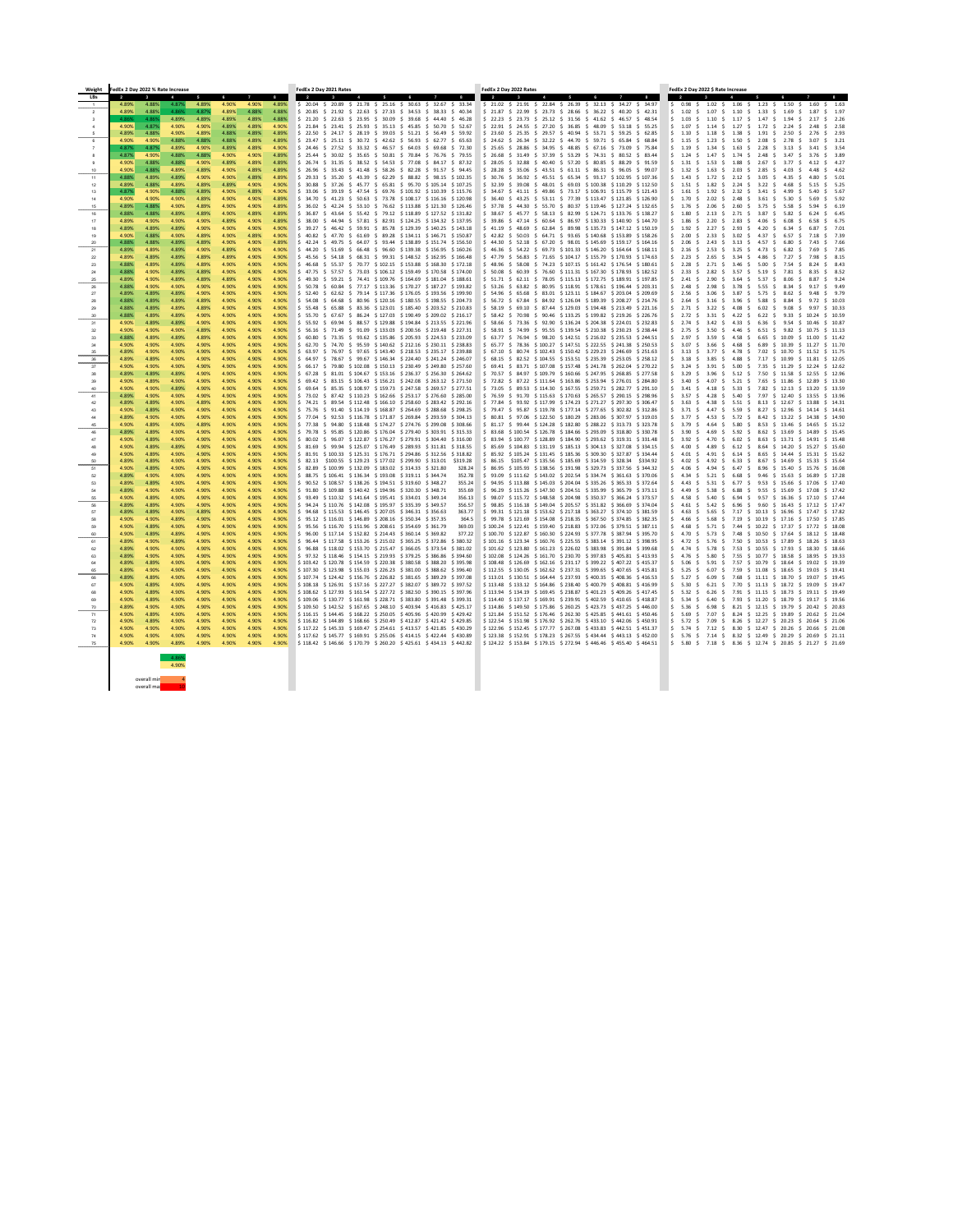| Weight    | FedEx 2 Day 2022 % Rate Increase |                |                |                |                |                 |                | FedEx 2 Day 2021 Rates                                                                                                                                                                                            | FedEx 2 Day 2022 Rates                                                                                                                                                                                                                                                                          | FedEx 2 Day 2022 \$ Rate Increase                                                                                                                                                                                                                                                    |
|-----------|----------------------------------|----------------|----------------|----------------|----------------|-----------------|----------------|-------------------------------------------------------------------------------------------------------------------------------------------------------------------------------------------------------------------|-------------------------------------------------------------------------------------------------------------------------------------------------------------------------------------------------------------------------------------------------------------------------------------------------|--------------------------------------------------------------------------------------------------------------------------------------------------------------------------------------------------------------------------------------------------------------------------------------|
| LBs       | $\overline{\mathbf{2}}$<br>4.89% | 4.88%          | 4.87%          | 4.89%          | 6<br>4.90%     | 4.90%           | 8<br>4.89%     | $\overline{2}$<br>$\frac{1}{2}$ \$ 20.04 \$ 20.89 \$ 21.78 \$ 25.16 \$ 30.63 \$ 32.67 \$ 33.34                                                                                                                    | $\overline{2}$<br>8<br>$\frac{1}{2}$ 21.02 $\frac{1}{2}$ 21.91 $\frac{1}{2}$ 22.84 $\frac{1}{2}$ 26.39 $\frac{1}{2}$ 32.13 $\frac{1}{2}$ 34.27 $\frac{1}{2}$ 34.97                                                                                                                              | $\overline{2}$<br>$\frac{1}{2}$ 0.98 \$ 1.02 \$ 1.06 \$ 1.23 \$ 1.50 \$ 1.60 \$ 1.63                                                                                                                                                                                                 |
|           | 4.89%                            | 4.88%          | 4.86%          | 4.87%          | 4.89%          | 4.88%           | 4.88%          | $\frac{1}{2}$ 21.92 \$ 22.63 \$ 27.33 \$ 34.53 \$ 38.33 \$ 40.34<br>\$20.85                                                                                                                                       | \$ 22.99 \$ 23.73 \$ 28.66 \$ 36.22 \$ 40.20 \$ 42.31<br>\$21.87                                                                                                                                                                                                                                | $1.33 \quad $5 \quad 1.69 \quad $$<br>$5 \quad 1.02$<br>1.07<br>$1.10 \pm 1.10$<br>1.87<br>\$ 1.97<br>S.<br>S.                                                                                                                                                                       |
|           | 4.86%                            | 4.869          | 4.89%          | 4.89%          | 4.89%          | 4.89%           | 4.88%          | $\frac{1}{2}$ 21.20<br>$\frac{1}{2}$ 22.63 \$ 23.95 \$ 30.09 \$ 39.68 \$ 44.40 \$ 46.28                                                                                                                           | $$22.23$ $$23.73$ $$25.12$ $$31.56$ $$41.62$ $$46.57$ $$48.54$                                                                                                                                                                                                                                  | \$1.03\$<br>$1.47 \div 1.94$<br>1.10<br>$\frac{1}{2}$ 1.17 \$<br>\$2.26<br>S.                                                                                                                                                                                                        |
|           | 4.90%                            | 4.87%          | 4.90%          | 4.90%          | 4.89%          | 4.89%           | 4.90%          | $\frac{1}{2}$ 23.41 \$ 25.93 \$ 35.13 \$ 45.85 \$ 50.70 \$ 52.67<br>\$21.84                                                                                                                                       | $$24.55$ \$ 27.20 \$ 36.85 \$ 48.09<br>  \$22.91<br>$$53.18 \t$55.25$                                                                                                                                                                                                                           | 1.27<br>$\sin 1.07$<br>S.<br>1.72<br>S.<br>2.24<br>\$ 2.58<br>1.14<br>S.<br>-S.                                                                                                                                                                                                      |
| -5        | 4.89%                            | 4.88%          | 4.90%          | 4.89%          | 4.88%          | 4.89%           | 4.89%          | $\frac{1}{2}$ 22.50<br>$\frac{1}{2}$ 24.17 \$ 28.19 \$ 39.03 \$ 51.21 \$ 56.49 \$ 59.92                                                                                                                           | $$25.35 \t$29.57 \t$40.94 \t$53.71 \t$59.25 \t$62.85$<br>$\frac{1}{2}$ 23.60                                                                                                                                                                                                                    | \$ 1.10<br>1.18<br>$1.38 \pm 1.38$<br>$1.91 \pm$<br>$2.76$ \$ 2.93<br>S.<br>$2.50\frac{1}{2}$                                                                                                                                                                                        |
|           | 4.90%<br>4.87%                   | 4.90%<br>4.87% | 4.88%<br>4.89% | 4.88%<br>4.90% | 4.88%<br>4.89% | 4.89%<br>4.89%  | 4.89%<br>4.90% | $\frac{1}{2}$ 25.11 \$ 30.72 \$ 42.62 \$ 56.93 \$ 62.77 \$ 65.63<br>\$23.47<br>S 24.46<br>$\frac{1}{2}$ 27.52 $\frac{1}{2}$ 33.32 $\frac{1}{2}$ 46.57 $\frac{1}{2}$ 64.03 $\frac{1}{2}$ 69.68 $\frac{1}{2}$ 72.30 | $\frac{1}{5}$ 24.62 $\frac{1}{5}$ 26.34 $\frac{1}{5}$ 32.22 $\frac{1}{5}$ 44.70 $\frac{1}{5}$ 59.71 $\frac{1}{5}$ 65.84 $\frac{1}{5}$ 68.84<br><sup>1</sup> \$ 25.65<br>$\frac{1}{2}$ 28.86 $\frac{1}{2}$ 34.95 $\frac{1}{2}$ 48.85 $\frac{1}{2}$ 67.16 $\frac{1}{2}$ 73.09 $\frac{1}{2}$ 75.84 | 1.23 \$<br>$2.08\frac{1}{2}$<br>\$3.21<br>$$1.15$ \$<br>$1.50 \; \; \$$<br>2.78<br>S.<br>2.28<br>$5 \quad 1.19$<br>1.34<br>1.63<br>3.13<br>\$ 3.54<br>3.41                                                                                                                           |
|           | 4.87%                            | 4.90%          | 4.88%          | 4.88%          | 4.90%          | 4.90%           | 4.89%          | $$30.02 \text{ } $35.65 \text{ } $50.81 \text{ } $70.84 \text{ } $76.76 \text{ } $79.55$<br>$\frac{1}{2}$ \$ 25.44                                                                                                | $\frac{1}{5}$ 26.68 $\frac{1}{5}$ 31.49 $\frac{1}{5}$ 37.39 $\frac{1}{5}$ 53.29 $\frac{1}{5}$ 74.31 $\frac{1}{5}$ 80.52 $\frac{1}{5}$ 83.44                                                                                                                                                     | S.<br>S.<br>S.<br>-S.<br>$5 \quad 1.24$<br>1.47<br>\$ 1.74<br>2.48 \$<br>-S.<br>3.47<br>-S.<br>\$3.89                                                                                                                                                                                |
|           | 4.90%                            | 4.88%          | 4.88%          | 4.90%          | 4.89%          | 4.89%           | 4.89%          | $\frac{1}{5}$ 26.74 \$ 31.35 \$ 38.52 \$ 54.53 \$ 77.08 \$ 84.17 \$ 87.32                                                                                                                                         | $\frac{1}{5}$ 28.05 $\frac{1}{5}$ 32.88 $\frac{1}{5}$ 40.40 $\frac{1}{5}$ 57.20 $\frac{1}{5}$ 80.85 $\frac{1}{5}$ 88.29 $\frac{1}{5}$ 91.59                                                                                                                                                     | \$ 1.31<br>$1.88 \pm 1.88$<br>$2.67 \pm 1.5$<br>\$ 4.27<br>-S.<br>1.53<br>3.77<br>S.<br>- S                                                                                                                                                                                          |
|           | 4.90%                            | 4.88%          | 4.89%          | 4.89%          | 4.90%          | 4.89%           | 4.89%          | $\frac{1}{2}$ 33.43 $\frac{1}{2}$ 41.48 $\frac{1}{2}$ 58.26 $\frac{1}{2}$ 82.28 $\frac{1}{2}$ 91.57 $\frac{1}{2}$ 94.45<br>\$26.96                                                                                | \$28.28<br>$\frac{1}{5}$ 35.06 $\frac{1}{5}$ 43.51 $\frac{1}{5}$ 61.11 $\frac{1}{5}$ 86.31 $\frac{1}{5}$ 96.05 $\frac{1}{5}$ 99.07                                                                                                                                                              | $5 \quad 1.32$<br>1.63<br>2.03<br>2.85<br>\$4.62<br>S.<br>S.<br>S.<br>S.<br>4.03<br>-S                                                                                                                                                                                               |
| 11        | 4.88%                            | 4.89%          | 4.89%          | 4.90%          | 4.90%          | 4.89%           | 4.89%          | $\frac{1}{2}$ 29.33 $\frac{1}{2}$ 35.20 $\frac{1}{2}$ 43.39 $\frac{1}{2}$ 62.29 $\frac{1}{2}$ 88.82 $\frac{1}{2}$ 98.15 $\frac{1}{2}$ 102.35                                                                      | $$30.76$ $$36.92$ $$45.51$ $$65.34$ $$93.17$ $$102.95$ $$107.36$                                                                                                                                                                                                                                | $1.72 \pm 2.12 \pm 1.12$<br>$3.05 \quad $4.35$<br>\$ 1.43 \$<br>\$ 5.01<br>S.                                                                                                                                                                                                        |
| -12       | 4.89%                            | 4.88%          | 4.89%          | 4.89%          | 4.89%          | 4.90%           | 4.90%          | $$37.26$ \$ 45.77 \$ 65.81 \$ 95.70 \$ 105.14 \$ 107.25<br>$5 \t30.88$                                                                                                                                            | \$32.39<br>$$39.08$$ \$48.01 \$69.03 \$100.38 \$110.29 \$112.50                                                                                                                                                                                                                                 | $5 \quad 1.51$<br>\$ 5.25<br>S.<br>1.82 \$<br>2.24<br>S.<br>3.22<br>4.68<br>S.<br>-S.                                                                                                                                                                                                |
| -13       | 4.87%<br>4.90%                   | 4.90%<br>4.90% | 4.88%<br>4.90% | 4.89%<br>4.89% | 4.90%<br>4.90% | 4.89%<br>4.90%  | 4.90%<br>4.89% | $\frac{1}{2}$ 39.19 \$ 47.54 \$ 69.76 \$ 101.92 \$ 110.39 \$ 115.76<br>S 33.06<br>$\frac{1}{2}$ \$ 41.23 \$ 50.63 \$ 73.78 \$ 108.17 \$ 116.16 \$ 120.98                                                          | \$34.67<br>$\frac{1}{2}$ 41.11 \$ 49.86 \$ 73.17 \$ 106.91 \$ 115.79 \$ 121.43<br>\$ 36.40 \$ 43.25 \$ 53.11 \$ 77.39 \$ 113.47 \$ 121.85 \$ 126.90                                                                                                                                             | $\frac{1}{2}$ 1.61<br>$1.92 \pm 1.02$<br>2.32<br>\$ 5.67<br>S.<br>S.<br>- 3.41<br>-S.<br>4.99<br>-S.<br>5.40<br>$5 \quad 1.70$<br>$2.02 \quad $2.48 \quad $$<br>$3.61 \div 5.30$<br>$-5$<br>\$ 5.92<br>S.                                                                            |
| 15        | 4.89%                            | 4.88%          | 4.90%          | 4.89%          | 4.90%          | 4.90%           | 4.89%          | $\frac{1}{2}$ 42.24 \$ 53.10 \$ 76.62 \$ 113.88 \$ 121.30 \$ 126.46<br>S 36.02                                                                                                                                    | \$37.78<br>$$44.30 \text{ } $55.70 \text{ } $80.37 \text{ } $119.46 \text{ } $127.24 \text{ } $132.65$                                                                                                                                                                                          | $5 \quad 1.76$<br>S.<br>2.60<br>3.75<br>\$ 6.19<br>2.06<br>S.<br>S.<br>S.<br>5.58                                                                                                                                                                                                    |
| 16        | 4.88%                            | 4.88%          | 4.89%          | 4.89%          | 4.90%          | 4.89%           | 4.89%          | 43.64 \$ 55.42 \$ 79.12 \$ 118.89 \$ 127.52 \$ 131.82<br>S 36.87                                                                                                                                                  | \$38.67<br>$$45.77$ $$58.13$ $$82.99$ $$124.71$ $$133.76$ $$138.27$                                                                                                                                                                                                                             | $5 \quad 1.80$<br>2.71<br>3.87<br>2.13<br>S.<br>\$ 6.45<br>S.<br>$\ddot{\mathsf{S}}$<br>5.82                                                                                                                                                                                         |
|           | 4.89%                            | 4.90%          | 4.90%          | 4.90%          | 4.89%          | 4.90%           | 4.89%          | \$38.00<br>$$44.94 \text{ } $57.81 \text{ } $82.91 \text{ } $124.25 \text{ } $134.32 \text{ } $137.95$                                                                                                            | $\frac{1}{2}$ 39.86 $\frac{1}{2}$ 47.14 $\frac{1}{2}$ 60.64 $\frac{1}{2}$ 86.97 $\frac{1}{2}$ 130.33 $\frac{1}{2}$ 140.90 $\frac{1}{2}$ 144.70                                                                                                                                                  | $$1.86$ \$<br>2.83<br>\$ 6.75<br>2.20<br>S.<br>S.<br>4.06 \$ 6.08<br>-S.                                                                                                                                                                                                             |
| 19        | 4.89%<br>4.90%                   | 4.89%<br>4.88% | 4.89%<br>4.90% | 4.90%<br>4.89% | 4.90%<br>4.90% | 4.90%<br>4.89%  | 4.90%<br>4.90% | $$46.42 \text{ } $59.91 \text{ } $85.78 \text{ } $129.39 \text{ } $140.25 \text{ } $143.18$$<br>539.27<br>47.70 \$ 61.69 \$ 89.28 \$ 134.11 \$ 146.71 \$ 150.87<br>40.82                                          | 48.69 \$ 62.84 \$ 89.98 \$ 135.73 \$ 147.12 \$ 150.19<br>S 41.19 S<br>$$50.03$$ \$ 64.71 \$ 93.65 \$ 140.68 \$ 153.89 \$ 158.26<br>\$42.82                                                                                                                                                      | $5 \quad 1.92$<br>2.27<br>\$7.01<br>2.93<br>4.20<br>S.<br>S.<br>S.<br>-S.<br>6.34<br>- S<br>$\frac{1}{2}$ 2.00<br>2.33<br>3.02<br>4.37<br>\$7.39<br>S.<br>-S.<br>S.<br>6.57<br>-S.                                                                                                   |
| -20       | 4.88%                            | 4.88%          | 4.89%          | 4.89%          | 4.90%          | 4.90%           | 4.89%          | 42.24<br>$$49.75 \t$64.07 \t$93.44 \t$138.89 \t$151.74 \t$156.50$                                                                                                                                                 | \$44.30<br>$$52.18$$ \$ 67.20 \$ 98.01 \$ 145.69 \$ 159.17 \$ 164.16                                                                                                                                                                                                                            | \$2.06<br>\$7.66<br>S.<br>2.43 S<br>$3.13 \quad $$<br>4.57<br>6.80<br>S.<br>-S.<br>7.43                                                                                                                                                                                              |
| 21        | 4.89%                            | 4.89%          | 4.89%          | 4.90%          | 4.89%          | 4.90%           | 4.90%          | $$51.69$ \$ 66.48 \$ 96.60 \$ 139.38 \$ 156.95 \$ 160.26<br>44.20                                                                                                                                                 | \$46.36<br>$$54.22 \text{ } $69.73 \text{ } $101.33 \text{ } $146.20 \text{ } $164.64 \text{ } $168.11$                                                                                                                                                                                         | \$2.16<br>2.53<br>$3.25 \div$<br>4.73<br>6.82<br>\$7.85<br>S.<br>S.<br>S.                                                                                                                                                                                                            |
| -22       | 4.89%                            | 4.89%          | 4.89%          | 4.89%          | 4.89%          | 4.90%           | 4.90%          | 45.56 \$ 54.18 \$ 68.31 \$ 99.31 \$ 148.52 \$ 162.95 \$ 166.48                                                                                                                                                    | $$47.79$ $$56.83$ $$71.65$ $$104.17$ $$155.79$ $$170.93$ $$174.63$                                                                                                                                                                                                                              | $\frac{1}{2}$ 2.23<br>2.65<br>4.86 \$<br>S.<br>- 3.34<br>7.27<br>\$ 8.15<br>S.<br>S.                                                                                                                                                                                                 |
| -23       | -4.88%                           | 4.89%          | 4.89%          | 4.89%          | 4.90%          | 4.90%           | 4.90%          | $$5,537$ $$70.77$ $$102.15$ $$153.88$ $$168.30$ $$172.18$<br>46.68                                                                                                                                                | $$58.08 \text{ } $74.23 \text{ } $107.15 \text{ } $161.42 \text{ } $176.54 \text{ } $180.61$<br>\$48.96                                                                                                                                                                                         | $5 \quad 2.28$<br>S.<br>2.71<br>\$ 3.46 \$<br>5.00<br>\$ 8.43<br>S.<br>7.54                                                                                                                                                                                                          |
| -25       | 4.88%<br>4.89%                   | 4.90%<br>4.90% | 4.89%<br>4.89% | 4.89%<br>4.89% | 4.90%<br>4.89% | 4.90%<br>4.90%  | 4.90%<br>4.90% | $$57.57$ $$73.03$ $$106.12$ $$159.49$ $$170.58$ $$174.00$<br>47.75<br>49.30<br>$$59.21$ \$ 74.41 \$ 109.76 \$ 164.69 \$ 181.04 \$ 188.61                                                                          | $$60.39$ \$76.60 \$111.31 \$167.30 \$178.93 \$182.52<br>\$50.08<br>$$51.71$ $$62.11$ $$78.05$ $$115.13$ $$172.75$ $$189.91$ $$197.85$                                                                                                                                                           | $5 \quad 2.33$<br>2.82 \$<br>3.57<br>7.81<br>\$ 8.52<br>-S.<br>S.<br>$5.19 \;$ \$<br>8.35<br>-S.<br>$\frac{2.41}{2.3}$<br>2.90<br>3.64<br>\$ 5.37<br>\$9.24<br>S.<br>8.06<br>S.<br>S.<br>S.                                                                                          |
| -26       | 4.88%                            | 4.90%          | 4.90%          | 4.90%          | 4.90%          | 4.90%           | 4.90%          | 50.78<br>60.84 \$77.17 \$113.36 \$170.27 \$187.27 \$193.82<br>S.                                                                                                                                                  | ∫ \$53.26<br>$63.82 \div$<br>80.95 \$118.91 \$178.61 \$196.44 \$203.31<br>S.                                                                                                                                                                                                                    | \$2.48<br>2.98<br>3.78<br>5.55<br>\$9.49<br>S.<br>S.<br>8.34<br>-S.                                                                                                                                                                                                                  |
| -27       | 4.89%                            | 4.89%          | 4.89%          | 4.90%          | 4.90%          | 4.90%           | 4.90%          | 52.40<br>$$62.62 \text{ } $79.14 \text{ } $117.36 \text{ } $176.05 \text{ } $193.56 \text{ } $199.90$                                                                                                             | \$ 54.96<br>$$65.68$$ \$ 83.01 \$ 123.11 \$ 184.67 \$ 203.04<br>\$209.69                                                                                                                                                                                                                        | \$2.56<br>3.06<br>3.87<br>$\ddot{\mathsf{S}}$<br>5.75 \$<br>8.62<br>\$9.79<br>9.48<br>- S                                                                                                                                                                                            |
|           | 4.88%                            | 4.89%          | 4.89%          | 4.89%          | 4.90%          | 4.90%           | 4.90%          | $$64.68$ \$ 80.96 \$120.16 \$180.55 \$198.55 \$204.73<br>S 54.08                                                                                                                                                  | \$ 56.72 \$ 67.84 \$ 84.92 \$ 126.04 \$ 189.39 \$ 208.27 \$ 214.76                                                                                                                                                                                                                              | \$2.64<br>\$10.03<br>3.96<br>S.<br>5.88<br>8.84<br>3.16 S<br>-S.                                                                                                                                                                                                                     |
| - 29      | 4.88%<br>4.88%                   | 4.89%<br>4.89% | 4.89%          | 4.89%          | 4.90%          | 4.90%           | 4.90%          | $$5.48$ \$ 65.88 \$ 83.36 \$ 123.01 \$ 185.40 \$ 203.52 \$ 210.83<br>$\frac{4.90\%}{4.90\%}$ \$ 55.70 \$ 67.67 \$ 86.24 \$ 127.03 \$ 190.49 \$ 209.02 \$ 216.17                                                   | $\frac{1}{5}$ 58.19 \$ 69.10 \$ 87.44 \$ 129.03 \$ 194.48 \$ 213.49 \$ 221.16<br>$\frac{1}{5}$ 58.42 \$ 70.98 \$ 90.46 \$ 133.25 \$ 199.82 \$ 219.26 \$ 226.76                                                                                                                                  | \$2.71<br>$3.22 \div 4.08 \div 6.02 \div 9.08 \div$<br>\$10.33<br>S.<br>9.97                                                                                                                                                                                                         |
| -31       | 4.90%                            | 4.89%          | 4.89%<br>4.89% | 4.90%<br>4.90% | 4.90%<br>4.90% | 4.90%<br>4.90%  | 4.90%          | $\frac{1}{2}$ \$ 55.92 \$ 69.94 \$ 88.57 \$ 129.88 \$ 194.84 \$ 213.55 \$ 221.96                                                                                                                                  | $$58.66 \t$ 73.36 \t$ 92.90 \t$ 136.24 \t$ 204.38 \t$ 224.01 \t$ 232.83$                                                                                                                                                                                                                        | $\frac{1}{2}$ 2.72 $\frac{1}{2}$ 3.31 $\frac{1}{2}$ 4.22 $\frac{1}{2}$ 6.22 $\frac{1}{2}$ 9.33 $\frac{1}{2}$ 10.24 $\frac{1}{2}$ 10.59<br>$\frac{1}{2}$ 2.74 \$ 3.42 \$ 4.33 \$ 6.36 \$ 9.54 \$ 10.46 \$ 10.87                                                                       |
|           | 4.90%                            | 4.90%          | 4.90%          | 4.89%          | 4.90%          | 4.90%           | 4.90%          | $\frac{1}{2}$ \$ 56.16 \$ 71.49 \$ 91.09 \$ 133.03 \$ 200.56 \$ 219.48 \$ 227.31                                                                                                                                  | \$ 58.91 \$ 74.99 \$ 95.55 \$139.54 \$210.38 \$230.23 \$238.44                                                                                                                                                                                                                                  | $\frac{1}{2}$ 2.75 \$ 3.50 \$ 4.46 \$ 6.51 \$ 9.82 \$ 10.75 \$ 11.13                                                                                                                                                                                                                 |
| -33       | 4.88%                            | 4.89%          | 4.89%          | 4.89%          | 4.90%          | 4.90%           | 4.90%          | $\frac{1}{2}$ 60.80 \$ 73.35 \$ 93.62 \$ 135.86 \$ 205.93 \$ 224.53 \$ 233.09                                                                                                                                     | $$63.77$ $$76.94$ $$98.20$ $$142.51$ $$216.02$ $$235.53$ $$244.51$                                                                                                                                                                                                                              | $\frac{1}{2}$ 2.97 \$ 3.59 \$ 4.58 \$ 6.65 \$ 10.09 \$ 11.00 \$ 11.42                                                                                                                                                                                                                |
|           | 4.90%                            | 4.90%          | 4.90%          | 4.90%          | 4.90%          | 4.90%           | 4.90%          | $\frac{1}{2}$ \$ 62.70 \$ 74.70 \$ 95.59 \$ 140.62 \$ 212.16 \$ 230.11 \$ 238.83                                                                                                                                  | $\frac{1}{2}$ 65.77 \$ 78.36 \$ 100.27 \$ 147.51 \$ 222.55 \$ 241.38 \$ 250.53                                                                                                                                                                                                                  | $\frac{1}{2}$ 3.07 \$ 3.66 \$ 4.68 \$ 6.89 \$ 10.39 \$ 11.27 \$ 11.70                                                                                                                                                                                                                |
| 36        | 4.89%<br>4.89%                   | 4.90%<br>4.89% | 4.90%<br>4.90% | 4.90%<br>4.90% | 4.90%<br>4.90% | 4.90%<br>4.90%  | 4.90%<br>4.90% | $\frac{1}{5}$ 63.97 \$ 76.97 \$ 97.65 \$ 143.40 \$ 218.53 \$ 235.17 \$ 239.88<br>$\frac{1}{2}$ \$ 64.97 \$ 78.67 \$ 99.67 \$ 146.34 \$ 224.40 \$ 241.24 \$ 246.07                                                 | $$67.10 \text{ } $80.74 \text{ } $102.43 \text{ } $150.42 \text{ } $229.23 \text{ } $246.69 \text{ } $251.63$<br>$\frac{1}{2}$ 68.15 $\frac{1}{2}$ 82.52 $\frac{1}{2}$ 104.55 $\frac{1}{2}$ 153.51 $\frac{1}{2}$ 235.39 $\frac{1}{2}$ 253.05 $\frac{1}{2}$ 258.12                               | $\frac{1}{2}$ 3.13 $\frac{1}{2}$ 3.77 $\frac{1}{2}$ 4.78 $\frac{1}{2}$ 7.02 $\frac{1}{2}$ 10.70 $\frac{1}{2}$ 11.52 $\frac{1}{2}$ 11.75<br>$\frac{1}{2}$ 3.18 $\frac{1}{2}$ 3.85 $\frac{1}{2}$ 4.88 $\frac{1}{2}$ 7.17 $\frac{1}{2}$ 10.99 $\frac{1}{2}$ 11.81 $\frac{1}{2}$ 12.05   |
| 37        | 4.90%                            | 4.90%          | 4.90%          | 4.90%          | 4.90%          | 4.90%           | 4.90%          | $\frac{1}{2}$ 66.17 \$ 79.80 \$ 102.08 \$ 150.13 \$ 230.49 \$ 249.80 \$ 257.60                                                                                                                                    | $$69.41$ $$83.71$ $$107.08$ $$157.48$ $$241.78$ $$262.04$ $$270.22$                                                                                                                                                                                                                             | $\frac{1}{2}$ 3.24 $\frac{1}{2}$ 3.91 $\frac{1}{2}$ 5.00 $\frac{1}{2}$ 7.35 $\frac{1}{2}$ 11.29 $\frac{1}{2}$ 12.24 $\frac{1}{2}$ 12.62                                                                                                                                              |
|           | 4.89%                            | 4.89%          | 4.89%          | 4.90%          | 4.90%          | 4.90%           | 4.90%          | $\frac{1}{2}$ \$ 67.28 \$ 81.01 \$ 104.67 \$ 153.16 \$ 236.37 \$ 256.30 \$ 264.62                                                                                                                                 | $\frac{1}{2}$ 70.57 $\frac{1}{2}$ 84.97 $\frac{1}{2}$ 109.79 $\frac{1}{2}$ 160.66 $\frac{1}{2}$ 247.95 $\frac{1}{2}$ 268.85 $\frac{1}{2}$ 277.58                                                                                                                                                | $\frac{1}{5}$ 3.29 $\frac{1}{5}$ 3.96 $\frac{1}{5}$ 5.12 $\frac{1}{5}$ 7.50 $\frac{1}{5}$ 11.58 $\frac{1}{5}$ 12.55 $\frac{1}{5}$ 12.96                                                                                                                                              |
|           | 4.90%                            | 4.89%          | 4.90%          | 4.90%          | 4.90%          | 4.90%           | 4.90%          | $\frac{1}{5}$ 69.42 \$ 83.15 \$ 106.43 \$ 156.21 \$ 242.08 \$ 263.12 \$ 271.50                                                                                                                                    | $$72.82 \$87.22 \$111.64 \$163.86 \$253.94 \$276.01 \$284.80$                                                                                                                                                                                                                                   | $\frac{1}{2}$ 3.40 \$ 4.07 \$ 5.21 \$ 7.65 \$ 11.86 \$ 12.89 \$ 13.30                                                                                                                                                                                                                |
| -41       | 4.90%<br>4.89%                   | 4.90%<br>4.90% | 4.89%<br>4.90% | 4.90%<br>4.90% | 4.90%<br>4.90% | 4.90%<br>4.90%  | 4.90%<br>4.90% | $\frac{1}{5}$ 69.64 \$ 85.35 \$ 108.97 \$ 159.73 \$ 247.58 \$ 269.57 \$ 277.51<br>  \$ 73.02 \$ 87.42 \$110.23 \$162.66 \$253.17 \$276.60 \$285.00                                                                | $\frac{1}{5}$ 73.05 \$ 89.53 \$ 114.30 \$ 167.55 \$ 259.71 \$ 282.77 \$ 291.10<br>$$76.59$ $$91.70$ $$115.63$ $$170.63$ $$265.57$ $$290.15$ $$298.96$                                                                                                                                           | $\frac{1}{5}$ 3.41 $\frac{1}{5}$ 4.18 $\frac{1}{5}$ 5.33 $\frac{1}{5}$ 7.82 $\frac{1}{5}$ 12.13 $\frac{1}{5}$ 13.20 $\frac{1}{5}$ 13.59<br>$\frac{1}{5}$ 3.57 $\frac{1}{5}$ 4.28 $\frac{1}{5}$ 5.40 $\frac{1}{5}$ 7.97 $\frac{1}{5}$ 12.40 $\frac{1}{5}$ 13.55 $\frac{1}{5}$ 13.96   |
| 42        | 4.89%                            | 4.89%          | 4.90%          | 4.89%          | 4.90%          | 4.90%           | 4.90%          | $\frac{1}{2}$ 5 74.21 \$ 89.54 \$ 112.48 \$ 166.10 \$ 258.60 \$ 283.42 \$ 292.16                                                                                                                                  | $$77.84$ $$93.92$ $$117.99$ $$174.23$ $$271.27$ $$297.30$ $$306.47$                                                                                                                                                                                                                             | $\frac{1}{2}$ 3.63 $\frac{1}{2}$ 4.38 $\frac{1}{2}$ 5.51 $\frac{1}{2}$ 8.13 $\frac{1}{2}$ 12.67 $\frac{1}{2}$ 13.88 $\frac{1}{2}$ 14.31                                                                                                                                              |
| 43        | 4.90%                            | 4.89%          | 4.90%          | 4.90%          | 4.90%          | 4.90%           | 4.90%          | \$ 75.76 \$ 91.40 \$114.19 \$168.87 \$264.69 \$288.68 \$298.25                                                                                                                                                    | $\frac{1}{2}$ 79.47 $\frac{1}{2}$ 95.87 $\frac{1}{2}$ 119.78 $\frac{1}{2}$ 177.14 $\frac{1}{2}$ 277.65 $\frac{1}{2}$ 302.82 $\frac{1}{2}$ 312.86                                                                                                                                                | $\frac{1}{2}$ 3.71 \$ 4.47 \$ 5.59 \$ 8.27 \$ 12.96 \$ 14.14 \$ 14.61                                                                                                                                                                                                                |
|           | 4.89%                            | 4.90%          | 4.90%          | 4.90%          | 4.90%          | 4.90%           | 4.90%          | $\frac{1}{2}$ \$ 77.04 \$ 92.53 \$ 116.78 \$ 171.87 \$ 269.84 \$ 293.59 \$ 304.13                                                                                                                                 | $$80.81$ \$97.06 \$122.50 \$180.29 \$283.06 \$307.97 \$319.03                                                                                                                                                                                                                                   | $\frac{1}{5}$ 3.77 $\frac{1}{5}$ 4.53 $\frac{1}{5}$ 5.72 $\frac{1}{5}$ 8.42 $\frac{1}{5}$ 13.22 $\frac{1}{5}$ 14.38 $\frac{1}{5}$ 14.90                                                                                                                                              |
| -45       | 4.90%<br>4.89%                   | 4.89%<br>4.89% | 4.90%<br>4.90% | 4.89%<br>4.90% | 4.90%<br>4.90% | -4.90%<br>4.90% | 4.90%<br>4.90% | $\frac{1}{2}$ 5 77.38 \$ 94.80 \$ 118.48 \$ 174.27 \$ 274.76 \$ 299.08 \$ 308.66<br>$\frac{1}{2}$ \$ 79.78 \$ 95.85 \$ 120.86 \$ 176.04 \$ 279.40 \$ 303.91 \$ 315.33                                             | $$31.17 \t$ 99.44 \t$ 124.28 \t$ 182.80 \t$ 288.22 \t$ 313.73 \t$ 323.78$<br>$$33.68$ \$ 100.54 \$ 126.78 \$ 184.66 \$ 293.09 \$ 318.80 \$ 330.78                                                                                                                                               | $\frac{1}{2}$ 3.79 \$ 4.64 \$ 5.80 \$ 8.53 \$ 13.46 \$ 14.65 \$ 15.12<br>$\frac{1}{5}$ 3.90 $\frac{1}{5}$ 4.69 $\frac{1}{5}$ 5.92 $\frac{1}{5}$ 8.62 $\frac{1}{5}$ 13.69 $\frac{1}{5}$ 14.89 $\frac{1}{5}$ 15.45                                                                     |
|           | 4.90%                            | 4.89%          | 4.90%          | 4.90%          | 4.90%          | 4.90%           | 4.90%          | $$80.02$$ \$96.07 \$122.87 \$176.27 \$279.91 \$304.40 \$316.00                                                                                                                                                    | $$33.94$ \$100.77 \$128.89 \$184.90 \$293.62 \$319.31 \$331.48                                                                                                                                                                                                                                  | $\frac{1}{5}$ 3.92 $\frac{1}{5}$ 4.70 $\frac{1}{5}$ 6.02 $\frac{1}{5}$ 8.63 $\frac{1}{5}$ 13.71 $\frac{1}{5}$ 14.91 $\frac{1}{5}$ 15.48                                                                                                                                              |
|           | 4.90%                            | 4.89%          | 4.89%          | 4.90%          | 4.90%          | 4.90%           | 4.90%          | $\frac{1}{2}$ \$ 81.69 \$ 99.94 \$ 125.07 \$ 176.49 \$ 289.93 \$ 311.81 \$ 318.55                                                                                                                                 | $$35.69$ $$104.83$ $$131.19$ $$185.13$ $$304.13$ $$327.08$ $$334.15$                                                                                                                                                                                                                            | $\frac{1}{2}$ 4.00 \$ 4.89 \$ 6.12 \$ 8.64 \$ 14.20 \$ 15.27 \$ 15.60                                                                                                                                                                                                                |
|           | 4.90%                            | 4.89%          | 4.90%          | 4.90%          | 4.90%          | 4.90%           | 4.90%          | $\frac{1}{2}$ \$ 100.33 \$ 125.31 \$ 176.71 \$ 294.86 \$ 312.56 \$ 318.82                                                                                                                                         | $$334.44$<br>$$105.24$ $$131.45$ $$185.36$ $$309.30$ $$327.87$ $$334.44$                                                                                                                                                                                                                        | $\frac{1}{2}$ 4.01 \$ 4.91 \$ 6.14 \$ 8.65 \$ 14.44 \$ 15.31 \$ 15.62                                                                                                                                                                                                                |
|           | 4.89%                            | 4.89%          | 4.90%          | 4.90%          | 4.90%          | 4.90%           | 4.90%          | $\frac{1}{2}$ \$2.13 \$100.55 \$129.23 \$177.02 \$299.90 \$313.01<br>\$319.28                                                                                                                                     | $$86.15$ $$105.47$ $$135.56$ $$185.69$ $$314.59$ $$328.34$ $$334.92$                                                                                                                                                                                                                            | $\frac{1}{5}$ 4.02 $\frac{1}{5}$ 4.92 $\frac{1}{5}$ 6.33 $\frac{1}{5}$ 8.67 $\frac{1}{5}$ 14.69 $\frac{1}{5}$ 15.33 $\frac{1}{5}$ 15.64                                                                                                                                              |
|           | 4.90%<br>4.89%                   | 4.89%<br>4.90% | 4.90%<br>4.90% | 4.90%<br>4.90% | 4.90%<br>4.90% | 4.90%<br>4.90%  | 4.90%<br>4.90% | $\frac{1}{2}$ \$ 22.89 \$ 100.99 \$ 132.09 \$ 183.02 \$ 314.33 \$ 321.80<br>328.24<br>$\frac{1}{2}$ \$ 88.75 \$ 106.41 \$ 136.34 \$ 193.08 \$ 319.11 \$ 344.74<br>352.78                                          | \$ 86.95 \$105.93 \$138.56 \$191.98 \$329.73 \$337.56 \$344.32<br>$$93.09$ $$111.62$ $$143.02$ $$202.54$ $$334.74$ $$361.63$ $$370.06$                                                                                                                                                          | $\frac{1}{5}$ 4.06 $\frac{1}{5}$ 4.94 $\frac{1}{5}$ 6.47 $\frac{1}{5}$ 8.96 $\frac{1}{5}$ 15.40 $\frac{1}{5}$ 15.76 $\frac{1}{5}$ 16.08<br>$\frac{1}{5}$ 4.34 $\frac{1}{5}$ 5.21 $\frac{1}{5}$ 6.68 $\frac{1}{5}$ 9.46 $\frac{1}{5}$ 15.63 $\frac{1}{5}$ 16.89 $\frac{1}{5}$ 17.28   |
|           | 4.89%                            | 4.89%          | 4.90%          | 4.90%          | 4.90%          | 4.90%           | 4.90%          | $\frac{1}{2}$ \$ 90.52 \$ 108.57 \$ 138.26 \$ 194.51 \$ 319.60 \$ 348.27<br>355.24                                                                                                                                | $\frac{1}{5}$ 94.95 \$ 113.88 \$ 145.03 \$ 204.04 \$ 335.26 \$ 365.33 \$ 372.64                                                                                                                                                                                                                 | $\frac{1}{2}$ 4.43 $\frac{1}{2}$ 5.31 $\frac{1}{2}$ 6.77 $\frac{1}{2}$ 9.53 $\frac{1}{2}$ 15.66 $\frac{1}{2}$ 17.06 $\frac{1}{2}$ 17.40                                                                                                                                              |
|           | 4.89%                            | 4.90%          | 4.90%          | 4.90%          | 4.90%          | 4.90%           | 4.90%          | $\frac{1}{2}$ \$ 91.80 \$ 109.88 \$ 140.42 \$ 194.96 \$ 320.30 \$ 348.71<br>355.69                                                                                                                                | $\frac{1}{5}$ 96.29 \$ 115.26 \$ 147.30 \$ 204.51 \$ 335.99 \$ 365.79 \$ 373.11                                                                                                                                                                                                                 | $\frac{1}{5}$ 4.49 $\frac{1}{5}$ 5.38 $\frac{1}{5}$ 6.88 $\frac{1}{5}$ 9.55 $\frac{1}{5}$ 15.69 $\frac{1}{5}$ 17.08 $\frac{1}{5}$ 17.42                                                                                                                                              |
|           | 4.90%                            | 4.89%          | 4.90%          | 4.90%          | 4.90%          | 4.90%           | 4.90%          | $\frac{1}{2}$ \$ 93.49 \$ 110.32 \$ 141.64 \$ 195.41 \$ 334.01 \$ 349.14<br>356.13                                                                                                                                | $$98.07$ \$115.72 \$148.58 \$204.98 \$350.37 \$366.24 \$373.57                                                                                                                                                                                                                                  | $\frac{1}{2}$ 4.58 $\frac{1}{2}$ 5.40 $\frac{1}{2}$ 6.94 $\frac{1}{2}$ 9.57 $\frac{1}{2}$ 16.36 $\frac{1}{2}$ 17.10 $\frac{1}{2}$ 17.44                                                                                                                                              |
| -56       | 4.89%<br>4.89%                   | 4.89%<br>4.89% | 4.90%<br>4.90% | 4.90%<br>4.89% | 4.90%<br>4.90% | 4.90%<br>4.90%  | 4.90%<br>4.90% | $\frac{1}{2}$ \$ 94.24 \$ 110.76 \$ 142.08 \$ 195.97 \$ 335.39 \$ 349.57<br>356.57<br>$\frac{1}{2}$ \$ 94.68 \$ 115.53 \$ 146.45 \$ 207.05 \$ 346.31 \$ 356.63<br>363.77                                          | $\frac{1}{5}$ 98.85 \$ 116.18 \$ 149.04 \$ 205.57 \$ 351.82 \$ 366.69 \$ 374.04<br>$\frac{1}{5}$ 99.31 \$ 121.18 \$ 153.62 \$ 217.18 \$ 363.27 \$ 374.10 \$ 381.59                                                                                                                              | $\frac{1}{5}$ 4.61 $\frac{1}{5}$ 5.42 $\frac{1}{5}$ 6.96 $\frac{1}{5}$ 9.60 $\frac{1}{5}$ 16.43 $\frac{1}{5}$ 17.12 $\frac{1}{5}$ 17.47<br>$\frac{1}{5}$ 4.63 $\frac{1}{5}$ 5.65 $\frac{1}{5}$ 7.17 $\frac{1}{5}$ 10.13 $\frac{1}{5}$ 16.96 $\frac{1}{5}$ 17.47 $\frac{1}{5}$ 17.82  |
|           | 4.90%                            | 4.90%          | 4.89%          | 4.90%          | 4.90%          | 4.90%           | 4.90%          | $\frac{1}{2}$ \$ 106.01 \$ 146.89 \$ 208.16 \$ 350.34 \$ 357.35<br>364.5                                                                                                                                          | $\frac{1}{5}$ 99.78 $\frac{1}{5}$ 121.69 $\frac{1}{5}$ 154.08 $\frac{1}{5}$ 218.35 $\frac{1}{5}$ 367.50 $\frac{1}{5}$ 374.85 $\frac{1}{5}$ 382.35                                                                                                                                               | $\frac{1}{5}$ 4.66 \$ 5.68 \$ 7.19 \$ 10.19 \$ 17.16 \$ 17.50 \$ 17.85                                                                                                                                                                                                               |
| -59       | 4.90%                            | 4.89%          | 4.90%          | 4.90%          | 4.90%          | 4.90%           | 4.90%          | $\frac{1}{2}$ \$ 95.56 \$ 116.70 \$ 151.96 \$ 208.61 \$ 354.69 \$ 361.79<br>369.03                                                                                                                                | $\frac{1}{2}$ \$100.24 \$122.41 \$159.40 \$218.83 \$372.06 \$379.51 \$387.11                                                                                                                                                                                                                    | \$ 4.68 \$ 5.71 \$ 7.44 \$ 10.22 \$ 17.37 \$ 17.72 \$ 18.08                                                                                                                                                                                                                          |
|           | 4.90%                            | 4.89%          | 4.89%          | 4.90%          | 4.90%          | 4.90%           | 4.90%          | $\frac{1}{2}$ \$ 96.00 \$ 117.14 \$ 152.82 \$ 214.43 \$ 360.14 \$ 369.82<br>377.22                                                                                                                                | \$ 100.70    \$ 122.87    \$ 160.30    \$ 224.93    \$ 377.78    \$ 387.94    \$ 395.70                                                                                                                                                                                                         | $\frac{1}{2}$ 4.70 \$ 5.73 \$ 7.48 \$ 10.50 \$ 17.64 \$ 18.12 \$ 18.48                                                                                                                                                                                                               |
|           | 4.89%<br>4.89%                   | 4.90%<br>4.90% | 4.89%<br>4.90% | 4.90%<br>4.90% | 4.90%<br>4.90% | 4.90%<br>4.90%  | 4.90%<br>4.90% | $\frac{1}{2}$ 96.44 \$ 117.58 \$ 153.26 \$ 215.02 \$ 365.25 \$ 372.86 \$ 380.32<br>$\frac{1}{2}$ 96.88 \$ 118.02 \$ 153.70 \$ 215.47 \$ 366.05 \$ 373.54 \$ 381.02                                                | $\frac{1}{2}$ \$ 101.16 \$ 123.34 \$ 160.76 \$ 225.55 \$ 383.14 \$ 391.12 \$ 398.95<br>$\frac{1}{2}$ \$ 101.62 \$ 123.80 \$ 161.23 \$ 226.02 \$ 383.98 \$ 391.84 \$ 399.68                                                                                                                      | $\frac{1}{2}$ 4.72 $\frac{1}{2}$ 5.76 $\frac{1}{2}$ 7.50 $\frac{1}{2}$ 10.53 $\frac{1}{2}$ 17.89 $\frac{1}{2}$ 18.26 $\frac{1}{2}$ 18.63<br>$\frac{1}{5}$ 4.74 $\frac{1}{5}$ 5.78 $\frac{1}{5}$ 7.53 $\frac{1}{5}$ 10.55 $\frac{1}{5}$ 17.93 $\frac{1}{5}$ 18.30 $\frac{1}{5}$ 18.66 |
|           | 4.89%                            | 4.90%          | 4.90%          | 4.90%          | 4.90%          | 4.90%           | 4.90%          | $\frac{1}{2}$ 97.32 \$ 118.46 \$ 154.15 \$ 219.93 \$ 379.25 \$ 386.86 \$ 394.60                                                                                                                                   | $\frac{1}{2}$ \$ 102.08 \$ 124.26 \$ 161.70 \$ 230.70 \$ 397.83 \$ 405.81 \$ 413.93                                                                                                                                                                                                             | $\frac{1}{2}$ 4.76 \$ 5.80 \$ 7.55 \$ 10.77 \$ 18.58 \$ 18.95 \$ 19.33                                                                                                                                                                                                               |
|           | 4.89%                            | 4.89%          | 4.90%          | 4.90%          | 4.90%          | 4.90%           | 4.90%          | $$103.42$ \$120.78 \$154.59 \$220.38 \$380.58 \$388.20 \$395.98                                                                                                                                                   | $\frac{1}{2}$ \$ 108.48 \$ 126.69 \$ 162.16 \$ 231.17 \$ 399.22 \$ 407.22 \$ 415.37                                                                                                                                                                                                             | $\frac{1}{5}$ 5.06 \$ 5.91 \$ 7.57 \$ 10.79 \$ 18.64 \$ 19.02 \$ 19.39                                                                                                                                                                                                               |
| 65        | 4.89%                            | 4.90%          | 4.90%          | 4.90%          | 4.90%          | 4.90%           | 4.90%          | $\frac{1}{2}$ \$ 107.30 \$ 123.98 \$ 155.03 \$ 226.23 \$ 381.00 \$ 388.62 \$ 396.40                                                                                                                               | $\frac{1}{2}$ \$ 112.55 \$ 130.05 \$ 162.62 \$ 237.31 \$ 399.65 \$ 407.65 \$ 415.81                                                                                                                                                                                                             | $\frac{1}{2}$ 5.25 \$ 6.07 \$ 7.59 \$ 11.08 \$ 18.65 \$ 19.03 \$ 19.41                                                                                                                                                                                                               |
| 66        | 4.89%<br>4.90%                   | 4.89%<br>4.89% | 4.90%<br>4.90% | 4.90%<br>4.90% | 4.90%<br>4.90% | 4.90%<br>4.90%  | 4.90%<br>4.90% | $\frac{1}{2}$ \$ 107.74 \$ 124.42 \$ 156.76 \$ 226.82 \$ 381.65 \$ 389.29 \$ 397.08<br>$\frac{1}{2}$ \$ 108.18 \$ 126.91 \$ 157.16 \$ 227.27 \$ 382.07 \$ 389.72 \$ 397.52                                        | $\frac{1}{2}$ 113.01 $\frac{1}{2}$ 130.51 $\frac{1}{2}$ 164.44 $\frac{1}{2}$ 237.93 $\frac{1}{2}$ 400.35 $\frac{1}{2}$ 408.36 $\frac{1}{2}$ 416.53<br>$\frac{1}{2}$ \$ 113.48 \$ 133.12 \$ 164.86 \$ 238.40 \$ 400.79 \$ 408.81 \$ 416.99                                                       | $\frac{1}{2}$ 5.27 \$ 6.09 \$ 7.68 \$ 11.11 \$ 18.70 \$ 19.07 \$ 19.45<br>$\frac{1}{2}$ 5.30 \$ 6.21 \$ 7.70 \$ 11.13 \$ 18.72 \$ 19.09 \$ 19.47                                                                                                                                     |
|           | 4.90%                            | 4.89%          | 4.90%          | 4.90%          | 4.90%          | 4.90%           | 4.90%          | $$108.62 \text{ } $127.93 \text{ } $161.54 \text{ } $227.72 \text{ } $382.50 \text{ } $390.15 \text{ } $397.96$                                                                                                   | $\frac{1}{2}$ \$ 113.94 \$ 134.19 \$ 169.45 \$ 238.87 \$ 401.23 \$ 409.26 \$ 417.45                                                                                                                                                                                                             | $\frac{1}{2}$ 5.32 \$ 6.26 \$ 7.91 \$ 11.15 \$ 18.73 \$ 19.11 \$ 19.49                                                                                                                                                                                                               |
|           | 4.90%                            | 4.89%          | 4.90%          | 4.90%          | 4.90%          | 4.90%           | 4.90%          | $$109.06$ \$130.77 \$161.98 \$228.71 \$383.80 \$391.48 \$399.31                                                                                                                                                   | $\frac{1}{2}$ \$ 114.40 \$ 137.17 \$ 169.91 \$ 239.91 \$ 402.59 \$ 410.65 \$ 418.87                                                                                                                                                                                                             | $\frac{1}{5}$ 5.34 \$ 6.40 \$ 7.93 \$ 11.20 \$ 18.79 \$ 19.17 \$ 19.56                                                                                                                                                                                                               |
| -70       | 4.89%                            | 4.90%          | 4.90%          | 4.90%          | 4.90%          | 4.90%           | 4.90%          | $$109.50 \$142.52 \$167.65 \$248.10 \$403.94 \$416.83 \$425.17$                                                                                                                                                   | $\frac{1}{2}$ \$ 114.86 \$ 149.50 \$ 175.86 \$ 260.25 \$ 423.73 \$ 437.25 \$ 446.00                                                                                                                                                                                                             | $\frac{1}{2}$ 5.36 \$ 6.98 \$ 8.21 \$ 12.15 \$ 19.79 \$ 20.42 \$ 20.83                                                                                                                                                                                                               |
| 71<br>-72 | 4.90%<br>4.90%                   | 4.89%<br>4.89% | 4.90%<br>4.90% | 4.90%<br>4.90% | 4.90%<br>4.90% | 4.90%<br>4.90%  | 4.90%<br>4.90% | $$116.15$ $$144.45$ $$168.22$ $$250.05$ $$405.96$ $$420.99$ $$429.42$<br>$\frac{1}{2}$ \$ 116.82 \$ 144.89 \$ 168.66 \$ 250.49 \$ 412.87 \$ 421.42 \$ 429.85                                                      | $\frac{1}{2}$ \$ 121.84 \$ 151.52 \$ 176.46 \$ 262.30 \$ 425.85 \$ 441.61 \$ 450.46<br>$\frac{1}{2}$ 122.54 $\frac{1}{2}$ 151.98 $\frac{1}{2}$ 176.92 $\frac{1}{2}$ 262.76 $\frac{1}{2}$ 433.10 $\frac{1}{2}$ 442.06 $\frac{1}{2}$ 450.91                                                       | $\frac{1}{2}$ 5.69 \$ 7.07 \$ 8.24 \$ 12.25 \$ 19.89 \$ 20.62 \$ 21.04<br>$\frac{1}{2}$ 5.72 $\frac{1}{2}$ 7.09 $\frac{1}{2}$ 8.26 $\frac{1}{2}$ 12.27 $\frac{1}{2}$ 20.23 $\frac{1}{2}$ 20.64 $\frac{1}{2}$ 21.06                                                                   |
| -73       | 4.90%                            | 4.90%          | 4.90%          | 4.90%          | 4.90%          | 4.90%           | 4.90%          | $$117.22$ $$145.33$ $$169.47$ $$254.61$ $$413.57$ $$421.85$ $$430.29$                                                                                                                                             | $\frac{1}{2}$ \$ 122.96 \$ 152.45 \$ 177.77 \$ 267.08 \$ 433.83 \$ 442.51 \$ 451.37                                                                                                                                                                                                             | $\frac{1}{2}$ 5.74 \$ 7.12 \$ 8.30 \$ 12.47 \$ 20.26 \$ 20.66 \$ 21.08                                                                                                                                                                                                               |
| 74        | 4.90%                            | 4.90%          | 4.90%          | 4.90%          | 4.90%          | 4.90%           | 4.90%          | $\frac{1}{2}$ \$ 117.62 \$ 145.77 \$ 169.91 \$ 255.06 \$ 414.15 \$ 422.44 \$ 430.89                                                                                                                               | $\frac{1}{2}$ \$ 123.38 \$ 152.91 \$ 178.23 \$ 267.55 \$ 434.44 \$ 443.13 \$ 452.00                                                                                                                                                                                                             | $\frac{1}{5}$ 5.76 \$ 7.14 \$ 8.32 \$ 12.49 \$ 20.29 \$ 20.69 \$ 21.11                                                                                                                                                                                                               |
| 75        | 4.90%                            | 4.90%          | 4.89%          | 4.90%          | 4.90%          | 4.90%           |                | $4.90\%$ \$ 118.42 \$ 146.66 \$ 170.79 \$ 260.20 \$ 425.61 \$ 434.13 \$ 442.82                                                                                                                                    | $$124.22 \; $153.84 \; $179.15 \; $272.94 \; $446.46 \; $455.40 \; $464.51$                                                                                                                                                                                                                     | $\frac{1}{5}$ 5.80 \$ 7.18 \$ 8.36 \$ 12.74 \$ 20.85 \$ 21.27 \$ 21.69                                                                                                                                                                                                               |

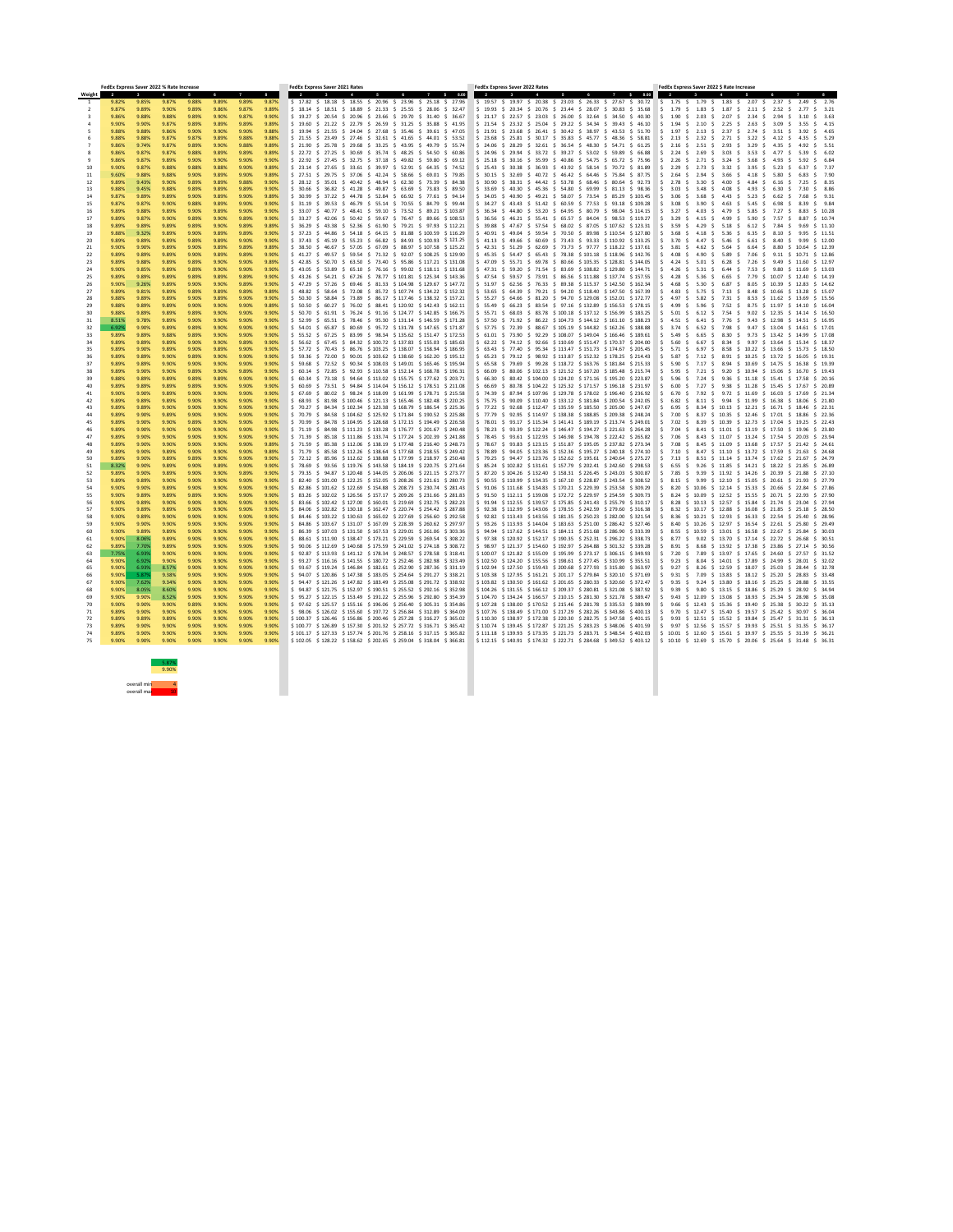|                         | FedEx Express Saver 2022 % Rate Increase |                       |                                 |                |                |                |                   | <b>FedEx Express Saver 2021 Rates</b>                                                                                                                                                                                                                                                                |         |                                                          | <b>FedEx Express Saver 2022 Rates</b> |                |                                |                                                                                                                                                                                                                                                                                                        |  | FedEx Express Saver 2022 \$ Rate Increase |                                                                                                                                                |                    |                                            |                                   |                     |                                     |                             |
|-------------------------|------------------------------------------|-----------------------|---------------------------------|----------------|----------------|----------------|-------------------|------------------------------------------------------------------------------------------------------------------------------------------------------------------------------------------------------------------------------------------------------------------------------------------------------|---------|----------------------------------------------------------|---------------------------------------|----------------|--------------------------------|--------------------------------------------------------------------------------------------------------------------------------------------------------------------------------------------------------------------------------------------------------------------------------------------------------|--|-------------------------------------------|------------------------------------------------------------------------------------------------------------------------------------------------|--------------------|--------------------------------------------|-----------------------------------|---------------------|-------------------------------------|-----------------------------|
| Weight                  | $\overline{\mathbf{2}}$<br>9.82%         | $\mathbf{3}$<br>9.85% | $\boldsymbol{\Lambda}$<br>9.87% | 9.88%          | 6<br>9.89%     | 9.89%          | 8<br>9.87%        | $\overline{2}$<br>$\mathbf{3}$<br>$\frac{1}{2}$ 17.82 $\frac{1}{2}$ 18.18 $\frac{1}{2}$ 18.55 $\frac{1}{2}$ 20.96 $\frac{1}{2}$ 23.96 $\frac{1}{2}$ 25.18 $\frac{1}{2}$ 27.96                                                                                                                        | 5<br>-4 | $\mathbf{7}$                                             | 8.00<br>$\mathbf{s}$                  | $\overline{2}$ | $\mathbf{3}$<br>$\overline{4}$ | 5<br>6<br>$\frac{1}{2}$ 19.57 $\frac{1}{2}$ 19.97 $\frac{1}{2}$ 20.38 $\frac{1}{2}$ 23.03 $\frac{1}{2}$ 26.33 $\frac{1}{2}$ 27.67 $\frac{1}{2}$ 30.72                                                                                                                                                  |  | 7 \$ 8.00                                 | $\overline{2}$<br>$\frac{1}{5}$ \$ 1.75 \$ 1.79 \$ 1.83 \$ 2.07 \$ 2.37 \$ 2.49 \$ 2.76                                                        | $\mathbf{3}$       |                                            |                                   |                     | $\overline{7}$                      | 8                           |
|                         | 9.87%                                    | 9.89%                 | 9.90%                           | 9.89%          | 9.86%          | 9.87%          | 9.89%             | $\frac{1}{2}$ 18.14 $\frac{1}{2}$ 18.51 $\frac{1}{2}$ 18.89 $\frac{1}{2}$ 21.33 $\frac{1}{2}$ 25.55 $\frac{1}{2}$ 28.06 $\frac{1}{2}$ 32.47                                                                                                                                                          |         |                                                          |                                       |                |                                | $\frac{1}{2}$ 19.93 \$ 20.34 \$ 20.76 \$ 23.44 \$ 28.07 \$ 30.83 \$ 35.68                                                                                                                                                                                                                              |  |                                           | 1.79<br>$\mathsf{S}$                                                                                                                           |                    | $\frac{1}{2}$ 1.83 \$ 1.87 \$ 2.11 \$ 2.52 |                                   | -S.                 |                                     |                             |
| $\overline{\mathbf{3}}$ | 9.86%                                    | 9.88%                 | 9.88%                           | 9.89%          | 9.90%          | 9.87%          | 9.90%             | \$ 19.27 \$ 20.54 \$ 20.96 \$ 23.66 \$ 29.70 \$ 31.40 \$ 36.67                                                                                                                                                                                                                                       |         |                                                          |                                       |                |                                | \$ 21.17 \$ 22.57 \$ 23.03 \$ 26.00 \$ 32.64 \$ 34.50 \$ 40.30                                                                                                                                                                                                                                         |  |                                           | 1.90<br>$\blacksquare$                                                                                                                         | \$ 2.03 \$         | 2.07                                       | S 2.34<br>-S.                     | 2.94<br>S.          |                                     | \$ 3.63                     |
| $\overline{4}$          | 9.90%                                    | 9.90%                 | 9.87%                           | 9.89%          | 9.89%          | 9.89%          | 9.89%             | \$ 19.60 \$ 21.22 \$ 22.79 \$ 26.59 \$ 31.25 \$ 35.88 \$ 41.95                                                                                                                                                                                                                                       |         |                                                          |                                       |                |                                | $\frac{1}{2}$ \$ 21.54 \$ 23.32 \$ 25.04 \$ 29.22 \$ 34.34 \$ 39.43 \$ 46.10                                                                                                                                                                                                                           |  |                                           | 1.94<br>$\mathsf{S}$                                                                                                                           | $$2.10 \text{ } $$ |                                            | 2.25 \$ 2.63 \$ 3.09              | -S.                 |                                     | 3.55 \$ 4.15                |
|                         | 9.88%                                    | 9.88%                 | 9.86%                           | 9.90%          | 9.90%          | 9.90%          | 9.88%             | $\frac{1}{2}$ 19.94 $\frac{1}{2}$ 21.55 $\frac{1}{2}$ 24.04 $\frac{1}{2}$ 27.68 $\frac{1}{2}$ 35.46 $\frac{1}{2}$ 39.61 $\frac{1}{2}$ 47.05                                                                                                                                                          |         |                                                          |                                       |                |                                | $\frac{1}{2}$ 21.91 \$ 23.68 \$ 26.41 \$ 30.42 \$ 38.97 \$ 43.53 \$ 51.70<br>$\frac{1}{5}$ 23.68 $\frac{1}{5}$ 25.81 $\frac{1}{5}$ 30.17 $\frac{1}{5}$ 35.83 $\frac{1}{5}$ 45.77 $\frac{1}{5}$ 48.36 $\frac{1}{5}$ 58.81                                                                               |  |                                           | 1.97<br>$\mathsf{S}$<br>$\blacksquare$ \$                                                                                                      |                    | $\frac{1}{2}$ 2.13 \$ 2.37 \$ 2.74 \$ 3.51 |                                   |                     | S.                                  | 3.92 S 4.65<br>4.35 \$ 5.29 |
|                         | 9.88%<br>9.86%                           | 9.88%<br>9.74%        | 9.87%<br>9.87%                  | 9.87%<br>9.89% | 9.89%<br>9.90% | 9.88%<br>9.88% | 9.88%<br>9.89%    | $\frac{1}{2}$ 21.55 \$ 23.49 \$ 27.46 \$ 32.61 \$ 41.65 \$ 44.01 \$ 53.52<br>$\frac{1}{2}$ 21.90 \$ 25.78 \$ 29.68 \$ 33.25 \$ 43.95 \$ 49.79 \$ 55.74                                                                                                                                               |         |                                                          |                                       |                |                                | $\frac{1}{5}$ 24.06 $\frac{1}{5}$ 28.29 $\frac{1}{5}$ 32.61 $\frac{1}{5}$ 36.54 $\frac{1}{5}$ 48.30 $\frac{1}{5}$ 54.71 $\frac{1}{5}$ 61.25                                                                                                                                                            |  |                                           | 2.13 \$ 2.32 \$ 2.71 \$ 3.22 \$ 4.12<br>2.16 \$ 2.51 \$                                                                                        |                    | 2.93                                       | \$ 3.29 \$                        | -S.<br>4.35<br>-S.  |                                     | 4.92 S 5.51                 |
| -8                      | 9.86%                                    | 9.87%                 | 9.87%                           | 9.88%          | 9.89%          | 9.89%          | 9.89%             | $\frac{1}{2}$ 22.72 $\frac{1}{2}$ 27.25 $\frac{1}{2}$ 30.69 $\frac{1}{2}$ 35.74 $\frac{1}{2}$ 48.25 $\frac{1}{2}$ 54.50 $\frac{1}{2}$ 60.86                                                                                                                                                          |         |                                                          |                                       |                |                                | $\frac{1}{5}$ 24.96 $\frac{1}{5}$ 29.94 $\frac{1}{5}$ 33.72 $\frac{1}{5}$ 39.27 $\frac{1}{5}$ 53.02 $\frac{1}{5}$ 59.89 $\frac{1}{5}$ 66.88                                                                                                                                                            |  |                                           | 2.24<br>S.<br>∣S.                                                                                                                              | 2.69 S             |                                            | 3.03 \$ 3.53 \$ 4.77              | -S.                 |                                     | 5.39 S 6.02                 |
|                         | 9.86%                                    | 9.87%                 | 9.89%                           | 9.90%          | 9.90%          | 9.90%          | 9.90%             | \$ 22.92 \$ 27.45 \$ 32.75 \$ 37.18 \$ 49.82 \$ 59.80 \$ 69.12                                                                                                                                                                                                                                       |         |                                                          |                                       |                |                                | \$ 25.18 \$ 30.16 \$ 35.99 \$ 40.86 \$ 54.75 \$ 65.72 \$ 75.96                                                                                                                                                                                                                                         |  |                                           | 2.26 \$ 2.71 \$ 3.24 \$ 3.68 \$<br>$\triangleleft$ \$ $\equiv$                                                                                 |                    |                                            |                                   | 4.93<br>-S.         |                                     | 5.92 \$ 6.84                |
| -10                     | 9.90%                                    | 9.87%                 | 9.88%                           | 9.88%          | 9.88%          | 9.90%          | $9.89\%$          | $\frac{1}{5}$ 23.14 $\frac{1}{5}$ 27.65 $\frac{1}{5}$ 33.61 $\frac{1}{5}$ 39.97 $\frac{1}{5}$ 52.91 $\frac{1}{5}$ 64.35 $\frac{1}{5}$ 74.52                                                                                                                                                          |         |                                                          |                                       |                |                                | $\frac{1}{5}$ 25.43 $\frac{1}{5}$ 30.38 $\frac{1}{5}$ 36.93 $\frac{1}{5}$ 43.92 $\frac{1}{5}$ 58.14 $\frac{1}{5}$ 70.72 $\frac{1}{5}$ 81.89                                                                                                                                                            |  |                                           | 2.29 \$ 2.73 \$ 3.32 \$ 3.95 \$ 5.23 \$                                                                                                        |                    |                                            |                                   |                     |                                     | 6.37 S 7.37                 |
| -11<br>12               | 9.60%<br>9.89%                           | 9.88%<br>9.43%        | 9.88%<br>9.90%                  | 9.90%<br>9.89% | 9.89%<br>9.89% | 9.90%<br>9.88% | 9.89%<br>9.90%    | $\frac{1}{2}$ 27.51 \$ 29.75 \$ 37.06 \$ 42.24 \$ 58.66 \$ 69.01 \$ 79.85<br>$\frac{1}{5}$ 28.12 $\frac{1}{5}$ 35.01 $\frac{1}{5}$ 40.42 $\frac{1}{5}$ 48.94 $\frac{1}{5}$ 62.30 $\frac{1}{5}$ 73.39 $\frac{1}{5}$ 84.38                                                                             |         |                                                          |                                       |                |                                | $\frac{1}{5}$ 30.15 \$ 32.69 \$ 40.72 \$ 46.42 \$ 64.46 \$ 75.84 \$ 87.75<br>$\frac{1}{5}$ 30.90 $\frac{1}{5}$ 38.31 $\frac{1}{5}$ 44.42 $\frac{1}{5}$ 53.78 $\frac{1}{5}$ 68.46 $\frac{1}{5}$ 80.64 $\frac{1}{5}$ 92.73                                                                               |  |                                           | 2.64<br>S.<br>⊟ S<br>2.78 \$ 3.30 \$                                                                                                           | 2.94<br>S.         | 3.66<br>- 4.00                             | S 4.18 S<br>\$ 4.84 \$            | 5.80<br>6.16<br>-S. |                                     | \$7.90<br>7.25 S 8.35       |
| 13                      | 9.88%                                    | 9.45%                 | 9.88%                           | 9.89%          | 9.89%          | 9.89%          | 9.90%             | \$ 30.66 \$ 36.82 \$ 41.28 \$ 49.87 \$ 63.69 \$ 73.83 \$ 89.50                                                                                                                                                                                                                                       |         |                                                          |                                       |                |                                | \$ 33.69 \$ 40.30 \$ 45.36 \$ 54.80 \$ 69.99 \$ 81.13 \$ 98.36                                                                                                                                                                                                                                         |  |                                           | 3.03                                                                                                                                           | \$ 3.48 \$         | 4.08<br>S.                                 | 4.93 S                            | 6.30                |                                     | 7.30 \$ 8.86                |
| 14                      | 9.87%                                    | 9.89%                 | 9.89%                           | 9.90%          | 9.89%          | 9.90%          | 9.89%             | S 30.99                                                                                                                                                                                                                                                                                              |         | \$ 37.22 \$ 44.78 \$ 52.84 \$ 66.92 \$ 77.61 \$ 94.14    |                                       |                |                                | $\frac{1}{5}$ 34.05 \$ 40.90 \$ 49.21 \$ 58.07 \$ 73.54 \$ 85.29 \$103.45                                                                                                                                                                                                                              |  |                                           | 3.06 S<br>S .                                                                                                                                  | - 3.68<br>S.       | 4.43 S                                     | 5.23                              | 6.62                |                                     | S 9.31                      |
| -15                     | 9.87%                                    | 9.87%                 | 9.90%                           | 9.88%          | 9.89%          | 9.90%          | 9.90%             | \$ 31.19 \$ 39.53 \$ 46.79 \$ 55.14 \$ 70.55 \$ 84.79 \$ 99.44                                                                                                                                                                                                                                       |         |                                                          |                                       |                |                                | \$ 34.27 \$ 43.43 \$ 51.42 \$ 60.59 \$ 77.53 \$ 93.18 \$ 109.28                                                                                                                                                                                                                                        |  |                                           | 3.08 \$ 3.90 \$                                                                                                                                |                    |                                            | 4.63 \$ 5.45 \$                   | 6.98<br>-S.         |                                     | 8.39 S 9.84                 |
| 16<br>17                | 9.89%<br>9.89%                           | 9.88%<br>9.87%        | 9.89%<br>9.90%                  | 9.90%<br>9.89% | 9.89%<br>9.90% | 9.90%<br>9.89% | 9.90%<br>9.90%    | $\frac{1}{5}$ 33.07 \$ 40.77 \$ 48.41 \$ 59.10 \$ 73.52 \$ 89.21 \$ 103.87<br>$\frac{1}{5}$ 33.27 \$ 42.06 \$ 50.42 \$ 59.67 \$ 76.47 \$ 89.66 \$ 108.53                                                                                                                                             |         |                                                          |                                       |                |                                | $$36.34$ \$44.80 \$53.20 \$64.95 \$80.79 \$98.04 \$114.15<br>$\frac{1}{5}$ 36.56 \$ 46.21 \$ 55.41 \$ 65.57 \$ 84.04 \$ 98.53 \$ 119.27                                                                                                                                                                |  |                                           | $3.27$ \$ 4.03 \$ 4.79 \$ 5.85 \$ 7.27<br>3.29<br>S.                                                                                           | S 4.15 S           | 4.99<br>S.                                 | 5.90<br>-S -                      | 7.57                | \$ 8.83 \$ 10.28<br>S.              | 8.87 S 10.74                |
| 18                      | 9.89%                                    | 9.89%                 | 9.89%                           | 9.89%          | 9.90%          | 9.89%          | 9.89%             | $\frac{1}{5}$ 36.29 \$ 43.38 \$ 52.36 \$ 61.90 \$ 79.21 \$ 97.93 \$ 112.21                                                                                                                                                                                                                           |         |                                                          |                                       |                |                                | $$39.88$ \$47.67 \$57.54 \$68.02 \$87.05 \$107.62 \$123.31                                                                                                                                                                                                                                             |  |                                           | 3.59                                                                                                                                           | \$ 4.29 \$         | 5.18<br>S.                                 | 6.12                              | 7.84<br>-S          |                                     | S 11.10                     |
| 19                      | 9.88%                                    | 9.32%                 | 9.89%                           | 9.90%          | 9.89%          | 9.89%          | 9.90%             | $\frac{1}{5}$ 37.23 \$ 44.86 \$ 54.18 \$ 64.15 \$ 81.88 \$ 100.59 \$ 116.29                                                                                                                                                                                                                          |         |                                                          |                                       |                |                                | $\frac{1}{2}$ 40.91 \$ 49.04 \$ 59.54 \$ 70.50 \$ 89.98 \$ 110.54 \$ 127.80                                                                                                                                                                                                                            |  |                                           | 3.68<br>-S<br>S.                                                                                                                               | 4.18 S             | 5.36<br>S.                                 | 6.35                              | 8.10<br>-S.         |                                     | 9.95 S 11.51                |
| 20                      | 9.89%                                    | 9.89%                 | 9.89%                           | 9.89%          | 9.89%          | 9.90%          | 9.90%             | \$ 37.43    \$ 45.19    \$ 55.23    \$ 66.82    \$ 84.93    \$ 100.93    \$ 121.25                                                                                                                                                                                                                   |         |                                                          |                                       |                |                                | $\frac{1}{2}$ 41.13 $\frac{1}{2}$ 49.66 $\frac{1}{2}$ 60.69 $\frac{1}{2}$ 73.43 $\frac{1}{2}$ 93.33 $\frac{1}{2}$ 110.92 $\frac{1}{2}$ 133.25                                                                                                                                                          |  |                                           | 3.70 \$ 4.47 \$<br>∣S.                                                                                                                         |                    | 5.46                                       | S 6.61 S                          | 8.40                | \$ 9.99 \$ 12.00                    |                             |
| -21<br>-22              | 9.90%<br>9.89%                           | 9.90%<br>9.89%        | 9.89%<br>9.89%                  | 9.90%<br>9.90% | 9.89%<br>9.89% | 9.89%<br>9.89% | $9.89\%$<br>9.90% | $\frac{1}{5}$ 38.50 \$ 46.67 \$ 57.05 \$ 67.09 \$ 88.97 \$ 107.58 \$ 125.22<br>$\frac{1}{2}$ 41.27 \$ 49.57 \$ 59.54 \$ 71.32 \$ 92.07 \$ 108.25 \$ 129.90                                                                                                                                           |         |                                                          |                                       |                |                                | $$42.31$ $$51.29$ $$62.69$ $$73.73$ $$97.77$ $$118.22$ $$137.61$<br>$\frac{1}{5}$ 45.35 \$ 54.47 \$ 65.43 \$ 78.38 \$ 101.18 \$ 118.96 \$ 142.76                                                                                                                                                       |  |                                           | 3.81 \$ 4.62 \$<br>$\mathsf{S}$<br>-4.08<br>S S<br>S.                                                                                          | - 4.90<br>S.       | 5.89                                       | 5.64 \$ 6.64 \$<br>S 7.06<br>-S - | 8.80<br>9.11<br>- S | \$ 10.64 \$ 12.39<br>10.71 \$ 12.86 |                             |
| -23                     | 9.89%                                    | 9.88%                 | 9.89%                           | 9.89%          | 9.90%          | 9.90%          | 9.89%             | $\frac{1}{5}$ 42.85 $\frac{1}{5}$ 50.70 $\frac{1}{5}$ 63.50 $\frac{1}{5}$ 73.40 $\frac{1}{5}$ 95.86 $\frac{1}{5}$ 117.21 $\frac{1}{5}$ 131.08                                                                                                                                                        |         |                                                          |                                       |                |                                | $\frac{1}{2}$ 47.09 \$ 55.71 \$ 69.78 \$ 80.66 \$ 105.35 \$ 128.81 \$ 144.05                                                                                                                                                                                                                           |  |                                           | 4.24                                                                                                                                           | \$ 5.01 \$         |                                            | $6.28$ \$ 7.26 \$ 9.49            |                     | S 11.60 S 12.97                     |                             |
| -24                     | 9.90%                                    | 9.85%                 | 9.89%                           | 9.89%          | 9.90%          | 9.90%          | 9.90%             | $\frac{1}{5}$ 43.05 \$ 53.89 \$ 65.10 \$ 76.16 \$ 99.02 \$ 118.11 \$ 131.68                                                                                                                                                                                                                          |         |                                                          |                                       |                |                                | $\frac{1}{2}$ 47.31 \$ 59.20 \$ 71.54 \$ 83.69 \$ 108.82 \$ 129.80 \$ 144.71                                                                                                                                                                                                                           |  |                                           | 4.26 \$ 5.31 \$<br>S S                                                                                                                         |                    |                                            | 6.44 \$ 7.53 \$ 9.80              |                     | S 11.69 S 13.03                     |                             |
| 25                      | 9.89%                                    | 9.89%                 | 9.89%                           | 9.89%          | 9.89%          | 9.89%          | 9.90%             | $\frac{1}{5}$ 43.26 \$ 54.21 \$ 67.26 \$ 78.77 \$ 101.81 \$ 125.34 \$ 143.36                                                                                                                                                                                                                         |         |                                                          |                                       |                |                                | $\frac{1}{5}$ 47.54 $\frac{1}{5}$ 59.57 $\frac{1}{5}$ 73.91 $\frac{1}{5}$ 86.56 $\frac{1}{5}$ 111.88 $\frac{1}{5}$ 137.74 $\frac{1}{5}$ 157.55                                                                                                                                                         |  |                                           | 4.28 S<br>$\mathsf{S}$                                                                                                                         | 5.36 S             | 6.65 \$ 7.79                               |                                   | S 10.07             | \$ 12.40 \$ 14.19                   |                             |
| -26                     | 9.90%                                    | 9.26%                 | 9.89%                           | 9.90%          | 9.90%          | 9.89%          | 9.90%             | \$ 47.29 \$ 57.26 \$ 69.46 \$ 81.33 \$ 104.98 \$ 129.67 \$ 147.72                                                                                                                                                                                                                                    |         |                                                          |                                       |                |                                | \$ 51.97 \$ 62.56 \$ 76.33 \$ 89.38 \$ 115.37 \$ 142.50 \$ 162.34                                                                                                                                                                                                                                      |  |                                           | 4.68 \$                                                                                                                                        | 5.30<br>-S.        | 6.87<br>S.                                 | 8.05 \$ 10.39                     |                     | \$ 12.83 \$ 14.62                   |                             |
| 27<br>28                | 9.89%<br>9.88%                           | 9.81%<br>9.89%        | 9.89%<br>9.89%                  | 9.89%<br>9.90% | 9.89%<br>9.89% | 9.89%<br>9.90% | 9.89%<br>9.90%    | $\frac{1}{5}$ 48.82 $\frac{1}{5}$ 58.64 $\frac{1}{5}$ 72.08 $\frac{1}{5}$ 85.72 $\frac{1}{5}$ 107.74 $\frac{1}{5}$ 134.22 $\frac{1}{5}$ 152.32<br>S 50.30                                                                                                                                            |         | \$ 58.84 \$ 73.89 \$ 86.17 \$ 117.46 \$ 138.32 \$ 157.21 |                                       |                |                                | \$ 53.65 \$ 64.39 \$ 79.21 \$ 94.20 \$ 118.40 \$ 147.50 \$ 167.39<br>$\frac{1}{5}$ 55.27 \$ 64.66 \$ 81.20 \$ 94.70 \$129.08 \$152.01 \$172.77                                                                                                                                                         |  |                                           | 4.83 \$ 5.75 \$ 7.13 \$ 8.48 \$ 10.66 \$ 13.28 \$ 15.07<br>$\mathsf{S}$<br>$\blacksquare$ \$<br>4.97<br>S.                                     | 5.82 \$            | 7.31                                       | \$ 8.53 \$ 11.62                  |                     | \$ 13.69 \$ 15.56                   |                             |
| - 29                    | 9.88%                                    | 9.89%                 | 9.89%                           | 9.90%          | 9.90%          | 9.90%          | 9.89%             | $\frac{1}{5}$ 50.50 \$ 60.27 \$ 76.02 \$ 88.41 \$ 120.92 \$ 142.43 \$ 162.11                                                                                                                                                                                                                         |         |                                                          |                                       |                |                                | $\frac{1}{5}$ 55.49 \$ 66.23 \$ 83.54 \$ 97.16 \$ 132.89 \$ 156.53 \$ 178.15                                                                                                                                                                                                                           |  |                                           | 4.99 \$ 5.96 \$ 7.52 \$ 8.75 \$ 11.97 \$ 14.10 \$ 16.04<br>⊟S.                                                                                 |                    |                                            |                                   |                     |                                     |                             |
| 30                      | 9.88%                                    | 9.89%                 | 9.89%                           | 9.89%          | 9.90%          | 9.90%          | 9.90%             | $\frac{1}{2}$ 50.70 \$ 61.91 \$ 76.24 \$ 91.16 \$ 124.77 \$ 142.85 \$ 166.75                                                                                                                                                                                                                         |         |                                                          |                                       |                |                                | \$ 55.71 \$ 68.03 \$ 83.78 \$ 100.18 \$ 137.12 \$ 156.99 \$ 183.25 \$ 5.01 \$ 6.12 \$ 7.54 \$ 9.02 \$ 12.35 \$ 14.14 \$ 16.50                                                                                                                                                                          |  |                                           |                                                                                                                                                |                    |                                            |                                   |                     |                                     |                             |
| -31                     | 8.51%                                    | 9.78%                 | 9.89%                           | 9.90%          | 9.90%          | 9.90%          | $9.90\%$          | $$52.99 \t$ 65.51 \t$ 78.46 \t$ 95.30 \t$ 131.14 \t$ 146.59 \t$ 171.28$                                                                                                                                                                                                                              |         |                                                          |                                       |                |                                | \$ 57.50 \$ 71.92 \$ 86.22 \$ 104.73 \$ 144.12 \$ 161.10 \$ 188.23 \$ 4.51 \$ 6.41 \$ 7.76 \$ 9.43 \$ 12.98 \$ 14.51 \$ 16.95                                                                                                                                                                          |  |                                           |                                                                                                                                                |                    |                                            |                                   |                     |                                     |                             |
| -32<br>-33-             | 6.92%<br>9.89%                           | 9.90%<br>$9.89\%$     | 9.89%<br>9.88%                  | 9.89%<br>9.89% | 9.90%<br>9.90% | 9.90%<br>9.90% | 9.90%<br>9.90%    | $$54.01$ \$ 65.87 \$ 80.69 \$ 95.72 \$ 131.78 \$ 147.65 \$ 171.87<br>\$ 55.52 \$ 67.25 \$ 83.99 \$ 98.34 \$ 135.62 \$ 151.47 \$ 172.53                                                                                                                                                               |         |                                                          |                                       |                |                                | $$57.75$ $$72.39$ $$88.67$ $$105.19$ $$144.82$ $$162.26$ $$188.88$<br>  \$ 61.01 \$ 73.90 \$ 92.29 \$108.07 \$149.04 \$166.46 \$189.61   \$ 5.49 \$ 6.65 \$ 8.30 \$ 9.73 \$ 13.42 \$ 14.99 \$ 17.08                                                                                                    |  |                                           | $\frac{1}{2}$ 3.74 \$ 6.52 \$ 7.98 \$ 9.47 \$ 13.04 \$ 14.61 \$ 17.01                                                                          |                    |                                            |                                   |                     |                                     |                             |
|                         | 9.89%                                    | $9.89\%$              | 9.89%                           | 9.90%          | 9.90%          | 9.89%          | 9.90%             | $$56.62 \text{ } $67.45 \text{ } $84.32 \text{ } $100.72 \text{ } $137.83 \text{ } $155.03 \text{ } $185.63$                                                                                                                                                                                         |         |                                                          |                                       |                |                                | $\frac{1}{2}$ 62.22 $\frac{1}{2}$ 74.12 $\frac{1}{2}$ 92.66 $\frac{1}{2}$ 110.69 $\frac{1}{2}$ 151.47 $\frac{1}{2}$ 170.37 $\frac{1}{2}$ 204.00                                                                                                                                                        |  |                                           | $\frac{1}{2}$ 5.60 \$ 6.67 \$ 8.34 \$ 9.97 \$ 13.64 \$ 15.34 \$ 18.37                                                                          |                    |                                            |                                   |                     |                                     |                             |
| -35                     | 9.89%                                    | 9.90%                 | 9.89%                           | 9.90%          | 9.89%          | 9.90%          | 9.90%             | $\frac{1}{5}$ 57.72 $\frac{1}{5}$ 70.43 $\frac{1}{5}$ 86.76 $\frac{1}{5}$ 103.25 $\frac{1}{5}$ 138.07 $\frac{1}{5}$ 158.94 $\frac{1}{5}$ 186.95                                                                                                                                                      |         |                                                          |                                       |                |                                | \$ 63.43 \$ 77.40 \$ 95.34 \$ 113.47 \$ 151.73 \$ 174.67 \$ 205.45                                                                                                                                                                                                                                     |  |                                           | $\frac{1}{2}$ 5 5.71 \$ 6.97 \$ 8.58 \$ 10.22 \$ 13.66 \$ 15.73 \$ 18.50                                                                       |                    |                                            |                                   |                     |                                     |                             |
| -36                     | 9.89%                                    | 9.89%                 | 9.90%                           | 9.89%          | 9.90%          | 9.90%          | 9.90%             | $\frac{1}{2}$ 59.36 \$ 72.00 \$ 90.01 \$ 103.62 \$ 138.60 \$ 162.20 \$ 195.12                                                                                                                                                                                                                        |         |                                                          |                                       |                |                                | \$ 65.23 \$ 79.12 \$ 98.92 \$ 113.87 \$ 152.32 \$ 178.25 \$ 214.43 \$ 5.87 \$ 7.12 \$ 8.91 \$ 10.25 \$ 13.72 \$ 16.05 \$ 19.31                                                                                                                                                                         |  |                                           |                                                                                                                                                |                    |                                            |                                   |                     |                                     |                             |
| -37<br>-38              | 9.89%<br>9.89%                           | 9.89%<br>9.90%        | 9.90%<br>9.90%                  | 9.90%<br>9.89% | 9.90%<br>9.90% | 9.90%<br>9.89% | 9.90%<br>9.90%    | $$59.68$ $$72.52$ $$90.34$ $$108.03$ $$149.01$ $$165.46$ $$195.94$<br>$\frac{1}{2}$ 60.14 \$ 72.85 \$ 92.93 \$ 110.58 \$ 152.14 \$ 168.78 \$ 196.31                                                                                                                                                  |         |                                                          |                                       |                |                                | \$ 65.58 \$ 79.69 \$ 99.28 \$ 118.72 \$ 163.76 \$ 181.84 \$ 215.33<br>$$66.09$ $$80.06$ $$102.13$ $$121.52$ $$167.20$ $$185.48$ $$215.74$                                                                                                                                                              |  |                                           | 5.90 \$ 7.17 \$ 8.94 \$ 10.69 \$ 14.75 \$ 16.38 \$ 19.39<br>$\frac{1}{2}$ 5.95 \$ 7.21 \$ 9.20 \$ 10.94 \$ 15.06 \$ 16.70 \$ 19.43             |                    |                                            |                                   |                     |                                     |                             |
| -39                     | 9.88%                                    | 9.89%                 | 9.89%                           | 9.89%          | 9.89%          | 9.90%          | 9.90%             | $\frac{1}{2}$ 60.34 \$ 73.18 \$ 94.64 \$ 113.02 \$ 155.75 \$ 177.62 \$ 203.71                                                                                                                                                                                                                        |         |                                                          |                                       |                |                                | $$66.30$ \$ 80.42 \$ 104.00 \$ 124.20 \$ 171.16 \$ 195.20 \$ 223.87 \$ 5.96 \$ 7.24 \$ 9.36 \$ 11.18 \$ 15.41 \$ 17.58 \$ 20.16                                                                                                                                                                        |  |                                           |                                                                                                                                                |                    |                                            |                                   |                     |                                     |                             |
| -40                     | 9.89%                                    | $9.89\%$              | $9.89\%$                        | 9.89%          | 9.90%          | 9.90%          | 9.90%             | $$60.69$ \$ 73.51 \$ 94.84 \$ 114.04 \$ 156.12 \$ 178.51 \$ 211.08                                                                                                                                                                                                                                   |         |                                                          |                                       |                |                                | $$66.69$ \$ 80.78 \$ 104.22 \$ 125.32 \$ 171.57 \$ 196.18 \$ 231.97                                                                                                                                                                                                                                    |  |                                           | 6.00 \$ 7.27 \$ 9.38 \$ 11.28 \$ 15.45 \$ 17.67 \$ 20.89<br>$\mathsf{S}$                                                                       |                    |                                            |                                   |                     |                                     |                             |
| -41                     | 9.90%                                    | 9.90%                 | 9.89%                           | 9.90%          | 9.90%          | 9.90%          | 9.90%             | $\frac{1}{2}$ 67.69 $\frac{1}{2}$ 80.02 $\frac{1}{2}$ 98.24 $\frac{1}{2}$ 118.09 $\frac{1}{2}$ 161.99 $\frac{1}{2}$ 178.71 $\frac{1}{2}$ 215.58                                                                                                                                                      |         |                                                          |                                       |                |                                | $\frac{1}{2}$ 74.39 $\frac{1}{2}$ 87.94 $\frac{1}{2}$ 107.96 $\frac{1}{2}$ 129.78 $\frac{1}{2}$ 178.02 $\frac{1}{2}$ 196.40 $\frac{1}{2}$ 236.92                                                                                                                                                       |  |                                           | $\frac{1}{2}$ \$ 6.70 \$ 7.92 \$ 9.72 \$ 11.69 \$ 16.03 \$ 17.69 \$ 21.34                                                                      |                    |                                            |                                   |                     |                                     |                             |
| -42                     | 9.89%                                    | 9.89%                 | 9.89%                           | 9.90%          | 9.90%          | 9.90%          | 9.90%             | $$68.93 \t$ 81.98 \t$ 100.46 \t$ 121.13 \t$ 165.46 \t$ 182.48 \t$ 220.25$                                                                                                                                                                                                                            |         |                                                          |                                       |                |                                | $$75.75$ $$90.09$ $$110.40$ $$133.12$ $$181.84$ $$200.54$ $$242.05$                                                                                                                                                                                                                                    |  |                                           | 6.82 \$ 8.11 \$ 9.94 \$ 11.99 \$ 16.38 \$ 18.06 \$ 21.80<br>$\mathsf{S}$                                                                       |                    |                                            |                                   |                     |                                     |                             |
| -43<br>-44              | 9.89%<br>9.89%                           | 9.89%<br>9.90%        | 9.90%<br>9.89%                  | 9.90%<br>9.90% | 9.90%<br>9.90% | 9.90%<br>9.90% | 9.90%<br>9.90%    | $\frac{1}{2}$ 70.27 $\frac{1}{2}$ 84.34 $\frac{1}{2}$ 102.34 $\frac{1}{2}$ 123.38 $\frac{1}{2}$ 168.79 $\frac{1}{2}$ 186.54 $\frac{1}{2}$ 225.36<br>$\frac{1}{5}$ 70.79 $\frac{1}{5}$ 84.58 $\frac{1}{5}$ 104.62 $\frac{1}{5}$ 125.92 $\frac{1}{5}$ 171.84 $\frac{1}{5}$ 190.52 $\frac{1}{5}$ 225.88 |         |                                                          |                                       |                |                                | $$77.22$ $$92.68$ $$112.47$ $$135.59$ $$185.50$ $$205.00$ $$247.67$<br>  \$    77.79    \$   92.95    \$ 114.97    \$ 138.38    \$ 188.85    \$ 209.38    \$ 248.24                                                                                                                                    |  |                                           | 6.95 \$ 8.34 \$ 10.13 \$ 12.21 \$ 16.71 \$ 18.46 \$ 22.31<br>- \$<br>$\frac{1}{2}$ 5 7.00 \$ 8.37 \$ 10.35 \$ 12.46 \$ 17.01 \$ 18.86 \$ 22.36 |                    |                                            |                                   |                     |                                     |                             |
| -45                     | 9.89%                                    | 9.90%                 | 9.90%                           | 9.89%          | 9.90%          | 9.90%          | 9.90%             | $\frac{1}{2}$ 70.99 $\frac{1}{2}$ 84.78 $\frac{1}{2}$ 104.95 $\frac{1}{2}$ 128.68 $\frac{1}{2}$ 172.15 $\frac{1}{2}$ 194.49 $\frac{1}{2}$ 226.58                                                                                                                                                     |         |                                                          |                                       |                |                                | $$78.01$ \$ 93.17 \$ 115.34 \$ 141.41 \$ 189.19 \$ 213.74 \$ 249.01                                                                                                                                                                                                                                    |  |                                           | $\frac{1}{2}$ \$ 7.02 \$ 8.39 \$ 10.39 \$ 12.73 \$ 17.04 \$ 19.25 \$ 22.43                                                                     |                    |                                            |                                   |                     |                                     |                             |
| -46                     | 9.89%                                    | 9.90%                 | 9.90%                           | 9.90%          | 9.90%          | 9.90%          | 9.90%             | $\frac{1}{2}$ 71.19 $\frac{1}{2}$ 84.98 $\frac{1}{2}$ 111.23 $\frac{1}{2}$ 133.28 $\frac{1}{2}$ 176.77 $\frac{1}{2}$ 201.67 $\frac{1}{2}$ 240.48                                                                                                                                                     |         |                                                          |                                       |                |                                | $$78.23$ $$93.39$ $$122.24$ $$146.47$ $$194.27$ $$221.63$ $$264.28$                                                                                                                                                                                                                                    |  |                                           | $\frac{1}{2}$ 5 7.04 \$ 8.41 \$ 11.01 \$ 13.19 \$ 17.50 \$ 19.96 \$ 23.80                                                                      |                    |                                            |                                   |                     |                                     |                             |
| -47                     | 9.89%                                    | 9.90%                 | 9.90%                           | 9.90%          | 9.90%          | 9.90%          | 9.90%             | $\frac{1}{2}$ 71.39 \$ 85.18 \$ 111.86 \$ 133.74 \$ 177.24 \$ 202.39 \$ 241.88                                                                                                                                                                                                                       |         |                                                          |                                       |                |                                | \$78.45 \$93.61 \$122.93 \$146.98 \$194.78 \$222.42 \$265.82 \$7.06 \$8.43 \$11.07 \$13.24 \$17.54 \$20.03 \$23.94                                                                                                                                                                                     |  |                                           |                                                                                                                                                |                    |                                            |                                   |                     |                                     |                             |
| -48<br>-49              | 9.89%<br>9.89%                           | $9.90\%$<br>9.90%     | 9.90%<br>9.89%                  | 9.90%<br>9.90% | 9.90%<br>9.90% | 9.90%<br>9.90% | 9.89%<br>9.89%    | $$71.59$ $$85.38$ $$112.06$ $$138.19$ $$177.48$ $$216.40$ $$248.73$<br>$$71.79$ $$85.58$ $$112.26$ $$138.64$ $$177.68$ $$218.55$ $$249.42$                                                                                                                                                           |         |                                                          |                                       |                |                                | $$78.67$ $$93.83$ $$123.15$ $$151.87$ $$195.05$ $$237.82$ $$273.34$<br>\$78.89 \$94.05 \$123.36 \$152.36 \$195.27 \$240.18 \$274.10   \$7.10 \$8.47 \$11.10 \$13.72 \$17.59 \$21.63 \$24.68                                                                                                            |  |                                           | $\frac{1}{5}$ 7.08 \$ 8.45 \$ 11.09 \$ 13.68 \$ 17.57 \$ 21.42 \$ 24.61                                                                        |                    |                                            |                                   |                     |                                     |                             |
| -50                     | 9.89%                                    | 9.90%                 | 9.89%                           | 9.89%          | 9.90%          | 9.90%          | 9.90%             | $$72.12$ $$85.96$ $$112.62$ $$138.88$ $$177.99$ $$218.97$ $$250.48$                                                                                                                                                                                                                                  |         |                                                          |                                       |                |                                | \$79.25 \$94.47 \$123.76 \$152.62 \$195.61 \$240.64 \$275.27 \$7.13 \$8.51 \$11.14 \$13.74 \$17.62 \$21.67 \$24.79                                                                                                                                                                                     |  |                                           |                                                                                                                                                |                    |                                            |                                   |                     |                                     |                             |
| -51                     | 8.32%                                    | 9.90%                 | 9.89%                           | 9.90%          | 9.89%          | 9.90%          | 9.90%             | $$78.69$ $$93.56$ $$119.76$ $$143.58$ $$184.19$ $$220.75$ $$271.64$                                                                                                                                                                                                                                  |         |                                                          |                                       |                |                                | $$3.24 \t$ 102.82 \t$ 131.61 \t$ 157.79 \t$ 202.41 \t$ 242.60 \t$ 298.53$                                                                                                                                                                                                                              |  |                                           | 6.55 \$ 9.26 \$ 11.85 \$ 14.21 \$ 18.22 \$ 21.85 \$ 26.89<br>-S                                                                                |                    |                                            |                                   |                     |                                     |                             |
| -52                     | 9.89%                                    | 9.90%                 | 9.89%                           | 9.90%          | 9.90%          | 9.89%          | 9.90%             | $\frac{1}{2}$ 79.35 $\frac{1}{2}$ 94.87 $\frac{1}{2}$ 120.48 $\frac{1}{2}$ 144.05 $\frac{1}{2}$ 206.06 $\frac{1}{2}$ 221.15 $\frac{1}{2}$ 273.77                                                                                                                                                     |         |                                                          |                                       |                |                                | $$37.20$ \$104.26 \$132.40 \$158.31 \$226.45 \$243.03 \$300.87                                                                                                                                                                                                                                         |  |                                           | $\frac{1}{2}$ 5 7.85 \$ 9.39 \$ 11.92 \$ 14.26 \$ 20.39 \$ 21.88 \$ 27.10                                                                      |                    |                                            |                                   |                     |                                     |                             |
| -53                     | 9.89%<br>9.90%                           | 9.89%<br>9.90%        | 9.90%<br>9.89%                  | 9.90%<br>9.90% | 9.90%<br>9.90% | 9.90%<br>9.90% | 9.90%<br>9.90%    | $\frac{1}{2}$ 82.40 $\frac{1}{2}$ 101.00 $\frac{1}{2}$ 122.25 $\frac{1}{2}$ 152.05 $\frac{1}{2}$ 208.26 $\frac{1}{2}$ 221.61 $\frac{1}{2}$ 280.73<br>$$208.73$ $$230.74$ $$281.43$ $$321.62$ $$122.69$ $$154.88$ $$208.73$ $$230.74$ $$281.43$                                                       |         |                                                          |                                       |                |                                | $$90.55 \t$110.99 \t$134.35 \t$167.10 \t$228.87 \t$243.54 \t$308.52$<br>\$ 91.06 \$ 111.68 \$ 134.83 \$ 170.21 \$ 229.39 \$ 253.58 \$ 309.29                                                                                                                                                           |  |                                           | 8.15 \$ 9.99 \$ 12.10 \$ 15.05 \$ 20.61 \$ 21.93 \$ 27.79<br>$\mathsf{S}$<br>8.20 \$ 10.06 \$ 12.14 \$ 15.33 \$ 20.66 \$ 22.84 \$ 27.86        |                    |                                            |                                   |                     |                                     |                             |
| -55                     | 9.90%                                    | $9.89\%$              | 9.89%                           | 9.89%          | 9.90%          | 9.90%          | 9.90%             | $\frac{1}{2}$ \$3.26 \$102.02 \$126.56 \$157.17 \$209.26 \$231.66 \$281.83                                                                                                                                                                                                                           |         |                                                          |                                       |                |                                | $\frac{1}{2}$ 91.50 $\frac{1}{2}$ 112.11 $\frac{1}{2}$ 139.08 $\frac{1}{2}$ 172.72 $\frac{1}{2}$ 229.97 $\frac{1}{2}$ 254.59 $\frac{1}{2}$ 309.73                                                                                                                                                      |  |                                           | 8.24 \$ 10.09 \$ 12.52 \$ 15.55 \$ 20.71 \$ 22.93 \$ 27.90<br>S S                                                                              |                    |                                            |                                   |                     |                                     |                             |
| -56                     | 9.90%                                    | 9.89%                 | 9.90%                           | 9.90%          | 9.90%          | 9.90%          | 9.90%             | $$33.66 \t$ 102.42 \t$ 127.00 \t$ 160.01 \t$ 219.69 \t$ 232.75 \t$ 282.23$                                                                                                                                                                                                                           |         |                                                          |                                       |                |                                | $$91.94$ $$112.55$ $$139.57$ $$175.85$ $$241.43$ $$255.79$ $$310.17$                                                                                                                                                                                                                                   |  |                                           | 8.28 \$ 10.13 \$ 12.57 \$ 15.84 \$ 21.74 \$ 23.04 \$ 27.94<br>$\mathsf{S}$                                                                     |                    |                                            |                                   |                     |                                     |                             |
| -57                     | 9.90%                                    | 9.89%                 | 9.89%                           | 9.90%          | 9.90%          | 9.90%          | 9.90%             | $\frac{1}{2}$ 84.06 $\frac{1}{2}$ 102.82 $\frac{1}{2}$ 130.18 $\frac{1}{2}$ 162.47 $\frac{1}{2}$ 220.74 $\frac{1}{2}$ 254.42 $\frac{1}{2}$ 287.88                                                                                                                                                    |         |                                                          |                                       |                |                                | $$92.38$$ $$112.99$$ $$143.06$$ $$178.55$$ $$242.59$$ $$279.60$$ $$316.38$$                                                                                                                                                                                                                            |  |                                           | 8.32 \$ 10.17 \$ 12.88 \$ 16.08 \$ 21.85 \$ 25.18 \$ 28.50<br>S.                                                                               |                    |                                            |                                   |                     |                                     |                             |
| -58<br>-59              | 9.90%<br>9.90%                           | 9.89%<br>9.90%        | 9.90%<br>9.90%                  | 9.90%<br>9.90% | 9.90%<br>9.90% | 9.90%<br>9.90% | 9.90%<br>9.90%    | $$34.46 \t$ 103.22 \t$ 130.63 \t$ 165.02 \t$ 227.69 \t$ 256.60 \t$ 292.58$<br>$$34.86$ \$ 103.67 \$ 131.07 \$ 167.09 \$ 228.39 \$ 260.62 \$ 297.97                                                                                                                                                   |         |                                                          |                                       |                |                                | $\frac{1}{2}$ 92.82 $\frac{1}{2}$ 113.43 $\frac{1}{2}$ 143.56 $\frac{1}{2}$ 181.35 $\frac{1}{2}$ 250.23 $\frac{1}{2}$ 282.00 $\frac{1}{2}$ 321.54<br>$\frac{1}{2}$ 93.26 $\frac{1}{2}$ 113.93 $\frac{1}{2}$ 144.04 $\frac{1}{2}$ 183.63 $\frac{1}{2}$ 251.00 $\frac{1}{2}$ 286.42 $\frac{1}{2}$ 327.46 |  |                                           | $\frac{1}{2}$ 8.36 \$ 10.21 \$ 12.93 \$ 16.33 \$ 22.54 \$ 25.40 \$ 28.96<br>8.40 \$ 10.26 \$ 12.97 \$ 16.54 \$ 22.61 \$ 25.80 \$ 29.49<br>-S   |                    |                                            |                                   |                     |                                     |                             |
| -60                     | 9.90%                                    | 9.89%                 | 9.89%                           | 9.90%          | 9.90%          | 9.90%          | 9.90%             | \$ 86.39 \$ 107.03 \$ 131.50 \$ 167.53 \$ 229.01 \$ 261.06 \$ 303.36                                                                                                                                                                                                                                 |         |                                                          |                                       |                |                                | \$ 94.94 \$ 117.62 \$ 144.51 \$ 184.11 \$ 251.68 \$ 286.90 \$ 333.39 \$ 8.55 \$ 10.59 \$ 13.01 \$ 16.58 \$ 22.67 \$ 25.84 \$ 30.03                                                                                                                                                                     |  |                                           |                                                                                                                                                |                    |                                            |                                   |                     |                                     |                             |
| -61                     | 9.90%                                    | 8.06%                 | 9.89%                           | 9.90%          | 9.90%          | 9.90%          | $9.90\%$          | $\frac{1}{2}$ 88.61 $\frac{1}{2}$ 111.90 $\frac{1}{2}$ 138.47 $\frac{1}{2}$ 173.21 $\frac{1}{2}$ 229.59 $\frac{1}{2}$ 269.54 $\frac{1}{2}$ 308.22                                                                                                                                                    |         |                                                          |                                       |                |                                | \$ 97.38 \$ 120.92 \$ 152.17 \$ 190.35 \$ 252.31 \$ 296.22 \$ 338.73 \$ 8.77 \$ 9.02 \$ 13.70 \$ 17.14 \$ 22.72 \$ 26.68 \$ 30.51                                                                                                                                                                      |  |                                           |                                                                                                                                                |                    |                                            |                                   |                     |                                     |                             |
|                         | 9.89%                                    | 7.70%                 |                                 |                |                |                |                   | <mark>9.89%  9.90%  9.90%  9.90%  9.90%</mark> \$ 90.06 \$ 112.69 \$ 140.68 \$ 175.59 \$ 241.02 \$ 274.18 \$ 308.72                                                                                                                                                                                  |         |                                                          |                                       |                |                                | \$ 98.97 \$ 121.37 \$ 154.60 \$ 192.97 \$ 264.88 \$ 301.32 \$ 339.28 \$ 8.91 \$ 8.68 \$ 13.92 \$ 17.38 \$ 23.86 \$ 27.14 \$ 30.56                                                                                                                                                                      |  |                                           |                                                                                                                                                |                    |                                            |                                   |                     |                                     |                             |
| 63                      | 7.75%                                    | 6.93%                 | 9.90%                           | 9.90%<br>9.90% | 9.90%          | 9.90%          | 9.90%             | $$92.87$ $$113.93$ $$141.12$ $$178.34$ $$248.57$ $$278.58$ $$318.41$                                                                                                                                                                                                                                 |         |                                                          |                                       |                |                                | \$100.07 \$121.82 \$155.09 \$195.99 \$273.17 \$306.15 \$349.93  \$ 7.20 \$ 7.89 \$ 13.97 \$ 17.65 \$ 24.60 \$ 27.57 \$ 31.52                                                                                                                                                                           |  |                                           |                                                                                                                                                |                    |                                            |                                   |                     |                                     |                             |
| 64<br>65                | $9.90\%$<br>$9.90\%$                     | 6.92%<br>6.93%        | 9.90%<br>8.57%                  | 9.90%          | 9.90%<br>9.90% | 9.90%<br>9.90% | $9.90\%$<br>9.90% | \$ 93.27 \$ 116.16 \$ 141.55 \$ 180.72 \$ 252.46 \$ 282.98 \$ 323.49<br>$\frac{1}{2}$ 93.67 $\frac{1}{2}$ 119.24 $\frac{1}{2}$ 146.84 $\frac{1}{2}$ 182.61 $\frac{1}{2}$ 252.90 $\frac{1}{2}$ 287.36 $\frac{1}{2}$ 331.19                                                                            |         |                                                          |                                       |                |                                | \$102.50 \$124.20 \$155.56 \$198.61 \$277.45 \$310.99 \$355.51   \$ 9.23 \$ 8.04 \$ 14.01 \$ 17.89 \$ 24.99 \$ 28.01 \$ 32.02<br> \$102.94 \$127.50 \$159.43 \$200.68 \$277.93 \$315.80 \$363.97  \$ 9.27 \$ 8.26 \$ 12.59 \$ 18.07 \$ 25.03 \$ 28.44 \$ 32.78                                         |  |                                           |                                                                                                                                                |                    |                                            |                                   |                     |                                     |                             |
| 66                      | $9.90\%$                                 | 5.87%                 | 9.38%                           | 9.90%          | 9.90%          | 9.90%          | $9.90\%$          | \$ 94.07 \$ 120.86 \$ 147.38 \$ 183.05 \$ 254.64 \$ 291.27 \$ 338.21                                                                                                                                                                                                                                 |         |                                                          |                                       |                |                                | \$103.38 \$127.95 \$161.21 \$201.17 \$279.84 \$320.10 \$371.69  \$ 9.31 \$ 7.09 \$ 13.83 \$ 18.12 \$ 25.20 \$ 28.83 \$ 33.48                                                                                                                                                                           |  |                                           |                                                                                                                                                |                    |                                            |                                   |                     |                                     |                             |
| 67                      | $9.90\%$                                 | 7.62%                 | 9.34%                           | 9.90%          | 9.90%          | 9.90%          | 9.90%             | $\frac{1}{2}$ 94.47 $\frac{1}{2}$ 121.26 $\frac{1}{2}$ 147.82 $\frac{1}{2}$ 183.49 $\frac{1}{2}$ 255.08 $\frac{1}{2}$ 291.72 $\frac{1}{2}$ 338.92                                                                                                                                                    |         |                                                          |                                       |                |                                | $$103.82$ \$130.50 \$161.62 \$201.65 \$280.33 \$320.60 \$372.47 \$ 9.35 \$ 9.24 \$ 13.80 \$ 18.16 \$ 25.25 \$ 28.88 \$ 33.55                                                                                                                                                                           |  |                                           |                                                                                                                                                |                    |                                            |                                   |                     |                                     |                             |
| 68                      | $9.90\%$                                 | 8.05%                 | 8.60%                           | 9.90%          | 9.90%          | 9.90%          | 9.90%             | $\frac{1}{2}$ 94.87 $\frac{1}{2}$ 121.75 $\frac{1}{2}$ 152.97 $\frac{1}{2}$ 190.51 $\frac{1}{2}$ 255.52 $\frac{1}{2}$ 292.16 $\frac{1}{2}$ 352.98                                                                                                                                                    |         |                                                          |                                       |                |                                | $$104.26$ $$131.55$ $$166.12$ $$209.37$ $$280.81$ $$321.08$ $$387.92$ $$9.39$ $$9.80$ $$13.15$ $$18.86$ $$25.29$ $$28.92$ $$34.94$                                                                                                                                                                     |  |                                           |                                                                                                                                                |                    |                                            |                                   |                     |                                     |                             |
| 69<br>70                | 9.90%<br>9.90%                           | $9.90\%$<br>9.90%     | 8.52%<br>9.90%                  | 9.90%<br>9.89% | 9.90%<br>9.90% | 9.90%<br>9.90% | 9.90%<br>$9.90\%$ | $$95.27$ $$122.15$ $$153.49$ $$191.22$ $$255.96$ $$292.80$ $$354.39$<br>$\frac{1}{2}$ \$ 97.62 \$ 125.57 \$ 155.16 \$ 196.06 \$ 256.40 \$ 305.31 \$ 354.86                                                                                                                                           |         |                                                          |                                       |                |                                | \$104.70 \$134.24 \$166.57 \$210.15 \$281.30 \$321.78 \$389.47 \$ 9.43 \$ 12.09 \$ 13.08 \$ 18.93 \$ 25.34 \$ 28.98 \$ 35.08<br>\$107.28 \$138.00 \$170.52 \$215.46 \$281.78 \$335.53 \$389.99 \$ 9.66 \$ 12.43 \$ 15.36 \$ 19.40 \$ 25.38 \$ 30.22 \$ 35.13                                           |  |                                           |                                                                                                                                                |                    |                                            |                                   |                     |                                     |                             |
| 71                      | 9.89%                                    | 9.90%                 | 9.90%                           | 9.90%          | 9.90%          | 9.90%          | 9.90%             | $\frac{1}{2}$ 98.06 $\frac{1}{2}$ 126.02 $\frac{1}{2}$ 155.60 $\frac{1}{2}$ 197.72 $\frac{1}{2}$ 256.84 $\frac{1}{2}$ 312.89 $\frac{1}{2}$ 364.09                                                                                                                                                    |         |                                                          |                                       |                |                                | \$107.76 \$138.49 \$171.00 \$217.29 \$282.26 \$343.86 \$400.13 \$ 9.70 \$ 12.47 \$ 15.40 \$ 19.57 \$ 25.42 \$ 30.97 \$ 36.04                                                                                                                                                                           |  |                                           |                                                                                                                                                |                    |                                            |                                   |                     |                                     |                             |
| 72                      | 9.89%                                    | 9.89%                 | 9.89%                           | 9.90%          | 9.90%          | 9.90%          | $9.90\%$          | $$100.37$ $$126.46$ $$156.86$ $$200.46$ $$257.28$ $$316.27$ $$365.02$                                                                                                                                                                                                                                |         |                                                          |                                       |                |                                | $$10.30$ \$138.97 \$172.38 \$220.30 \$282.75 \$347.58 \$401.15 \$ 9.93 \$ 12.51 \$ 15.52 \$ 19.84 \$ 25.47 \$ 31.31 \$ 36.13                                                                                                                                                                           |  |                                           |                                                                                                                                                |                    |                                            |                                   |                     |                                     |                             |
| 73                      | 9.89%                                    | 9.90%                 | 9.90%                           | 9.90%          | 9.90%          | 9.90%          | $9.90\%$          | $\frac{1}{2}$ 100.77 $\frac{1}{2}$ 126.89 $\frac{1}{2}$ 157.30 $\frac{1}{2}$ 201.32 $\frac{1}{2}$ 257.72 $\frac{1}{2}$ 316.71 $\frac{1}{2}$ 365.42                                                                                                                                                   |         |                                                          |                                       |                |                                | $$110.74$ $$139.45$ $$172.87$ $$221.25$ $$283.23$ $$348.06$ $$401.59$ $$9.97$ $$12.56$ $$15.57$ $$19.93$ $$25.51$ $$31.35$ $$36.17$                                                                                                                                                                    |  |                                           |                                                                                                                                                |                    |                                            |                                   |                     |                                     |                             |
| 74<br>75                | 9.89%<br>9.90%                           | 9.90%<br>9.90%        | 9.90%<br>9.90%                  | 9.90%<br>9.90% | 9.90%<br>9.90% | 9.90%<br>9.90% | 9.90%<br>$9.90\%$ | $$101.17$ $$127.33$ $$157.74$ $$201.76$ $$258.16$ $$317.15$ $$365.82$<br>$\frac{1}{2}$ \$ 102.05 \$ 128.22 \$ 158.62 \$ 202.65 \$ 259.04 \$ 318.04 \$ 366.81                                                                                                                                         |         |                                                          |                                       |                |                                | \$111.18 \$139.93 \$173.35 \$221.73 \$283.71 \$348.54 \$402.03 \$10.01 \$12.60 \$15.61 \$19.97 \$25.55 \$31.39 \$36.21<br>$\frac{1}{2}$ 112.15 \$ 140.91 \$ 174.32 \$ 222.71 \$ 284.68 \$ 349.52 \$ 403.12 \$ 10.10 \$ 12.69 \$ 15.70 \$ 20.06 \$ 25.64 \$ 31.48 \$ 36.31                              |  |                                           |                                                                                                                                                |                    |                                            |                                   |                     |                                     |                             |
|                         |                                          |                       |                                 |                |                |                |                   |                                                                                                                                                                                                                                                                                                      |         |                                                          |                                       |                |                                |                                                                                                                                                                                                                                                                                                        |  |                                           |                                                                                                                                                |                    |                                            |                                   |                     |                                     |                             |

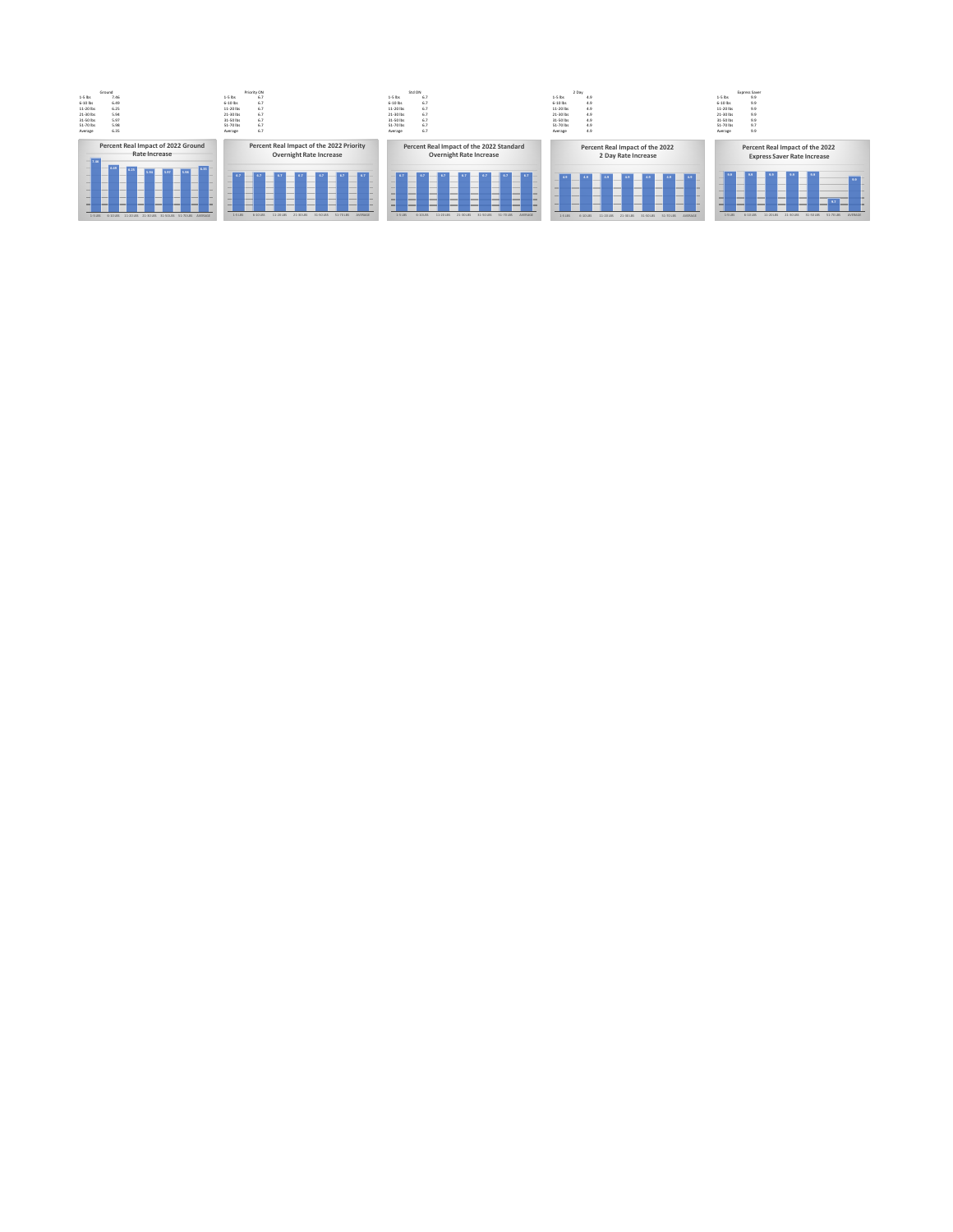